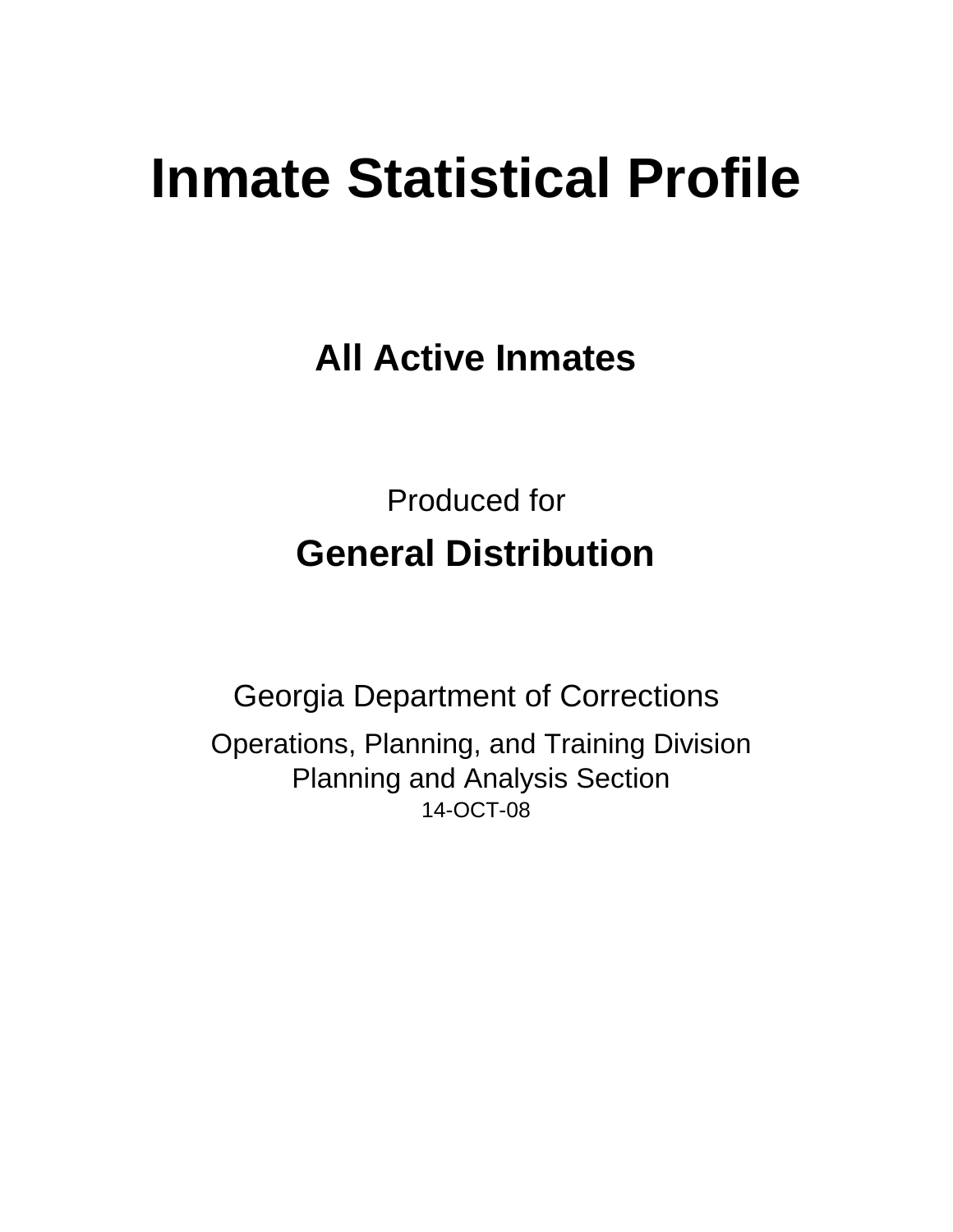# **Inmate Statistical Profile**

**All Active Inmates**

Produced for **General Distribution**

14-OCT-08 Georgia Department of Corrections Operations, Planning, and Training Division Planning and Analysis Section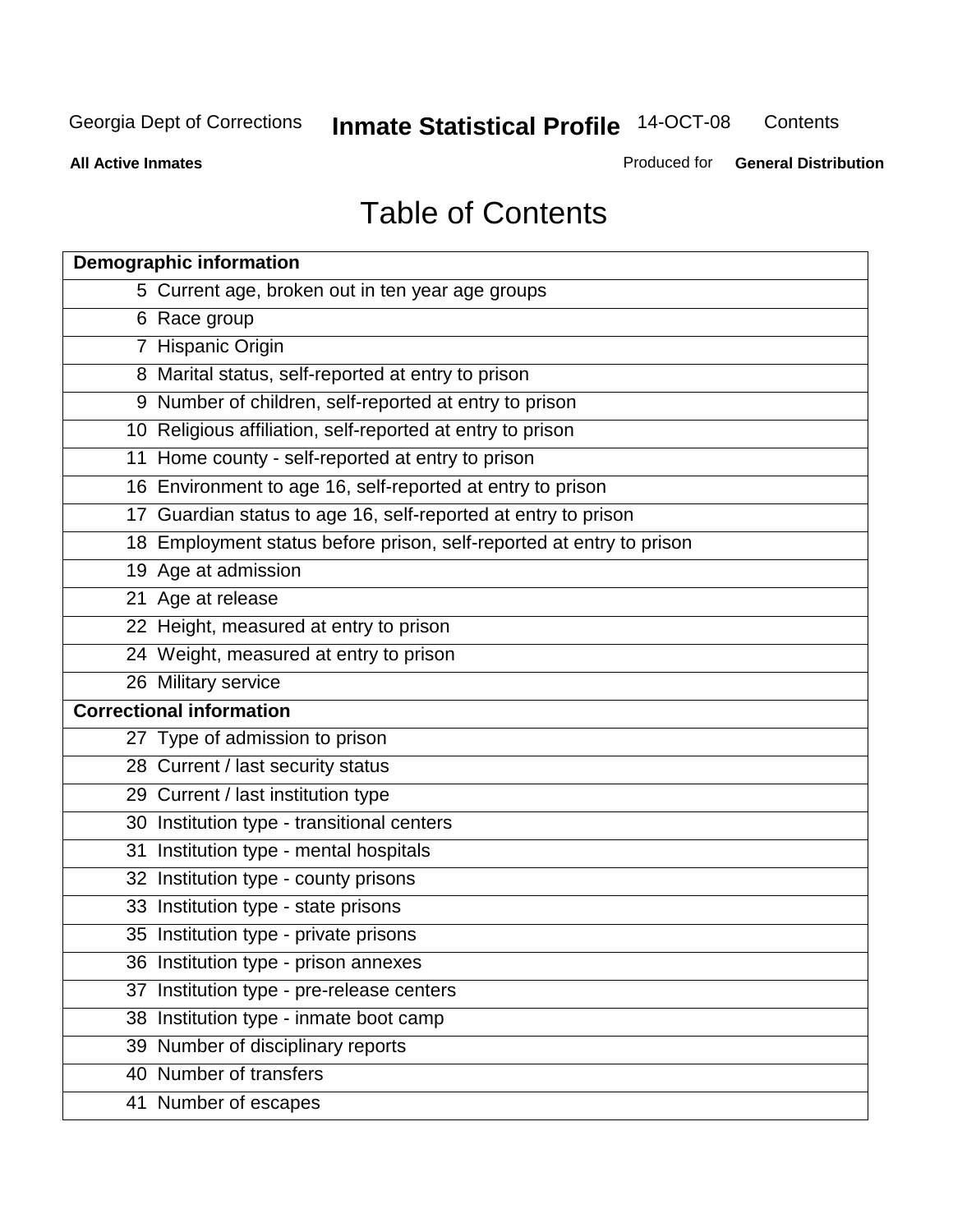**Contents** 

**All Active Inmates**

Produced for **General Distribution**

# Table of Contents

| <b>Demographic information</b>                                       |  |
|----------------------------------------------------------------------|--|
| 5 Current age, broken out in ten year age groups                     |  |
| 6 Race group                                                         |  |
| 7 Hispanic Origin                                                    |  |
| 8 Marital status, self-reported at entry to prison                   |  |
| 9 Number of children, self-reported at entry to prison               |  |
| 10 Religious affiliation, self-reported at entry to prison           |  |
| 11 Home county - self-reported at entry to prison                    |  |
| 16 Environment to age 16, self-reported at entry to prison           |  |
| 17 Guardian status to age 16, self-reported at entry to prison       |  |
| 18 Employment status before prison, self-reported at entry to prison |  |
| 19 Age at admission                                                  |  |
| 21 Age at release                                                    |  |
| 22 Height, measured at entry to prison                               |  |
| 24 Weight, measured at entry to prison                               |  |
| 26 Military service                                                  |  |
| <b>Correctional information</b>                                      |  |
| 27 Type of admission to prison                                       |  |
| 28 Current / last security status                                    |  |
| 29 Current / last institution type                                   |  |
| 30 Institution type - transitional centers                           |  |
| Institution type - mental hospitals<br>31                            |  |
| 32 Institution type - county prisons                                 |  |
| 33 Institution type - state prisons                                  |  |
| 35 Institution type - private prisons                                |  |
| 36 Institution type - prison annexes                                 |  |
| Institution type - pre-release centers<br>37                         |  |
| 38 Institution type - inmate boot camp                               |  |
| 39 Number of disciplinary reports                                    |  |
| 40 Number of transfers                                               |  |
| 41 Number of escapes                                                 |  |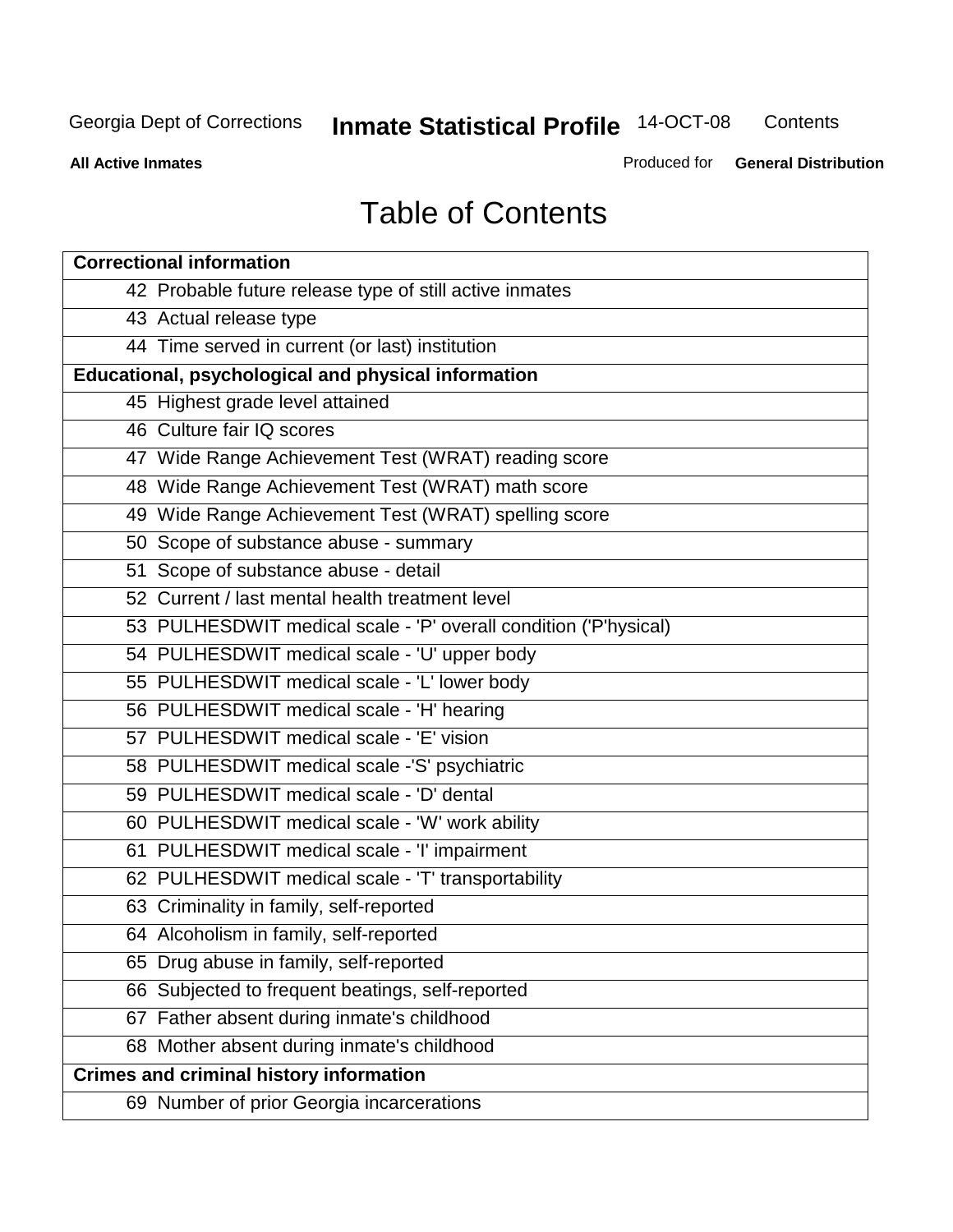**Contents** 

**All Active Inmates**

Produced for **General Distribution**

# Table of Contents

| <b>Correctional information</b>                                  |
|------------------------------------------------------------------|
| 42 Probable future release type of still active inmates          |
| 43 Actual release type                                           |
| 44 Time served in current (or last) institution                  |
| Educational, psychological and physical information              |
| 45 Highest grade level attained                                  |
| 46 Culture fair IQ scores                                        |
| 47 Wide Range Achievement Test (WRAT) reading score              |
| 48 Wide Range Achievement Test (WRAT) math score                 |
| 49 Wide Range Achievement Test (WRAT) spelling score             |
| 50 Scope of substance abuse - summary                            |
| 51 Scope of substance abuse - detail                             |
| 52 Current / last mental health treatment level                  |
| 53 PULHESDWIT medical scale - 'P' overall condition ('P'hysical) |
| 54 PULHESDWIT medical scale - 'U' upper body                     |
| 55 PULHESDWIT medical scale - 'L' lower body                     |
| 56 PULHESDWIT medical scale - 'H' hearing                        |
| 57 PULHESDWIT medical scale - 'E' vision                         |
| 58 PULHESDWIT medical scale -'S' psychiatric                     |
| 59 PULHESDWIT medical scale - 'D' dental                         |
| 60 PULHESDWIT medical scale - 'W' work ability                   |
| 61 PULHESDWIT medical scale - 'I' impairment                     |
| 62 PULHESDWIT medical scale - 'T' transportability               |
| 63 Criminality in family, self-reported                          |
| 64 Alcoholism in family, self-reported                           |
| 65 Drug abuse in family, self-reported                           |
| 66 Subjected to frequent beatings, self-reported                 |
| 67 Father absent during inmate's childhood                       |
| 68 Mother absent during inmate's childhood                       |
| <b>Crimes and criminal history information</b>                   |
| 69 Number of prior Georgia incarcerations                        |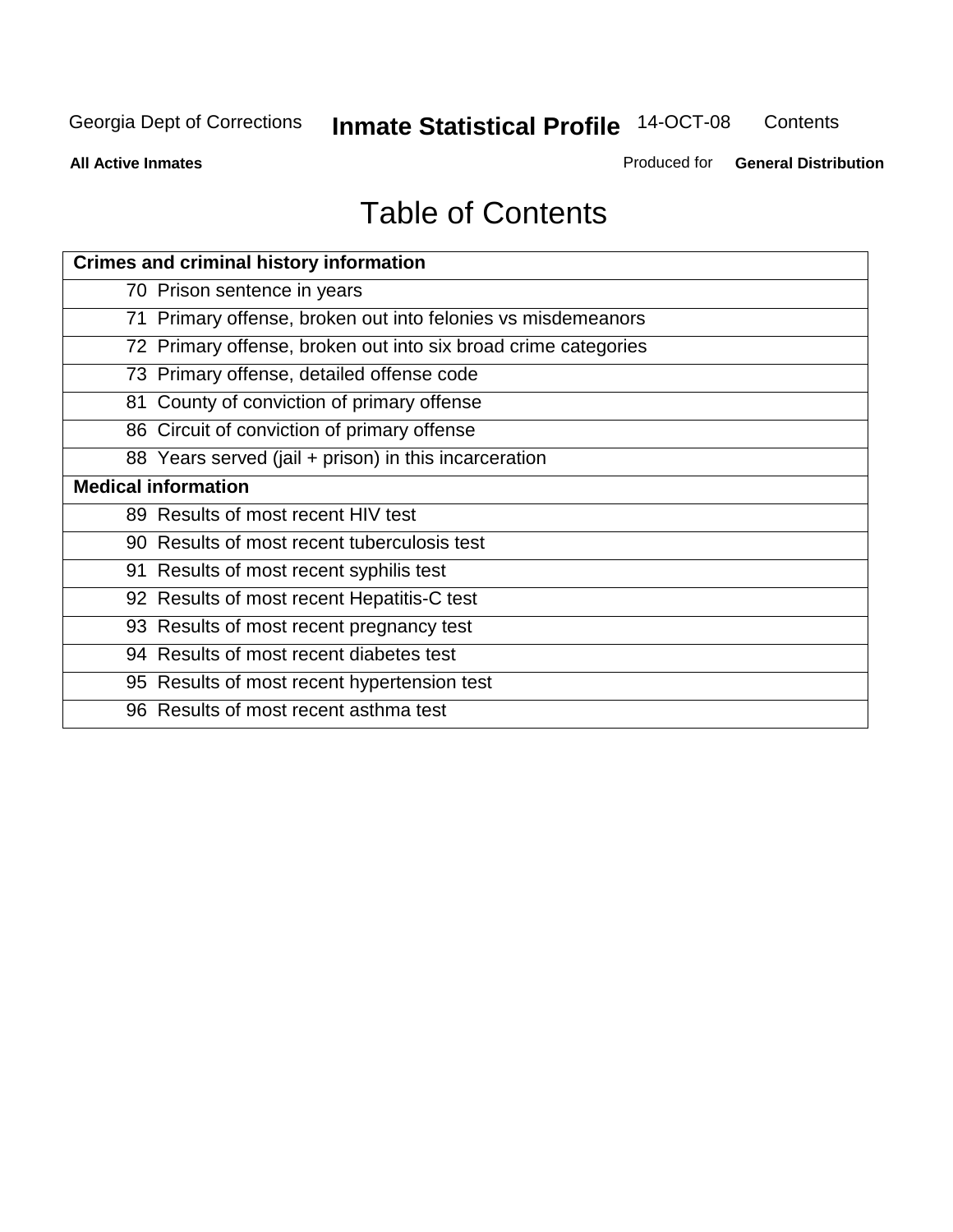**Contents** 

**All Active Inmates**

Produced for **General Distribution**

# Table of Contents

| <b>Crimes and criminal history information</b>                 |
|----------------------------------------------------------------|
| 70 Prison sentence in years                                    |
| 71 Primary offense, broken out into felonies vs misdemeanors   |
| 72 Primary offense, broken out into six broad crime categories |
| 73 Primary offense, detailed offense code                      |
| 81 County of conviction of primary offense                     |
| 86 Circuit of conviction of primary offense                    |
| 88 Years served (jail + prison) in this incarceration          |
| <b>Medical information</b>                                     |
| 89 Results of most recent HIV test                             |
| 90 Results of most recent tuberculosis test                    |
| 91 Results of most recent syphilis test                        |
| 92 Results of most recent Hepatitis-C test                     |
| 93 Results of most recent pregnancy test                       |
| 94 Results of most recent diabetes test                        |
| 95 Results of most recent hypertension test                    |
| 96 Results of most recent asthma test                          |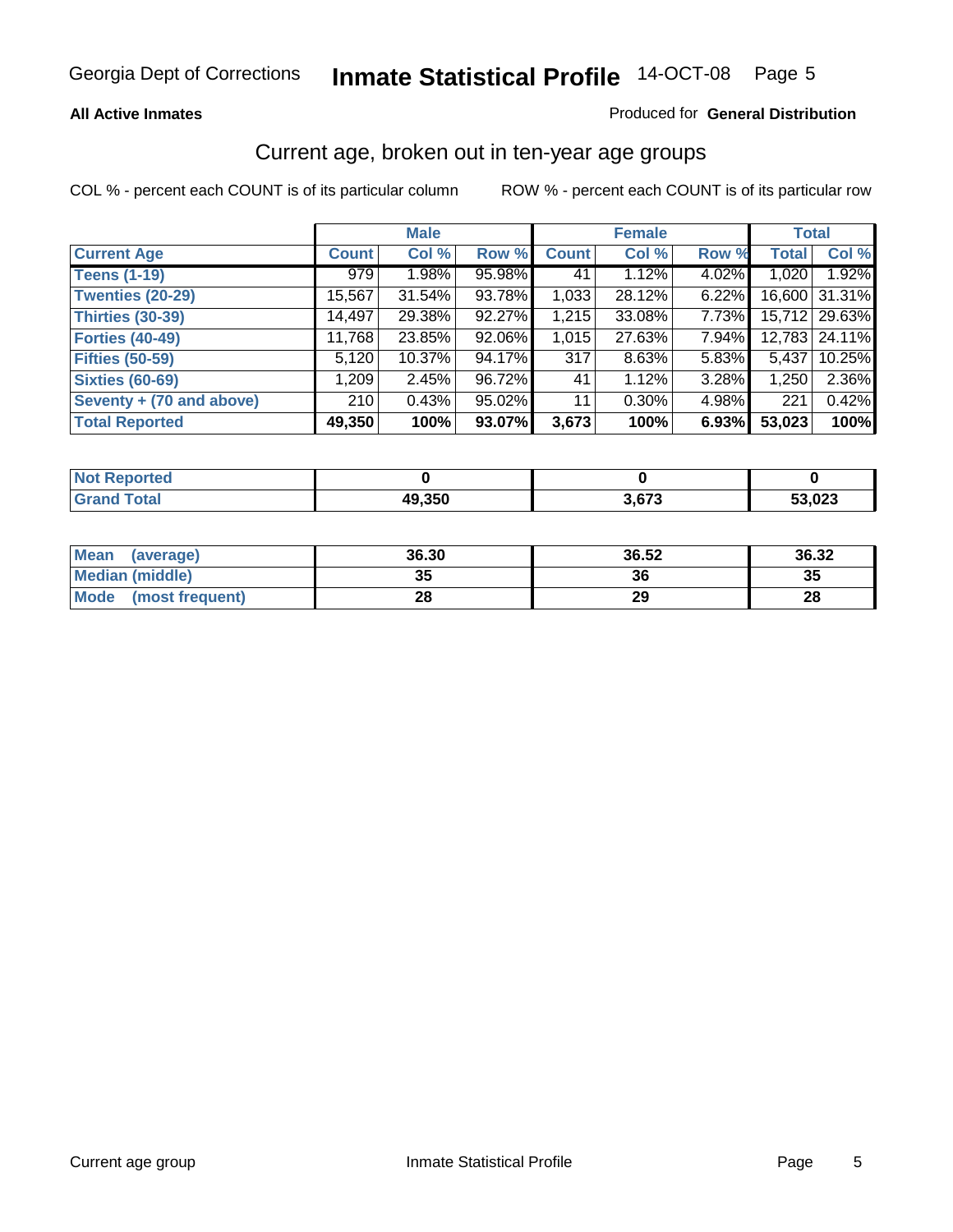#### **All Active Inmates**

#### Produced for **General Distribution**

#### Current age, broken out in ten-year age groups

|                          |              | <b>Male</b> |        |              | <b>Female</b> |          |              | <b>Total</b>    |
|--------------------------|--------------|-------------|--------|--------------|---------------|----------|--------------|-----------------|
| <b>Current Age</b>       | <b>Count</b> | Col %       | Row %  | <b>Count</b> | Col %         | Row %    | <b>Total</b> | Col %           |
| <b>Teens (1-19)</b>      | 979          | $1.98\%$    | 95.98% | 41           | 1.12%         | $4.02\%$ | 1,020        | 1.92%           |
| <b>Twenties (20-29)</b>  | 15,567       | 31.54%      | 93.78% | 1,033        | 28.12%        | $6.22\%$ |              | 16,600 31.31%   |
| <b>Thirties (30-39)</b>  | 14,497       | 29.38%      | 92.27% | 1,215        | 33.08%        | $7.73\%$ |              | 15,712   29.63% |
| <b>Forties (40-49)</b>   | 11,768       | 23.85%      | 92.06% | 1,015        | 27.63%        | 7.94%    |              | 12,783   24.11% |
| <b>Fifties (50-59)</b>   | 5,120        | $10.37\%$   | 94.17% | 317          | 8.63%         | $5.83\%$ | 5,437        | 10.25%          |
| <b>Sixties (60-69)</b>   | ∣ 209.1      | 2.45%       | 96.72% | 41           | 1.12%         | 3.28%    | 1,250        | 2.36%           |
| Seventy + (70 and above) | 210          | 0.43%       | 95.02% | 11           | $0.30\%$      | 4.98%    | 221          | 0.42%           |
| <b>Total Reported</b>    | 49,350       | 100%        | 93.07% | 3,673        | 100%          | 6.93%    | 53,023       | 100%            |

| <b>Not Reported</b> |        |       |        |
|---------------------|--------|-------|--------|
| Total               | 49,350 | 3,673 | 53,023 |

| <b>Mean</b><br>(average) | 36.30 | 36.52 | 36.32 |
|--------------------------|-------|-------|-------|
| Median (middle)          | 35    | 36    | 35    |
| Mode<br>(most frequent)  | 28    | 29    | 28    |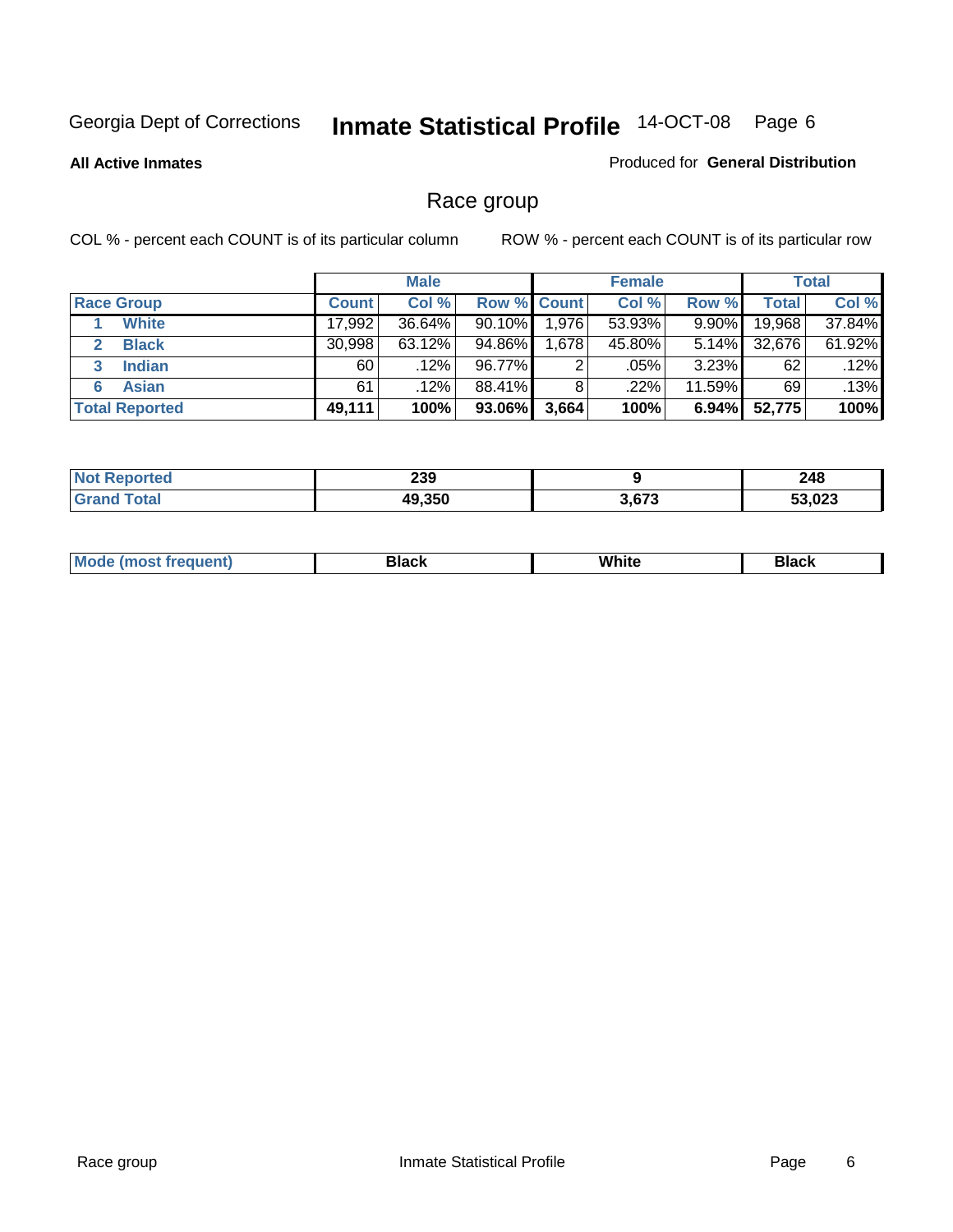**All Active Inmates**

#### Produced for **General Distribution**

### Race group

|                       |              | <b>Male</b> |                    |       | <b>Female</b> |          |        | <b>Total</b> |
|-----------------------|--------------|-------------|--------------------|-------|---------------|----------|--------|--------------|
| <b>Race Group</b>     | <b>Count</b> | Col %       | <b>Row % Count</b> |       | Col %         | Row %    | Total  | Col %        |
| <b>White</b>          | 17,992       | 36.64%      | $90.10\%$          | 1,976 | 53.93%        | 9.90%    | 19,968 | 37.84%       |
| <b>Black</b>          | 30,998       | $63.12\%$   | 94.86%             | 1,678 | 45.80%        | $5.14\%$ | 32,676 | 61.92%       |
| <b>Indian</b><br>3    | 60           | $.12\%$     | 96.77%             | 2     | .05%          | $3.23\%$ | 62     | .12%         |
| <b>Asian</b>          | 61           | .12%        | 88.41%             | 8     | .22%          | 11.59%   | 69     | .13%         |
| <b>Total Reported</b> | 49,111       | 100%        | 93.06%             | 3,664 | 100%          | $6.94\%$ | 52,775 | 100%         |

| 239                        |               | 248    |
|----------------------------|---------------|--------|
| $\sim$ $\sim$ $\sim$<br>AC | יים י<br>נו ש | 53,023 |

|  | $Mc$ | Black | White<br>$ -$ | 21904<br>DIACK |
|--|------|-------|---------------|----------------|
|--|------|-------|---------------|----------------|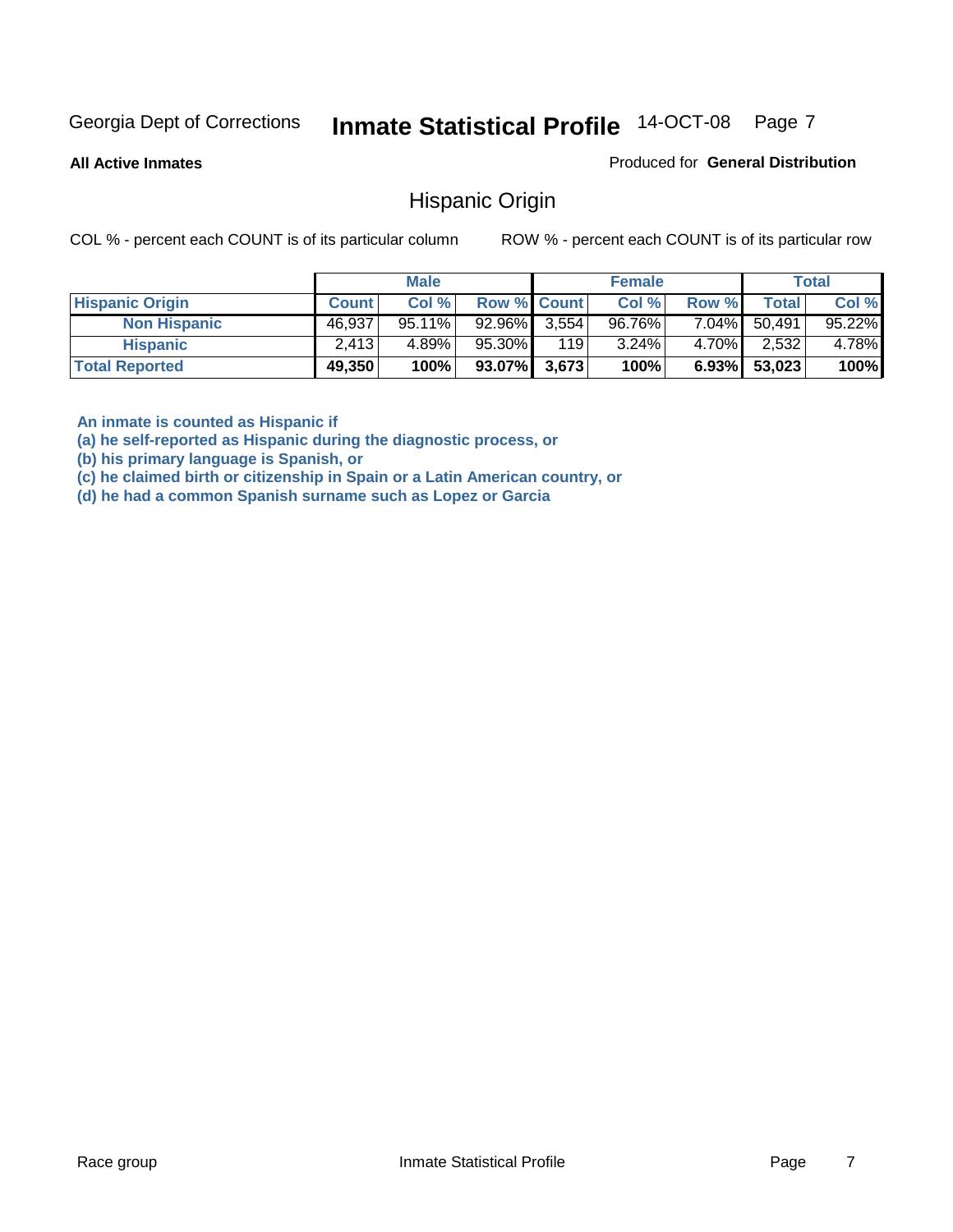**All Active Inmates**

Produced for **General Distribution**

#### Hispanic Origin

COL % - percent each COUNT is of its particular column ROW % - percent each COUNT is of its particular row

|                        |              | <b>Male</b> |                    |       | <b>Female</b> |          |        | <b>Total</b> |
|------------------------|--------------|-------------|--------------------|-------|---------------|----------|--------|--------------|
| <b>Hispanic Origin</b> | <b>Count</b> | Col %       | <b>Row % Count</b> |       | Col %         | Row %    | Total  | Col %        |
| <b>Non Hispanic</b>    | 46,937       | $95.11\%$   | 92.96%             | 3,554 | 96.76%        | 7.04%    | 50.491 | 95.22%       |
| <b>Hispanic</b>        | 2,413        | 4.89%       | 95.30%             | 119   | 3.24%         | 4.70%    | 2,532  | 4.78%        |
| <b>Total Reported</b>  | 49,350       | 100%        | $93.07\%$ 3,673    |       | 100%          | $6.93\%$ | 53,023 | 100%         |

**An inmate is counted as Hispanic if** 

**(a) he self-reported as Hispanic during the diagnostic process, or** 

**(b) his primary language is Spanish, or** 

**(c) he claimed birth or citizenship in Spain or a Latin American country, or** 

**(d) he had a common Spanish surname such as Lopez or Garcia**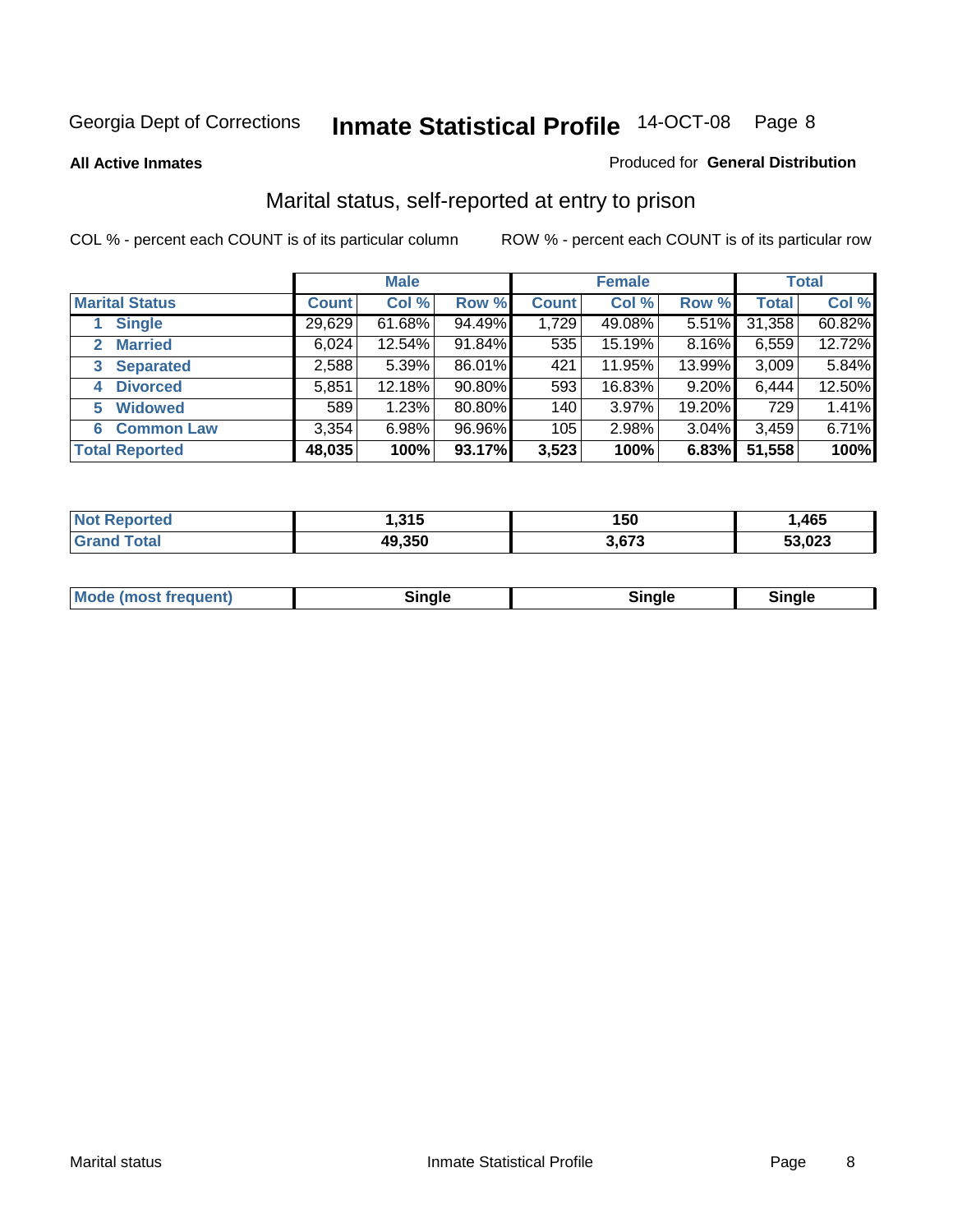**All Active Inmates**

#### Produced for **General Distribution**

### Marital status, self-reported at entry to prison

|                                | <b>Male</b>  |           |        | <b>Female</b> |        |        | <b>Total</b> |        |
|--------------------------------|--------------|-----------|--------|---------------|--------|--------|--------------|--------|
| <b>Marital Status</b>          | <b>Count</b> | Col %     | Row %  | <b>Count</b>  | Col %  | Row %  | <b>Total</b> | Col %  |
| <b>Single</b>                  | 29,629       | $61.68\%$ | 94.49% | 1,729         | 49.08% | 5.51%  | 31,358       | 60.82% |
| <b>Married</b><br>$\mathbf{2}$ | 6,024        | 12.54%    | 91.84% | 535           | 15.19% | 8.16%  | 6,559        | 12.72% |
| <b>Separated</b><br>3          | 2,588        | 5.39%     | 86.01% | 421           | 11.95% | 13.99% | 3,009        | 5.84%  |
| <b>Divorced</b><br>4           | 5,851        | 12.18%    | 90.80% | 593           | 16.83% | 9.20%  | 6,444        | 12.50% |
| <b>Widowed</b><br>5            | 589          | 1.23%     | 80.80% | 140           | 3.97%  | 19.20% | 729          | 1.41%  |
| <b>Common Law</b><br>6         | 3,354        | 6.98%     | 96.96% | 105           | 2.98%  | 3.04%  | 3,459        | 6.71%  |
| <b>Total Reported</b>          | 48,035       | 100%      | 93.17% | 3,523         | 100%   | 6.83%  | 51,558       | 100%   |

| NO | 24E<br>∣.ວ I ວ | 150   | ,465   |
|----|----------------|-------|--------|
|    | 49,350<br>4ч   | 3.673 | 53,023 |

|  | Mode (most f<br>freauent) | `ınale |  | `inale |
|--|---------------------------|--------|--|--------|
|--|---------------------------|--------|--|--------|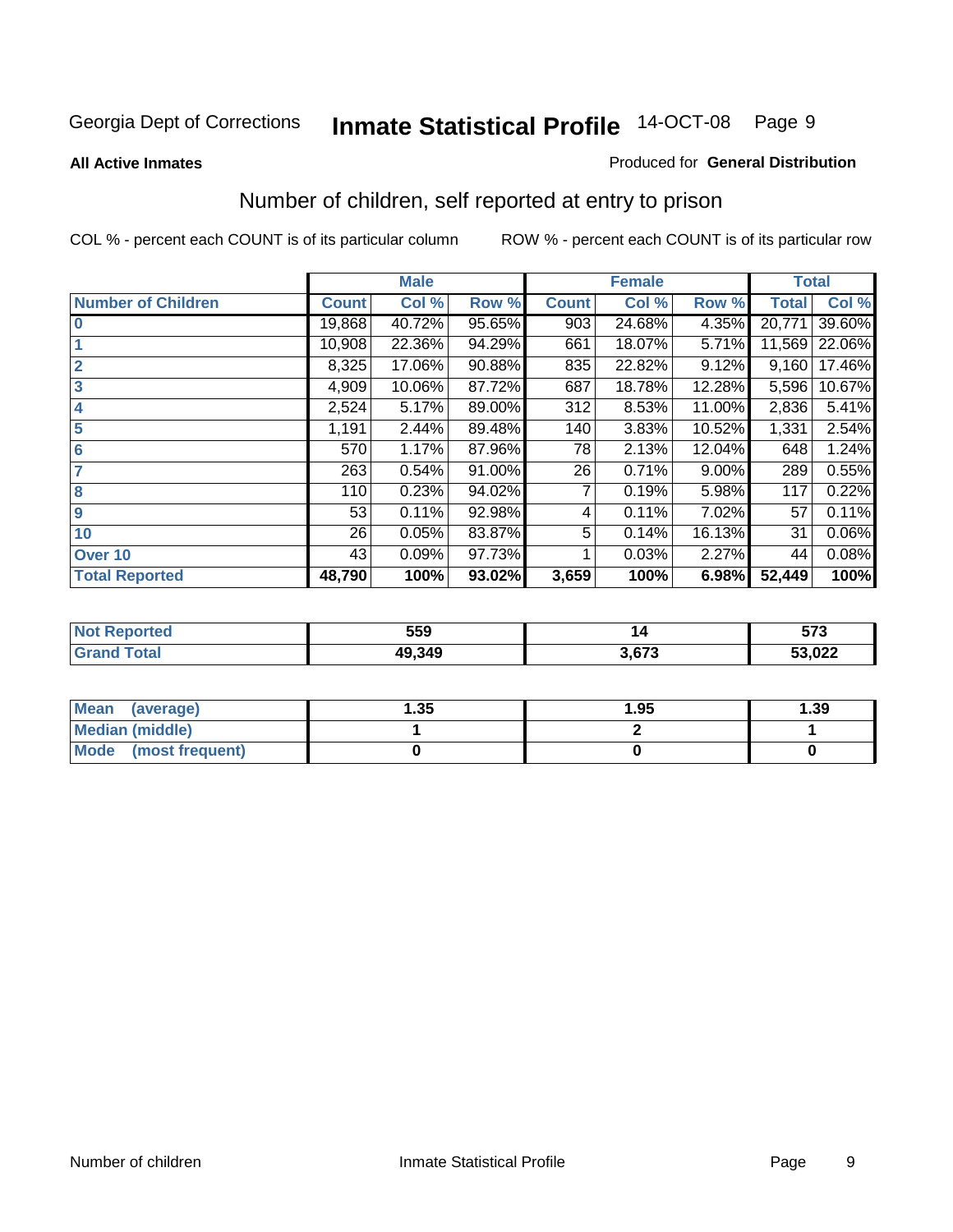**All Active Inmates**

#### Produced for **General Distribution**

### Number of children, self reported at entry to prison

|                           |              | <b>Male</b> |        |              | <b>Female</b> |          | <b>Total</b> |        |
|---------------------------|--------------|-------------|--------|--------------|---------------|----------|--------------|--------|
| <b>Number of Children</b> | <b>Count</b> | Col %       | Row %  | <b>Count</b> | Col %         | Row %    | <b>Total</b> | Col %  |
| $\bf{0}$                  | 19,868       | 40.72%      | 95.65% | 903          | 24.68%        | 4.35%    | 20,771       | 39.60% |
|                           | 10,908       | 22.36%      | 94.29% | 661          | 18.07%        | 5.71%    | 11,569       | 22.06% |
| $\overline{2}$            | 8,325        | 17.06%      | 90.88% | 835          | 22.82%        | 9.12%    | 9,160        | 17.46% |
| 3                         | 4,909        | 10.06%      | 87.72% | 687          | 18.78%        | 12.28%   | 5,596        | 10.67% |
| 4                         | 2,524        | 5.17%       | 89.00% | 312          | 8.53%         | 11.00%   | 2,836        | 5.41%  |
| 5                         | 1,191        | 2.44%       | 89.48% | 140          | 3.83%         | 10.52%   | 1,331        | 2.54%  |
| 6                         | 570          | 1.17%       | 87.96% | 78           | 2.13%         | 12.04%   | 648          | 1.24%  |
| 7                         | 263          | 0.54%       | 91.00% | 26           | 0.71%         | $9.00\%$ | 289          | 0.55%  |
| 8                         | 110          | 0.23%       | 94.02% |              | 0.19%         | 5.98%    | 117          | 0.22%  |
| $\boldsymbol{9}$          | 53           | 0.11%       | 92.98% | 4            | 0.11%         | 7.02%    | 57           | 0.11%  |
| 10                        | 26           | 0.05%       | 83.87% | 5            | 0.14%         | 16.13%   | 31           | 0.06%  |
| Over 10                   | 43           | 0.09%       | 97.73% |              | 0.03%         | 2.27%    | 44           | 0.08%  |
| <b>Total Reported</b>     | 48,790       | 100%        | 93.02% | 3,659        | 100%          | 6.98%    | 52,449       | 100%   |

| 559    |             | $-70$<br>ว เ ง |
|--------|-------------|----------------|
| 49.349 | $\sim$<br>. | 53,022         |

| Mean<br>(average)              | .35 | 1.95 | 39. ا |
|--------------------------------|-----|------|-------|
| <b>Median (middle)</b>         |     |      |       |
| <b>Mode</b><br>(most frequent) |     |      |       |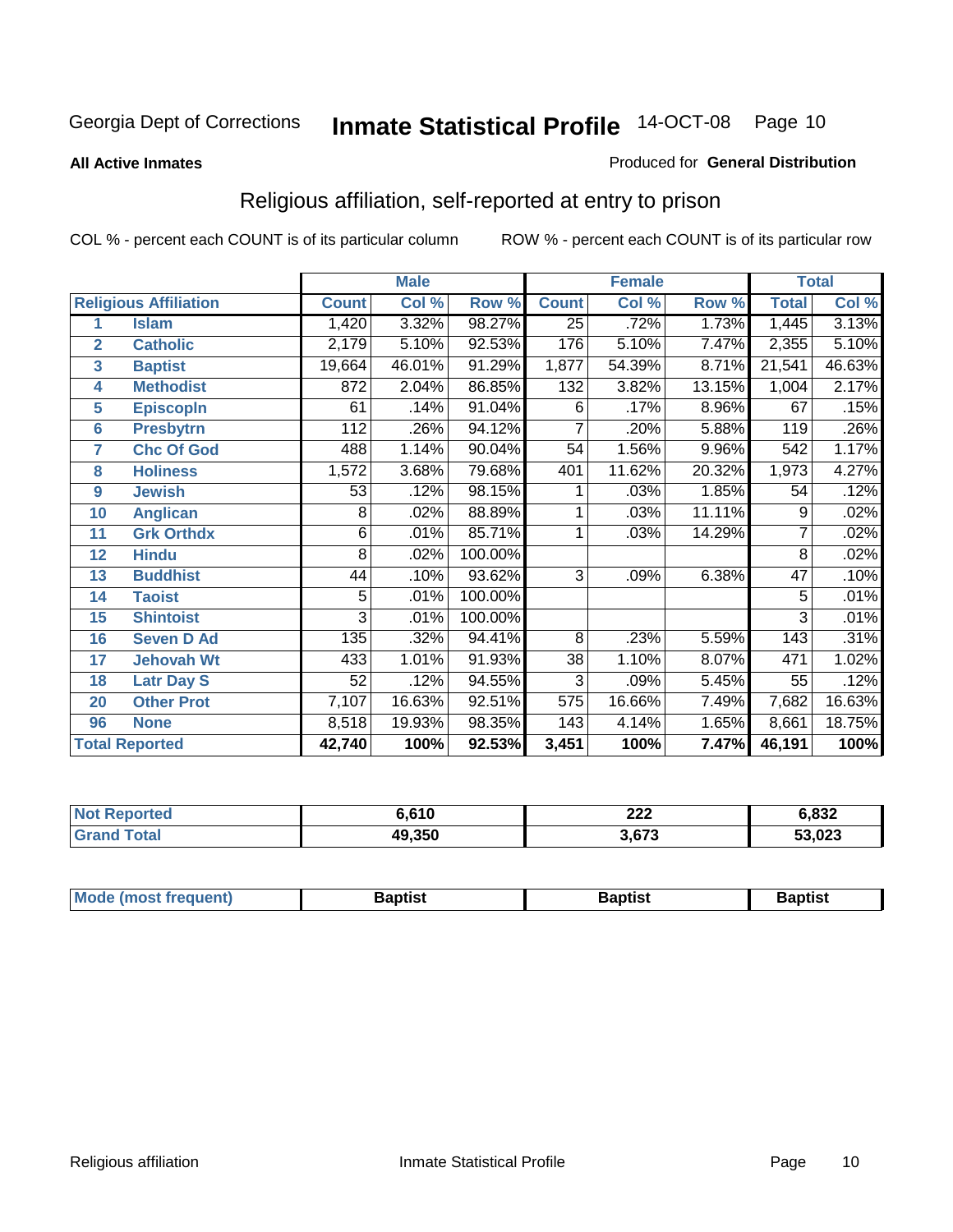#### **All Active Inmates**

#### Produced for **General Distribution**

### Religious affiliation, self-reported at entry to prison

|                         |                              | <b>Male</b>      |        |         |                 | <b>Female</b> |        | <b>Total</b>        |        |
|-------------------------|------------------------------|------------------|--------|---------|-----------------|---------------|--------|---------------------|--------|
|                         | <b>Religious Affiliation</b> | <b>Count</b>     | Col %  | Row %   | <b>Count</b>    | Col %         | Row %  | <b>Total</b>        | Col %  |
| 1                       | <b>Islam</b>                 | 1,420            | 3.32%  | 98.27%  | $\overline{25}$ | .72%          | 1.73%  | 1,445               | 3.13%  |
| $\overline{2}$          | <b>Catholic</b>              | 2,179            | 5.10%  | 92.53%  | 176             | 5.10%         | 7.47%  | 2,355               | 5.10%  |
| $\overline{\mathbf{3}}$ | <b>Baptist</b>               | 19,664           | 46.01% | 91.29%  | 1,877           | 54.39%        | 8.71%  | $\overline{2}1,541$ | 46.63% |
| 4                       | <b>Methodist</b>             | 872              | 2.04%  | 86.85%  | 132             | 3.82%         | 13.15% | 1,004               | 2.17%  |
| 5                       | <b>EpiscopIn</b>             | 61               | .14%   | 91.04%  | 6               | .17%          | 8.96%  | 67                  | .15%   |
| 6                       | <b>Presbytrn</b>             | $\overline{112}$ | .26%   | 94.12%  | $\overline{7}$  | .20%          | 5.88%  | 119                 | .26%   |
| 7                       | <b>Chc Of God</b>            | 488              | 1.14%  | 90.04%  | 54              | 1.56%         | 9.96%  | 542                 | 1.17%  |
| 8                       | <b>Holiness</b>              | 1,572            | 3.68%  | 79.68%  | 401             | 11.62%        | 20.32% | 1,973               | 4.27%  |
| $\boldsymbol{9}$        | <b>Jewish</b>                | 53               | .12%   | 98.15%  |                 | .03%          | 1.85%  | 54                  | .12%   |
| 10                      | <b>Anglican</b>              | 8                | .02%   | 88.89%  |                 | .03%          | 11.11% | 9                   | .02%   |
| 11                      | <b>Grk Orthdx</b>            | 6                | .01%   | 85.71%  |                 | .03%          | 14.29% | Ŧ.                  | .02%   |
| 12                      | <b>Hindu</b>                 | 8                | .02%   | 100.00% |                 |               |        | 8                   | .02%   |
| 13                      | <b>Buddhist</b>              | 44               | .10%   | 93.62%  | 3               | .09%          | 6.38%  | 47                  | .10%   |
| 14                      | <b>Taoist</b>                | 5                | .01%   | 100.00% |                 |               |        | 5                   | .01%   |
| 15                      | <b>Shintoist</b>             | 3                | .01%   | 100.00% |                 |               |        | 3                   | .01%   |
| 16                      | <b>Seven D Ad</b>            | 135              | .32%   | 94.41%  | 8               | .23%          | 5.59%  | 143                 | .31%   |
| 17                      | <b>Jehovah Wt</b>            | 433              | 1.01%  | 91.93%  | $\overline{38}$ | 1.10%         | 8.07%  | 471                 | 1.02%  |
| 18                      | <b>Latr Day S</b>            | 52               | .12%   | 94.55%  | $\overline{3}$  | .09%          | 5.45%  | $\overline{55}$     | .12%   |
| 20                      | <b>Other Prot</b>            | 7,107            | 16.63% | 92.51%  | 575             | 16.66%        | 7.49%  | 7,682               | 16.63% |
| 96                      | <b>None</b>                  | 8,518            | 19.93% | 98.35%  | 143             | 4.14%         | 1.65%  | 8,661               | 18.75% |
|                         | <b>Total Reported</b>        | 42,740           | 100%   | 92.53%  | 3,451           | 100%          | 7.47%  | 46,191              | 100%   |

| ırtec | ,610   | 222   | 6,832  |
|-------|--------|-------|--------|
|       | 49,350 | 3,673 | 53,023 |

| <b>Mode</b><br>frequent)<br>umost | 3aptist | 3aptist | <b>Baptist</b> |
|-----------------------------------|---------|---------|----------------|
|                                   |         |         |                |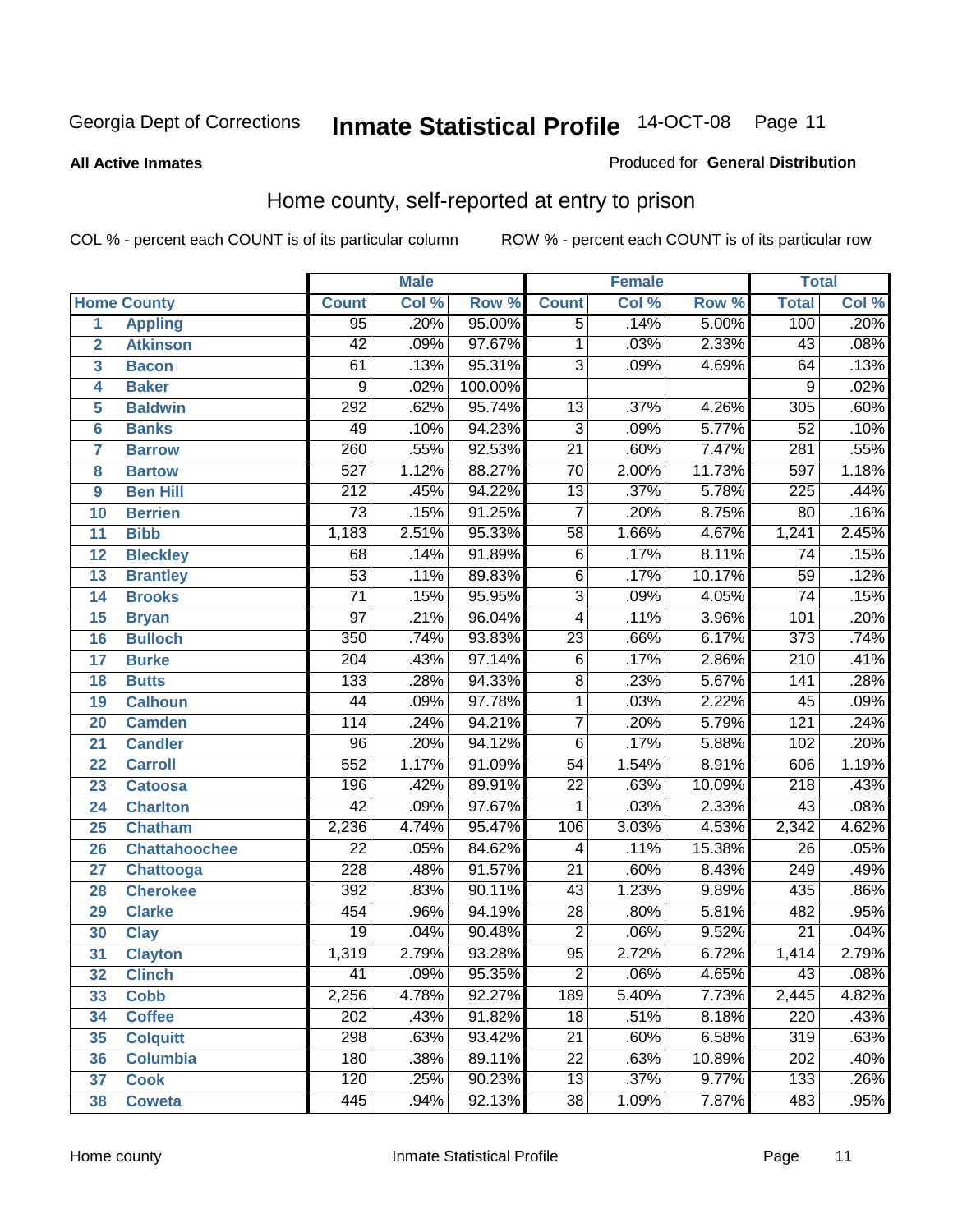#### **All Active Inmates**

#### Produced for **General Distribution**

### Home county, self-reported at entry to prison

|                 |                      |                  | <b>Male</b> |         |                 | <b>Female</b> |        | <b>Total</b>     |                            |  |
|-----------------|----------------------|------------------|-------------|---------|-----------------|---------------|--------|------------------|----------------------------|--|
|                 | <b>Home County</b>   | <b>Count</b>     | Col %       | Row %   | <b>Count</b>    | Col %         | Row %  | <b>Total</b>     | $\overline{\text{Col }^9}$ |  |
| 1               | <b>Appling</b>       | 95               | .20%        | 95.00%  | $\overline{5}$  | .14%          | 5.00%  | 100              | .20%                       |  |
| $\overline{2}$  | <b>Atkinson</b>      | $\overline{42}$  | .09%        | 97.67%  | 1               | .03%          | 2.33%  | $\overline{43}$  | .08%                       |  |
| 3               | <b>Bacon</b>         | 61               | .13%        | 95.31%  | $\overline{3}$  | .09%          | 4.69%  | 64               | .13%                       |  |
| 4               | <b>Baker</b>         | $\overline{9}$   | .02%        | 100.00% |                 |               |        | 9                | .02%                       |  |
| 5               | <b>Baldwin</b>       | 292              | .62%        | 95.74%  | $\overline{13}$ | .37%          | 4.26%  | $\overline{305}$ | .60%                       |  |
| $6\phantom{a}$  | <b>Banks</b>         | 49               | .10%        | 94.23%  | $\overline{3}$  | .09%          | 5.77%  | $\overline{52}$  | .10%                       |  |
| $\overline{7}$  | <b>Barrow</b>        | 260              | .55%        | 92.53%  | $\overline{21}$ | .60%          | 7.47%  | $\overline{281}$ | .55%                       |  |
| 8               | <b>Bartow</b>        | $\overline{527}$ | 1.12%       | 88.27%  | $\overline{70}$ | 2.00%         | 11.73% | $\overline{597}$ | 1.18%                      |  |
| 9               | <b>Ben Hill</b>      | $\overline{212}$ | .45%        | 94.22%  | $\overline{13}$ | .37%          | 5.78%  | $\overline{225}$ | .44%                       |  |
| 10              | <b>Berrien</b>       | $\overline{73}$  | .15%        | 91.25%  | $\overline{7}$  | .20%          | 8.75%  | $\overline{80}$  | .16%                       |  |
| 11              | <b>Bibb</b>          | 1,183            | 2.51%       | 95.33%  | $\overline{58}$ | 1.66%         | 4.67%  | 1,241            | 2.45%                      |  |
| 12              | <b>Bleckley</b>      | $\overline{68}$  | .14%        | 91.89%  | $\overline{6}$  | .17%          | 8.11%  | $\overline{74}$  | .15%                       |  |
| $\overline{13}$ | <b>Brantley</b>      | $\overline{53}$  | .11%        | 89.83%  | $\overline{6}$  | .17%          | 10.17% | $\overline{59}$  | .12%                       |  |
| $\overline{14}$ | <b>Brooks</b>        | $\overline{71}$  | .15%        | 95.95%  | $\overline{3}$  | .09%          | 4.05%  | $\overline{74}$  | .15%                       |  |
| 15              | <b>Bryan</b>         | $\overline{97}$  | .21%        | 96.04%  | $\overline{4}$  | .11%          | 3.96%  | 101              | .20%                       |  |
| 16              | <b>Bulloch</b>       | $\overline{350}$ | .74%        | 93.83%  | $\overline{23}$ | .66%          | 6.17%  | $\overline{373}$ | .74%                       |  |
| $\overline{17}$ | <b>Burke</b>         | $\overline{204}$ | .43%        | 97.14%  | $\overline{6}$  | .17%          | 2.86%  | $\overline{210}$ | .41%                       |  |
| 18              | <b>Butts</b>         | 133              | .28%        | 94.33%  | $\overline{8}$  | .23%          | 5.67%  | $\overline{141}$ | .28%                       |  |
| 19              | <b>Calhoun</b>       | $\overline{44}$  | .09%        | 97.78%  | $\mathbf{1}$    | .03%          | 2.22%  | $\overline{45}$  | .09%                       |  |
| 20              | <b>Camden</b>        | 114              | .24%        | 94.21%  | $\overline{7}$  | .20%          | 5.79%  | $\overline{121}$ | .24%                       |  |
| 21              | <b>Candler</b>       | $\overline{96}$  | .20%        | 94.12%  | $\overline{6}$  | .17%          | 5.88%  | 102              | .20%                       |  |
| $\overline{22}$ | <b>Carroll</b>       | $\overline{552}$ | 1.17%       | 91.09%  | $\overline{54}$ | 1.54%         | 8.91%  | 606              | 1.19%                      |  |
| 23              | <b>Catoosa</b>       | 196              | .42%        | 89.91%  | $\overline{22}$ | .63%          | 10.09% | $\overline{218}$ | .43%                       |  |
| 24              | <b>Charlton</b>      | $\overline{42}$  | .09%        | 97.67%  | $\mathbf{1}$    | .03%          | 2.33%  | $\overline{43}$  | .08%                       |  |
| 25              | <b>Chatham</b>       | 2,236            | 4.74%       | 95.47%  | 106             | 3.03%         | 4.53%  | 2,342            | 4.62%                      |  |
| 26              | <b>Chattahoochee</b> | $\overline{22}$  | .05%        | 84.62%  | 4               | .11%          | 15.38% | $\overline{26}$  | .05%                       |  |
| 27              | <b>Chattooga</b>     | 228              | .48%        | 91.57%  | $\overline{21}$ | .60%          | 8.43%  | 249              | .49%                       |  |
| 28              | <b>Cherokee</b>      | 392              | .83%        | 90.11%  | $\overline{43}$ | 1.23%         | 9.89%  | 435              | .86%                       |  |
| 29              | <b>Clarke</b>        | 454              | .96%        | 94.19%  | $\overline{28}$ | .80%          | 5.81%  | 482              | .95%                       |  |
| 30              | <b>Clay</b>          | $\overline{19}$  | .04%        | 90.48%  | $\overline{2}$  | .06%          | 9.52%  | $\overline{21}$  | .04%                       |  |
| $\overline{31}$ | <b>Clayton</b>       | 1,319            | 2.79%       | 93.28%  | $\overline{95}$ | 2.72%         | 6.72%  | 1,414            | 2.79%                      |  |
| 32              | <b>Clinch</b>        | 41               | .09%        | 95.35%  | 2               | .06%          | 4.65%  | 43               | .08%                       |  |
| 33              | <b>Cobb</b>          | 2,256            | 4.78%       | 92.27%  | 189             | 5.40%         | 7.73%  | 2,445            | 4.82%                      |  |
| 34              | <b>Coffee</b>        | 202              | .43%        | 91.82%  | $\overline{18}$ | .51%          | 8.18%  | 220              | .43%                       |  |
| 35              | <b>Colquitt</b>      | 298              | .63%        | 93.42%  | $\overline{21}$ | .60%          | 6.58%  | 319              | .63%                       |  |
| 36              | <b>Columbia</b>      | 180              | .38%        | 89.11%  | $\overline{22}$ | .63%          | 10.89% | 202              | .40%                       |  |
| 37              | <b>Cook</b>          | 120              | .25%        | 90.23%  | $\overline{13}$ | .37%          | 9.77%  | 133              | .26%                       |  |
| 38              | <b>Coweta</b>        | 445              | .94%        | 92.13%  | $\overline{38}$ | 1.09%         | 7.87%  | 483              | .95%                       |  |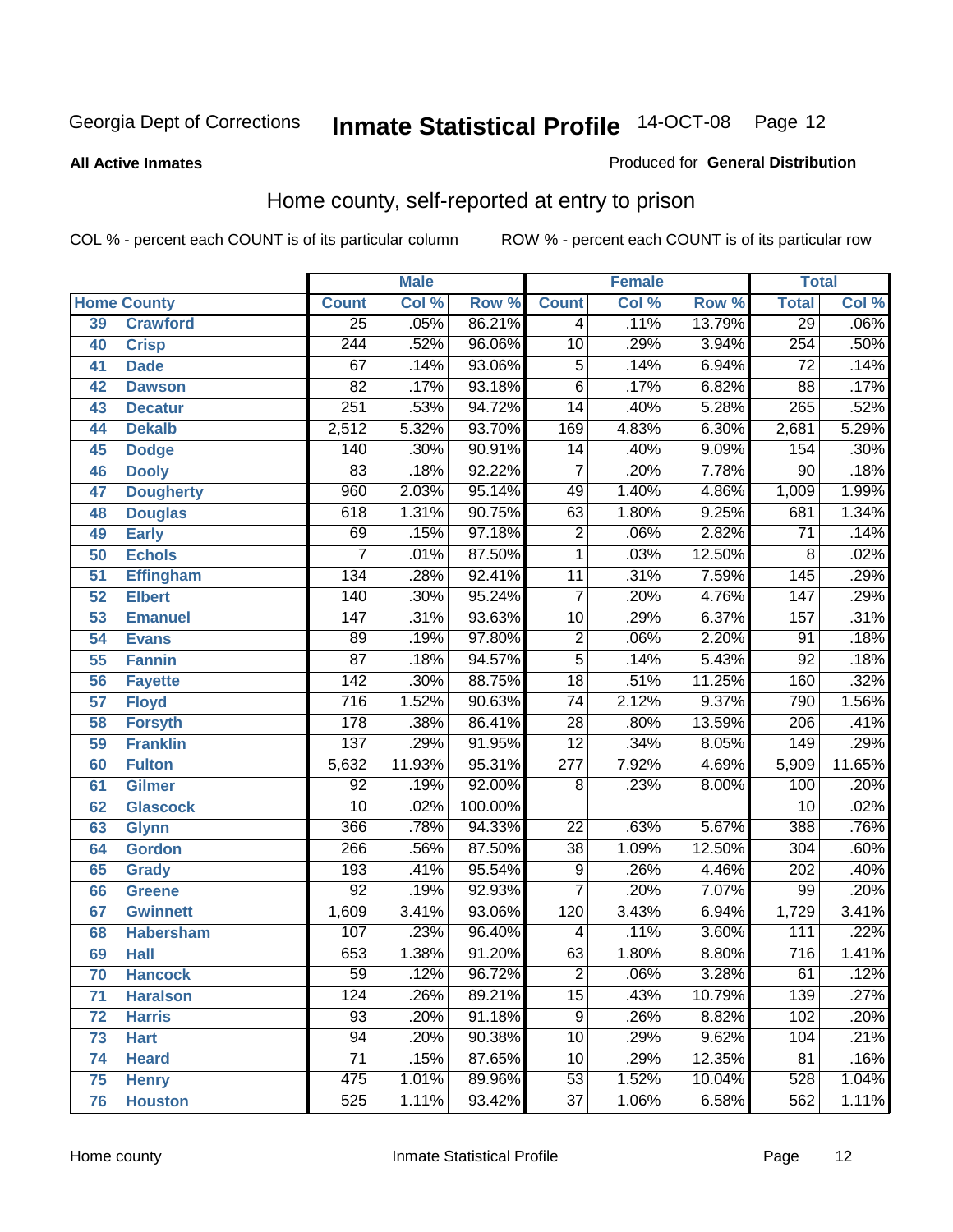#### **All Active Inmates**

#### Produced for **General Distribution**

### Home county, self-reported at entry to prison

|    |                    |                  | <b>Male</b> |         |                  | <b>Female</b> |        | <b>Total</b>     |        |
|----|--------------------|------------------|-------------|---------|------------------|---------------|--------|------------------|--------|
|    | <b>Home County</b> | <b>Count</b>     | Col %       | Row %   | <b>Count</b>     | Col %         | Row %  | <b>Total</b>     | Col %  |
| 39 | <b>Crawford</b>    | $\overline{25}$  | .05%        | 86.21%  | 4                | .11%          | 13.79% | 29               | .06%   |
| 40 | <b>Crisp</b>       | $\overline{244}$ | .52%        | 96.06%  | $\overline{10}$  | .29%          | 3.94%  | 254              | .50%   |
| 41 | <b>Dade</b>        | 67               | .14%        | 93.06%  | $\overline{5}$   | .14%          | 6.94%  | $\overline{72}$  | .14%   |
| 42 | <b>Dawson</b>      | $\overline{82}$  | .17%        | 93.18%  | $\overline{6}$   | .17%          | 6.82%  | $\overline{88}$  | .17%   |
| 43 | <b>Decatur</b>     | 251              | .53%        | 94.72%  | $\overline{14}$  | .40%          | 5.28%  | 265              | .52%   |
| 44 | <b>Dekalb</b>      | 2,512            | 5.32%       | 93.70%  | 169              | 4.83%         | 6.30%  | 2,681            | 5.29%  |
| 45 | <b>Dodge</b>       | 140              | .30%        | 90.91%  | $\overline{14}$  | .40%          | 9.09%  | 154              | .30%   |
| 46 | <b>Dooly</b>       | $\overline{83}$  | .18%        | 92.22%  | $\overline{7}$   | .20%          | 7.78%  | $\overline{90}$  | .18%   |
| 47 | <b>Dougherty</b>   | 960              | 2.03%       | 95.14%  | 49               | 1.40%         | 4.86%  | 1,009            | 1.99%  |
| 48 | <b>Douglas</b>     | 618              | 1.31%       | 90.75%  | 63               | 1.80%         | 9.25%  | 681              | 1.34%  |
| 49 | <b>Early</b>       | 69               | .15%        | 97.18%  | $\overline{2}$   | .06%          | 2.82%  | $\overline{71}$  | .14%   |
| 50 | <b>Echols</b>      | 7                | .01%        | 87.50%  | $\overline{1}$   | .03%          | 12.50% | 8                | .02%   |
| 51 | <b>Effingham</b>   | 134              | .28%        | 92.41%  | $\overline{11}$  | .31%          | 7.59%  | 145              | .29%   |
| 52 | <b>Elbert</b>      | 140              | .30%        | 95.24%  | $\overline{7}$   | .20%          | 4.76%  | $\overline{147}$ | .29%   |
| 53 | <b>Emanuel</b>     | 147              | .31%        | 93.63%  | $\overline{10}$  | .29%          | 6.37%  | 157              | .31%   |
| 54 | <b>Evans</b>       | 89               | .19%        | 97.80%  | $\overline{2}$   | .06%          | 2.20%  | 91               | .18%   |
| 55 | <b>Fannin</b>      | $\overline{87}$  | .18%        | 94.57%  | $\overline{5}$   | .14%          | 5.43%  | 92               | .18%   |
| 56 | <b>Fayette</b>     | 142              | .30%        | 88.75%  | $\overline{18}$  | .51%          | 11.25% | 160              | .32%   |
| 57 | <b>Floyd</b>       | $\overline{716}$ | 1.52%       | 90.63%  | $\overline{74}$  | 2.12%         | 9.37%  | 790              | 1.56%  |
| 58 | <b>Forsyth</b>     | 178              | .38%        | 86.41%  | $\overline{28}$  | .80%          | 13.59% | 206              | .41%   |
| 59 | <b>Franklin</b>    | 137              | .29%        | 91.95%  | $\overline{12}$  | .34%          | 8.05%  | 149              | .29%   |
| 60 | <b>Fulton</b>      | 5,632            | 11.93%      | 95.31%  | $\overline{277}$ | 7.92%         | 4.69%  | 5,909            | 11.65% |
| 61 | <b>Gilmer</b>      | 92               | .19%        | 92.00%  | 8                | .23%          | 8.00%  | 100              | .20%   |
| 62 | <b>Glascock</b>    | $\overline{10}$  | .02%        | 100.00% |                  |               |        | $\overline{10}$  | .02%   |
| 63 | <b>Glynn</b>       | 366              | .78%        | 94.33%  | $\overline{22}$  | .63%          | 5.67%  | 388              | .76%   |
| 64 | <b>Gordon</b>      | 266              | .56%        | 87.50%  | $\overline{38}$  | 1.09%         | 12.50% | 304              | .60%   |
| 65 | <b>Grady</b>       | 193              | .41%        | 95.54%  | 9                | .26%          | 4.46%  | 202              | .40%   |
| 66 | <b>Greene</b>      | $\overline{92}$  | .19%        | 92.93%  | $\overline{7}$   | .20%          | 7.07%  | 99               | .20%   |
| 67 | <b>Gwinnett</b>    | 1,609            | 3.41%       | 93.06%  | 120              | 3.43%         | 6.94%  | 1,729            | 3.41%  |
| 68 | <b>Habersham</b>   | 107              | .23%        | 96.40%  | 4                | .11%          | 3.60%  | 111              | .22%   |
| 69 | <b>Hall</b>        | $\overline{653}$ | 1.38%       | 91.20%  | 63               | 1.80%         | 8.80%  | 716              | 1.41%  |
| 70 | <b>Hancock</b>     | $\overline{59}$  | .12%        | 96.72%  | $\overline{c}$   | .06%          | 3.28%  | 61               | .12%   |
| 71 | <b>Haralson</b>    | 124              | .26%        | 89.21%  | $\overline{15}$  | .43%          | 10.79% | 139              | .27%   |
| 72 | <b>Harris</b>      | $\overline{93}$  | .20%        | 91.18%  | 9                | .26%          | 8.82%  | 102              | .20%   |
| 73 | <b>Hart</b>        | 94               | .20%        | 90.38%  | $\overline{10}$  | .29%          | 9.62%  | 104              | .21%   |
| 74 | <b>Heard</b>       | 71               | .15%        | 87.65%  | $\overline{10}$  | .29%          | 12.35% | 81               | .16%   |
| 75 | <b>Henry</b>       | 475              | 1.01%       | 89.96%  | $\overline{53}$  | 1.52%         | 10.04% | 528              | 1.04%  |
| 76 | <b>Houston</b>     | 525              | 1.11%       | 93.42%  | $\overline{37}$  | 1.06%         | 6.58%  | 562              | 1.11%  |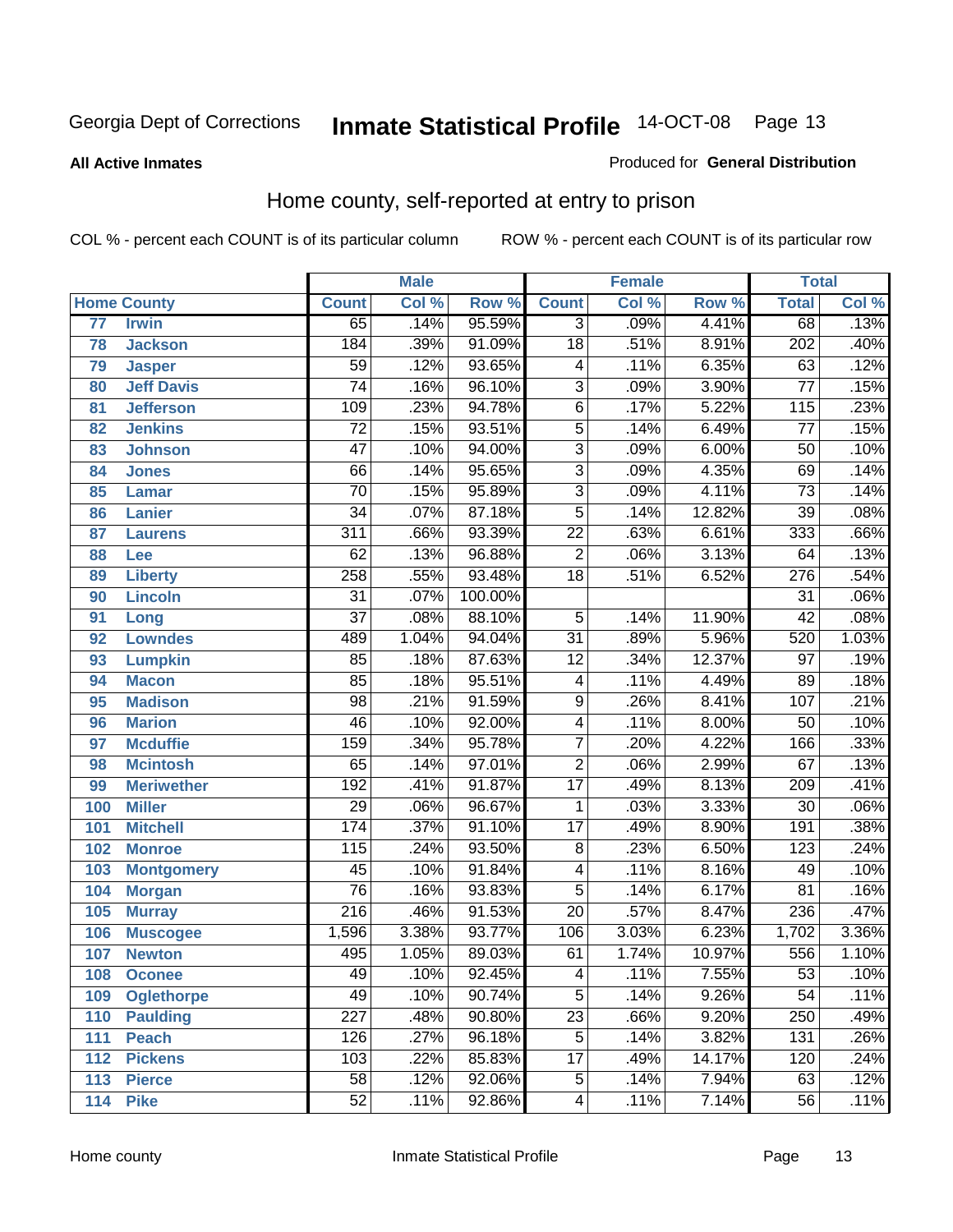#### **All Active Inmates**

#### Produced for **General Distribution**

### Home county, self-reported at entry to prison

|                 |                    |                  | <b>Male</b> |         |                 | <b>Female</b> |        | <b>Total</b>     |                            |
|-----------------|--------------------|------------------|-------------|---------|-----------------|---------------|--------|------------------|----------------------------|
|                 | <b>Home County</b> | <b>Count</b>     | Col %       | Row %   | <b>Count</b>    | Col %         | Row %  | <b>Total</b>     | $\overline{\text{Col }^9}$ |
| $\overline{77}$ | <b>Irwin</b>       | 65               | .14%        | 95.59%  | $\overline{3}$  | .09%          | 4.41%  | 68               | .13%                       |
| 78              | <b>Jackson</b>     | 184              | .39%        | 91.09%  | $\overline{18}$ | .51%          | 8.91%  | 202              | .40%                       |
| 79              | <b>Jasper</b>      | $\overline{59}$  | .12%        | 93.65%  | 4               | .11%          | 6.35%  | 63               | .12%                       |
| 80              | <b>Jeff Davis</b>  | $\overline{74}$  | .16%        | 96.10%  | $\overline{3}$  | .09%          | 3.90%  | $\overline{77}$  | .15%                       |
| 81              | <b>Jefferson</b>   | 109              | .23%        | 94.78%  | $\overline{6}$  | .17%          | 5.22%  | 115              | .23%                       |
| 82              | <b>Jenkins</b>     | $\overline{72}$  | .15%        | 93.51%  | $\overline{5}$  | .14%          | 6.49%  | $\overline{77}$  | .15%                       |
| 83              | <b>Johnson</b>     | $\overline{47}$  | .10%        | 94.00%  | $\overline{3}$  | .09%          | 6.00%  | $\overline{50}$  | .10%                       |
| 84              | <b>Jones</b>       | 66               | .14%        | 95.65%  | $\overline{3}$  | .09%          | 4.35%  | 69               | .14%                       |
| 85              | <b>Lamar</b>       | $\overline{70}$  | .15%        | 95.89%  | $\overline{3}$  | .09%          | 4.11%  | $\overline{73}$  | .14%                       |
| 86              | <b>Lanier</b>      | $\overline{34}$  | .07%        | 87.18%  | $\overline{5}$  | .14%          | 12.82% | $\overline{39}$  | .08%                       |
| 87              | <b>Laurens</b>     | $\overline{311}$ | .66%        | 93.39%  | $\overline{22}$ | .63%          | 6.61%  | $\frac{1}{333}$  | .66%                       |
| 88              | <b>Lee</b>         | $\overline{62}$  | .13%        | 96.88%  | $\overline{2}$  | .06%          | 3.13%  | $\overline{64}$  | .13%                       |
| 89              | <b>Liberty</b>     | 258              | .55%        | 93.48%  | $\overline{18}$ | .51%          | 6.52%  | $\overline{276}$ | .54%                       |
| 90              | <b>Lincoln</b>     | $\overline{31}$  | .07%        | 100.00% |                 |               |        | $\overline{31}$  | .06%                       |
| 91              | Long               | $\overline{37}$  | .08%        | 88.10%  | $\overline{5}$  | .14%          | 11.90% | $\overline{42}$  | .08%                       |
| 92              | <b>Lowndes</b>     | 489              | 1.04%       | 94.04%  | $\overline{31}$ | .89%          | 5.96%  | 520              | 1.03%                      |
| 93              | <b>Lumpkin</b>     | 85               | .18%        | 87.63%  | $\overline{12}$ | .34%          | 12.37% | $\overline{97}$  | .19%                       |
| 94              | <b>Macon</b>       | 85               | .18%        | 95.51%  | 4               | .11%          | 4.49%  | $\overline{89}$  | .18%                       |
| 95              | <b>Madison</b>     | $\overline{98}$  | .21%        | 91.59%  | $\overline{9}$  | .26%          | 8.41%  | 107              | .21%                       |
| 96              | <b>Marion</b>      | $\overline{46}$  | .10%        | 92.00%  | 4               | .11%          | 8.00%  | $\overline{50}$  | .10%                       |
| 97              | <b>Mcduffie</b>    | 159              | .34%        | 95.78%  | $\overline{7}$  | .20%          | 4.22%  | 166              | .33%                       |
| 98              | <b>Mcintosh</b>    | $\overline{65}$  | .14%        | 97.01%  | $\overline{2}$  | .06%          | 2.99%  | $\overline{67}$  | .13%                       |
| 99              | <b>Meriwether</b>  | 192              | .41%        | 91.87%  | $\overline{17}$ | .49%          | 8.13%  | 209              | .41%                       |
| 100             | <b>Miller</b>      | $\overline{29}$  | .06%        | 96.67%  | $\mathbf{1}$    | .03%          | 3.33%  | $\overline{30}$  | .06%                       |
| 101             | <b>Mitchell</b>    | 174              | .37%        | 91.10%  | $\overline{17}$ | .49%          | 8.90%  | 191              | .38%                       |
| 102             | <b>Monroe</b>      | 115              | .24%        | 93.50%  | $\overline{8}$  | .23%          | 6.50%  | $\overline{123}$ | .24%                       |
| 103             | <b>Montgomery</b>  | $\overline{45}$  | .10%        | 91.84%  | 4               | .11%          | 8.16%  | 49               | .10%                       |
| 104             | <b>Morgan</b>      | $\overline{76}$  | .16%        | 93.83%  | $\overline{5}$  | .14%          | 6.17%  | $\overline{81}$  | .16%                       |
| 105             | <b>Murray</b>      | $\overline{216}$ | .46%        | 91.53%  | $\overline{20}$ | .57%          | 8.47%  | 236              | .47%                       |
| 106             | <b>Muscogee</b>    | 1,596            | 3.38%       | 93.77%  | 106             | 3.03%         | 6.23%  | 1,702            | 3.36%                      |
| 107             | <b>Newton</b>      | 495              | 1.05%       | 89.03%  | 61              | 1.74%         | 10.97% | 556              | 1.10%                      |
| 108             | <b>Oconee</b>      | 49               | .10%        | 92.45%  | 4               | .11%          | 7.55%  | 53               | .10%                       |
| 109             | <b>Oglethorpe</b>  | 49               | .10%        | 90.74%  | $\overline{5}$  | .14%          | 9.26%  | $\overline{54}$  | .11%                       |
| 110             | <b>Paulding</b>    | $\overline{227}$ | .48%        | 90.80%  | $\overline{23}$ | .66%          | 9.20%  | 250              | .49%                       |
| 111             | <b>Peach</b>       | 126              | .27%        | 96.18%  | $\overline{5}$  | .14%          | 3.82%  | 131              | .26%                       |
| 112             | <b>Pickens</b>     | 103              | .22%        | 85.83%  | $\overline{17}$ | .49%          | 14.17% | 120              | .24%                       |
| 113             | <b>Pierce</b>      | $\overline{58}$  | .12%        | 92.06%  | $\overline{5}$  | .14%          | 7.94%  | 63               | .12%                       |
| 114             | <b>Pike</b>        | $\overline{52}$  | .11%        | 92.86%  | 4               | .11%          | 7.14%  | $\overline{56}$  | .11%                       |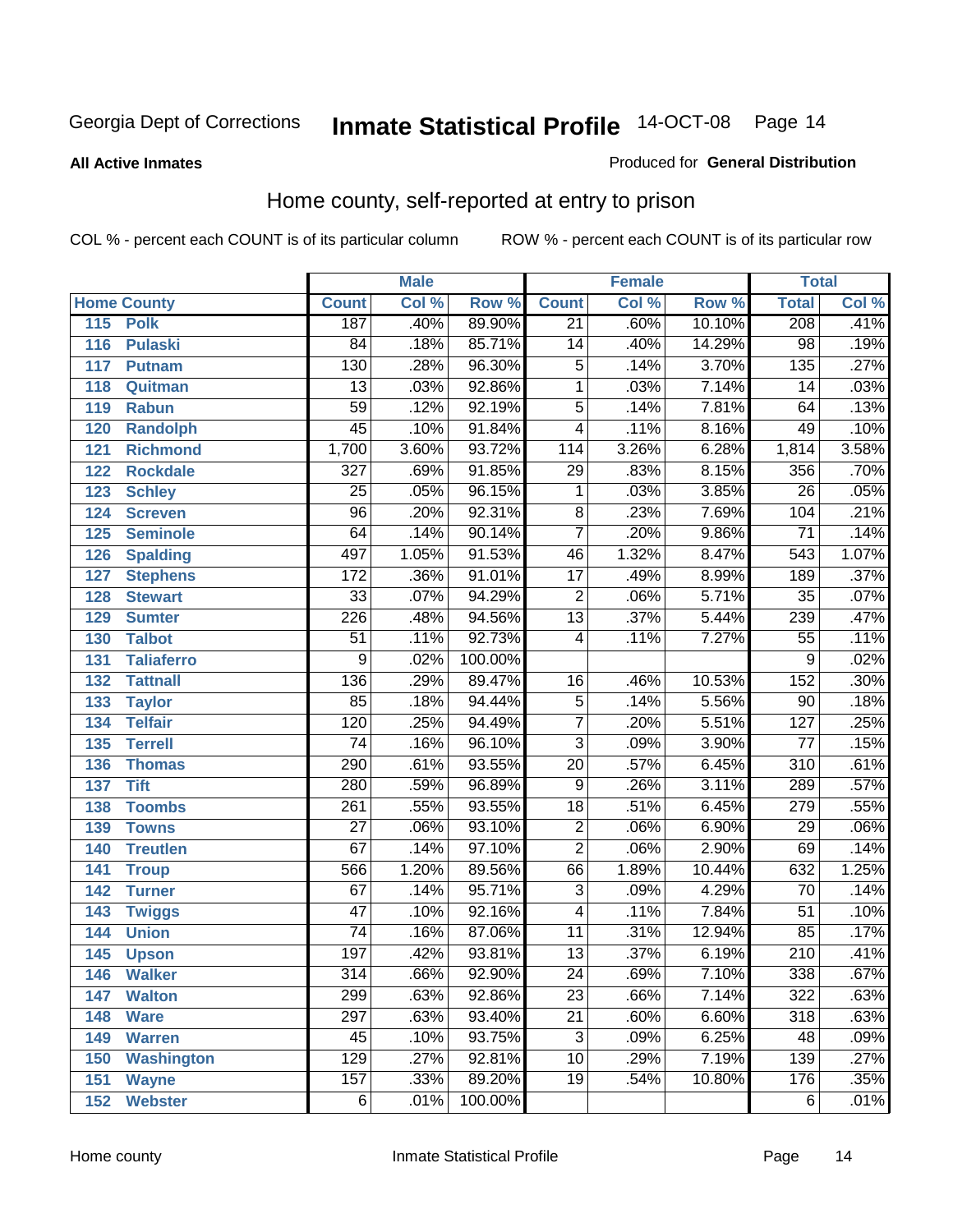#### **All Active Inmates**

#### Produced for **General Distribution**

### Home county, self-reported at entry to prison

|     |                    |                  | <b>Male</b> |         |                         | <b>Female</b> |        | <b>Total</b>     |                            |
|-----|--------------------|------------------|-------------|---------|-------------------------|---------------|--------|------------------|----------------------------|
|     | <b>Home County</b> | <b>Count</b>     | Col %       | Row %   | <b>Count</b>            | Col %         | Row %  | <b>Total</b>     | $\overline{\text{Col }^9}$ |
| 115 | <b>Polk</b>        | 187              | .40%        | 89.90%  | $\overline{21}$         | .60%          | 10.10% | 208              | .41%                       |
| 116 | <b>Pulaski</b>     | 84               | .18%        | 85.71%  | $\overline{14}$         | .40%          | 14.29% | 98               | .19%                       |
| 117 | <b>Putnam</b>      | 130              | .28%        | 96.30%  | $\overline{5}$          | .14%          | 3.70%  | $\overline{135}$ | .27%                       |
| 118 | Quitman            | $\overline{13}$  | .03%        | 92.86%  | $\mathbf 1$             | .03%          | 7.14%  | 14               | .03%                       |
| 119 | <b>Rabun</b>       | 59               | .12%        | 92.19%  | $\overline{5}$          | .14%          | 7.81%  | 64               | .13%                       |
| 120 | <b>Randolph</b>    | $\overline{45}$  | .10%        | 91.84%  | $\overline{4}$          | .11%          | 8.16%  | 49               | .10%                       |
| 121 | <b>Richmond</b>    | 1,700            | 3.60%       | 93.72%  | 114                     | 3.26%         | 6.28%  | 1,814            | 3.58%                      |
| 122 | <b>Rockdale</b>    | $\overline{327}$ | .69%        | 91.85%  | $\overline{29}$         | .83%          | 8.15%  | 356              | .70%                       |
| 123 | <b>Schley</b>      | $\overline{25}$  | .05%        | 96.15%  | 1                       | .03%          | 3.85%  | $\overline{26}$  | .05%                       |
| 124 | <b>Screven</b>     | $\overline{96}$  | .20%        | 92.31%  | $\overline{8}$          | .23%          | 7.69%  | 104              | .21%                       |
| 125 | <b>Seminole</b>    | 64               | .14%        | 90.14%  | $\overline{7}$          | .20%          | 9.86%  | $\overline{71}$  | .14%                       |
| 126 | <b>Spalding</b>    | 497              | 1.05%       | 91.53%  | 46                      | 1.32%         | 8.47%  | 543              | 1.07%                      |
| 127 | <b>Stephens</b>    | $\overline{172}$ | .36%        | 91.01%  | $\overline{17}$         | .49%          | 8.99%  | 189              | .37%                       |
| 128 | <b>Stewart</b>     | $\overline{33}$  | .07%        | 94.29%  | $\overline{2}$          | .06%          | 5.71%  | $\overline{35}$  | .07%                       |
| 129 | <b>Sumter</b>      | 226              | .48%        | 94.56%  | $\overline{13}$         | .37%          | 5.44%  | 239              | .47%                       |
| 130 | <b>Talbot</b>      | $\overline{51}$  | .11%        | 92.73%  | 4                       | .11%          | 7.27%  | $\overline{55}$  | .11%                       |
| 131 | <b>Taliaferro</b>  | 9                | .02%        | 100.00% |                         |               |        | 9                | .02%                       |
| 132 | <b>Tattnall</b>    | 136              | .29%        | 89.47%  | 16                      | .46%          | 10.53% | 152              | .30%                       |
| 133 | <b>Taylor</b>      | 85               | .18%        | 94.44%  | $\overline{5}$          | .14%          | 5.56%  | $\overline{90}$  | .18%                       |
| 134 | <b>Telfair</b>     | 120              | .25%        | 94.49%  | $\overline{7}$          | .20%          | 5.51%  | 127              | .25%                       |
| 135 | <b>Terrell</b>     | $\overline{74}$  | .16%        | 96.10%  | $\overline{3}$          | .09%          | 3.90%  | 77               | .15%                       |
| 136 | <b>Thomas</b>      | 290              | .61%        | 93.55%  | $\overline{20}$         | .57%          | 6.45%  | $\overline{310}$ | .61%                       |
| 137 | <b>Tift</b>        | 280              | .59%        | 96.89%  | $\overline{9}$          | .26%          | 3.11%  | 289              | .57%                       |
| 138 | <b>Toombs</b>      | $\overline{261}$ | .55%        | 93.55%  | $\overline{18}$         | .51%          | 6.45%  | 279              | .55%                       |
| 139 | <b>Towns</b>       | $\overline{27}$  | .06%        | 93.10%  | $\overline{2}$          | .06%          | 6.90%  | 29               | .06%                       |
| 140 | <b>Treutlen</b>    | 67               | .14%        | 97.10%  | $\overline{2}$          | .06%          | 2.90%  | 69               | .14%                       |
| 141 | <b>Troup</b>       | 566              | 1.20%       | 89.56%  | 66                      | 1.89%         | 10.44% | 632              | 1.25%                      |
| 142 | <b>Turner</b>      | 67               | .14%        | 95.71%  | $\overline{3}$          | .09%          | 4.29%  | 70               | .14%                       |
| 143 | <b>Twiggs</b>      | $\overline{47}$  | .10%        | 92.16%  | $\overline{\mathbf{4}}$ | .11%          | 7.84%  | $\overline{51}$  | .10%                       |
| 144 | <b>Union</b>       | $\overline{74}$  | .16%        | 87.06%  | $\overline{11}$         | .31%          | 12.94% | 85               | .17%                       |
| 145 | <b>Upson</b>       | 197              | .42%        | 93.81%  | $\overline{13}$         | .37%          | 6.19%  | 210              | .41%                       |
| 146 | <b>Walker</b>      | $\overline{314}$ | .66%        | 92.90%  | $\overline{24}$         | .69%          | 7.10%  | 338              | .67%                       |
| 147 | <b>Walton</b>      | 299              | .63%        | 92.86%  | $\overline{23}$         | .66%          | 7.14%  | 322              | .63%                       |
| 148 | <b>Ware</b>        | 297              | .63%        | 93.40%  | $\overline{21}$         | .60%          | 6.60%  | 318              | .63%                       |
| 149 | <b>Warren</b>      | 45               | .10%        | 93.75%  | $\overline{3}$          | .09%          | 6.25%  | 48               | .09%                       |
| 150 | <b>Washington</b>  | 129              | .27%        | 92.81%  | $\overline{10}$         | .29%          | 7.19%  | 139              | .27%                       |
| 151 | <b>Wayne</b>       | 157              | .33%        | 89.20%  | $\overline{19}$         | .54%          | 10.80% | 176              | .35%                       |
| 152 | <b>Webster</b>     | $\overline{6}$   | .01%        | 100.00% |                         |               |        | 6                | .01%                       |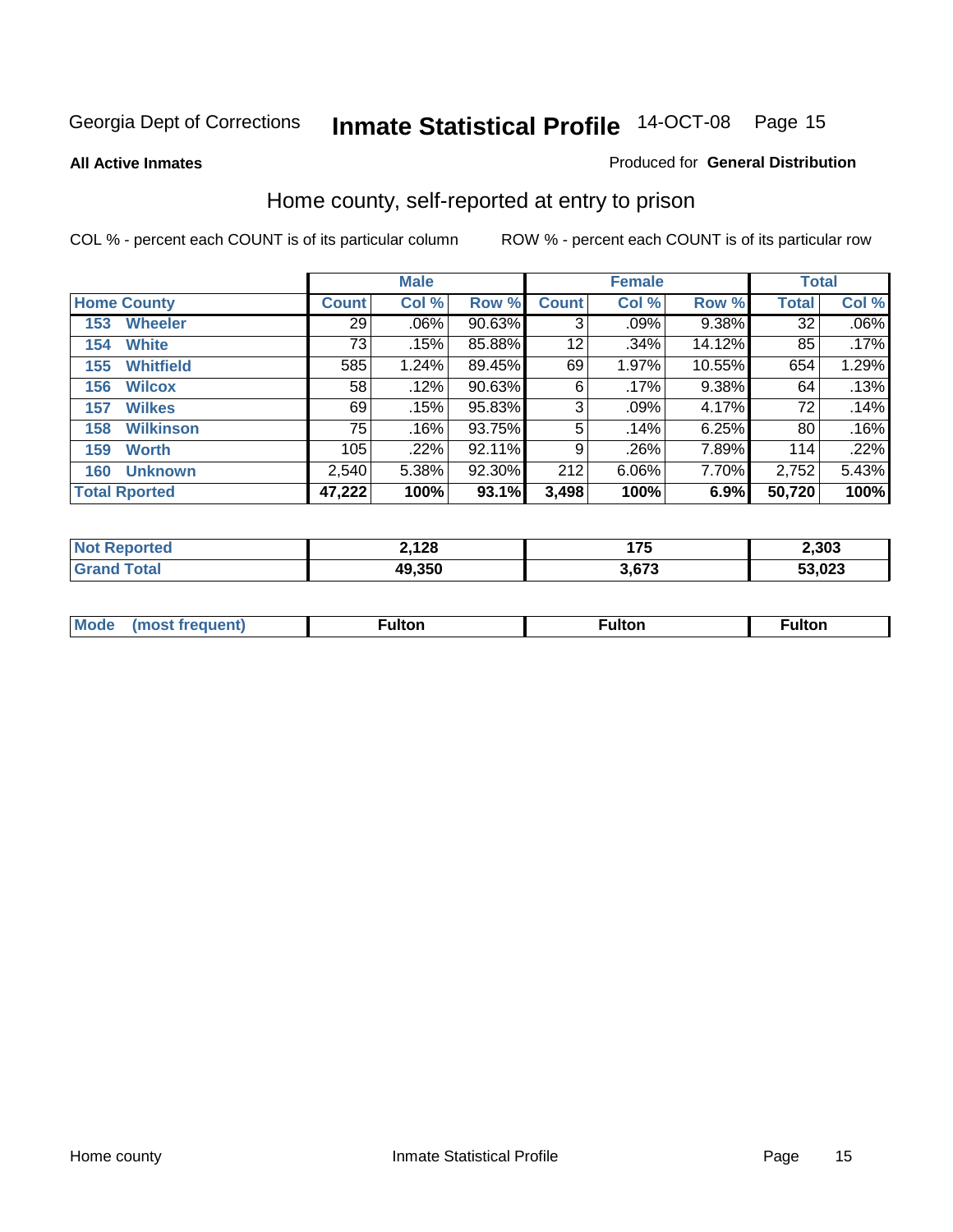**All Active Inmates**

#### Produced for **General Distribution**

### Home county, self-reported at entry to prison

|                    |                      |              | <b>Male</b> |           |              | <b>Female</b> | <b>Total</b> |              |         |
|--------------------|----------------------|--------------|-------------|-----------|--------------|---------------|--------------|--------------|---------|
| <b>Home County</b> |                      | <b>Count</b> | Col %       | Row %     | <b>Count</b> | Col %         | Row %        | <b>Total</b> | Col %   |
| 153                | <b>Wheeler</b>       | 29           | .06%        | 90.63%    | 3            | .09%          | $9.38\%$     | 32           | $.06\%$ |
| 154                | <b>White</b>         | 73           | .15%        | 85.88%    | 12           | .34%          | 14.12%       | 85           | .17%    |
| 155                | <b>Whitfield</b>     | 585          | 1.24%       | 89.45%    | 69           | 1.97%         | 10.55%       | 654          | 1.29%   |
| 156                | <b>Wilcox</b>        | 58           | .12%        | $90.63\%$ | 6            | .17%          | 9.38%        | 64           | .13%    |
| 157                | <b>Wilkes</b>        | 69           | .15%        | 95.83%    | 3            | .09%          | 4.17%        | 72           | .14%    |
| 158                | <b>Wilkinson</b>     | 75           | .16%        | 93.75%    | 5            | .14%          | 6.25%        | 80           | .16%    |
| 159                | <b>Worth</b>         | 105          | .22%        | 92.11%    | 9            | .26%          | 7.89%        | 114          | .22%    |
| 160                | <b>Unknown</b>       | 2,540        | 5.38%       | 92.30%    | 212          | 6.06%         | 7.70%        | 2,752        | 5.43%   |
|                    | <b>Total Rported</b> | 47,222       | 100%        | 93.1%     | 3,498        | 100%          | 6.9%         | 50,720       | 100%    |

| rted<br>NO1 | 2,128  | 4 7 E<br>. | 2,303  |
|-------------|--------|------------|--------|
| `otal       | 49,350 | 672        | 53,023 |

| <b>Mo</b><br>$\cdots$ | . . | -- 14 -- --<br>uiton |  |
|-----------------------|-----|----------------------|--|
|                       |     |                      |  |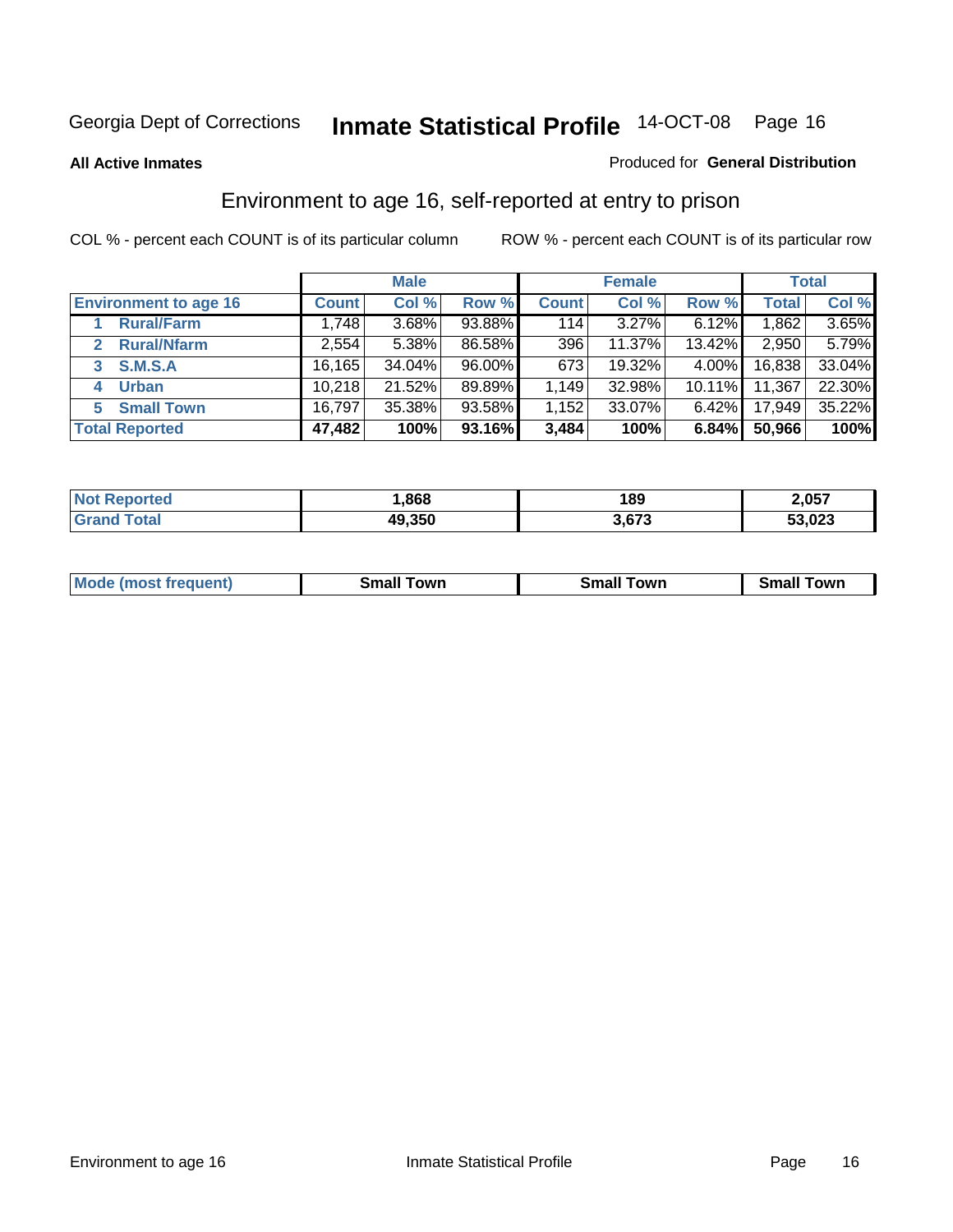#### **All Active Inmates**

#### Produced for **General Distribution**

### Environment to age 16, self-reported at entry to prison

|                                    | <b>Male</b>  |        | <b>Female</b> |              |        | <b>Total</b> |              |        |
|------------------------------------|--------------|--------|---------------|--------------|--------|--------------|--------------|--------|
| <b>Environment to age 16</b>       | <b>Count</b> | Col %  | Row %         | <b>Count</b> | Col %  | Row %        | <b>Total</b> | Col %  |
| <b>Rural/Farm</b>                  | 1,748        | 3.68%  | 93.88%        | 114          | 3.27%  | $6.12\%$     | 1,862        | 3.65%  |
| <b>Rural/Nfarm</b><br>$\mathbf{2}$ | 2,554        | 5.38%  | 86.58%        | 396          | 11.37% | 13.42%       | 2,950        | 5.79%  |
| <b>S.M.S.A</b><br>3                | 16,165       | 34.04% | 96.00%        | 673          | 19.32% | $4.00\%$     | 16,838       | 33.04% |
| <b>Urban</b><br>4                  | 10,218       | 21.52% | 89.89%        | 1,149        | 32.98% | $10.11\%$    | 11,367       | 22.30% |
| <b>Small Town</b><br>5             | 16,797       | 35.38% | 93.58%        | 1,152        | 33.07% | $6.42\%$     | 17,949       | 35.22% |
| <b>Total Reported</b>              | 47,482       | 100%   | 93.16%        | 3,484        | 100%   | 6.84%        | 50,966       | 100%   |

| <b>Not Reported</b> | ,868   | 189   | 2,057  |
|---------------------|--------|-------|--------|
| <b>Grand Total</b>  | 49,350 | 3,673 | 53,023 |

| Mο<br>went | .owr | owr<br>Smal. | owr |
|------------|------|--------------|-----|
|            |      |              |     |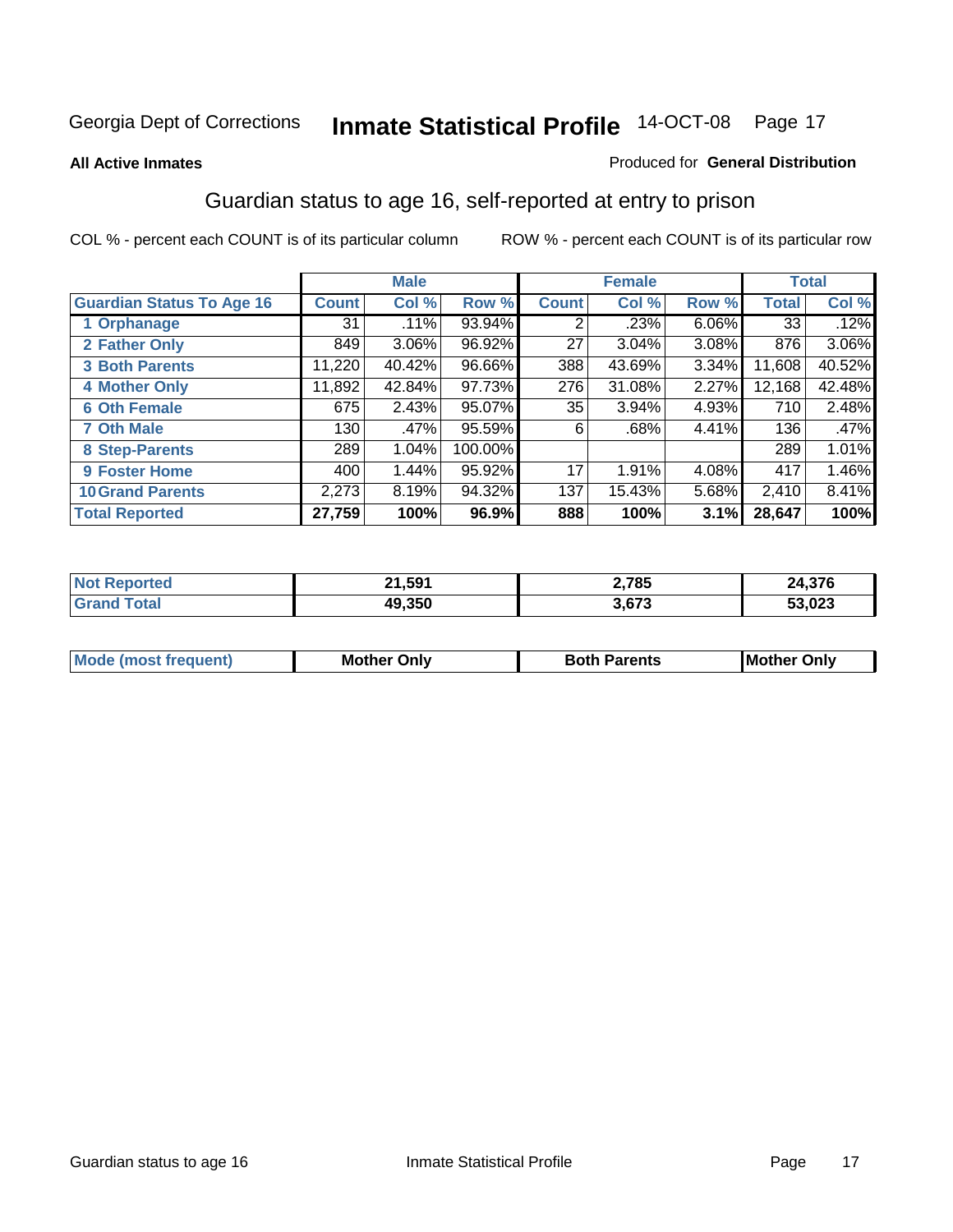#### **All Active Inmates**

#### Produced for **General Distribution**

### Guardian status to age 16, self-reported at entry to prison

|                                  |              | <b>Male</b> |         |              | <b>Female</b> |          |              | <b>Total</b> |
|----------------------------------|--------------|-------------|---------|--------------|---------------|----------|--------------|--------------|
| <b>Guardian Status To Age 16</b> | <b>Count</b> | Col %       | Row %   | <b>Count</b> | Col %         | Row %    | <b>Total</b> | Col %        |
| 1 Orphanage                      | 31           | .11%        | 93.94%  | 2            | .23%          | $6.06\%$ | 33           | .12%         |
| 2 Father Only                    | 849          | 3.06%       | 96.92%  | 27           | $3.04\%$      | 3.08%    | 876          | $3.06\%$     |
| <b>3 Both Parents</b>            | 11,220       | 40.42%      | 96.66%  | 388          | 43.69%        | 3.34%    | 11,608       | 40.52%       |
| <b>4 Mother Only</b>             | 11,892       | 42.84%      | 97.73%  | 276          | 31.08%        | 2.27%    | 12,168       | 42.48%       |
| <b>6 Oth Female</b>              | 675          | 2.43%       | 95.07%  | 35           | 3.94%         | 4.93%    | 710          | 2.48%        |
| <b>7 Oth Male</b>                | 130          | .47%        | 95.59%  | 6            | .68%          | 4.41%    | 136          | .47%         |
| 8 Step-Parents                   | 289          | 1.04%       | 100.00% |              |               |          | 289          | 1.01%        |
| 9 Foster Home                    | 400          | 1.44%       | 95.92%  | 17           | 1.91%         | 4.08%    | 417          | 1.46%        |
| <b>10 Grand Parents</b>          | 2,273        | 8.19%       | 94.32%  | 137          | 15.43%        | 5.68%    | 2,410        | 8.41%        |
| <b>Total Reported</b>            | 27,759       | 100%        | 96.9%   | 888          | 100%          | 3.1%     | 28,647       | 100%         |

| NG   | .1,59 <sup>4</sup><br>- - - | 2,785 | 27c<br>– – –,J / O |
|------|-----------------------------|-------|--------------------|
| . Gr | 19.350                      | 3.673 | 53,023             |

| Mode | Onlv<br>Mot | <b>Roth</b><br>Parents | <b>IMot</b><br>Onlv<br>∵hei |
|------|-------------|------------------------|-----------------------------|
|      |             |                        |                             |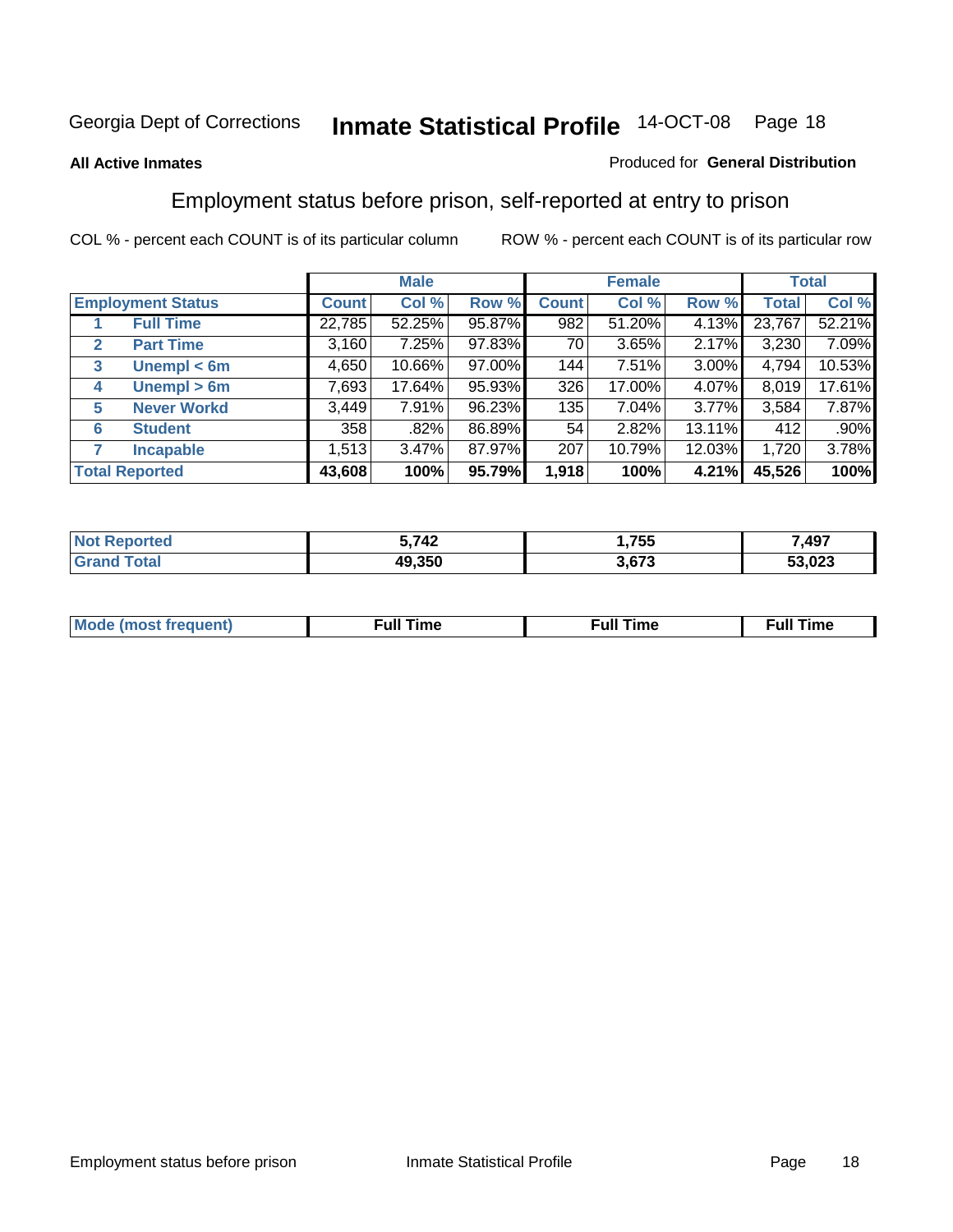#### **All Active Inmates**

#### Produced for **General Distribution**

### Employment status before prison, self-reported at entry to prison

|              |                          | <b>Male</b>  |        |        | <b>Female</b> |        |        | <b>Total</b> |        |
|--------------|--------------------------|--------------|--------|--------|---------------|--------|--------|--------------|--------|
|              | <b>Employment Status</b> | <b>Count</b> | Col %  | Row %  | <b>Count</b>  | Col %  | Row %  | Total        | Col %  |
|              | <b>Full Time</b>         | 22,785       | 52.25% | 95.87% | 982           | 51.20% | 4.13%  | 23,767       | 52.21% |
| $\mathbf{2}$ | <b>Part Time</b>         | 3,160        | 7.25%  | 97.83% | 70 l          | 3.65%  | 2.17%  | 3,230        | 7.09%  |
| 3            | Unempl $<$ 6m            | 4,650        | 10.66% | 97.00% | 144           | 7.51%  | 3.00%  | 4,794        | 10.53% |
| 4            | Unempl > 6m              | 7,693        | 17.64% | 95.93% | 326           | 17.00% | 4.07%  | 8,019        | 17.61% |
| 5            | <b>Never Workd</b>       | 3,449        | 7.91%  | 96.23% | 135           | 7.04%  | 3.77%  | 3,584        | 7.87%  |
| 6            | <b>Student</b>           | 358          | .82%   | 86.89% | 54            | 2.82%  | 13.11% | 412          | .90%   |
| 7            | <b>Incapable</b>         | 1,513        | 3.47%  | 87.97% | 207           | 10.79% | 12.03% | 1,720        | 3.78%  |
|              | <b>Total Reported</b>    | 43,608       | 100%   | 95.79% | 1,918         | 100%   | 4.21%  | 45,526       | 100%   |

| neo | ,742   | ,755                   | 7,497          |
|-----|--------|------------------------|----------------|
|     | 49.350 | <b>2 G72</b><br>ა.ხი ა | ED 002<br>323. |

| <b>M</b> ດ | the contract of the contract of the contract of the contract of the contract of the contract of the contract of | the contract of the contract of the contract of the contract of the contract of the contract of the contract of | ----<br><b>Full Time</b> |
|------------|-----------------------------------------------------------------------------------------------------------------|-----------------------------------------------------------------------------------------------------------------|--------------------------|
|            |                                                                                                                 |                                                                                                                 |                          |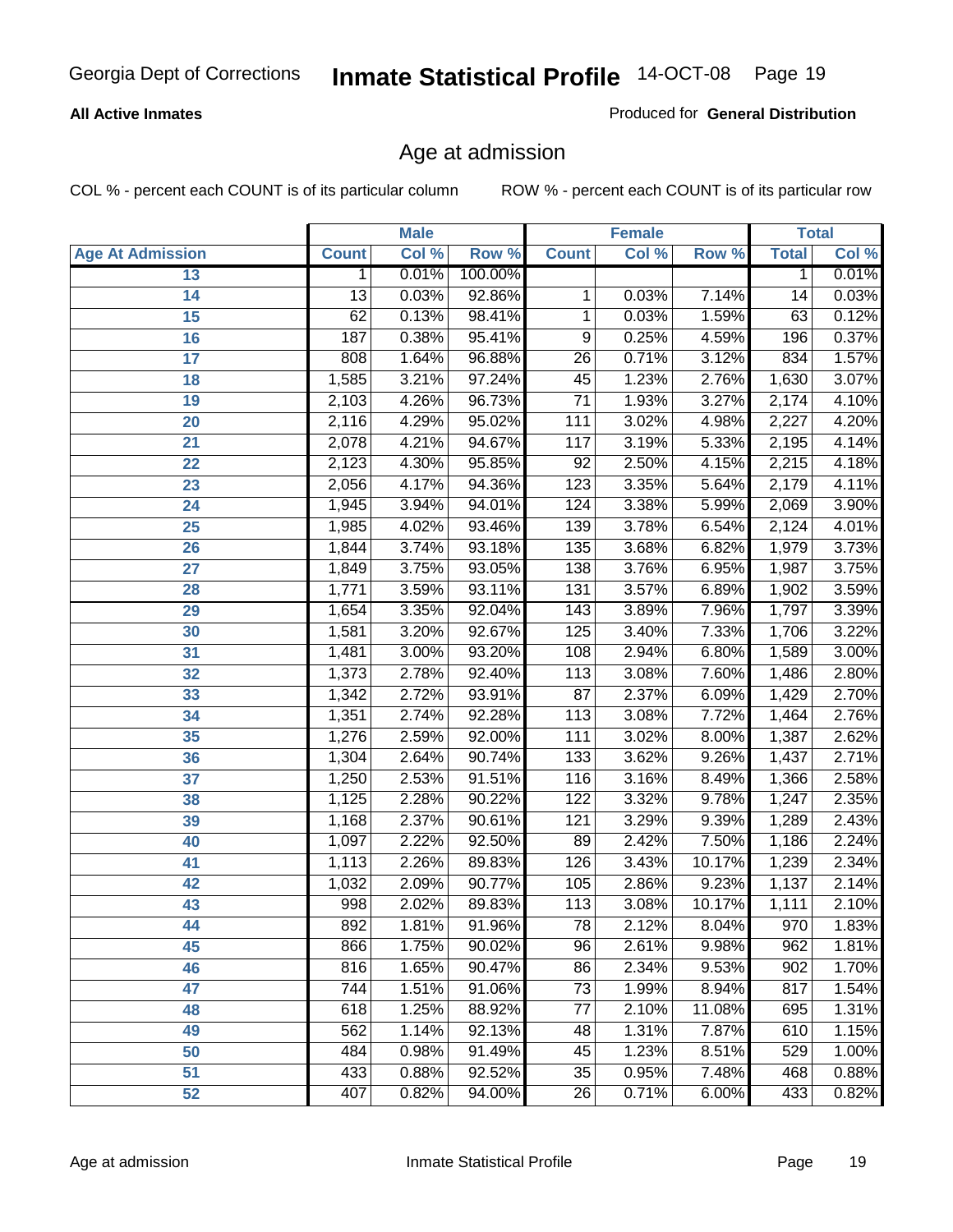#### **All Active Inmates**

Produced for **General Distribution**

### Age at admission

|                         |              | <b>Male</b> |         |                  | <b>Female</b> |        |              | <b>Total</b> |
|-------------------------|--------------|-------------|---------|------------------|---------------|--------|--------------|--------------|
| <b>Age At Admission</b> | <b>Count</b> | Col %       | Row %   | <b>Count</b>     | Col %         | Row %  | <b>Total</b> | Col %        |
| 13                      | 1            | 0.01%       | 100.00% |                  |               |        | 1            | 0.01%        |
| 14                      | 13           | 0.03%       | 92.86%  | 1                | 0.03%         | 7.14%  | 14           | 0.03%        |
| $\overline{15}$         | 62           | 0.13%       | 98.41%  | 1                | 0.03%         | 1.59%  | 63           | 0.12%        |
| 16                      | 187          | 0.38%       | 95.41%  | 9                | 0.25%         | 4.59%  | 196          | 0.37%        |
| $\overline{17}$         | 808          | 1.64%       | 96.88%  | $\overline{26}$  | 0.71%         | 3.12%  | 834          | 1.57%        |
| 18                      | 1,585        | 3.21%       | 97.24%  | 45               | 1.23%         | 2.76%  | 1,630        | 3.07%        |
| 19                      | 2,103        | 4.26%       | 96.73%  | $\overline{71}$  | 1.93%         | 3.27%  | 2,174        | 4.10%        |
| 20                      | 2,116        | 4.29%       | 95.02%  | 111              | 3.02%         | 4.98%  | 2,227        | 4.20%        |
| 21                      | 2,078        | 4.21%       | 94.67%  | 117              | 3.19%         | 5.33%  | 2,195        | 4.14%        |
| 22                      | 2,123        | 4.30%       | 95.85%  | $\overline{92}$  | 2.50%         | 4.15%  | 2,215        | 4.18%        |
| 23                      | 2,056        | 4.17%       | 94.36%  | 123              | 3.35%         | 5.64%  | 2,179        | 4.11%        |
| 24                      | 1,945        | 3.94%       | 94.01%  | 124              | 3.38%         | 5.99%  | 2,069        | 3.90%        |
| $\overline{25}$         | 1,985        | 4.02%       | 93.46%  | 139              | 3.78%         | 6.54%  | 2,124        | 4.01%        |
| 26                      | 1,844        | 3.74%       | 93.18%  | $\overline{135}$ | 3.68%         | 6.82%  | 1,979        | 3.73%        |
| 27                      | 1,849        | 3.75%       | 93.05%  | 138              | 3.76%         | 6.95%  | 1,987        | 3.75%        |
| 28                      | 1,771        | 3.59%       | 93.11%  | 131              | 3.57%         | 6.89%  | 1,902        | 3.59%        |
| 29                      | 1,654        | 3.35%       | 92.04%  | 143              | 3.89%         | 7.96%  | 1,797        | 3.39%        |
| 30                      | 1,581        | 3.20%       | 92.67%  | 125              | 3.40%         | 7.33%  | 1,706        | 3.22%        |
| 31                      | 1,481        | 3.00%       | 93.20%  | 108              | 2.94%         | 6.80%  | 1,589        | 3.00%        |
| 32                      | 1,373        | 2.78%       | 92.40%  | 113              | 3.08%         | 7.60%  | 1,486        | 2.80%        |
| 33                      | 1,342        | 2.72%       | 93.91%  | $\overline{87}$  | 2.37%         | 6.09%  | 1,429        | 2.70%        |
| 34                      | 1,351        | 2.74%       | 92.28%  | 113              | 3.08%         | 7.72%  | 1,464        | 2.76%        |
| 35                      | 1,276        | 2.59%       | 92.00%  | 111              | 3.02%         | 8.00%  | 1,387        | 2.62%        |
| 36                      | 1,304        | 2.64%       | 90.74%  | 133              | 3.62%         | 9.26%  | 1,437        | 2.71%        |
| 37                      | 1,250        | 2.53%       | 91.51%  | 116              | 3.16%         | 8.49%  | 1,366        | 2.58%        |
| 38                      | 1,125        | 2.28%       | 90.22%  | 122              | 3.32%         | 9.78%  | 1,247        | 2.35%        |
| 39                      | 1,168        | 2.37%       | 90.61%  | 121              | 3.29%         | 9.39%  | 1,289        | 2.43%        |
| 40                      | 1,097        | 2.22%       | 92.50%  | 89               | 2.42%         | 7.50%  | 1,186        | 2.24%        |
| 41                      | 1,113        | 2.26%       | 89.83%  | 126              | 3.43%         | 10.17% | 1,239        | 2.34%        |
| 42                      | 1,032        | 2.09%       | 90.77%  | 105              | 2.86%         | 9.23%  | 1,137        | 2.14%        |
| 43                      | 998          | 2.02%       | 89.83%  | 113              | 3.08%         | 10.17% | 1,111        | 2.10%        |
| 44                      | 892          | 1.81%       | 91.96%  | 78               | 2.12%         | 8.04%  | 970          | 1.83%        |
| 45                      | 866          | 1.75%       | 90.02%  | 96               | 2.61%         | 9.98%  | 962          | 1.81%        |
| 46                      | 816          | 1.65%       | 90.47%  | 86               | 2.34%         | 9.53%  | 902          | 1.70%        |
| 47                      | 744          | 1.51%       | 91.06%  | 73               | 1.99%         | 8.94%  | 817          | 1.54%        |
| 48                      | 618          | 1.25%       | 88.92%  | 77               | 2.10%         | 11.08% | 695          | 1.31%        |
| 49                      | 562          | 1.14%       | 92.13%  | 48               | 1.31%         | 7.87%  | 610          | 1.15%        |
| 50                      | 484          | 0.98%       | 91.49%  | 45               | 1.23%         | 8.51%  | 529          | 1.00%        |
| 51                      | 433          | 0.88%       | 92.52%  | $\overline{35}$  | 0.95%         | 7.48%  | 468          | 0.88%        |
| 52                      | 407          | 0.82%       | 94.00%  | 26               | 0.71%         | 6.00%  | 433          | 0.82%        |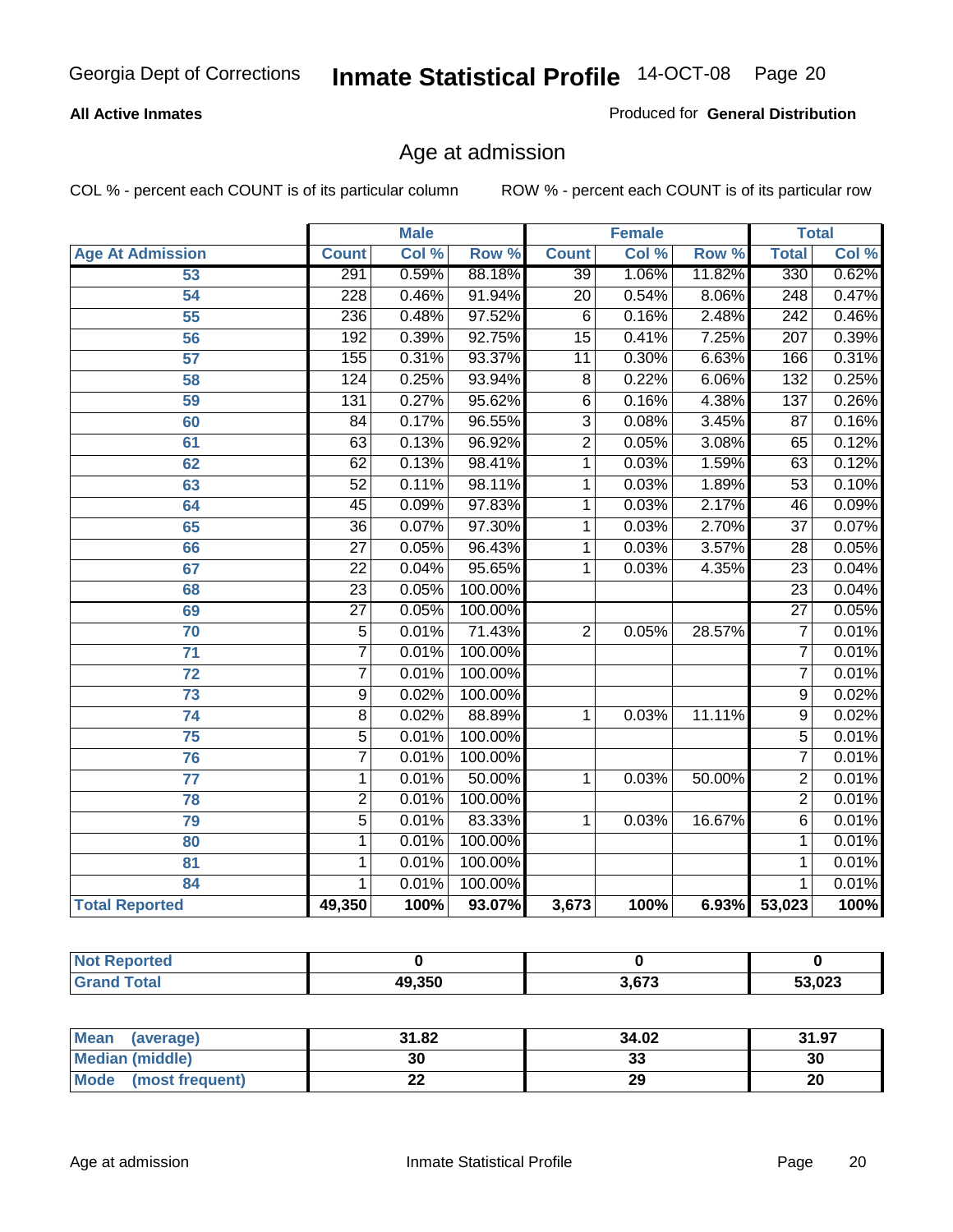#### **All Active Inmates**

Produced for **General Distribution**

### Age at admission

|                         | <b>Male</b>      |       | <b>Female</b> |                 |       | <b>Total</b> |                  |       |
|-------------------------|------------------|-------|---------------|-----------------|-------|--------------|------------------|-------|
| <b>Age At Admission</b> | <b>Count</b>     | Col % | Row %         | <b>Count</b>    | Col % | Row %        | <b>Total</b>     | Col % |
| $\overline{53}$         | 291              | 0.59% | 88.18%        | $\overline{39}$ | 1.06% | 11.82%       | 330              | 0.62% |
| 54                      | $\overline{228}$ | 0.46% | 91.94%        | $\overline{20}$ | 0.54% | 8.06%        | 248              | 0.47% |
| $\overline{55}$         | 236              | 0.48% | 97.52%        | 6               | 0.16% | 2.48%        | 242              | 0.46% |
| $\overline{56}$         | 192              | 0.39% | 92.75%        | $\overline{15}$ | 0.41% | 7.25%        | $\overline{207}$ | 0.39% |
| $\overline{57}$         | 155              | 0.31% | 93.37%        | $\overline{11}$ | 0.30% | 6.63%        | 166              | 0.31% |
| 58                      | 124              | 0.25% | 93.94%        | $\overline{8}$  | 0.22% | 6.06%        | 132              | 0.25% |
| 59                      | $\overline{131}$ | 0.27% | 95.62%        | 6               | 0.16% | 4.38%        | $\overline{137}$ | 0.26% |
| 60                      | $\overline{84}$  | 0.17% | 96.55%        | $\overline{3}$  | 0.08% | 3.45%        | $\overline{87}$  | 0.16% |
| 61                      | 63               | 0.13% | 96.92%        | $\overline{2}$  | 0.05% | 3.08%        | 65               | 0.12% |
| 62                      | 62               | 0.13% | 98.41%        | $\overline{1}$  | 0.03% | 1.59%        | 63               | 0.12% |
| 63                      | $\overline{52}$  | 0.11% | 98.11%        | 1               | 0.03% | 1.89%        | $\overline{53}$  | 0.10% |
| 64                      | $\overline{45}$  | 0.09% | 97.83%        | 1               | 0.03% | 2.17%        | $\overline{46}$  | 0.09% |
| 65                      | $\overline{36}$  | 0.07% | 97.30%        | 1               | 0.03% | 2.70%        | $\overline{37}$  | 0.07% |
| 66                      | $\overline{27}$  | 0.05% | 96.43%        | 1               | 0.03% | 3.57%        | $\overline{28}$  | 0.05% |
| 67                      | 22               | 0.04% | 95.65%        | 1               | 0.03% | 4.35%        | $\overline{23}$  | 0.04% |
| 68                      | $\overline{23}$  | 0.05% | 100.00%       |                 |       |              | $\overline{23}$  | 0.04% |
| 69                      | $\overline{27}$  | 0.05% | 100.00%       |                 |       |              | $\overline{27}$  | 0.05% |
| 70                      | $\overline{5}$   | 0.01% | 71.43%        | $\overline{2}$  | 0.05% | 28.57%       | 7                | 0.01% |
| 71                      | $\overline{7}$   | 0.01% | 100.00%       |                 |       |              | 7                | 0.01% |
| $\overline{72}$         | $\overline{7}$   | 0.01% | 100.00%       |                 |       |              | 7                | 0.01% |
| $\overline{73}$         | $\overline{9}$   | 0.02% | 100.00%       |                 |       |              | $\overline{9}$   | 0.02% |
| 74                      | $\overline{8}$   | 0.02% | 88.89%        | 1               | 0.03% | 11.11%       | $\overline{9}$   | 0.02% |
| $\overline{75}$         | $\overline{5}$   | 0.01% | 100.00%       |                 |       |              | $\overline{5}$   | 0.01% |
| 76                      | $\overline{7}$   | 0.01% | 100.00%       |                 |       |              | 7                | 0.01% |
| 77                      | 1                | 0.01% | 50.00%        | 1               | 0.03% | 50.00%       | $\overline{2}$   | 0.01% |
| 78                      | $\overline{2}$   | 0.01% | 100.00%       |                 |       |              | $\overline{2}$   | 0.01% |
| 79                      | $\overline{5}$   | 0.01% | 83.33%        | 1               | 0.03% | 16.67%       | 6                | 0.01% |
| 80                      | $\mathbf{1}$     | 0.01% | 100.00%       |                 |       |              | 1                | 0.01% |
| 81                      | 1                | 0.01% | 100.00%       |                 |       |              | 1                | 0.01% |
| 84                      | 1                | 0.01% | 100.00%       |                 |       |              | 1                | 0.01% |
| <b>Total Reported</b>   | 49,350           | 100%  | 93.07%        | 3,673           | 100%  |              | 6.93% 53,023     | 100%  |

| <b>Not Reported</b> |        |       |        |
|---------------------|--------|-------|--------|
| <b>Grand Total</b>  | 49,350 | 3,673 | 53,023 |

| Mean<br>(average)       | 31.82 | 34.02   | 31.97 |
|-------------------------|-------|---------|-------|
| Median (middle)         | 30    | ົ<br>აა | 30    |
| Mode<br>(most frequent) | ∸∸    | 29      | 20    |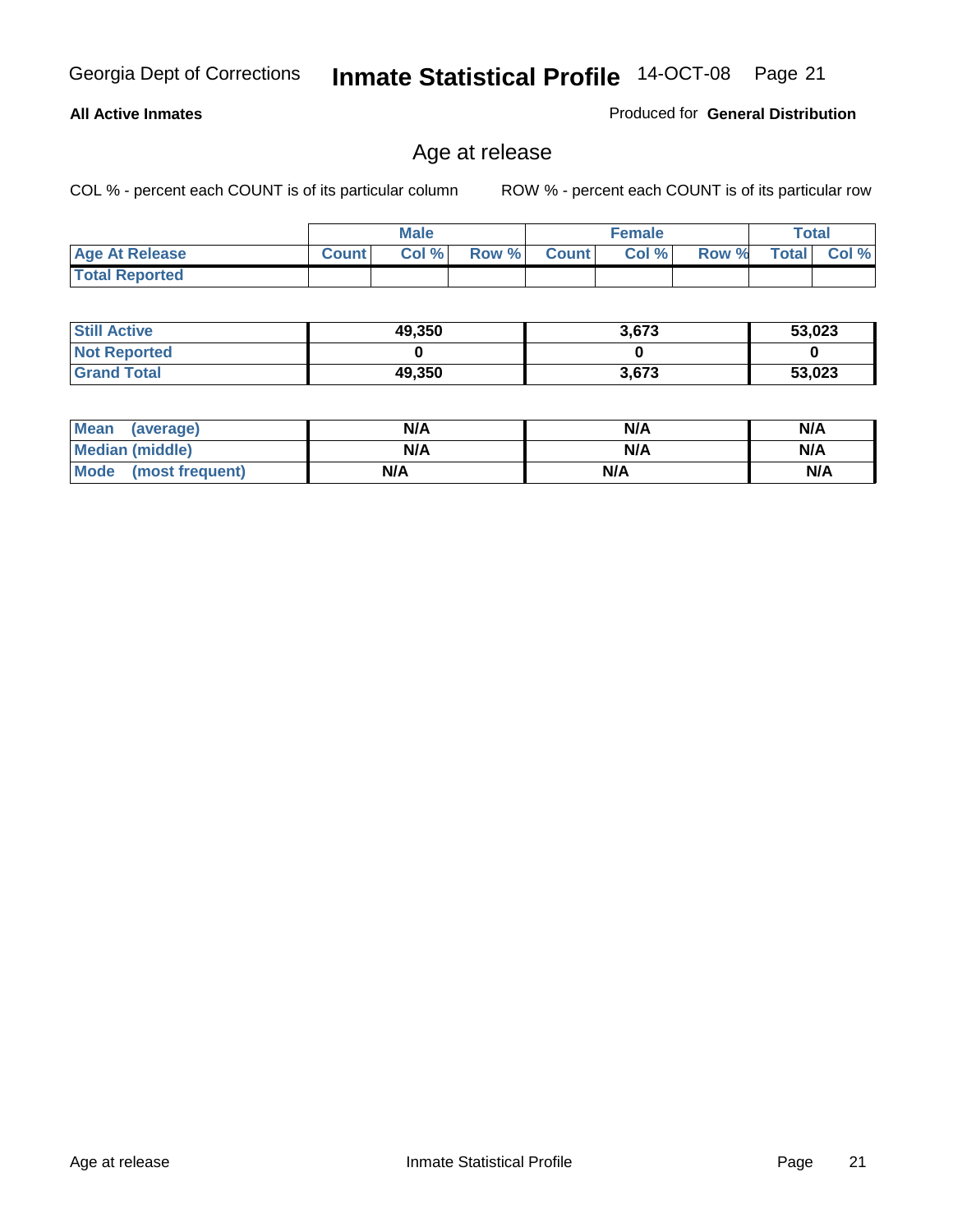#### **All Active Inmates**

Produced for **General Distribution**

### Age at release

|                       |              | <b>Male</b> |       |              | <b>Female</b> |       |              | <b>Total</b> |
|-----------------------|--------------|-------------|-------|--------------|---------------|-------|--------------|--------------|
| <b>Age At Release</b> | <b>Count</b> | Col %       | Row % | <b>Count</b> | Col %         | Row % | <b>Total</b> | Col %        |
| <b>Total Reported</b> |              |             |       |              |               |       |              |              |

| <b>Still Active</b> | 49,350 | 3,673 | 53,023 |
|---------------------|--------|-------|--------|
| <b>Not Reported</b> |        |       |        |
| <b>Grand Total</b>  | 49,350 | 3.673 | 53,023 |

| Mean (average)       | N/A | N/A | N/A |
|----------------------|-----|-----|-----|
| Median (middle)      | N/A | N/A | N/A |
| Mode (most frequent) | N/A | N/A | N/A |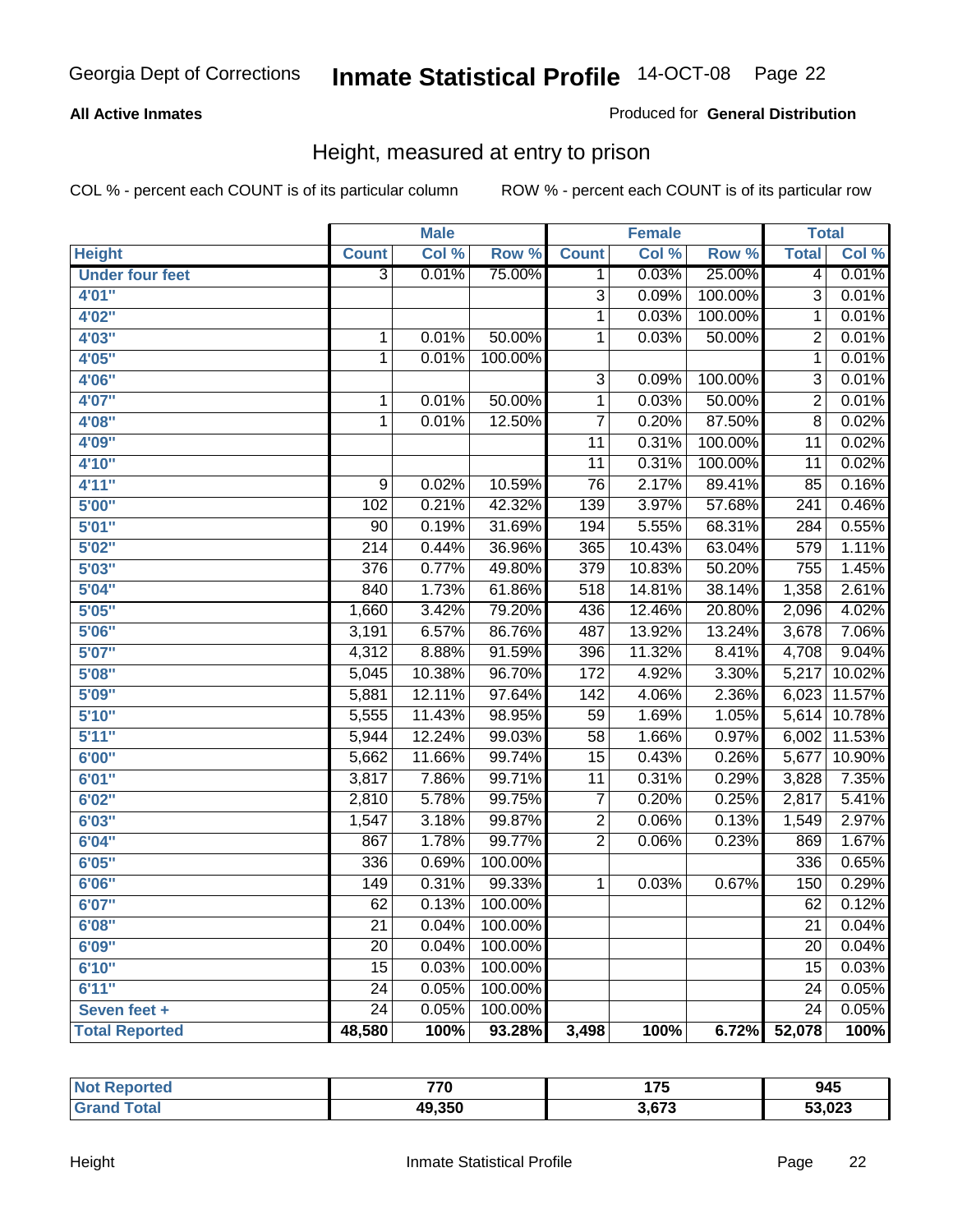#### **All Active Inmates**

#### Produced for **General Distribution**

### Height, measured at entry to prison

|                        |                  | <b>Male</b> |         |                  | <b>Female</b> |                  | <b>Total</b>     |        |
|------------------------|------------------|-------------|---------|------------------|---------------|------------------|------------------|--------|
| <b>Height</b>          | <b>Count</b>     | Col %       | Row %   | <b>Count</b>     | Col %         | Row <sup>%</sup> | <b>Total</b>     | Col %  |
| <b>Under four feet</b> | $\overline{3}$   | 0.01%       | 75.00%  | 1                | 0.03%         | 25.00%           | $\overline{4}$   | 0.01%  |
| 4'01''                 |                  |             |         | $\overline{3}$   | 0.09%         | 100.00%          | $\overline{3}$   | 0.01%  |
| 4'02"                  |                  |             |         | 1                | 0.03%         | 100.00%          | 1                | 0.01%  |
| 4'03"                  | 1                | 0.01%       | 50.00%  | 1                | 0.03%         | 50.00%           | $\overline{2}$   | 0.01%  |
| 4'05"                  | $\mathbf 1$      | 0.01%       | 100.00% |                  |               |                  | $\overline{1}$   | 0.01%  |
| 4'06"                  |                  |             |         | $\overline{3}$   | 0.09%         | 100.00%          | $\overline{3}$   | 0.01%  |
| 4'07"                  | 1                | 0.01%       | 50.00%  | 1                | 0.03%         | 50.00%           | $\overline{2}$   | 0.01%  |
| 4'08"                  | $\mathbf 1$      | 0.01%       | 12.50%  | 7                | 0.20%         | 87.50%           | $\overline{8}$   | 0.02%  |
| 4'09"                  |                  |             |         | $\overline{11}$  | 0.31%         | 100.00%          | $\overline{11}$  | 0.02%  |
| 4'10"                  |                  |             |         | $\overline{11}$  | 0.31%         | 100.00%          | $\overline{11}$  | 0.02%  |
| 4'11''                 | 9                | 0.02%       | 10.59%  | 76               | 2.17%         | 89.41%           | 85               | 0.16%  |
| 5'00''                 | 102              | 0.21%       | 42.32%  | 139              | 3.97%         | 57.68%           | $\overline{241}$ | 0.46%  |
| 5'01''                 | 90               | 0.19%       | 31.69%  | 194              | 5.55%         | 68.31%           | 284              | 0.55%  |
| 5'02''                 | $\overline{214}$ | 0.44%       | 36.96%  | 365              | 10.43%        | 63.04%           | 579              | 1.11%  |
| 5'03''                 | 376              | 0.77%       | 49.80%  | $\overline{379}$ | 10.83%        | 50.20%           | 755              | 1.45%  |
| 5'04''                 | 840              | 1.73%       | 61.86%  | 518              | 14.81%        | 38.14%           | 1,358            | 2.61%  |
| 5'05''                 | 1,660            | 3.42%       | 79.20%  | 436              | 12.46%        | 20.80%           | 2,096            | 4.02%  |
| 5'06''                 | 3,191            | 6.57%       | 86.76%  | 487              | 13.92%        | 13.24%           | 3,678            | 7.06%  |
| 5'07''                 | 4,312            | 8.88%       | 91.59%  | 396              | 11.32%        | 8.41%            | 4,708            | 9.04%  |
| 5'08''                 | 5,045            | 10.38%      | 96.70%  | 172              | 4.92%         | 3.30%            | 5,217            | 10.02% |
| 5'09''                 | 5,881            | 12.11%      | 97.64%  | 142              | 4.06%         | 2.36%            | 6,023            | 11.57% |
| 5'10''                 | 5,555            | 11.43%      | 98.95%  | 59               | 1.69%         | 1.05%            | 5,614            | 10.78% |
| 5'11''                 | 5,944            | 12.24%      | 99.03%  | $\overline{58}$  | 1.66%         | 0.97%            | 6,002            | 11.53% |
| 6'00''                 | 5,662            | 11.66%      | 99.74%  | $\overline{15}$  | 0.43%         | 0.26%            | 5,677            | 10.90% |
| 6'01''                 | 3,817            | 7.86%       | 99.71%  | $\overline{11}$  | 0.31%         | 0.29%            | 3,828            | 7.35%  |
| 6'02''                 | 2,810            | 5.78%       | 99.75%  | $\overline{7}$   | 0.20%         | 0.25%            | 2,817            | 5.41%  |
| 6'03''                 | 1,547            | 3.18%       | 99.87%  | $\overline{2}$   | 0.06%         | 0.13%            | 1,549            | 2.97%  |
| 6'04''                 | 867              | 1.78%       | 99.77%  | $\overline{2}$   | 0.06%         | 0.23%            | 869              | 1.67%  |
| 6'05''                 | 336              | 0.69%       | 100.00% |                  |               |                  | 336              | 0.65%  |
| 6'06''                 | 149              | 0.31%       | 99.33%  | 1                | 0.03%         | 0.67%            | 150              | 0.29%  |
| 6'07''                 | 62               | 0.13%       | 100.00% |                  |               |                  | 62               | 0.12%  |
| 6'08''                 | $\overline{21}$  | 0.04%       | 100.00% |                  |               |                  | 21               | 0.04%  |
| 6'09''                 | $\overline{20}$  | 0.04%       | 100.00% |                  |               |                  | $\overline{20}$  | 0.04%  |
| 6'10''                 | $\overline{15}$  | 0.03%       | 100.00% |                  |               |                  | 15               | 0.03%  |
| 6'11''                 | 24               | 0.05%       | 100.00% |                  |               |                  | 24               | 0.05%  |
| Seven feet +           | $\overline{24}$  | 0.05%       | 100.00% |                  |               |                  | $\overline{24}$  | 0.05%  |
| <b>Total Reported</b>  | 48,580           | 100%        | 93.28%  | 3,498            | 100%          | 6.72%            | 52,078           | 100%   |

| ported<br><b>Not</b><br>nei | 770<br>7 V | $\rightarrow$<br>.<br>. . J | 945    |
|-----------------------------|------------|-----------------------------|--------|
| <b>otal</b><br>. Grat       | 49,350     | 3,673                       | 53,023 |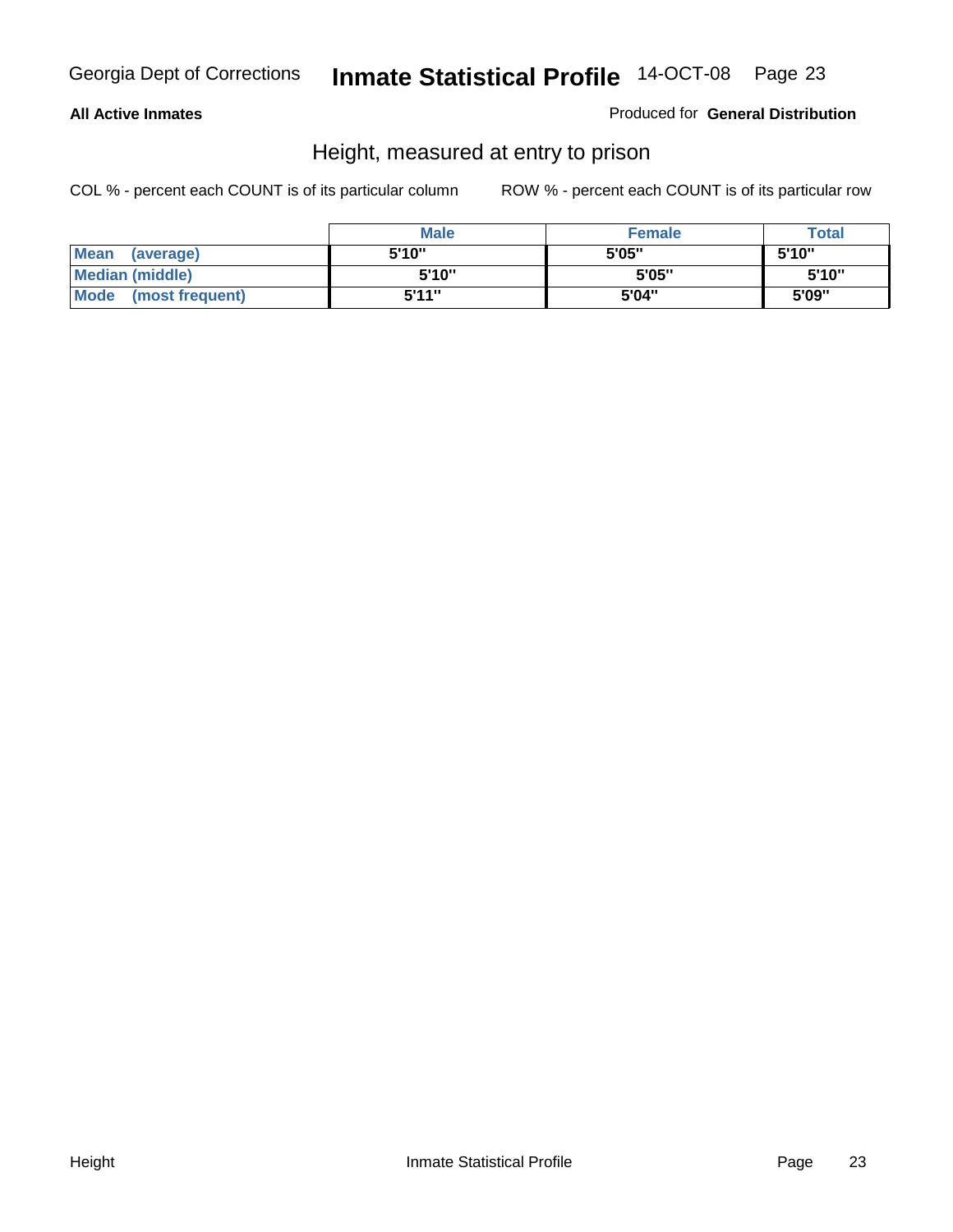#### **All Active Inmates**

Produced for **General Distribution**

### Height, measured at entry to prison

|                        | <b>Male</b> | <b>Female</b> | <b>Total</b> |
|------------------------|-------------|---------------|--------------|
| Mean (average)         | 5'10"       | 5'05"         | 5'10''       |
| <b>Median (middle)</b> | 5'10''      | 5'05"         | 5'10''       |
| Mode (most frequent)   | 5'11"       | 5'04"         | 5'09"        |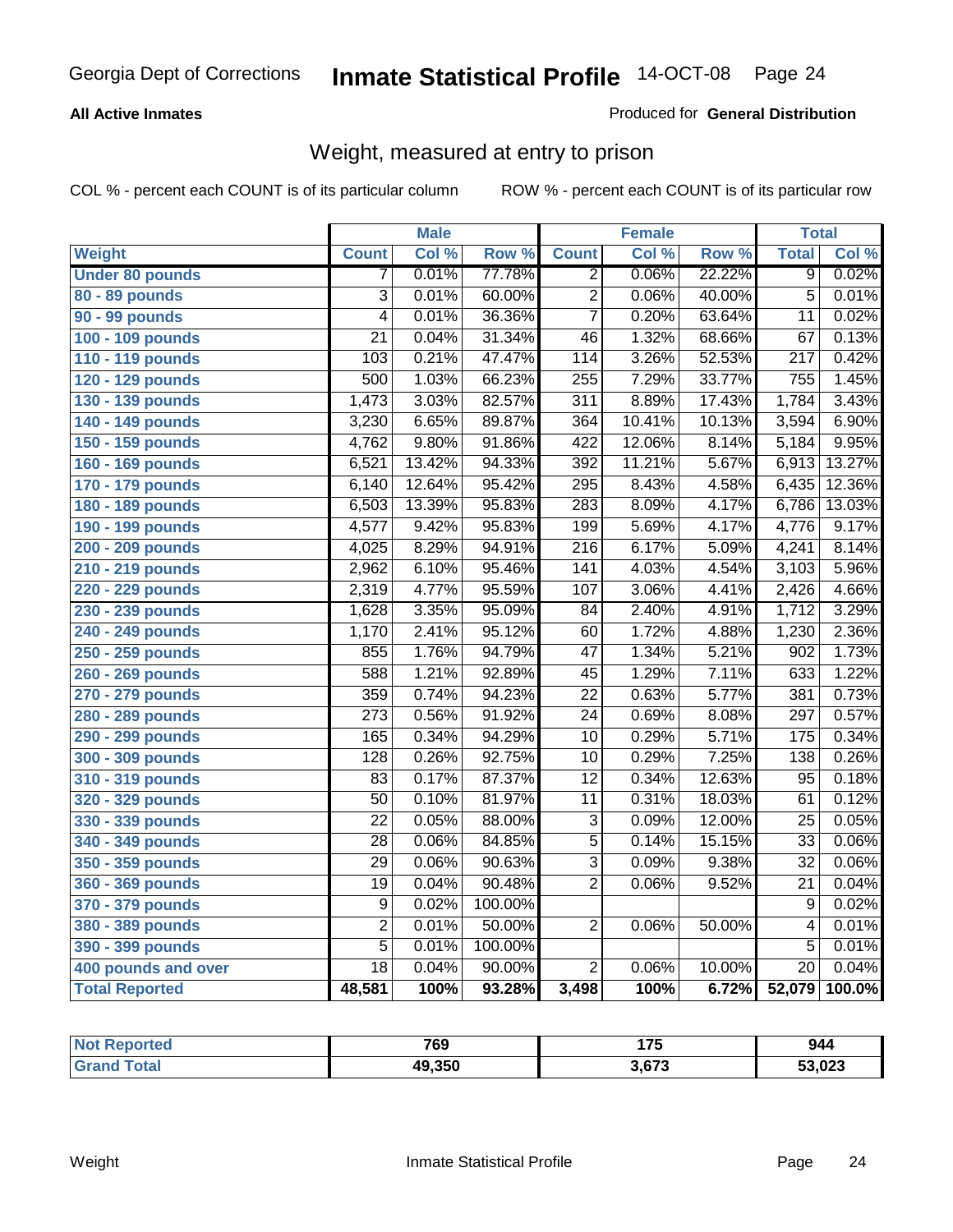#### **All Active Inmates**

#### Produced for **General Distribution**

### Weight, measured at entry to prison

|                        |                           | <b>Male</b> |         |                  | <b>Female</b> |        | <b>Total</b>     |        |
|------------------------|---------------------------|-------------|---------|------------------|---------------|--------|------------------|--------|
| Weight                 | <b>Count</b>              | Col %       | Row %   | <b>Count</b>     | Col %         | Row %  | <b>Total</b>     | Col %  |
| <b>Under 80 pounds</b> | 7                         | 0.01%       | 77.78%  | $\overline{2}$   | 0.06%         | 22.22% | $\overline{9}$   | 0.02%  |
| 80 - 89 pounds         | $\overline{\overline{3}}$ | 0.01%       | 60.00%  | $\overline{2}$   | 0.06%         | 40.00% | $\overline{5}$   | 0.01%  |
| 90 - 99 pounds         | $\overline{4}$            | 0.01%       | 36.36%  | $\overline{7}$   | 0.20%         | 63.64% | $\overline{11}$  | 0.02%  |
| 100 - 109 pounds       | $\overline{21}$           | 0.04%       | 31.34%  | $\overline{46}$  | 1.32%         | 68.66% | $\overline{67}$  | 0.13%  |
| 110 - 119 pounds       | 103                       | 0.21%       | 47.47%  | 114              | 3.26%         | 52.53% | $\overline{217}$ | 0.42%  |
| 120 - 129 pounds       | 500                       | 1.03%       | 66.23%  | 255              | 7.29%         | 33.77% | 755              | 1.45%  |
| 130 - 139 pounds       | 1,473                     | 3.03%       | 82.57%  | $\overline{311}$ | 8.89%         | 17.43% | 1,784            | 3.43%  |
| 140 - 149 pounds       | 3,230                     | 6.65%       | 89.87%  | 364              | 10.41%        | 10.13% | 3,594            | 6.90%  |
| 150 - 159 pounds       | 4,762                     | 9.80%       | 91.86%  | $\overline{422}$ | 12.06%        | 8.14%  | 5,184            | 9.95%  |
| 160 - 169 pounds       | 6,521                     | 13.42%      | 94.33%  | 392              | 11.21%        | 5.67%  | 6,913            | 13.27% |
| 170 - 179 pounds       | 6,140                     | 12.64%      | 95.42%  | 295              | 8.43%         | 4.58%  | 6,435            | 12.36% |
| 180 - 189 pounds       | 6,503                     | 13.39%      | 95.83%  | 283              | 8.09%         | 4.17%  | 6,786            | 13.03% |
| 190 - 199 pounds       | 4,577                     | 9.42%       | 95.83%  | 199              | 5.69%         | 4.17%  | 4,776            | 9.17%  |
| 200 - 209 pounds       | 4,025                     | 8.29%       | 94.91%  | $\overline{216}$ | 6.17%         | 5.09%  | 4,241            | 8.14%  |
| 210 - 219 pounds       | 2,962                     | 6.10%       | 95.46%  | 141              | 4.03%         | 4.54%  | 3,103            | 5.96%  |
| 220 - 229 pounds       | 2,319                     | 4.77%       | 95.59%  | 107              | 3.06%         | 4.41%  | 2,426            | 4.66%  |
| 230 - 239 pounds       | 1,628                     | 3.35%       | 95.09%  | 84               | 2.40%         | 4.91%  | 1,712            | 3.29%  |
| 240 - 249 pounds       | 1,170                     | 2.41%       | 95.12%  | 60               | 1.72%         | 4.88%  | 1,230            | 2.36%  |
| 250 - 259 pounds       | 855                       | 1.76%       | 94.79%  | $\overline{47}$  | 1.34%         | 5.21%  | 902              | 1.73%  |
| 260 - 269 pounds       | 588                       | 1.21%       | 92.89%  | 45               | 1.29%         | 7.11%  | 633              | 1.22%  |
| 270 - 279 pounds       | 359                       | 0.74%       | 94.23%  | $\overline{22}$  | 0.63%         | 5.77%  | 381              | 0.73%  |
| 280 - 289 pounds       | $\overline{273}$          | 0.56%       | 91.92%  | $\overline{24}$  | 0.69%         | 8.08%  | 297              | 0.57%  |
| 290 - 299 pounds       | 165                       | 0.34%       | 94.29%  | $\overline{10}$  | 0.29%         | 5.71%  | 175              | 0.34%  |
| 300 - 309 pounds       | 128                       | 0.26%       | 92.75%  | $\overline{10}$  | 0.29%         | 7.25%  | 138              | 0.26%  |
| 310 - 319 pounds       | 83                        | 0.17%       | 87.37%  | $\overline{12}$  | 0.34%         | 12.63% | $\overline{95}$  | 0.18%  |
| 320 - 329 pounds       | $\overline{50}$           | 0.10%       | 81.97%  | $\overline{11}$  | 0.31%         | 18.03% | 61               | 0.12%  |
| 330 - 339 pounds       | $\overline{22}$           | 0.05%       | 88.00%  | $\overline{3}$   | 0.09%         | 12.00% | $\overline{25}$  | 0.05%  |
| 340 - 349 pounds       | $\overline{28}$           | 0.06%       | 84.85%  | $\overline{5}$   | 0.14%         | 15.15% | $\overline{33}$  | 0.06%  |
| 350 - 359 pounds       | $\overline{29}$           | 0.06%       | 90.63%  | $\overline{3}$   | 0.09%         | 9.38%  | $\overline{32}$  | 0.06%  |
| 360 - 369 pounds       | 19                        | 0.04%       | 90.48%  | $\overline{2}$   | 0.06%         | 9.52%  | $\overline{21}$  | 0.04%  |
| 370 - 379 pounds       | 9                         | 0.02%       | 100.00% |                  |               |        | $\overline{9}$   | 0.02%  |
| 380 - 389 pounds       | $\overline{2}$            | 0.01%       | 50.00%  | $\overline{2}$   | 0.06%         | 50.00% | $\overline{4}$   | 0.01%  |
| 390 - 399 pounds       | $\overline{5}$            | 0.01%       | 100.00% |                  |               |        | $\overline{5}$   | 0.01%  |
| 400 pounds and over    | $\overline{18}$           | 0.04%       | 90.00%  | $\overline{2}$   | 0.06%         | 10.00% | $\overline{20}$  | 0.04%  |
| <b>Total Reported</b>  | 48,581                    | 100%        | 93.28%  | 3,498            | 100%          | 6.72%  | 52,079           | 100.0% |

| Reported<br>∵N∩f | 769    | $\rightarrow$<br>. | 944    |
|------------------|--------|--------------------|--------|
| 'ota.<br>. Gr    | 49.350 | 673,               | 53,023 |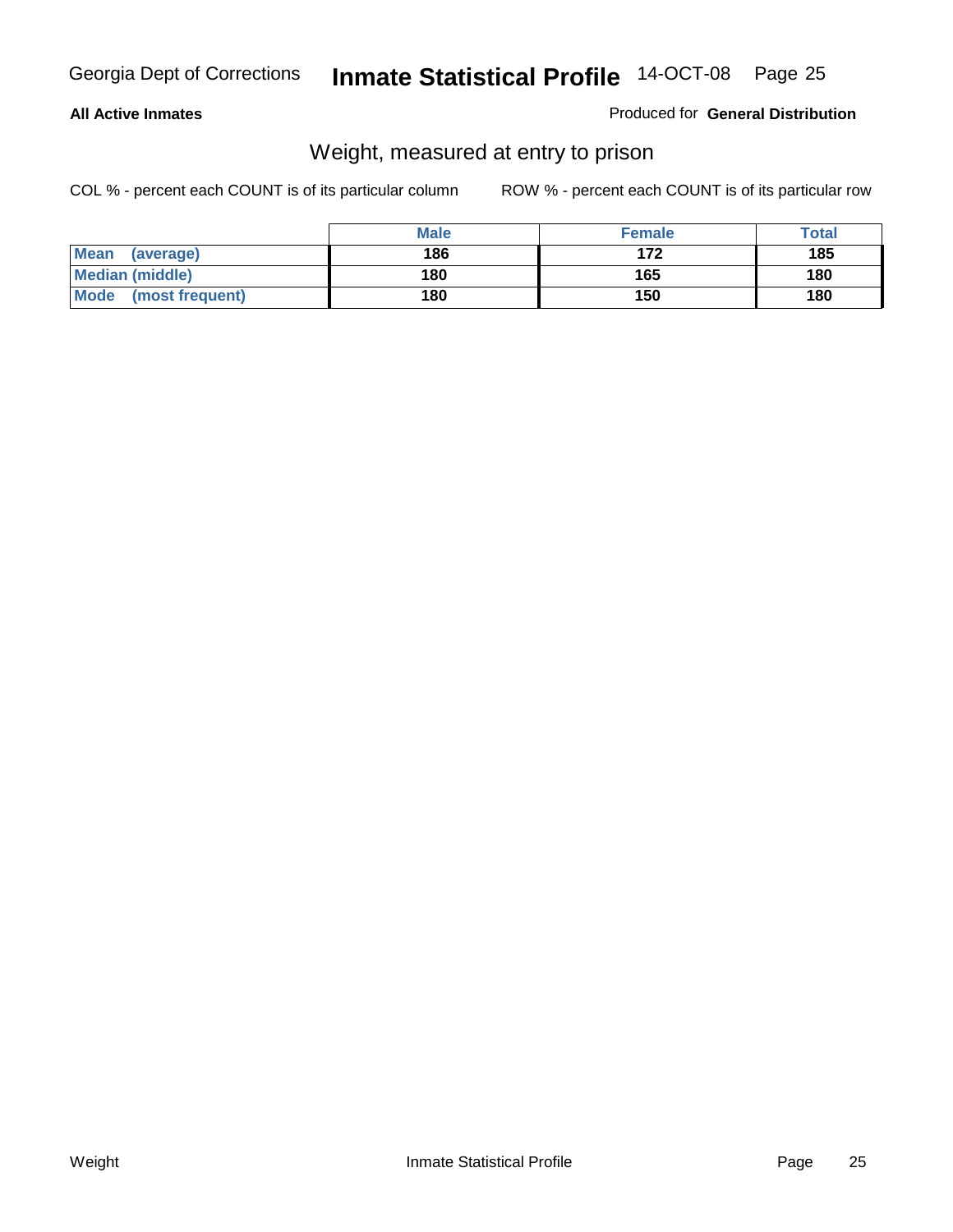#### **All Active Inmates**

#### Produced for **General Distribution**

### Weight, measured at entry to prison

|                        | <b>Male</b> | <b>Female</b> | <b>Total</b> |
|------------------------|-------------|---------------|--------------|
| Mean<br>(average)      | 186         | 172           | 185          |
| <b>Median (middle)</b> | 180         | 165           | 180          |
| Mode (most frequent)   | 180         | 150           | 180          |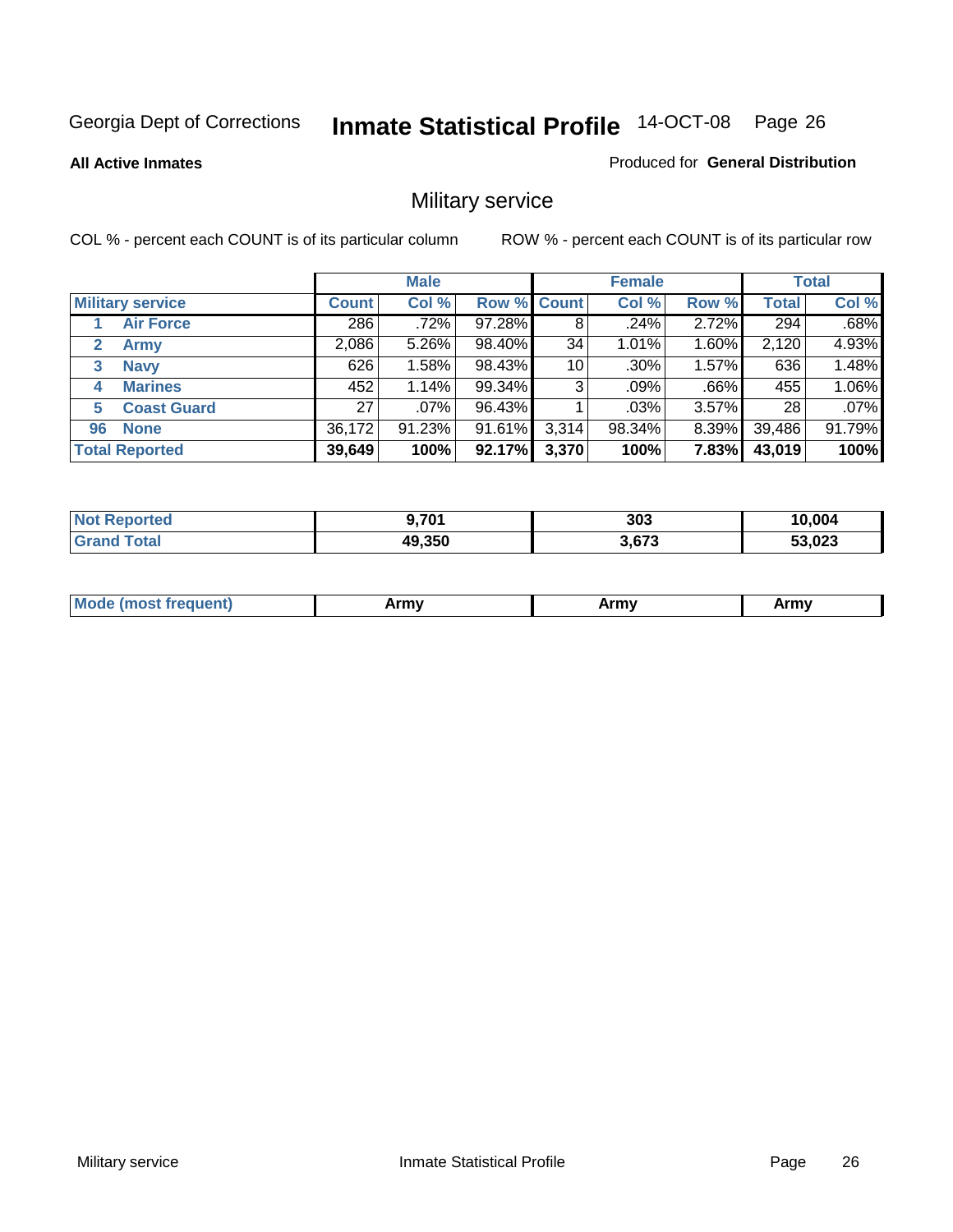**All Active Inmates**

#### Produced for **General Distribution**

### Military service

|                         |              | <b>Male</b> |             |       | <b>Female</b> |          |              | <b>Total</b> |
|-------------------------|--------------|-------------|-------------|-------|---------------|----------|--------------|--------------|
| <b>Military service</b> | <b>Count</b> | Col %       | Row % Count |       | Col %         | Row %    | <b>Total</b> | Col %        |
| <b>Air Force</b>        | 286          | $.72\%$     | 97.28%      | 8     | .24%          | 2.72%    | 294          | .68%         |
| <b>Army</b>             | 2,086        | 5.26%       | 98.40%      | 34    | 1.01%         | 1.60%    | 2,120        | 4.93%        |
| <b>Navy</b><br>3        | 626          | 1.58%       | 98.43%      | 10    | $.30\%$       | 1.57%    | 636          | 1.48%        |
| <b>Marines</b><br>4     | 452          | 1.14%       | 99.34%      | 3     | .09%          | $.66\%$  | 455          | 1.06%        |
| <b>Coast Guard</b><br>5 | 27           | $.07\%$     | 96.43%      |       | $.03\%$       | $3.57\%$ | 28           | .07%         |
| <b>None</b><br>96       | 36,172       | 91.23%      | 91.61%      | 3,314 | 98.34%        | $8.39\%$ | 39,486       | 91.79%       |
| <b>Total Reported</b>   | 39,649       | 100%        | 92.17%      | 3,370 | 100%          | 7.83%    | 43,019       | 100%         |

| <b>Reported</b><br>' N∩t | $9.70^{4}$ | 303   | 10.004 |
|--------------------------|------------|-------|--------|
| ⊺otal<br><b>Grand</b>    | 49,350     | 3,673 | 53,023 |

|  | <b>Mou</b> | Army | Army | Army |
|--|------------|------|------|------|
|--|------------|------|------|------|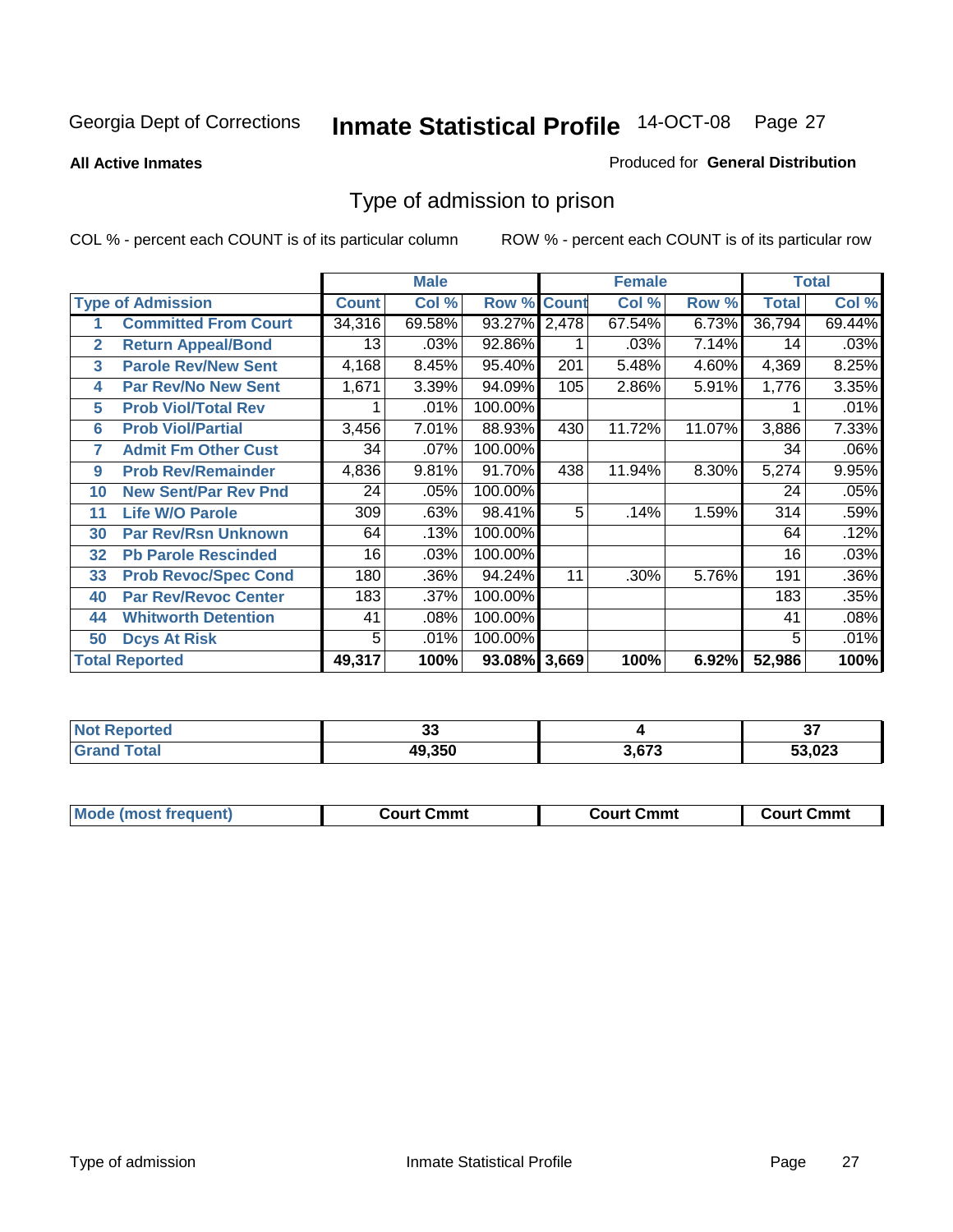**All Active Inmates**

#### Produced for **General Distribution**

### Type of admission to prison

|                |                             |              | <b>Male</b> |                    |     | <b>Female</b> |        |              | <b>Total</b> |
|----------------|-----------------------------|--------------|-------------|--------------------|-----|---------------|--------|--------------|--------------|
|                | <b>Type of Admission</b>    | <b>Count</b> | Col %       | <b>Row % Count</b> |     | Col %         | Row %  | <b>Total</b> | Col %        |
| 1              | <b>Committed From Court</b> | 34,316       | 69.58%      | 93.27% 2,478       |     | 67.54%        | 6.73%  | 36,794       | 69.44%       |
| $\overline{2}$ | <b>Return Appeal/Bond</b>   | 13           | .03%        | 92.86%             |     | .03%          | 7.14%  | 14           | .03%         |
| 3              | <b>Parole Rev/New Sent</b>  | 4,168        | 8.45%       | 95.40%             | 201 | 5.48%         | 4.60%  | 4,369        | 8.25%        |
| 4              | <b>Par Rev/No New Sent</b>  | 1,671        | 3.39%       | 94.09%             | 105 | 2.86%         | 5.91%  | 1,776        | 3.35%        |
| 5              | <b>Prob Viol/Total Rev</b>  |              | .01%        | 100.00%            |     |               |        |              | .01%         |
| 6              | <b>Prob Viol/Partial</b>    | 3,456        | 7.01%       | 88.93%             | 430 | 11.72%        | 11.07% | 3,886        | 7.33%        |
| 7              | <b>Admit Fm Other Cust</b>  | 34           | $.07\%$     | 100.00%            |     |               |        | 34           | .06%         |
| 9              | <b>Prob Rev/Remainder</b>   | 4,836        | 9.81%       | 91.70%             | 438 | 11.94%        | 8.30%  | 5,274        | 9.95%        |
| 10             | <b>New Sent/Par Rev Pnd</b> | 24           | .05%        | 100.00%            |     |               |        | 24           | .05%         |
| 11             | <b>Life W/O Parole</b>      | 309          | .63%        | 98.41%             | 5   | .14%          | 1.59%  | 314          | .59%         |
| 30             | <b>Par Rev/Rsn Unknown</b>  | 64           | .13%        | 100.00%            |     |               |        | 64           | .12%         |
| 32             | <b>Pb Parole Rescinded</b>  | 16           | .03%        | 100.00%            |     |               |        | 16           | .03%         |
| 33             | <b>Prob Revoc/Spec Cond</b> | 180          | .36%        | 94.24%             | 11  | .30%          | 5.76%  | 191          | .36%         |
| 40             | <b>Par Rev/Revoc Center</b> | 183          | .37%        | 100.00%            |     |               |        | 183          | .35%         |
| 44             | <b>Whitworth Detention</b>  | 41           | .08%        | 100.00%            |     |               |        | 41           | .08%         |
| 50             | <b>Dcys At Risk</b>         | 5            | .01%        | 100.00%            |     |               |        | 5            | .01%         |
|                | <b>Total Reported</b>       | 49,317       | 100%        | 93.08% 3,669       |     | 100%          | 6.92%  | 52,986       | 100%         |

| <b>Reported</b> | $\sim$ |       | $\sim$ |
|-----------------|--------|-------|--------|
| Not.            | ◡      |       | v,     |
| <b>otal</b>     | 49,350 | 3.673 | 53,023 |

| <b>Mou</b><br>equent)<br>n re | ∵mmt<br>∴∩⊔r* | วmmt<br>∷ourt<br>_______ | Շՠՠւ<br>״יווח. |
|-------------------------------|---------------|--------------------------|----------------|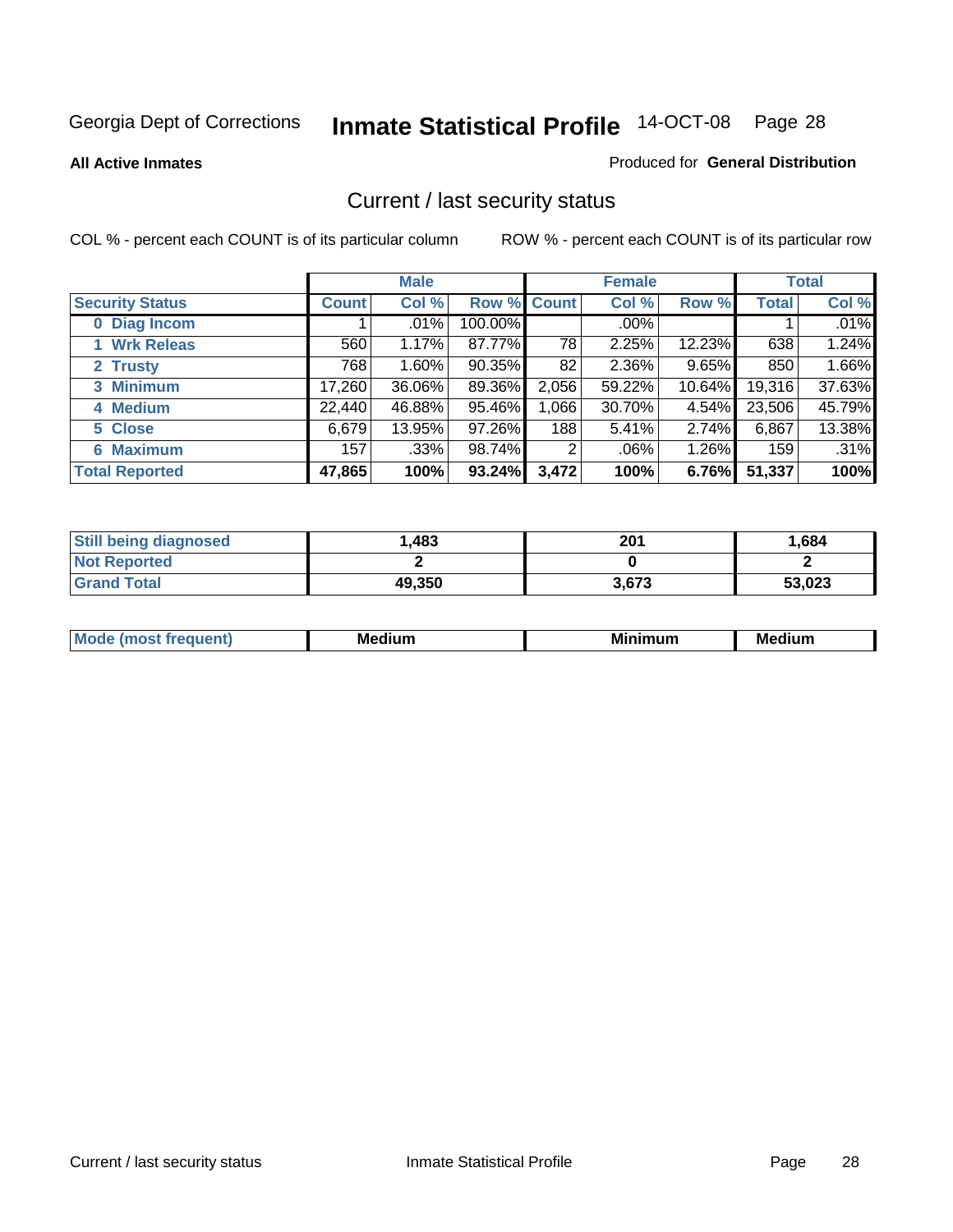**All Active Inmates**

#### Produced for **General Distribution**

### Current / last security status

|                        |              | <b>Male</b> |                    |       | <b>Female</b> |        |              | <b>Total</b> |
|------------------------|--------------|-------------|--------------------|-------|---------------|--------|--------------|--------------|
| <b>Security Status</b> | <b>Count</b> | Col %       | <b>Row % Count</b> |       | Col %         | Row %  | <b>Total</b> | Col %        |
| 0 Diag Incom           |              | .01%        | 100.00%            |       | $.00\%$       |        |              | .01%         |
| 1 Wrk Releas           | 560          | 1.17%       | 87.77%             | 78    | 2.25%         | 12.23% | 638          | 1.24%        |
| 2 Trusty               | 768          | 1.60%       | $90.35\%$          | 82    | 2.36%         | 9.65%  | 850          | 1.66%        |
| 3 Minimum              | 17,260       | 36.06%      | 89.36%             | 2,056 | 59.22%        | 10.64% | 19,316       | 37.63%       |
| 4 Medium               | 22,440       | 46.88%      | 95.46%             | 1,066 | 30.70%        | 4.54%  | 23,506       | 45.79%       |
| 5 Close                | 6,679        | 13.95%      | 97.26%             | 188   | 5.41%         | 2.74%  | 6,867        | 13.38%       |
| <b>6 Maximum</b>       | 157          | .33%        | 98.74%             | 2     | .06%          | 1.26%  | 159          | .31%         |
| <b>Total Reported</b>  | 47,865       | 100%        | 93.24%             | 3,472 | 100%          | 6.76%  | 51,337       | 100%         |

| <b>Still being diagnosed</b> | ,483   | 201   | 1,684  |
|------------------------------|--------|-------|--------|
| <b>Not Reported</b>          |        |       |        |
| <b>Grand Total</b>           | 49,350 | 3.673 | 53,023 |

| $M_{\Omega}$<br>יחב | M۵<br>dium | <b>BAL.</b><br>num | Mer<br>dium |
|---------------------|------------|--------------------|-------------|
|                     |            |                    |             |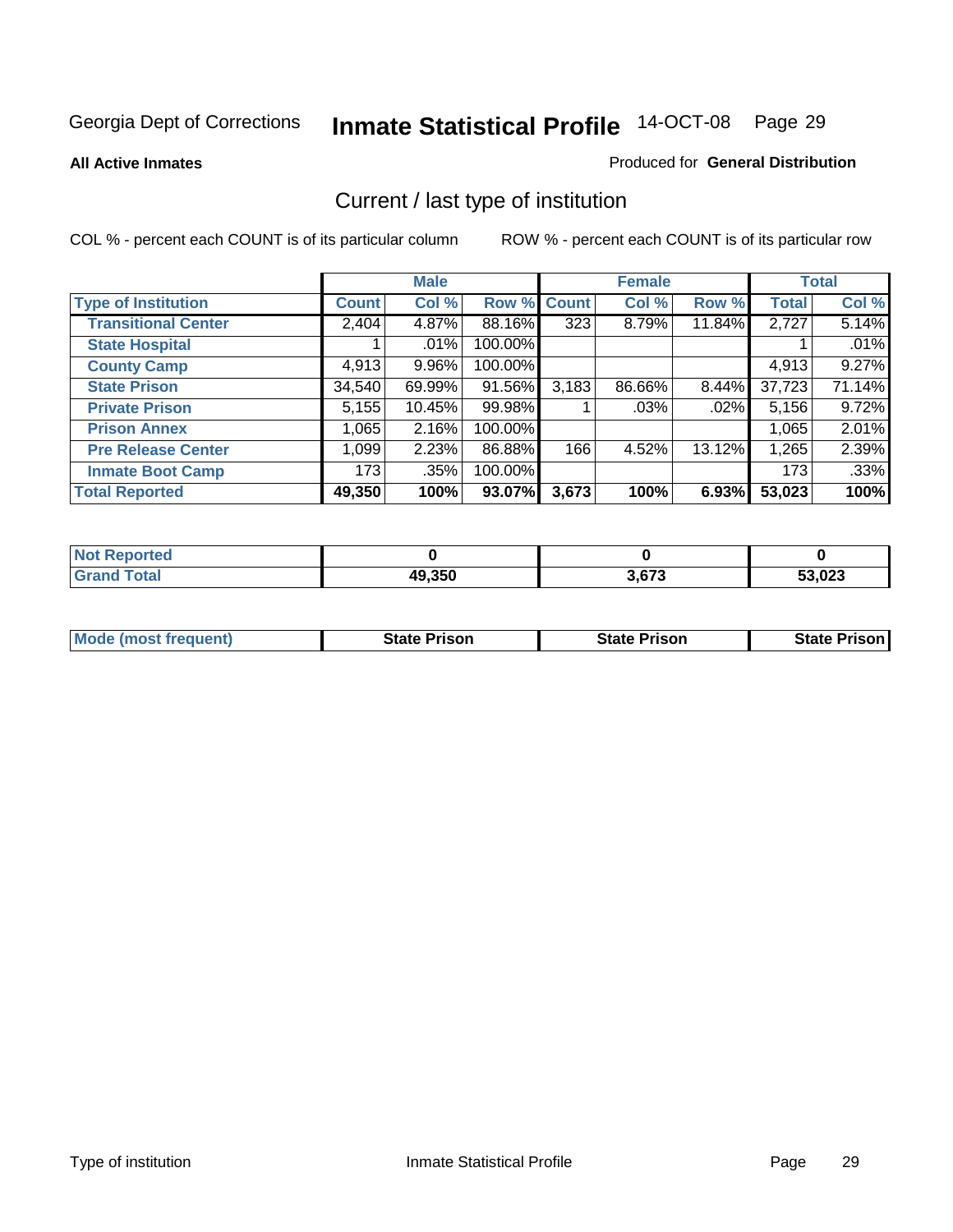**All Active Inmates**

#### Produced for **General Distribution**

### Current / last type of institution

|                            |              | <b>Male</b> |         |                  | <b>Female</b> |        |              | <b>Total</b> |
|----------------------------|--------------|-------------|---------|------------------|---------------|--------|--------------|--------------|
| <b>Type of Institution</b> | <b>Count</b> | Col %       | Row %   | <b>Count</b>     | Col %         | Row %  | <b>Total</b> | Col %        |
| <b>Transitional Center</b> | 2,404        | 4.87%       | 88.16%  | $\overline{323}$ | 8.79%         | 11.84% | 2,727        | 5.14%        |
| <b>State Hospital</b>      |              | $.01\%$     | 100.00% |                  |               |        |              | .01%         |
| <b>County Camp</b>         | 4,913        | $9.96\%$    | 100.00% |                  |               |        | 4,913        | 9.27%        |
| <b>State Prison</b>        | 34,540       | 69.99%      | 91.56%  | 3,183            | 86.66%        | 8.44%  | 37,723       | 71.14%       |
| <b>Private Prison</b>      | 5,155        | 10.45%      | 99.98%  |                  | .03%          | .02%   | 5,156        | 9.72%        |
| <b>Prison Annex</b>        | 1,065        | 2.16%       | 100.00% |                  |               |        | 1,065        | 2.01%        |
| <b>Pre Release Center</b>  | 1,099        | 2.23%       | 86.88%  | 166              | 4.52%         | 13.12% | 1,265        | 2.39%        |
| <b>Inmate Boot Camp</b>    | 173          | .35%        | 100.00% |                  |               |        | 173          | .33%         |
| <b>Total Reported</b>      | 49,350       | 100%        | 93.07%  | 3,673            | 100%          | 6.93%  | 53,023       | 100%         |

| <b>Not Reported</b> |        |       |        |
|---------------------|--------|-------|--------|
| <b>Grand Total</b>  | 49,350 | 3.673 | 53,023 |

| <b>Mode (most frequent)</b> | <b>State Prison</b> | <b>State Prison</b> | <b>State Prison</b> |
|-----------------------------|---------------------|---------------------|---------------------|
|                             |                     |                     |                     |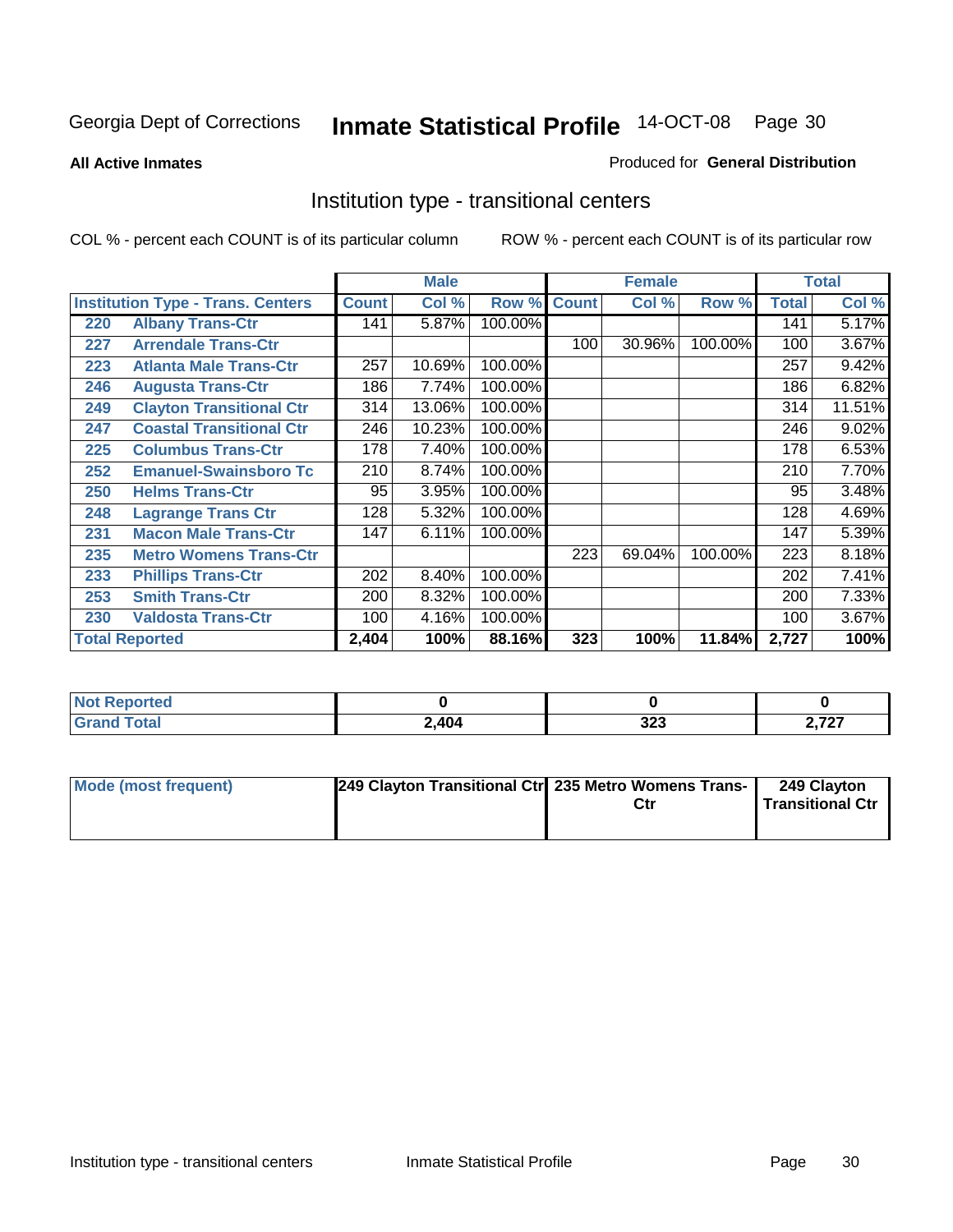**All Active Inmates**

#### Produced for **General Distribution**

### Institution type - transitional centers

|     |                                          |              | <b>Male</b> |         |              | <b>Female</b> |         |              | <b>Total</b> |
|-----|------------------------------------------|--------------|-------------|---------|--------------|---------------|---------|--------------|--------------|
|     | <b>Institution Type - Trans. Centers</b> | <b>Count</b> | Col %       | Row %   | <b>Count</b> | Col %         | Row %   | <b>Total</b> | Col %        |
| 220 | <b>Albany Trans-Ctr</b>                  | 141          | 5.87%       | 100.00% |              |               |         | 141          | 5.17%        |
| 227 | <b>Arrendale Trans-Ctr</b>               |              |             |         | 100          | 30.96%        | 100.00% | 100          | 3.67%        |
| 223 | <b>Atlanta Male Trans-Ctr</b>            | 257          | 10.69%      | 100.00% |              |               |         | 257          | 9.42%        |
| 246 | <b>Augusta Trans-Ctr</b>                 | 186          | 7.74%       | 100.00% |              |               |         | 186          | 6.82%        |
| 249 | <b>Clayton Transitional Ctr</b>          | 314          | 13.06%      | 100.00% |              |               |         | 314          | 11.51%       |
| 247 | <b>Coastal Transitional Ctr</b>          | 246          | 10.23%      | 100.00% |              |               |         | 246          | 9.02%        |
| 225 | <b>Columbus Trans-Ctr</b>                | 178          | 7.40%       | 100.00% |              |               |         | 178          | 6.53%        |
| 252 | <b>Emanuel-Swainsboro Tc</b>             | 210          | 8.74%       | 100.00% |              |               |         | 210          | 7.70%        |
| 250 | <b>Helms Trans-Ctr</b>                   | 95           | 3.95%       | 100.00% |              |               |         | 95           | 3.48%        |
| 248 | <b>Lagrange Trans Ctr</b>                | 128          | 5.32%       | 100.00% |              |               |         | 128          | 4.69%        |
| 231 | <b>Macon Male Trans-Ctr</b>              | 147          | 6.11%       | 100.00% |              |               |         | 147          | 5.39%        |
| 235 | <b>Metro Womens Trans-Ctr</b>            |              |             |         | 223          | 69.04%        | 100.00% | 223          | 8.18%        |
| 233 | <b>Phillips Trans-Ctr</b>                | 202          | 8.40%       | 100.00% |              |               |         | 202          | 7.41%        |
| 253 | <b>Smith Trans-Ctr</b>                   | 200          | 8.32%       | 100.00% |              |               |         | 200          | 7.33%        |
| 230 | <b>Valdosta Trans-Ctr</b>                | 100          | 4.16%       | 100.00% |              |               |         | 100          | 3.67%        |
|     | <b>Total Reported</b>                    | 2,404        | 100%        | 88.16%  | 323          | 100%          | 11.84%  | 2,727        | 100%         |

| <b>Reported</b> |       |            |                       |
|-----------------|-------|------------|-----------------------|
| 'ota.           | 2,404 | າາາ<br>しんび | フヘフ<br>$\sim$ $ \sim$ |

| <b>Mode (most frequent)</b> | 249 Clayton Transitional Ctrl 235 Metro Womens Trans- | Ctr | 249 Clayton<br><b>Transitional Ctr</b> |
|-----------------------------|-------------------------------------------------------|-----|----------------------------------------|
|                             |                                                       |     |                                        |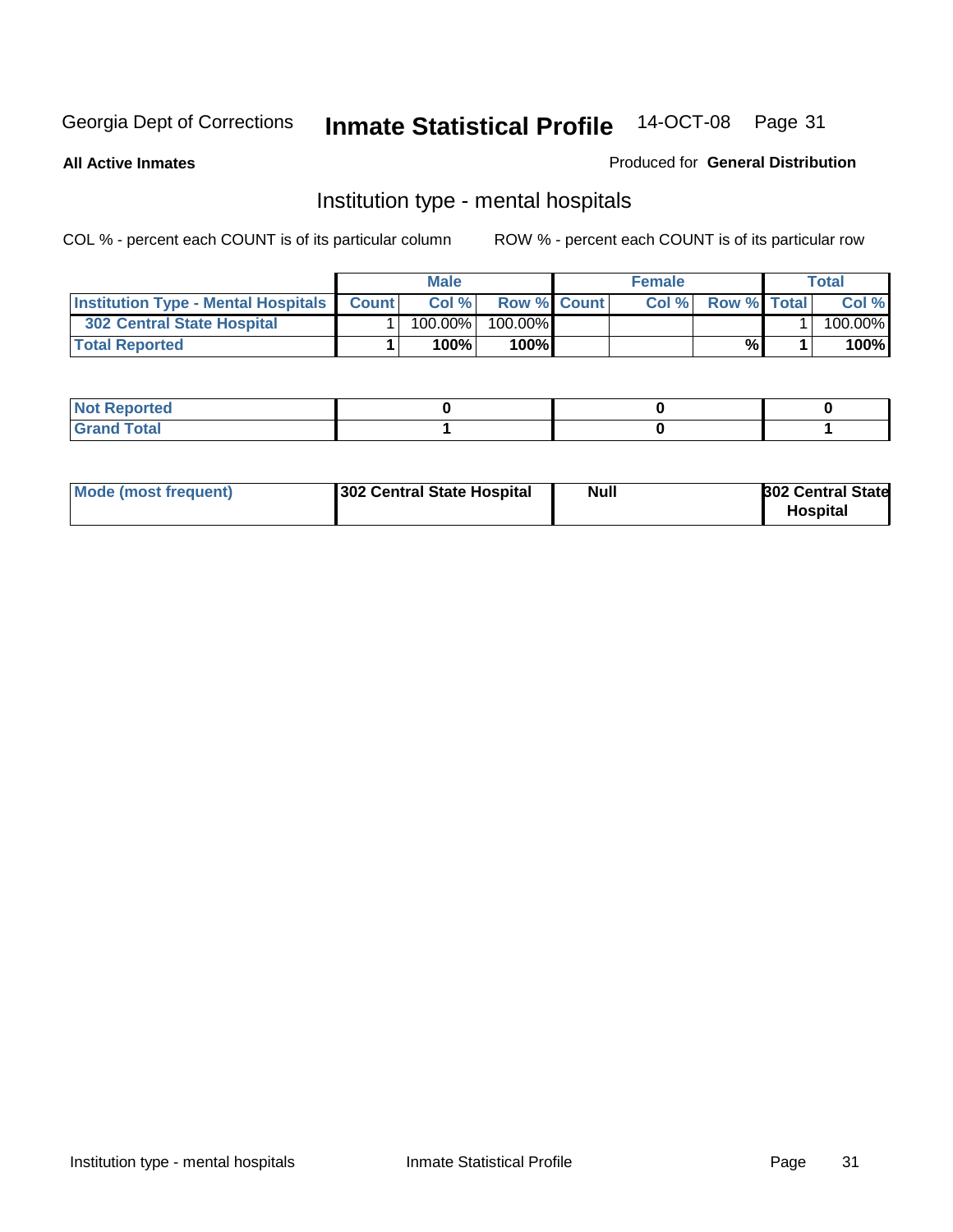**All Active Inmates**

#### Produced for **General Distribution**

### Institution type - mental hospitals

|                                                  | <b>Male</b> |                    | <b>Female</b> |                    | Total   |
|--------------------------------------------------|-------------|--------------------|---------------|--------------------|---------|
| <b>Institution Type - Mental Hospitals Count</b> | Col%        | <b>Row % Count</b> | Col%          | <b>Row % Total</b> | Col %   |
| <b>302 Central State Hospital</b>                | $100.00\%$  | 100.00%            |               |                    | 100.00% |
| <b>Total Reported</b>                            | 100%        | 100%               |               | %                  | 100%    |

| Not Reported |  |  |
|--------------|--|--|
| <b>otal</b>  |  |  |

| Mode (most frequent)<br>302 Central State Hospital | Null | <b>302 Central State</b><br><b>Hospital</b> |
|----------------------------------------------------|------|---------------------------------------------|
|----------------------------------------------------|------|---------------------------------------------|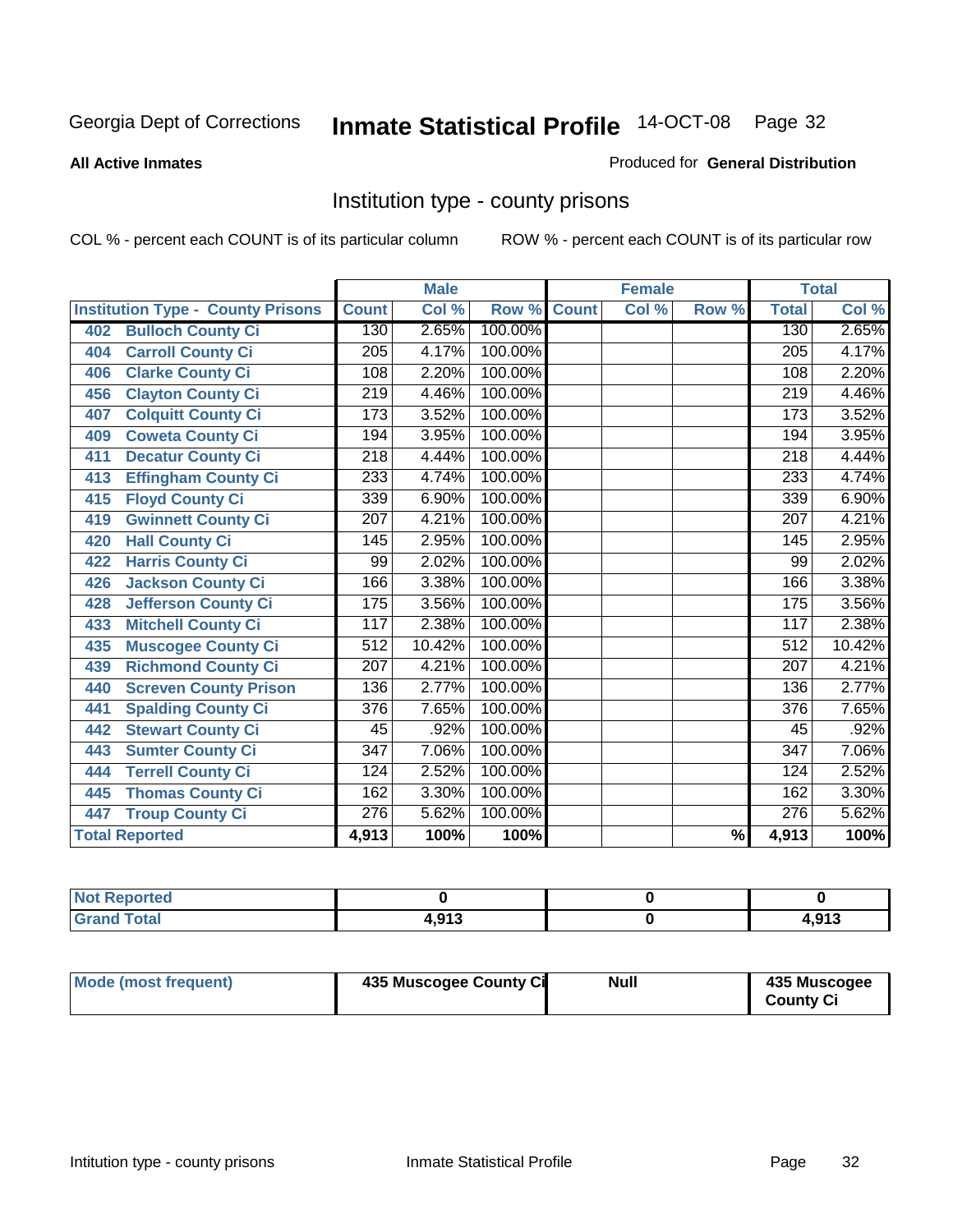#### **All Active Inmates**

#### Produced for **General Distribution**

### Institution type - county prisons

|                                          |                  | <b>Male</b> |         |              | <b>Female</b> |                          |                  | <b>Total</b>               |
|------------------------------------------|------------------|-------------|---------|--------------|---------------|--------------------------|------------------|----------------------------|
| <b>Institution Type - County Prisons</b> | <b>Count</b>     | Col %       | Row %   | <b>Count</b> | Col %         | Row %                    | <b>Total</b>     | $\overline{\text{Col }^9}$ |
| <b>Bulloch County Ci</b><br>402          | 130              | 2.65%       | 100.00% |              |               |                          | 130              | 2.65%                      |
| <b>Carroll County Ci</b><br>404          | $\overline{205}$ | 4.17%       | 100.00% |              |               |                          | $\overline{205}$ | 4.17%                      |
| <b>Clarke County Ci</b><br>406           | 108              | 2.20%       | 100.00% |              |               |                          | 108              | 2.20%                      |
| <b>Clayton County Ci</b><br>456          | $\overline{219}$ | 4.46%       | 100.00% |              |               |                          | 219              | 4.46%                      |
| <b>Colquitt County Ci</b><br>407         | 173              | 3.52%       | 100.00% |              |               |                          | 173              | 3.52%                      |
| <b>Coweta County Ci</b><br>409           | 194              | 3.95%       | 100.00% |              |               |                          | 194              | 3.95%                      |
| <b>Decatur County Ci</b><br>411          | 218              | 4.44%       | 100.00% |              |               |                          | 218              | 4.44%                      |
| <b>Effingham County Ci</b><br>413        | 233              | 4.74%       | 100.00% |              |               |                          | 233              | 4.74%                      |
| <b>Floyd County Ci</b><br>415            | 339              | 6.90%       | 100.00% |              |               |                          | 339              | 6.90%                      |
| <b>Gwinnett County Ci</b><br>419         | $\overline{207}$ | 4.21%       | 100.00% |              |               |                          | $\overline{207}$ | 4.21%                      |
| <b>Hall County Ci</b><br>420             | 145              | 2.95%       | 100.00% |              |               |                          | 145              | 2.95%                      |
| <b>Harris County Ci</b><br>422           | 99               | 2.02%       | 100.00% |              |               |                          | 99               | 2.02%                      |
| <b>Jackson County Ci</b><br>426          | 166              | 3.38%       | 100.00% |              |               |                          | 166              | 3.38%                      |
| <b>Jefferson County Ci</b><br>428        | 175              | 3.56%       | 100.00% |              |               |                          | 175              | 3.56%                      |
| <b>Mitchell County Ci</b><br>433         | 117              | 2.38%       | 100.00% |              |               |                          | 117              | 2.38%                      |
| <b>Muscogee County Ci</b><br>435         | 512              | 10.42%      | 100.00% |              |               |                          | 512              | 10.42%                     |
| <b>Richmond County Ci</b><br>439         | $\overline{207}$ | 4.21%       | 100.00% |              |               |                          | 207              | 4.21%                      |
| <b>Screven County Prison</b><br>440      | 136              | 2.77%       | 100.00% |              |               |                          | 136              | 2.77%                      |
| <b>Spalding County Ci</b><br>441         | 376              | 7.65%       | 100.00% |              |               |                          | $\overline{376}$ | 7.65%                      |
| <b>Stewart County Ci</b><br>442          | 45               | .92%        | 100.00% |              |               |                          | 45               | .92%                       |
| <b>Sumter County Ci</b><br>443           | $\overline{347}$ | 7.06%       | 100.00% |              |               |                          | $\overline{347}$ | 7.06%                      |
| <b>Terrell County Ci</b><br>444          | 124              | 2.52%       | 100.00% |              |               |                          | 124              | 2.52%                      |
| <b>Thomas County Ci</b><br>445           | 162              | 3.30%       | 100.00% |              |               |                          | 162              | 3.30%                      |
| <b>Troup County Ci</b><br>447            | 276              | 5.62%       | 100.00% |              |               |                          | $\overline{276}$ | 5.62%                      |
| <b>Total Reported</b>                    | 4,913            | 100%        | 100%    |              |               | $\overline{\frac{9}{6}}$ | 4,913            | 100%                       |

| <b>rtea</b>                         |     |                    |
|-------------------------------------|-----|--------------------|
| $\lambda$<br><b>TULAI</b><br>$\sim$ | 042 | <b>מנמו</b><br>ט ו |

| Mode (most frequent) | 435 Muscogee County Ci | Null | 435 Muscogee |
|----------------------|------------------------|------|--------------|
|                      |                        |      | County Ci    |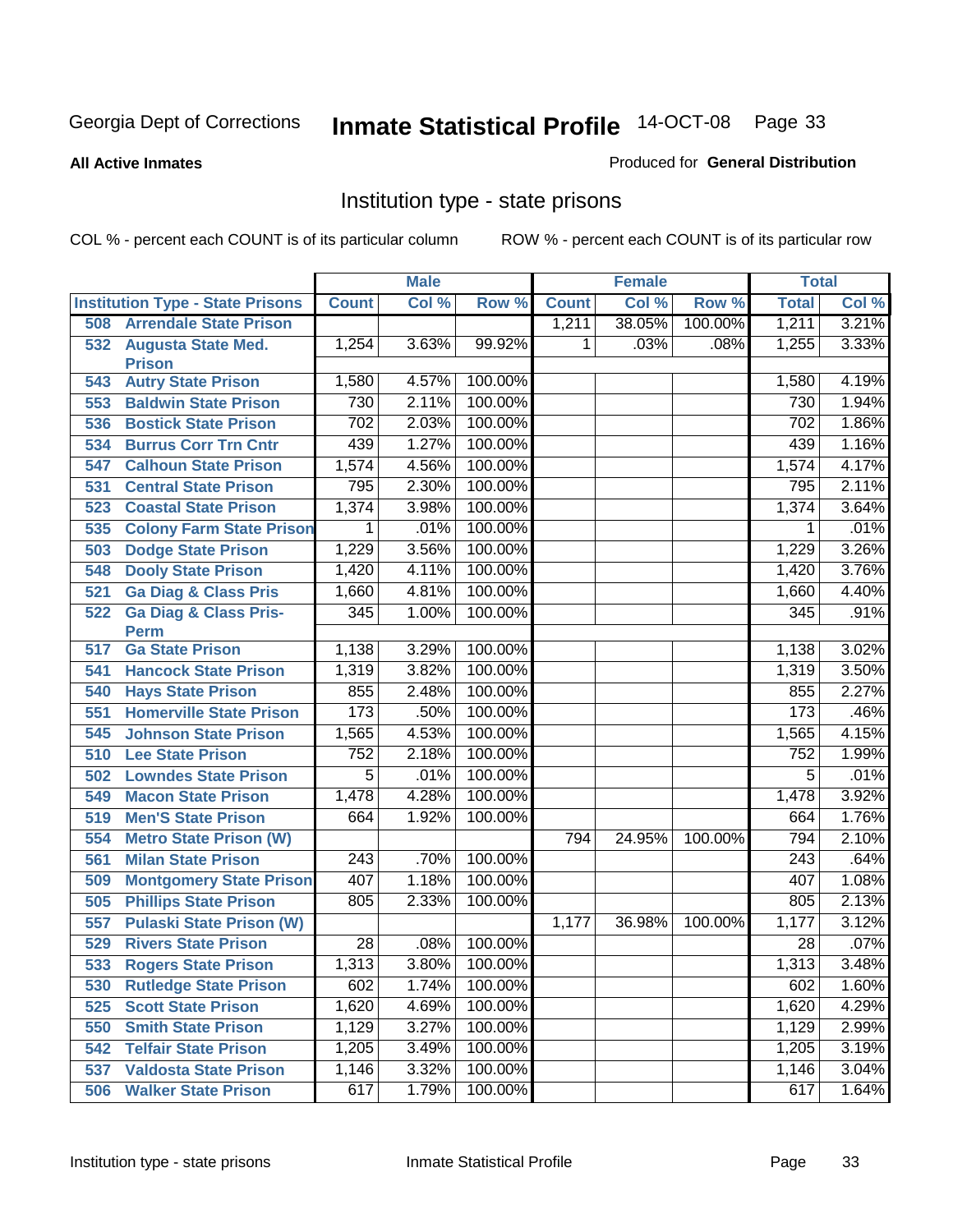#### **All Active Inmates**

#### Produced for **General Distribution**

### Institution type - state prisons

|     |                                            |                  | <b>Male</b> |         |              | <b>Female</b> |         | <b>Total</b>    |         |
|-----|--------------------------------------------|------------------|-------------|---------|--------------|---------------|---------|-----------------|---------|
|     | <b>Institution Type - State Prisons</b>    | <b>Count</b>     | Col %       | Row %   | <b>Count</b> | Col %         | Row %   | <b>Total</b>    | Col %   |
| 508 | <b>Arrendale State Prison</b>              |                  |             |         | 1,211        | 38.05%        | 100.00% | 1,211           | 3.21%   |
| 532 | <b>Augusta State Med.</b><br><b>Prison</b> | 1,254            | 3.63%       | 99.92%  | 1            | .03%          | .08%    | 1,255           | 3.33%   |
| 543 | <b>Autry State Prison</b>                  | 1,580            | 4.57%       | 100.00% |              |               |         | 1,580           | 4.19%   |
| 553 | <b>Baldwin State Prison</b>                | 730              | 2.11%       | 100.00% |              |               |         | 730             | 1.94%   |
| 536 | <b>Bostick State Prison</b>                | 702              | 2.03%       | 100.00% |              |               |         | 702             | 1.86%   |
| 534 | <b>Burrus Corr Trn Cntr</b>                | 439              | 1.27%       | 100.00% |              |               |         | 439             | 1.16%   |
| 547 | <b>Calhoun State Prison</b>                | 1,574            | 4.56%       | 100.00% |              |               |         | 1,574           | 4.17%   |
| 531 | <b>Central State Prison</b>                | 795              | 2.30%       | 100.00% |              |               |         | 795             | 2.11%   |
| 523 | <b>Coastal State Prison</b>                | 1,374            | 3.98%       | 100.00% |              |               |         | 1,374           | 3.64%   |
| 535 | <b>Colony Farm State Prison</b>            | 1                | .01%        | 100.00% |              |               |         | 1               | .01%    |
| 503 | <b>Dodge State Prison</b>                  | 1,229            | 3.56%       | 100.00% |              |               |         | 1,229           | 3.26%   |
| 548 | <b>Dooly State Prison</b>                  | 1,420            | 4.11%       | 100.00% |              |               |         | 1,420           | 3.76%   |
| 521 | <b>Ga Diag &amp; Class Pris</b>            | 1,660            | 4.81%       | 100.00% |              |               |         | 1,660           | 4.40%   |
| 522 | <b>Ga Diag &amp; Class Pris-</b>           | 345              | 1.00%       | 100.00% |              |               |         | 345             | .91%    |
|     | <b>Perm</b>                                |                  |             |         |              |               |         |                 |         |
| 517 | <b>Ga State Prison</b>                     | 1,138            | 3.29%       | 100.00% |              |               |         | 1,138           | 3.02%   |
| 541 | <b>Hancock State Prison</b>                | 1,319            | 3.82%       | 100.00% |              |               |         | 1,319           | 3.50%   |
| 540 | <b>Hays State Prison</b>                   | 855              | 2.48%       | 100.00% |              |               |         | 855             | 2.27%   |
| 551 | <b>Homerville State Prison</b>             | 173              | .50%        | 100.00% |              |               |         | 173             | .46%    |
| 545 | <b>Johnson State Prison</b>                | 1,565            | 4.53%       | 100.00% |              |               |         | 1,565           | 4.15%   |
| 510 | <b>Lee State Prison</b>                    | 752              | 2.18%       | 100.00% |              |               |         | 752             | 1.99%   |
| 502 | <b>Lowndes State Prison</b>                | $\overline{5}$   | .01%        | 100.00% |              |               |         | $\overline{5}$  | .01%    |
| 549 | <b>Macon State Prison</b>                  | 1,478            | 4.28%       | 100.00% |              |               |         | 1,478           | 3.92%   |
| 519 | <b>Men'S State Prison</b>                  | 664              | 1.92%       | 100.00% |              |               |         | 664             | 1.76%   |
| 554 | <b>Metro State Prison (W)</b>              |                  |             |         | 794          | 24.95%        | 100.00% | 794             | 2.10%   |
| 561 | <b>Milan State Prison</b>                  | $\overline{243}$ | .70%        | 100.00% |              |               |         | 243             | .64%    |
| 509 | <b>Montgomery State Prison</b>             | 407              | 1.18%       | 100.00% |              |               |         | 407             | 1.08%   |
| 505 | <b>Phillips State Prison</b>               | 805              | 2.33%       | 100.00% |              |               |         | 805             | 2.13%   |
| 557 | <b>Pulaski State Prison (W)</b>            |                  |             |         | 1,177        | 36.98%        | 100.00% | 1,177           | 3.12%   |
| 529 | <b>Rivers State Prison</b>                 | $\overline{28}$  | .08%        | 100.00% |              |               |         | $\overline{28}$ | $.07\%$ |
| 533 | <b>Rogers State Prison</b>                 | 1,313            | 3.80%       | 100.00% |              |               |         | 1,313           | 3.48%   |
| 530 | <b>Rutledge State Prison</b>               | 602              | 1.74%       | 100.00% |              |               |         | 602             | 1.60%   |
| 525 | <b>Scott State Prison</b>                  | 1,620            | 4.69%       | 100.00% |              |               |         | 1,620           | 4.29%   |
| 550 | <b>Smith State Prison</b>                  | 1,129            | 3.27%       | 100.00% |              |               |         | 1,129           | 2.99%   |
| 542 | <b>Telfair State Prison</b>                | 1,205            | 3.49%       | 100.00% |              |               |         | 1,205           | 3.19%   |
| 537 | <b>Valdosta State Prison</b>               | 1,146            | 3.32%       | 100.00% |              |               |         | 1,146           | 3.04%   |
| 506 | <b>Walker State Prison</b>                 | 617              | 1.79%       | 100.00% |              |               |         | 617             | 1.64%   |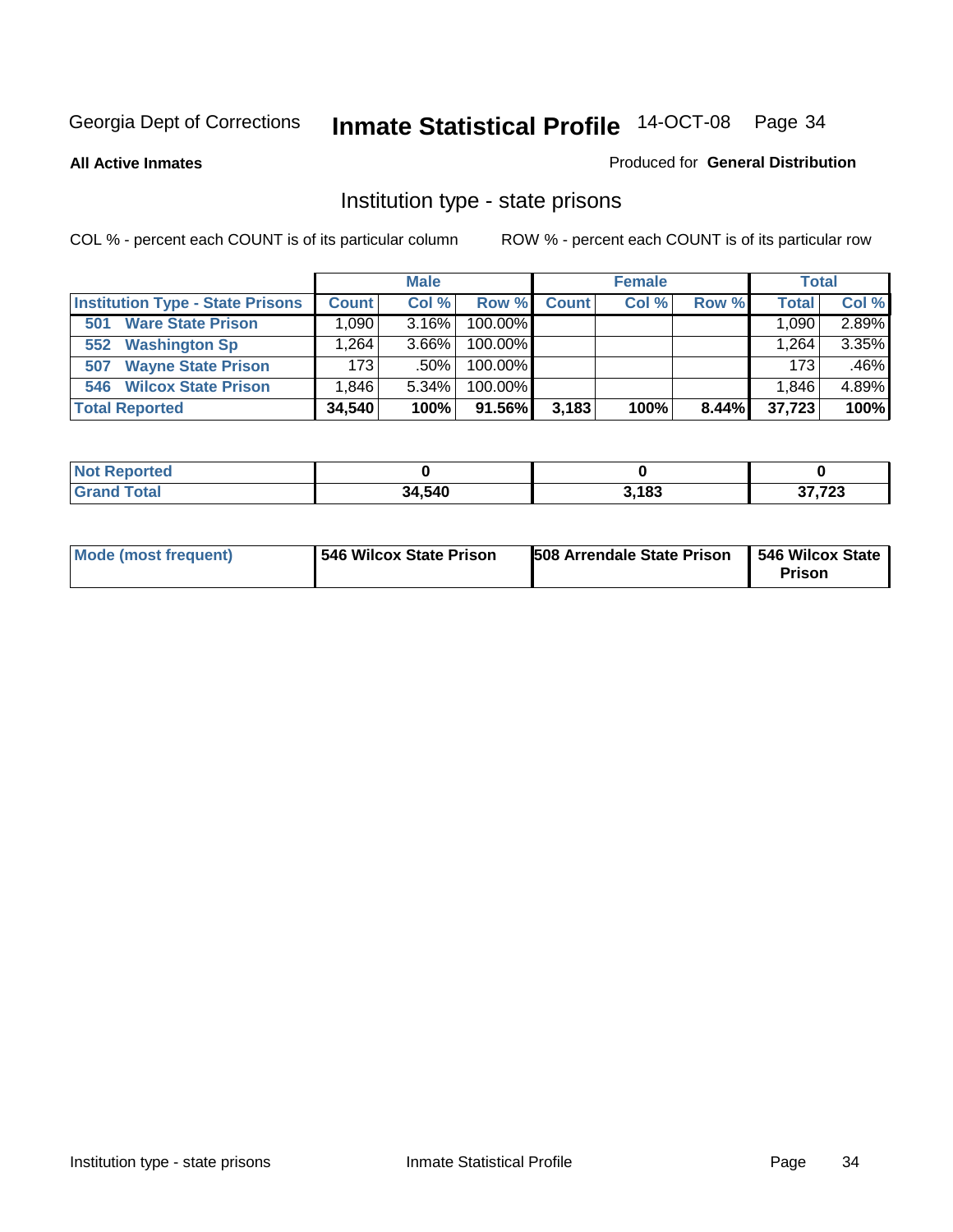**All Active Inmates**

#### Produced for **General Distribution**

### Institution type - state prisons

|                                         |                   | <b>Male</b> |            |              | <b>Female</b> |       | <b>Total</b> |       |
|-----------------------------------------|-------------------|-------------|------------|--------------|---------------|-------|--------------|-------|
| <b>Institution Type - State Prisons</b> | <b>Count</b>      | Col %       | Row %      | <b>Count</b> | Col %         | Row % | <b>Total</b> | Col % |
| <b>Ware State Prison</b><br>501         | .090 <sub>1</sub> | $3.16\%$    | 100.00%    |              |               |       | 1,090.       | 2.89% |
| <b>Washington Sp</b><br>552             | .264              | $3.66\%$    | $100.00\%$ |              |               |       | 1.264        | 3.35% |
| <b>Wayne State Prison</b><br>507        | 173               | $.50\%$     | $100.00\%$ |              |               |       | 173          | .46%  |
| <b>Wilcox State Prison</b><br>546       | .846              | $5.34\%$    | $100.00\%$ |              |               |       | 1,846        | 4.89% |
| <b>Total Reported</b>                   | 34,540            | 100%        | 91.56%     | 3,183        | 100%          | 8.44% | 37,723       | 100%  |

| <b>Not</b><br><b>Reported</b> |        |       |                |
|-------------------------------|--------|-------|----------------|
| <b>Total</b>                  | 34,540 | 3,183 | 27.72<br>د∠ ا, |

| <b>Mode (most frequent)</b> | 546 Wilcox State Prison | <b>508 Arrendale State Prison</b> | 546 Wilcox State<br><b>Prison</b> |
|-----------------------------|-------------------------|-----------------------------------|-----------------------------------|
|-----------------------------|-------------------------|-----------------------------------|-----------------------------------|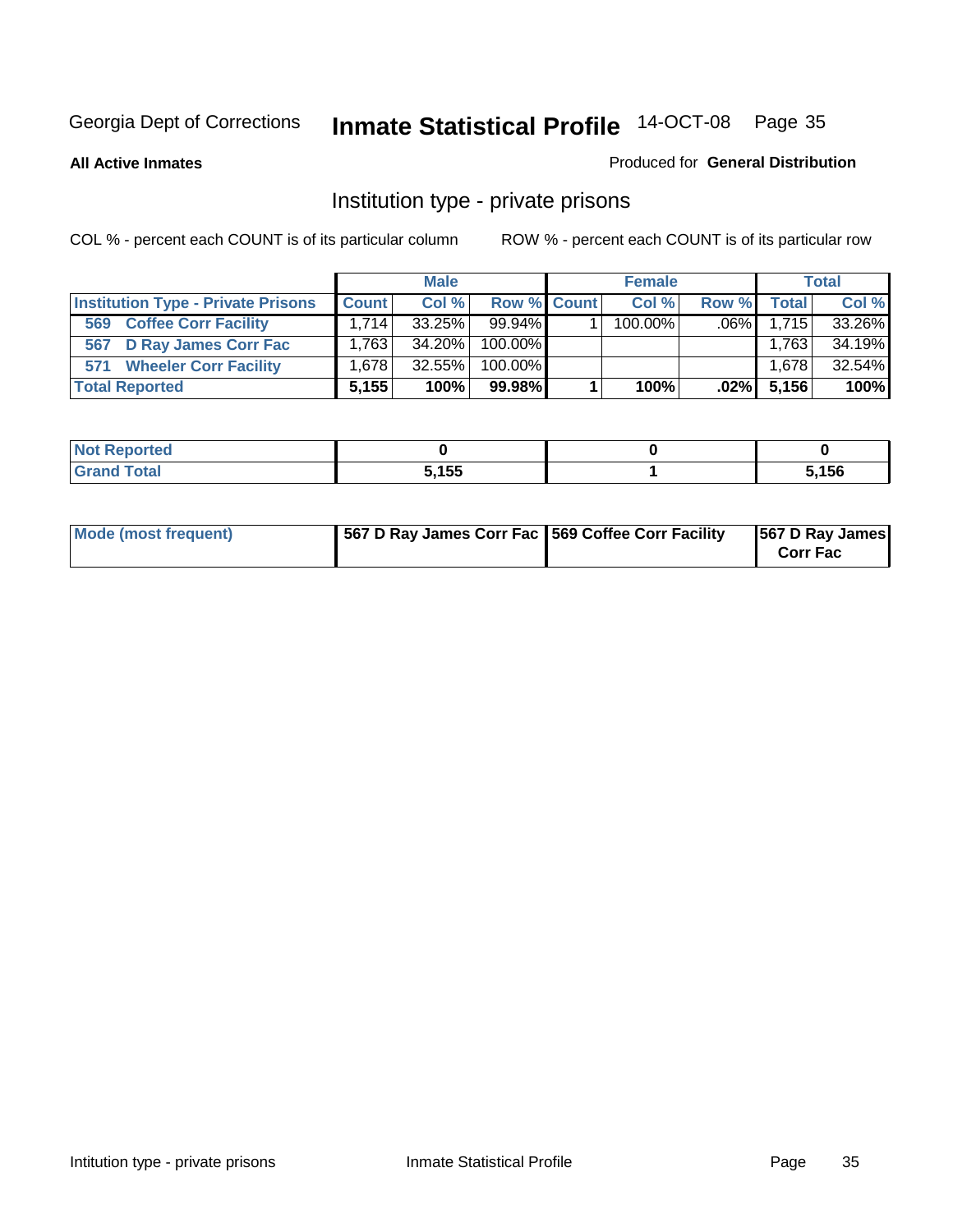**All Active Inmates**

#### Produced for **General Distribution**

### Institution type - private prisons

|                                           |              | <b>Male</b> |             | <b>Female</b> |         |              | <b>Total</b> |
|-------------------------------------------|--------------|-------------|-------------|---------------|---------|--------------|--------------|
| <b>Institution Type - Private Prisons</b> | <b>Count</b> | Col %       | Row % Count | Col %         | Row %   | <b>Total</b> | Col %        |
| <b>Coffee Corr Facility</b><br>569        | 1.714        | $33.25\%$   | $99.94\%$   | 100.00%       | $.06\%$ | 1.715        | 33.26%       |
| D Ray James Corr Fac<br>567               | 1.763        | 34.20%      | 100.00%     |               |         | 1,763        | 34.19%       |
| <b>Wheeler Corr Facility</b><br>571       | 1.678        | $32.55\%$   | 100.00%     |               |         | 1,678        | 32.54%       |
| <b>Total Reported</b>                     | 5,155        | 100%        | 99.98%      | 100%          | $.02\%$ | 5,156        | 100%         |

| <b><i>College All College All College All</i></b><br>rtea<br>ומש |            |      |
|------------------------------------------------------------------|------------|------|
| <b>Total</b><br>$\sim$ .                                         | 5.155<br>. | ,156 |

| Mode (most frequent) | 1567 D Ray James Corr Fac 1569 Coffee Corr Facility |  | 567 D Ray James<br><b>Corr Fac</b> |
|----------------------|-----------------------------------------------------|--|------------------------------------|
|----------------------|-----------------------------------------------------|--|------------------------------------|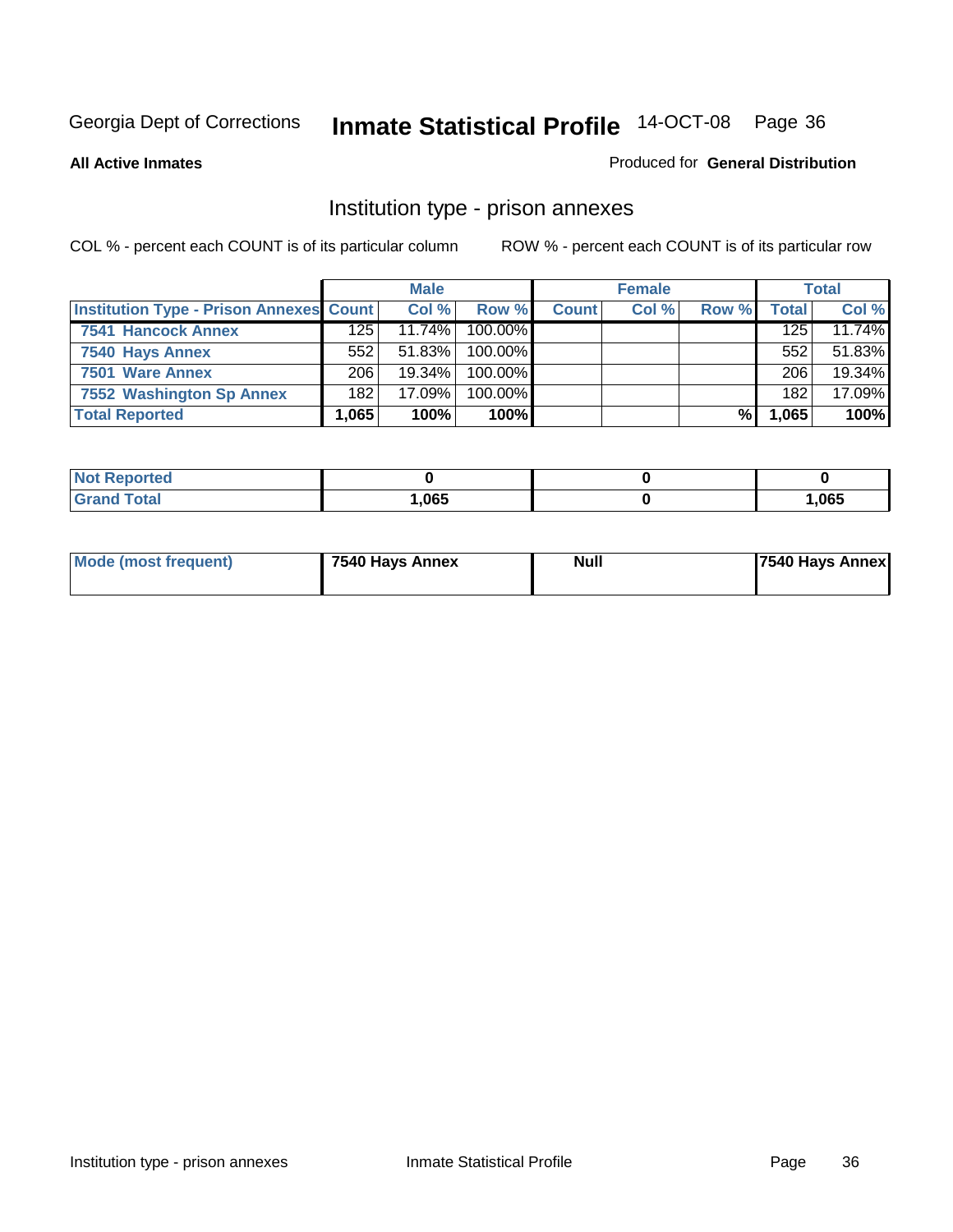#### **All Active Inmates**

#### Produced for **General Distribution**

### Institution type - prison annexes

|                                                |       | <b>Male</b> |            |              | <b>Female</b> |       |       | <b>Total</b> |
|------------------------------------------------|-------|-------------|------------|--------------|---------------|-------|-------|--------------|
| <b>Institution Type - Prison Annexes Count</b> |       | Col %       | Row %I     | <b>Count</b> | Col %         | Row % | Total | Col %        |
| 7541 Hancock Annex                             | 125   | 11.74%      | $100.00\%$ |              |               |       | 125   | 11.74%       |
| 7540 Hays Annex                                | 552   | 51.83%      | 100.00%    |              |               |       | 552   | 51.83%       |
| 7501 Ware Annex                                | 206   | $19.34\%$   | $100.00\%$ |              |               |       | 206   | 19.34%       |
| 7552 Washington Sp Annex                       | 182   | $17.09\%$   | 100.00%    |              |               |       | 182   | 17.09%       |
| <b>Total Reported</b>                          | 1.065 | 100%        | 100%       |              |               | %     | 1,065 | 100%         |

| <b>NOT</b><br>oortea |      |      |
|----------------------|------|------|
| intai                | ,065 | ,065 |

|  | Mode (most frequent) | 7540 Hays Annex | <b>Null</b> | 7540 Hays Annex |
|--|----------------------|-----------------|-------------|-----------------|
|--|----------------------|-----------------|-------------|-----------------|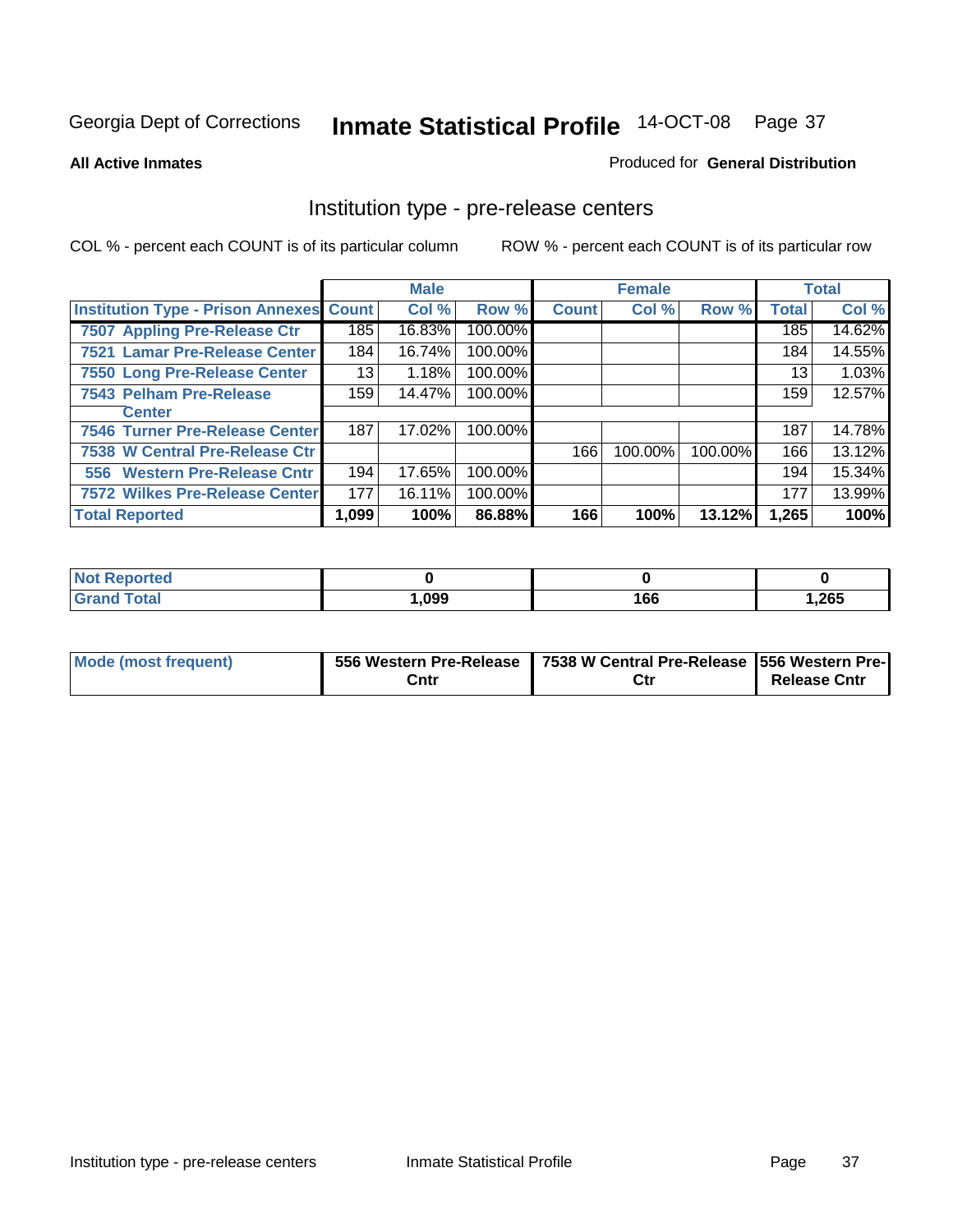#### **All Active Inmates**

#### Produced for **General Distribution**

### Institution type - pre-release centers

|                                                |       | <b>Male</b> |         |              | <b>Female</b> |         |              | <b>Total</b> |
|------------------------------------------------|-------|-------------|---------|--------------|---------------|---------|--------------|--------------|
| <b>Institution Type - Prison Annexes Count</b> |       | Col %       | Row %   | <b>Count</b> | Col %         | Row %   | <b>Total</b> | Col %        |
| <b>7507 Appling Pre-Release Ctr</b>            | 185   | 16.83%      | 100.00% |              |               |         | 185          | 14.62%       |
| 7521 Lamar Pre-Release Center                  | 184   | 16.74%      | 100.00% |              |               |         | 184          | 14.55%       |
| 7550 Long Pre-Release Center                   | 13    | 1.18%       | 100.00% |              |               |         | 13           | 1.03%        |
| 7543 Pelham Pre-Release                        | 159   | 14.47%      | 100.00% |              |               |         | 159          | 12.57%       |
| <b>Center</b>                                  |       |             |         |              |               |         |              |              |
| 7546 Turner Pre-Release Center                 | 187   | 17.02%      | 100.00% |              |               |         | 187          | 14.78%       |
| 7538 W Central Pre-Release Ctr                 |       |             |         | 166          | 100.00%       | 100.00% | 166          | 13.12%       |
| 556 Western Pre-Release Cntr                   | 194   | 17.65%      | 100.00% |              |               |         | 194          | 15.34%       |
| <b>7572 Wilkes Pre-Release Center</b>          | 177   | 16.11%      | 100.00% |              |               |         | 177          | 13.99%       |
| <b>Total Reported</b>                          | 1,099 | 100%        | 86.88%  | 166          | 100%          | 13.12%  | 1,265        | 100%         |

| <b>Not</b><br><b>Reported</b> |      |     |       |
|-------------------------------|------|-----|-------|
| <b>Total</b>                  | ,099 | 166 | 1,265 |

| Mode (most frequent) |      | 556 Western Pre-Release   7538 W Central Pre-Release   556 Western Pre- |                     |
|----------------------|------|-------------------------------------------------------------------------|---------------------|
|                      | Cntı | Ctr                                                                     | <b>Release Cntr</b> |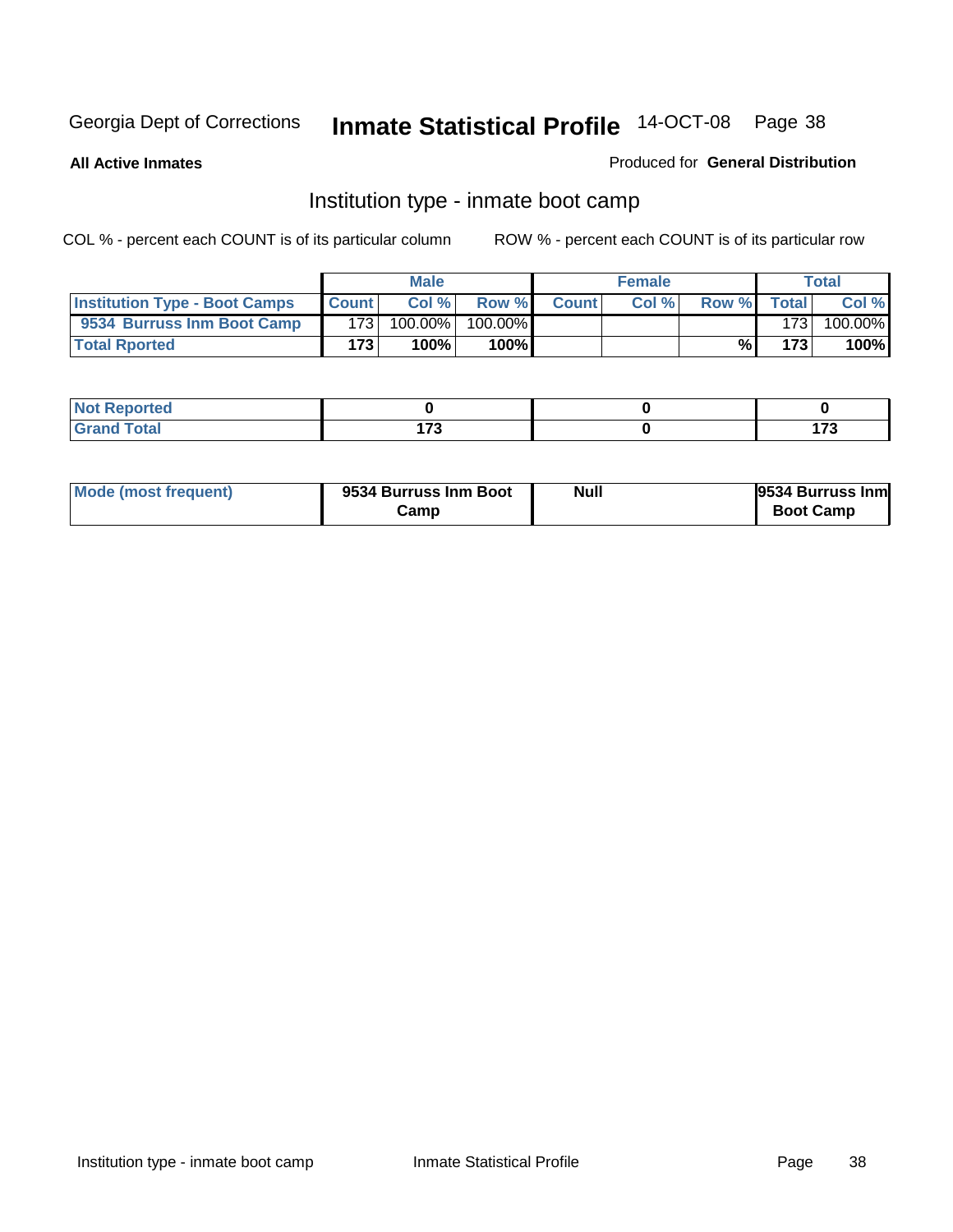**All Active Inmates**

#### Produced for **General Distribution**

# Institution type - inmate boot camp

|                                      |              | <b>Male</b> |            |              | <b>Female</b> |       |       | Total   |
|--------------------------------------|--------------|-------------|------------|--------------|---------------|-------|-------|---------|
| <b>Institution Type - Boot Camps</b> | <b>Count</b> | Col %       | Row %      | <b>Count</b> | Col%          | Row % | Total | Col %   |
| 9534 Burruss Inm Boot Camp           | 1731         | 100.00%     | $100.00\%$ |              |               |       | 173   | 100.00% |
| <b>Total Rported</b>                 | 173          | 100%        | 100%       |              |               | %     | 173   | 100%    |

| المدين بالتعبين<br>ortea<br>N |        |        |
|-------------------------------|--------|--------|
| $C = 4 - 7$                   | , 70   | ---    |
| ____                          | $\sim$ | $\sim$ |

| Mode (most frequent) | 9534 Burruss Inm Boot | <b>Null</b> | 9534 Burruss Inm |
|----------------------|-----------------------|-------------|------------------|
|                      | Camp                  |             | <b>Boot Camp</b> |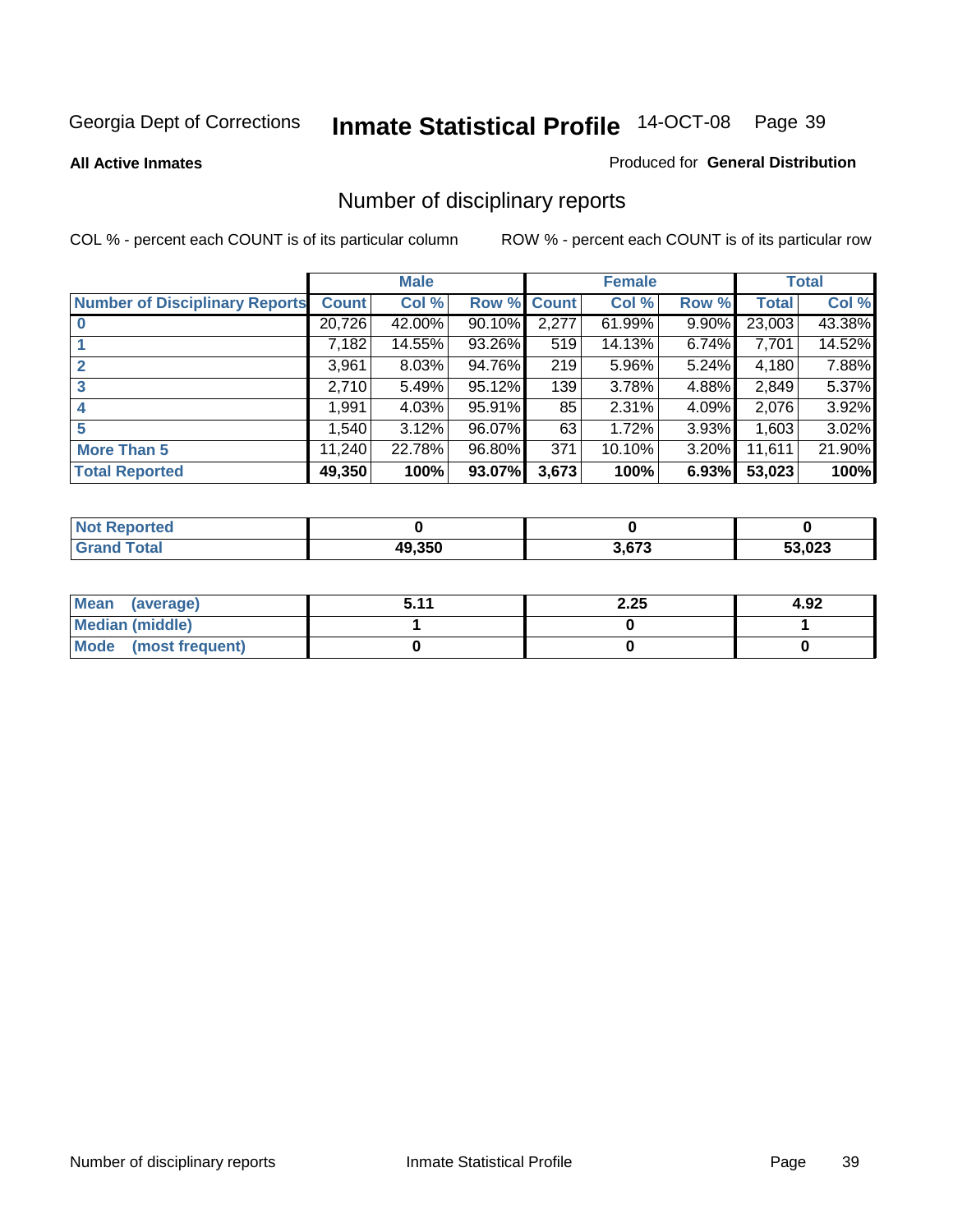**All Active Inmates**

#### Produced for **General Distribution**

# Number of disciplinary reports

|                                       |              | <b>Male</b> |        |              | <b>Female</b> |          |              | <b>Total</b> |
|---------------------------------------|--------------|-------------|--------|--------------|---------------|----------|--------------|--------------|
| <b>Number of Disciplinary Reports</b> | <b>Count</b> | Col %       | Row %  | <b>Count</b> | Col %         | Row %    | <b>Total</b> | Col %        |
|                                       | 20,726       | 42.00%      | 90.10% | 2,277        | 61.99%        | $9.90\%$ | 23,003       | 43.38%       |
|                                       | 7,182        | 14.55%      | 93.26% | 519          | 14.13%        | 6.74%    | 7,701        | 14.52%       |
| 2                                     | 3,961        | 8.03%       | 94.76% | 219          | 5.96%         | 5.24%    | 4,180        | 7.88%        |
| 3                                     | 2,710        | 5.49%       | 95.12% | 139          | 3.78%         | 4.88%    | 2,849        | 5.37%        |
|                                       | .991         | 4.03%       | 95.91% | 85           | 2.31%         | $4.09\%$ | 2,076        | 3.92%        |
| 5                                     | .540         | 3.12%       | 96.07% | 63           | 1.72%         | 3.93%    | 1,603        | 3.02%        |
| <b>More Than 5</b>                    | 11,240       | 22.78%      | 96.80% | 371          | 10.10%        | 3.20%    | 11,611       | 21.90%       |
| <b>Total Reported</b>                 | 49,350       | 100%        | 93.07% | 3,673        | 100%          | 6.93%    | 53,023       | 100%         |

| orted<br>NO  |        |       |        |
|--------------|--------|-------|--------|
| <b>Total</b> | 49.350 | 3.673 | 53,023 |

| Mean (average)       | 511 | 2.25 | 4.92 |
|----------------------|-----|------|------|
| Median (middle)      |     |      |      |
| Mode (most frequent) |     |      |      |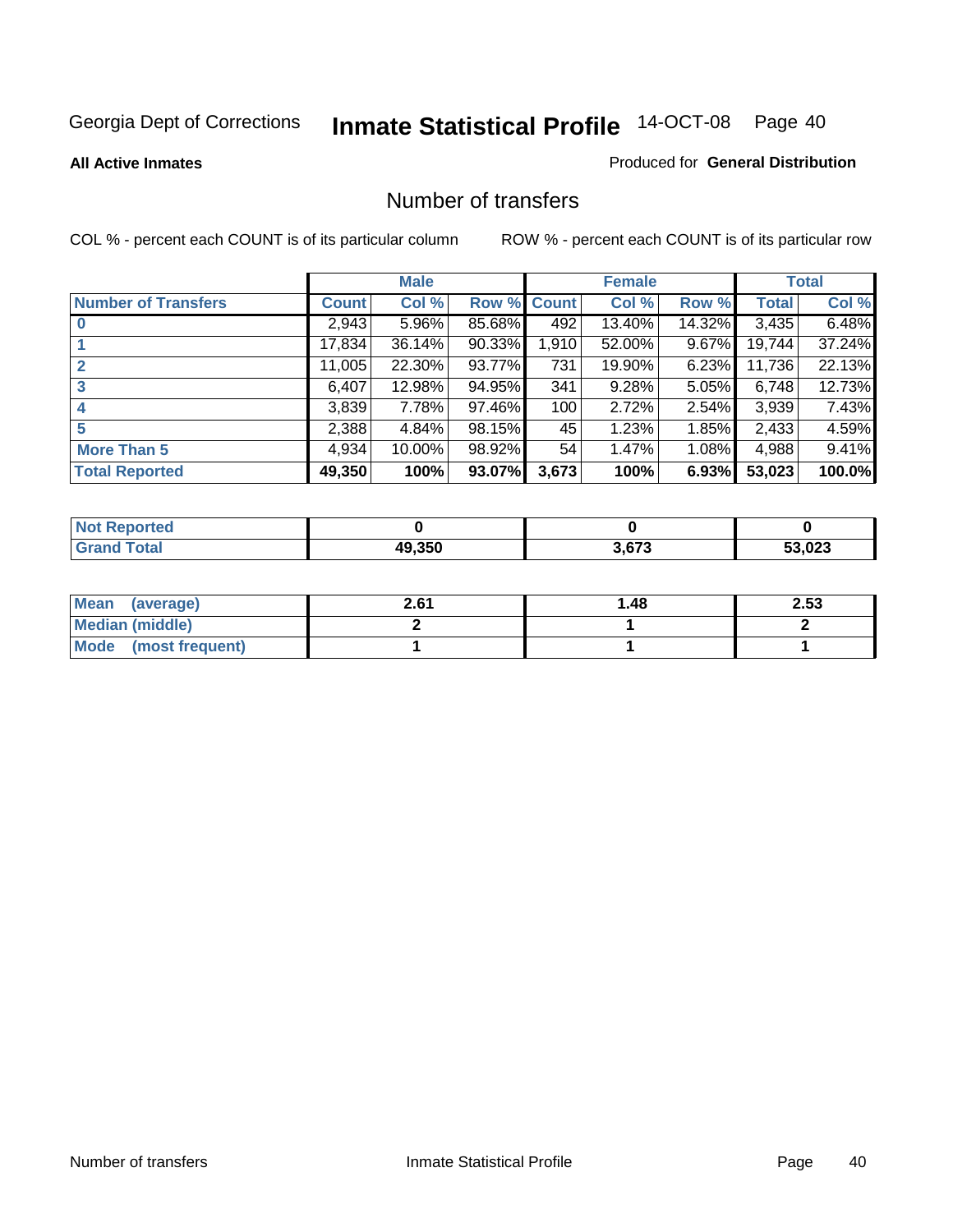#### **All Active Inmates**

#### Produced for **General Distribution**

### Number of transfers

|                            |         | <b>Male</b> |        |              | <b>Female</b> |          |              | <b>Total</b> |
|----------------------------|---------|-------------|--------|--------------|---------------|----------|--------------|--------------|
| <b>Number of Transfers</b> | Count l | Col %       | Row %  | <b>Count</b> | Col %         | Row %    | <b>Total</b> | Col %        |
|                            | 2,943   | 5.96%       | 85.68% | 492          | 13.40%        | 14.32%   | 3,435        | 6.48%        |
|                            | 17,834  | 36.14%      | 90.33% | 1,910        | 52.00%        | 9.67%    | 19,744       | 37.24%       |
| $\mathbf{2}$               | 11,005  | 22.30%      | 93.77% | 731          | 19.90%        | 6.23%    | 11,736       | 22.13%       |
| 3                          | 6,407   | 12.98%      | 94.95% | 341          | 9.28%         | 5.05%    | 6,748        | 12.73%       |
|                            | 3,839   | 7.78%       | 97.46% | 100          | 2.72%         | $2.54\%$ | 3,939        | 7.43%        |
| 5                          | 2,388   | 4.84%       | 98.15% | 45           | 1.23%         | 1.85%    | 2,433        | 4.59%        |
| <b>More Than 5</b>         | 4,934   | 10.00%      | 98.92% | 54           | 1.47%         | $1.08\%$ | 4,988        | 9.41%        |
| <b>Total Reported</b>      | 49,350  | 100%        | 93.07% | 3,673        | 100%          | 6.93%    | 53,023       | 100.0%       |

| N                   |                      |      |              |
|---------------------|----------------------|------|--------------|
| $\sim$ 10<br>______ | $\sim$ $\sim$ $\sim$ | 3673 | $\sim$<br>-^ |

| Mean (average)       | 2.61 | ∣.48 | 2.53 |
|----------------------|------|------|------|
| Median (middle)      |      |      |      |
| Mode (most frequent) |      |      |      |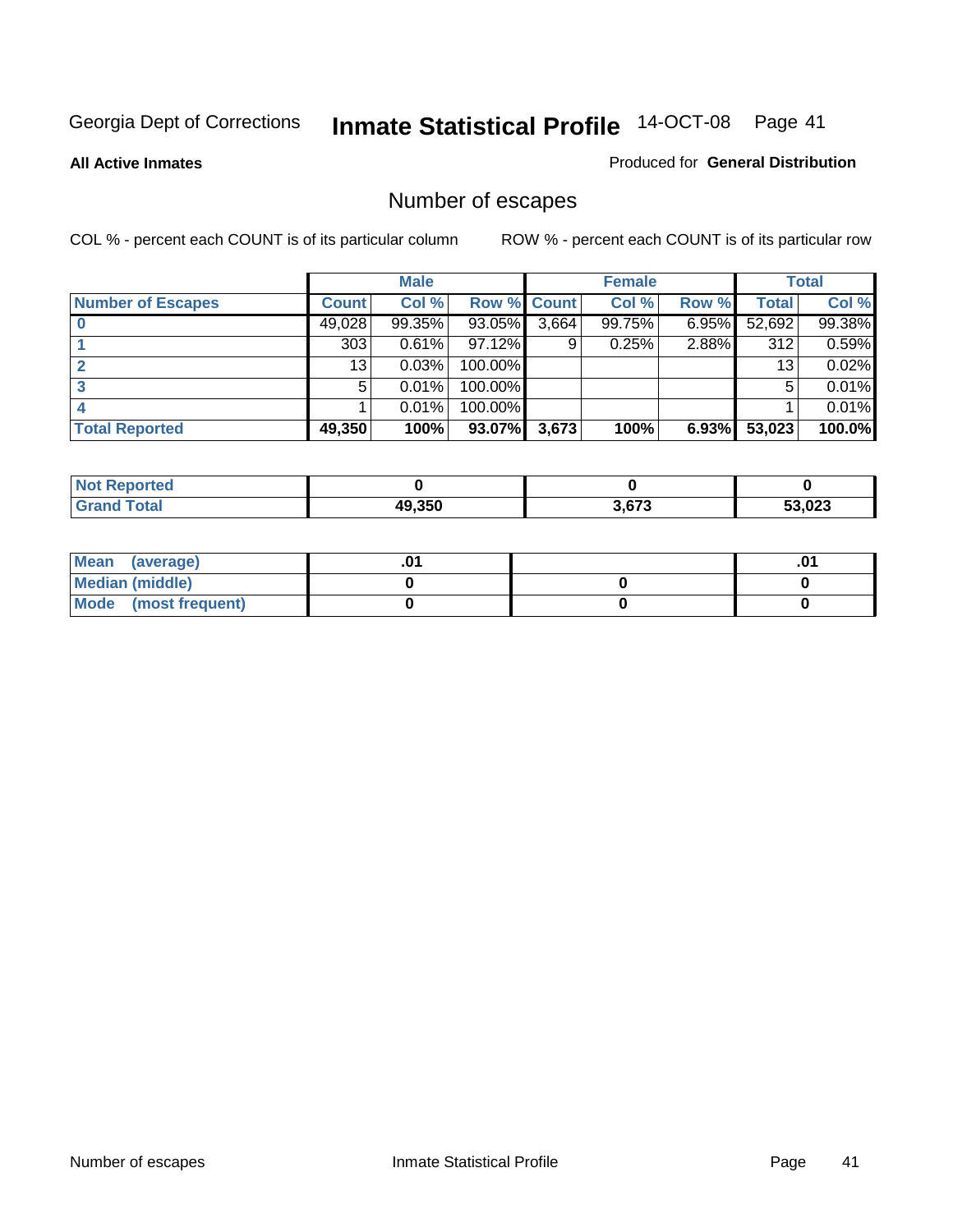**All Active Inmates**

#### Produced for **General Distribution**

# Number of escapes

|                          |              | <b>Male</b> |                    |       | <b>Female</b> |          |        | <b>Total</b> |
|--------------------------|--------------|-------------|--------------------|-------|---------------|----------|--------|--------------|
| <b>Number of Escapes</b> | <b>Count</b> | Col %       | <b>Row % Count</b> |       | Col %         | Row %    | Total  | Col %        |
|                          | 49,028       | 99.35%      | 93.05%             | 3,664 | 99.75%        | $6.95\%$ | 52,692 | 99.38%       |
|                          | 303          | 0.61%       | 97.12%             | 9     | 0.25%         | 2.88%    | 312    | 0.59%        |
|                          | 13           | 0.03%       | 100.00%            |       |               |          | 13     | 0.02%        |
|                          | 5            | 0.01%       | 100.00%            |       |               |          | 5      | 0.01%        |
|                          |              | 0.01%       | $100.00\%$         |       |               |          |        | 0.01%        |
| <b>Total Reported</b>    | 49,350       | 100%        | 93.07%             | 3,673 | 100%          | 6.93%    | 53,023 | 100.0%       |

| <b>Not Reported</b> |        |       |      |
|---------------------|--------|-------|------|
| <b>Total</b>        | 49.350 | 3.673 | .023 |

| Mean (average)       |  | ו ש. |
|----------------------|--|------|
| Median (middle)      |  |      |
| Mode (most frequent) |  |      |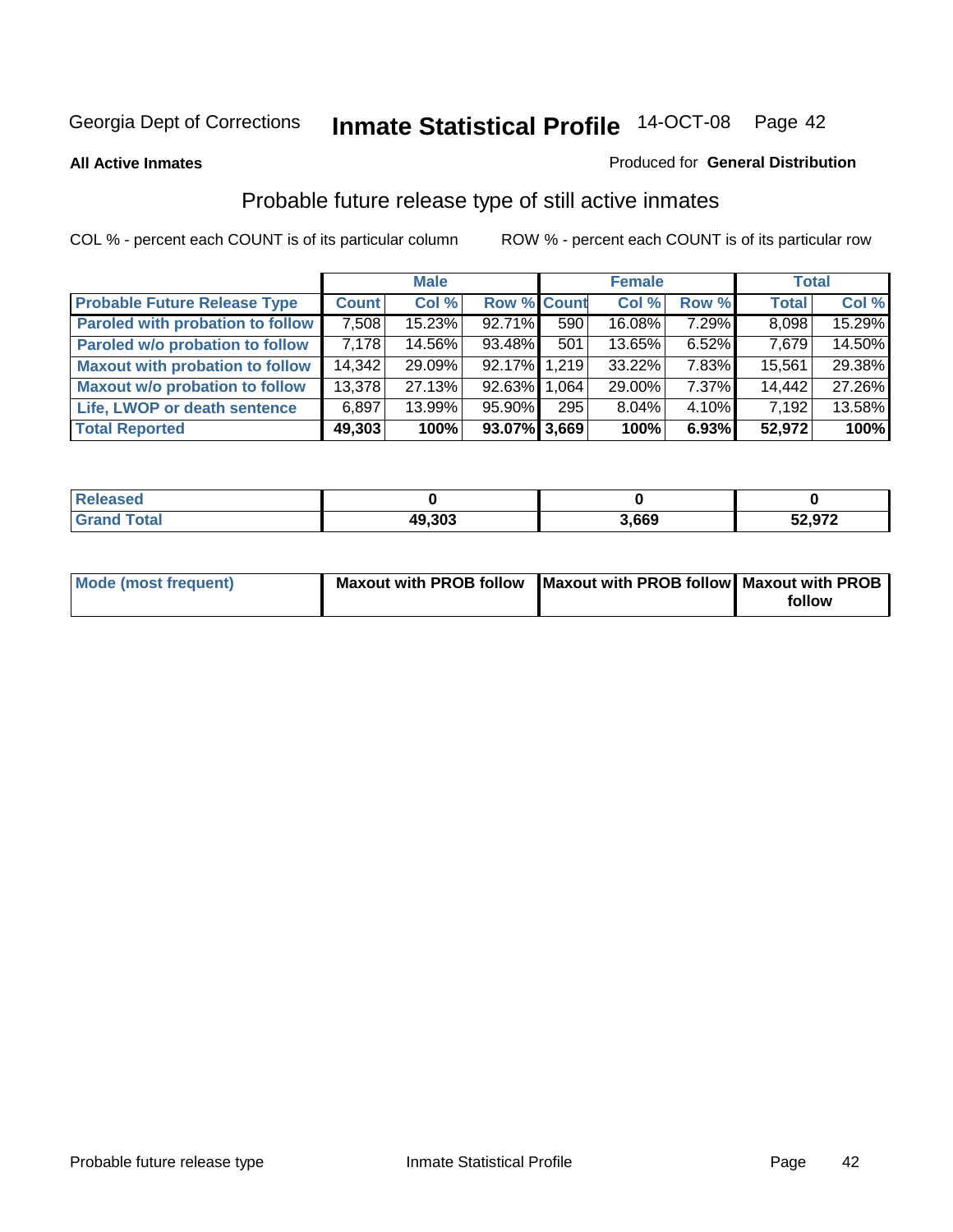#### **All Active Inmates**

#### Produced for **General Distribution**

# Probable future release type of still active inmates

|                                         |              | <b>Male</b> |                    |     | <b>Female</b> |          | <b>Total</b> |        |
|-----------------------------------------|--------------|-------------|--------------------|-----|---------------|----------|--------------|--------|
| <b>Probable Future Release Type</b>     | <b>Count</b> | Col %       | <b>Row % Count</b> |     | Col %         | Row %    | <b>Total</b> | Col %  |
| <b>Paroled with probation to follow</b> | 7,508        | 15.23%      | 92.71%             | 590 | 16.08%        | 7.29%    | 8,098        | 15.29% |
| Paroled w/o probation to follow         | 7.178        | 14.56%      | $93.48\%$          | 501 | 13.65%        | 6.52%    | 7.679        | 14.50% |
| <b>Maxout with probation to follow</b>  | 14,342       | 29.09%      | 92.17% 1.219       |     | 33.22%        | 7.83%    | 15,561       | 29.38% |
| <b>Maxout w/o probation to follow</b>   | 13,378       | 27.13%      | 92.63% 1.064       |     | 29.00%        | 7.37%    | 14,442       | 27.26% |
| Life, LWOP or death sentence            | 6,897        | 13.99%      | $95.90\%$          | 295 | 8.04%         | $4.10\%$ | 7,192        | 13.58% |
| <b>Total Reported</b>                   | 49,303       | 100%        | 93.07% 3,669       |     | 100%          | 6.93%    | 52,972       | 100%   |

| Released              |        |       |        |
|-----------------------|--------|-------|--------|
| <b>Tota</b><br>. Grar | 49,303 | 3,669 | 52,972 |

| Mode (most frequent) | Maxout with PROB follow Maxout with PROB follow Maxout with PROB |        |
|----------------------|------------------------------------------------------------------|--------|
|                      |                                                                  | follow |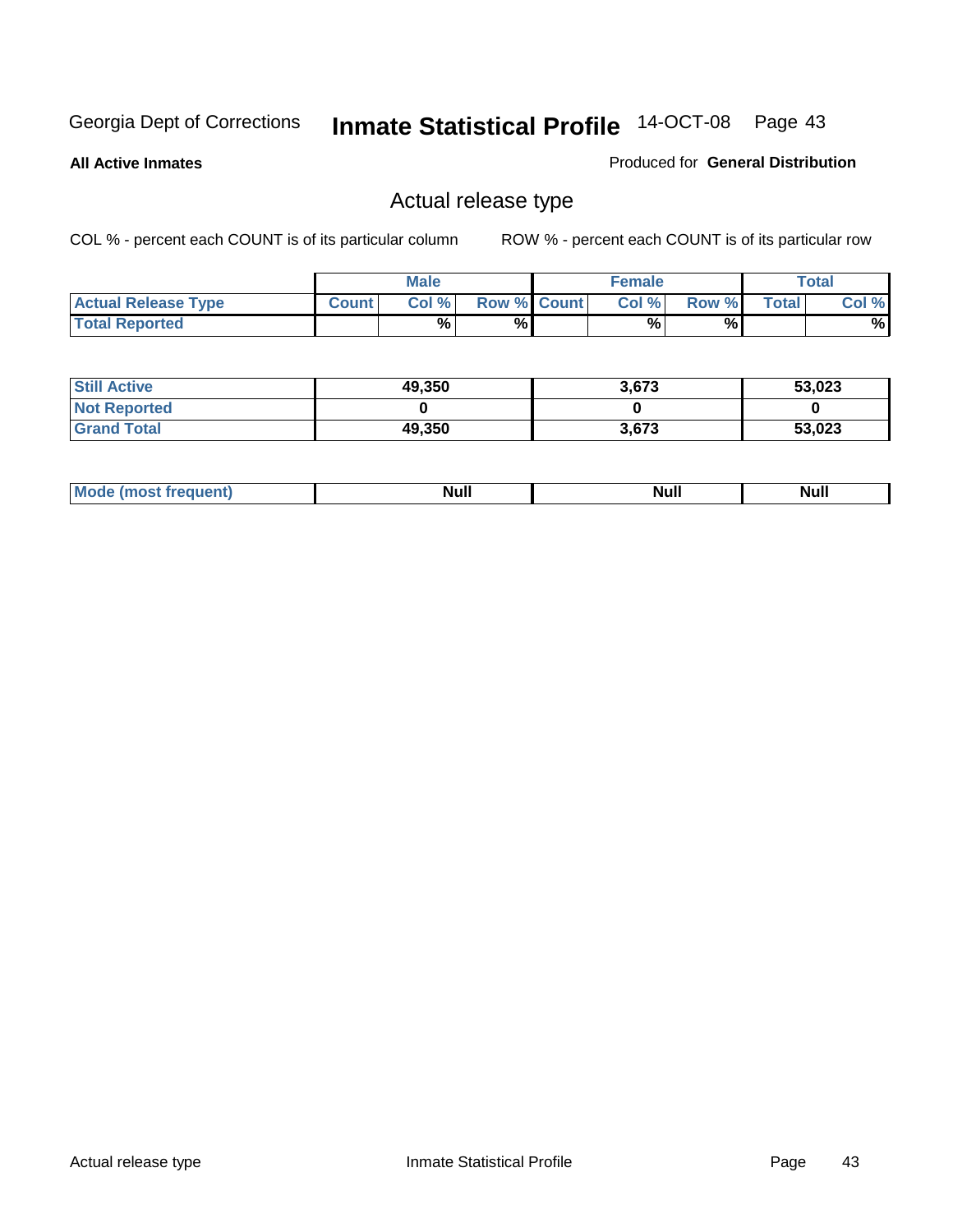**All Active Inmates**

#### Produced for **General Distribution**

# Actual release type

|                            |              | <b>Male</b> |                    | <b>Female</b> |       |              | $\tau$ otal |
|----------------------------|--------------|-------------|--------------------|---------------|-------|--------------|-------------|
| <b>Actual Release Type</b> | <b>Count</b> | Col %       | <b>Row % Count</b> | Col %         | Row % | <b>Total</b> | Col %       |
| <b>Total Reported</b>      |              | $\%$        | %                  | %             | %     |              | %           |

| <b>Still Active</b> | 49,350 | 3,673 | 53,023 |
|---------------------|--------|-------|--------|
| <b>Not Reported</b> |        |       |        |
| <b>Grand Total</b>  | 49,350 | 3,673 | 53,023 |

| M<br>____<br>_____ | NI | Null | $\cdots$ |
|--------------------|----|------|----------|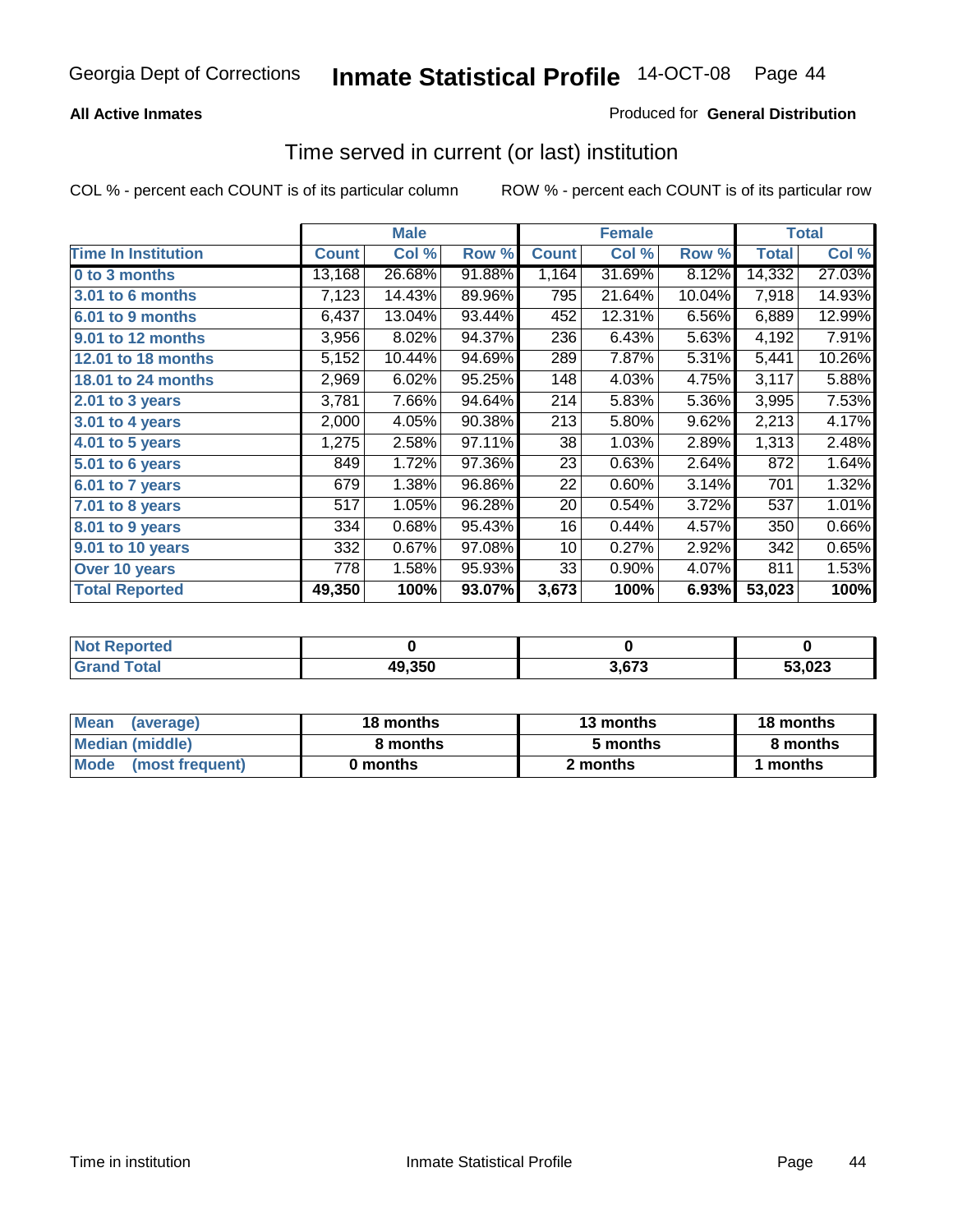#### **All Active Inmates**

#### Produced for **General Distribution**

### Time served in current (or last) institution

|                            |              | <b>Male</b> |        |              | <b>Female</b> |        |              | <b>Total</b> |
|----------------------------|--------------|-------------|--------|--------------|---------------|--------|--------------|--------------|
| <b>Time In Institution</b> | <b>Count</b> | Col %       | Row %  | <b>Count</b> | Col %         | Row %  | <b>Total</b> | Col %        |
| 0 to 3 months              | 13,168       | 26.68%      | 91.88% | 1,164        | 31.69%        | 8.12%  | 14,332       | 27.03%       |
| 3.01 to 6 months           | 7,123        | 14.43%      | 89.96% | 795          | 21.64%        | 10.04% | 7,918        | 14.93%       |
| 6.01 to 9 months           | 6,437        | 13.04%      | 93.44% | 452          | 12.31%        | 6.56%  | 6,889        | 12.99%       |
| 9.01 to 12 months          | 3,956        | 8.02%       | 94.37% | 236          | 6.43%         | 5.63%  | 4,192        | 7.91%        |
| <b>12.01 to 18 months</b>  | 5,152        | 10.44%      | 94.69% | 289          | 7.87%         | 5.31%  | 5,441        | 10.26%       |
| <b>18.01 to 24 months</b>  | 2,969        | 6.02%       | 95.25% | 148          | 4.03%         | 4.75%  | 3,117        | 5.88%        |
| $2.01$ to 3 years          | 3,781        | 7.66%       | 94.64% | 214          | 5.83%         | 5.36%  | 3,995        | 7.53%        |
| 3.01 to 4 years            | 2,000        | 4.05%       | 90.38% | 213          | 5.80%         | 9.62%  | 2,213        | 4.17%        |
| 4.01 to 5 years            | 1,275        | 2.58%       | 97.11% | 38           | 1.03%         | 2.89%  | 1,313        | 2.48%        |
| 5.01 to 6 years            | 849          | 1.72%       | 97.36% | 23           | 0.63%         | 2.64%  | 872          | 1.64%        |
| 6.01 to 7 years            | 679          | 1.38%       | 96.86% | 22           | 0.60%         | 3.14%  | 701          | 1.32%        |
| 7.01 to 8 years            | 517          | 1.05%       | 96.28% | 20           | 0.54%         | 3.72%  | 537          | 1.01%        |
| 8.01 to 9 years            | 334          | 0.68%       | 95.43% | 16           | 0.44%         | 4.57%  | 350          | 0.66%        |
| 9.01 to 10 years           | 332          | 0.67%       | 97.08% | 10           | 0.27%         | 2.92%  | 342          | 0.65%        |
| Over 10 years              | 778          | 1.58%       | 95.93% | 33           | 0.90%         | 4.07%  | 811          | 1.53%        |
| <b>Total Reported</b>      | 49,350       | 100%        | 93.07% | 3,673        | 100%          | 6.93%  | 53,023       | 100%         |

| <b>Not Reported</b> |        |       |        |
|---------------------|--------|-------|--------|
| <b>Total</b>        | 49,350 | . 673 | 53.023 |

| <b>Mean</b><br>(average) | 18 months | 13 months | 18 months |  |
|--------------------------|-----------|-----------|-----------|--|
| Median (middle)          | 8 months  | 5 months  | 8 months  |  |
| Mode<br>(most frequent)  | 0 months  | 2 months  | months    |  |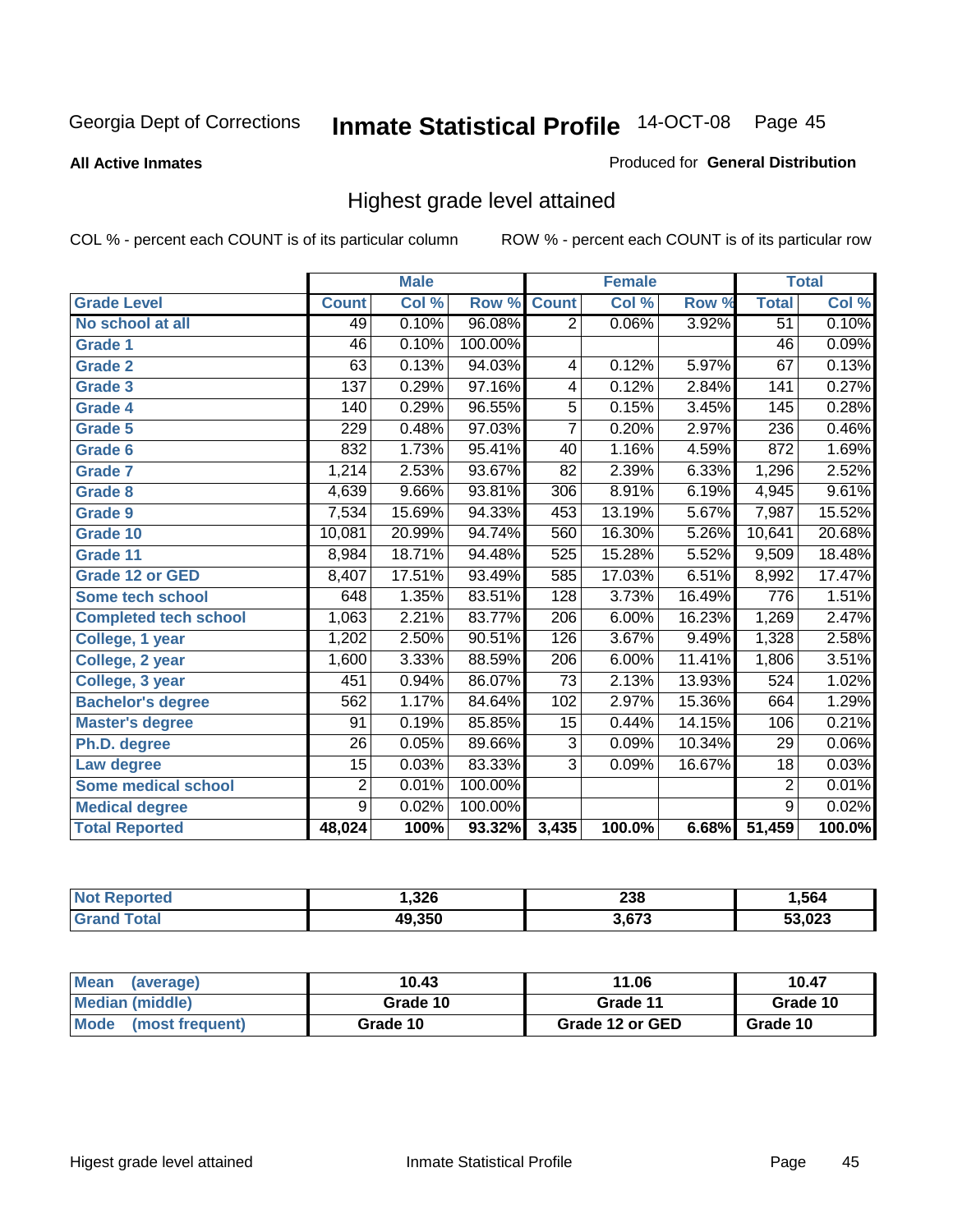**All Active Inmates**

#### Produced for **General Distribution**

# Highest grade level attained

|                              |                  | <b>Male</b> |         |                  | <b>Female</b> |        |                  | <b>Total</b> |
|------------------------------|------------------|-------------|---------|------------------|---------------|--------|------------------|--------------|
| <b>Grade Level</b>           | <b>Count</b>     | Col %       | Row %   | <b>Count</b>     | Col %         | Row %  | <b>Total</b>     | Col %        |
| No school at all             | 49               | 0.10%       | 96.08%  | $\overline{2}$   | 0.06%         | 3.92%  | $\overline{51}$  | 0.10%        |
| Grade 1                      | 46               | 0.10%       | 100.00% |                  |               |        | $\overline{46}$  | 0.09%        |
| <b>Grade 2</b>               | 63               | 0.13%       | 94.03%  | 4                | 0.12%         | 5.97%  | 67               | 0.13%        |
| <b>Grade 3</b>               | $\overline{137}$ | 0.29%       | 97.16%  | 4                | 0.12%         | 2.84%  | 141              | 0.27%        |
| Grade 4                      | 140              | 0.29%       | 96.55%  | $\overline{5}$   | 0.15%         | 3.45%  | 145              | 0.28%        |
| Grade 5                      | 229              | 0.48%       | 97.03%  | $\overline{7}$   | 0.20%         | 2.97%  | 236              | 0.46%        |
| Grade 6                      | 832              | 1.73%       | 95.41%  | 40               | 1.16%         | 4.59%  | 872              | 1.69%        |
| <b>Grade 7</b>               | 1,214            | 2.53%       | 93.67%  | 82               | 2.39%         | 6.33%  | 1,296            | 2.52%        |
| <b>Grade 8</b>               | 4,639            | 9.66%       | 93.81%  | 306              | 8.91%         | 6.19%  | 4,945            | 9.61%        |
| Grade 9                      | 7,534            | 15.69%      | 94.33%  | 453              | 13.19%        | 5.67%  | 7,987            | 15.52%       |
| Grade 10                     | 10,081           | 20.99%      | 94.74%  | 560              | 16.30%        | 5.26%  | 10,641           | 20.68%       |
| Grade 11                     | 8,984            | 18.71%      | 94.48%  | 525              | 15.28%        | 5.52%  | 9,509            | 18.48%       |
| <b>Grade 12 or GED</b>       | 8,407            | 17.51%      | 93.49%  | 585              | 17.03%        | 6.51%  | 8,992            | 17.47%       |
| <b>Some tech school</b>      | 648              | 1.35%       | 83.51%  | 128              | 3.73%         | 16.49% | 776              | 1.51%        |
| <b>Completed tech school</b> | 1,063            | 2.21%       | 83.77%  | $\overline{206}$ | 6.00%         | 16.23% | 1,269            | 2.47%        |
| College, 1 year              | 1,202            | 2.50%       | 90.51%  | 126              | 3.67%         | 9.49%  | 1,328            | 2.58%        |
| College, 2 year              | 1,600            | 3.33%       | 88.59%  | 206              | 6.00%         | 11.41% | 1,806            | 3.51%        |
| College, 3 year              | 451              | 0.94%       | 86.07%  | $\overline{73}$  | 2.13%         | 13.93% | $\overline{524}$ | 1.02%        |
| <b>Bachelor's degree</b>     | 562              | 1.17%       | 84.64%  | 102              | 2.97%         | 15.36% | 664              | 1.29%        |
| <b>Master's degree</b>       | 91               | 0.19%       | 85.85%  | 15               | 0.44%         | 14.15% | 106              | 0.21%        |
| Ph.D. degree                 | $\overline{26}$  | 0.05%       | 89.66%  | 3                | 0.09%         | 10.34% | 29               | $0.06\%$     |
| Law degree                   | $\overline{15}$  | 0.03%       | 83.33%  | $\overline{3}$   | 0.09%         | 16.67% | $\overline{18}$  | 0.03%        |
| <b>Some medical school</b>   | $\overline{2}$   | 0.01%       | 100.00% |                  |               |        | $\overline{2}$   | 0.01%        |
| <b>Medical degree</b>        | $\overline{9}$   | 0.02%       | 100.00% |                  |               |        | $\overline{9}$   | 0.02%        |
| <b>Total Reported</b>        | 48,024           | 100%        | 93.32%  | 3,435            | 100.0%        | 6.68%  | 51,459           | 100.0%       |

| .326   | າາດ<br>∠ാഠ          | .564 |
|--------|---------------------|------|
| 49.350 | <b>2.CZ2</b><br>ن ، |      |

| <b>Mean</b><br>(average)       | 10.43    | 11.06           | 10.47    |
|--------------------------------|----------|-----------------|----------|
| Median (middle)                | Grade 10 | Grade 11        | Grade 10 |
| <b>Mode</b><br>(most frequent) | Grade 10 | Grade 12 or GED | Grade 10 |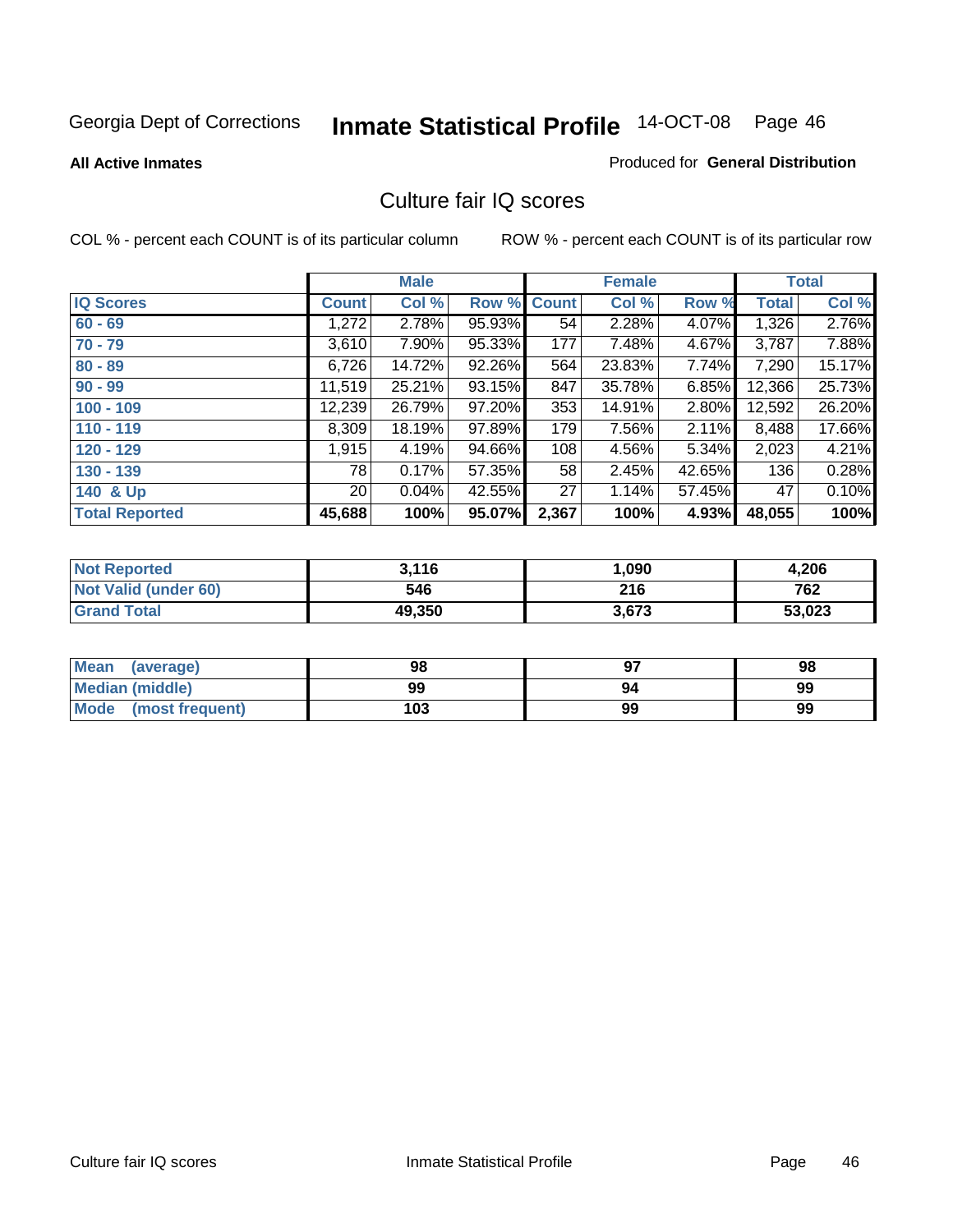**All Active Inmates**

#### Produced for **General Distribution**

### Culture fair IQ scores

|                       |              | <b>Male</b> |        |              | <b>Female</b> |        |              | <b>Total</b> |
|-----------------------|--------------|-------------|--------|--------------|---------------|--------|--------------|--------------|
| <b>IQ Scores</b>      | <b>Count</b> | Col %       | Row %  | <b>Count</b> | Col %         | Row %  | <b>Total</b> | Col %        |
| $60 - 69$             | 1,272        | 2.78%       | 95.93% | 54           | 2.28%         | 4.07%  | 1,326        | 2.76%        |
| $70 - 79$             | 3,610        | $7.90\%$    | 95.33% | 177          | 7.48%         | 4.67%  | 3,787        | 7.88%        |
| $80 - 89$             | 6,726        | 14.72%      | 92.26% | 564          | 23.83%        | 7.74%  | 7,290        | 15.17%       |
| $90 - 99$             | 11,519       | 25.21%      | 93.15% | 847          | 35.78%        | 6.85%  | 12,366       | 25.73%       |
| $100 - 109$           | 12,239       | 26.79%      | 97.20% | 353          | 14.91%        | 2.80%  | 12,592       | 26.20%       |
| $110 - 119$           | 8,309        | 18.19%      | 97.89% | 179          | 7.56%         | 2.11%  | 8,488        | 17.66%       |
| $120 - 129$           | 1,915        | 4.19%       | 94.66% | 108          | 4.56%         | 5.34%  | 2,023        | 4.21%        |
| $130 - 139$           | 78           | 0.17%       | 57.35% | 58           | 2.45%         | 42.65% | 136          | 0.28%        |
| 140 & Up              | ا 20         | 0.04%       | 42.55% | 27           | 1.14%         | 57.45% | 47           | 0.10%        |
| <b>Total Reported</b> | 45,688       | 100%        | 95.07% | 2,367        | 100%          | 4.93%  | 48,055       | 100%         |

| <b>Not Reported</b>         | 3,116  | 090, ا | 4,206  |
|-----------------------------|--------|--------|--------|
| <b>Not Valid (under 60)</b> | 546    | 216    | 762    |
| <b>Grand Total</b>          | 49,350 | 3,673  | 53,023 |

| <b>Mean</b><br>(average) | 98  | 97 | 98 |
|--------------------------|-----|----|----|
| Median (middle)          | 99  | 94 | 99 |
| Mode (most frequent)     | 103 | 99 | 99 |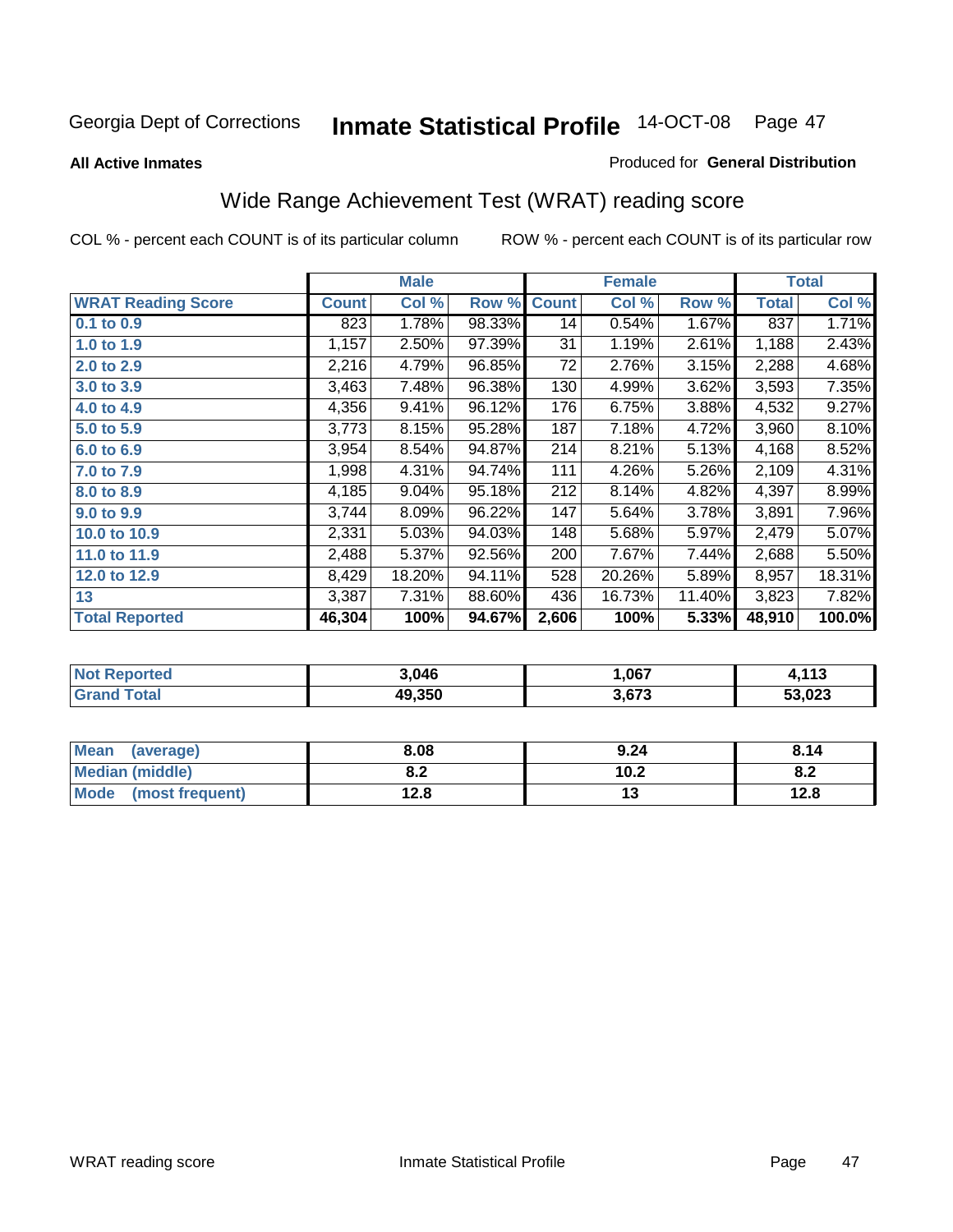#### **All Active Inmates**

#### Produced for **General Distribution**

# Wide Range Achievement Test (WRAT) reading score

|                           |              | <b>Male</b> |        |              | <b>Female</b> |        |              | <b>Total</b> |
|---------------------------|--------------|-------------|--------|--------------|---------------|--------|--------------|--------------|
| <b>WRAT Reading Score</b> | <b>Count</b> | Col %       | Row %  | <b>Count</b> | Col %         | Row %  | <b>Total</b> | Col %        |
| 0.1 to 0.9                | 823          | 1.78%       | 98.33% | 14           | 0.54%         | 1.67%  | 837          | 1.71%        |
| 1.0 to 1.9                | 1,157        | 2.50%       | 97.39% | 31           | 1.19%         | 2.61%  | 1,188        | 2.43%        |
| 2.0 to 2.9                | 2,216        | 4.79%       | 96.85% | 72           | 2.76%         | 3.15%  | 2,288        | 4.68%        |
| 3.0 to 3.9                | 3,463        | 7.48%       | 96.38% | 130          | 4.99%         | 3.62%  | 3,593        | 7.35%        |
| 4.0 to 4.9                | 4,356        | 9.41%       | 96.12% | 176          | 6.75%         | 3.88%  | 4,532        | 9.27%        |
| 5.0 to 5.9                | 3,773        | 8.15%       | 95.28% | 187          | 7.18%         | 4.72%  | 3,960        | 8.10%        |
| 6.0 to 6.9                | 3,954        | 8.54%       | 94.87% | 214          | 8.21%         | 5.13%  | 4,168        | 8.52%        |
| 7.0 to 7.9                | 1,998        | 4.31%       | 94.74% | 111          | 4.26%         | 5.26%  | 2,109        | 4.31%        |
| 8.0 to 8.9                | 4,185        | 9.04%       | 95.18% | 212          | 8.14%         | 4.82%  | 4,397        | 8.99%        |
| 9.0 to 9.9                | 3,744        | 8.09%       | 96.22% | 147          | 5.64%         | 3.78%  | 3,891        | 7.96%        |
| 10.0 to 10.9              | 2,331        | 5.03%       | 94.03% | 148          | 5.68%         | 5.97%  | 2,479        | 5.07%        |
| 11.0 to 11.9              | 2,488        | 5.37%       | 92.56% | 200          | 7.67%         | 7.44%  | 2,688        | 5.50%        |
| 12.0 to 12.9              | 8,429        | 18.20%      | 94.11% | 528          | 20.26%        | 5.89%  | 8,957        | 18.31%       |
| 13                        | 3,387        | 7.31%       | 88.60% | 436          | 16.73%        | 11.40% | 3,823        | 7.82%        |
| <b>Total Reported</b>     | 46,304       | 100%        | 94.67% | 2,606        | 100%          | 5.33%  | 48,910       | 100.0%       |

| n er | 3.046  | ,067  | 442<br>- 1 |
|------|--------|-------|------------|
|      | 49.350 | 3.673 | 53,023     |

| <b>Mean</b><br>(average)       | 8.08       | 9.24 | 8.14 |
|--------------------------------|------------|------|------|
| <b>Median (middle)</b>         | י ה<br>0.Z | 10.2 | o.z  |
| <b>Mode</b><br>(most frequent) | 12.8       | . .  | 12.8 |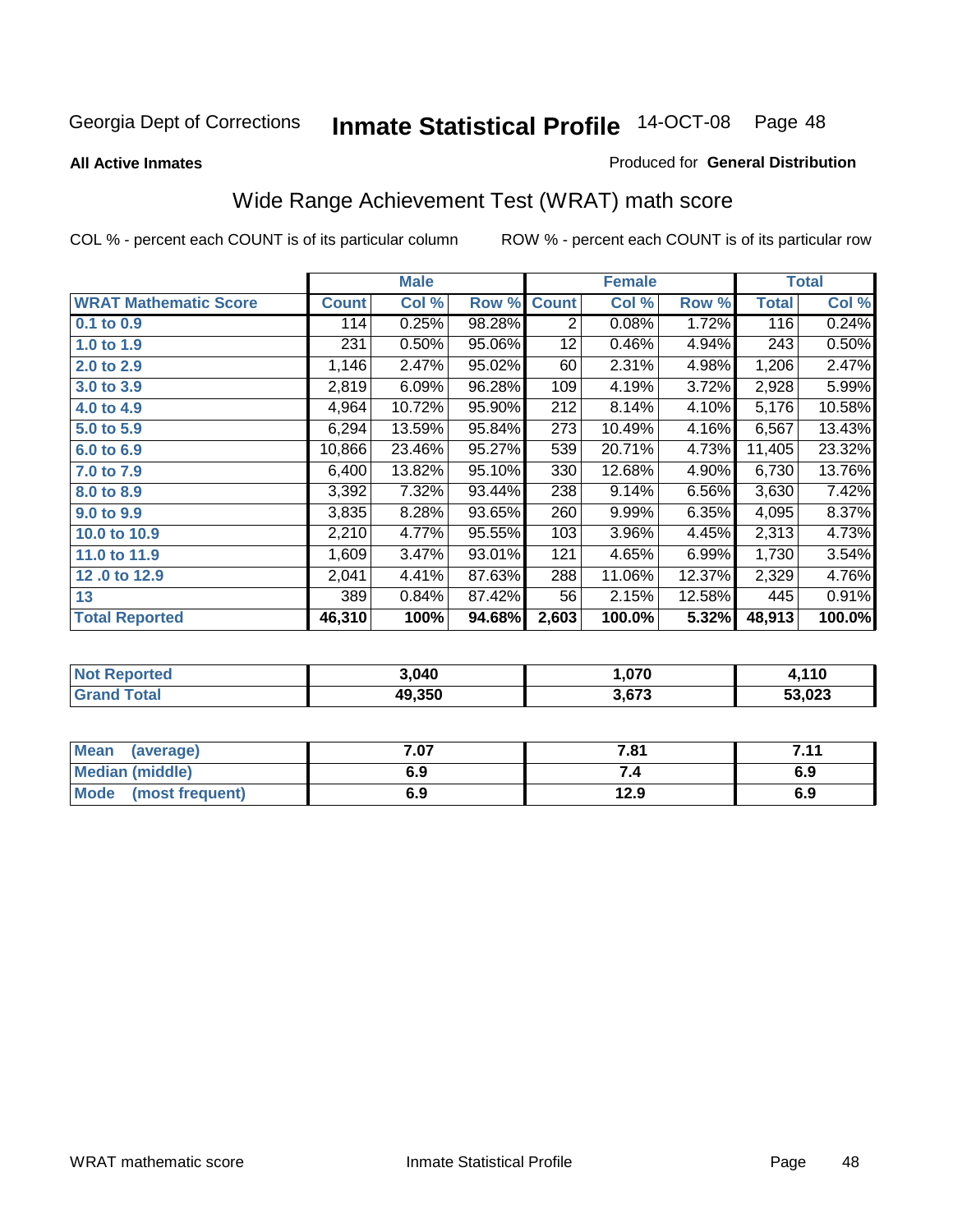**All Active Inmates**

#### Produced for **General Distribution**

# Wide Range Achievement Test (WRAT) math score

|                              |              | <b>Male</b> |        |                | <b>Female</b> |        |              | <b>Total</b> |
|------------------------------|--------------|-------------|--------|----------------|---------------|--------|--------------|--------------|
| <b>WRAT Mathematic Score</b> | <b>Count</b> | Col %       | Row %  | <b>Count</b>   | Col %         | Row %  | <b>Total</b> | Col %        |
| 0.1 to 0.9                   | 114          | 0.25%       | 98.28% | $\overline{2}$ | 0.08%         | 1.72%  | 116          | 0.24%        |
| 1.0 to 1.9                   | 231          | 0.50%       | 95.06% | 12             | 0.46%         | 4.94%  | 243          | 0.50%        |
| 2.0 to 2.9                   | 1,146        | 2.47%       | 95.02% | 60             | 2.31%         | 4.98%  | 1,206        | 2.47%        |
| 3.0 to 3.9                   | 2,819        | 6.09%       | 96.28% | 109            | 4.19%         | 3.72%  | 2,928        | 5.99%        |
| 4.0 to 4.9                   | 4,964        | 10.72%      | 95.90% | 212            | 8.14%         | 4.10%  | 5,176        | 10.58%       |
| 5.0 to 5.9                   | 6,294        | 13.59%      | 95.84% | 273            | 10.49%        | 4.16%  | 6,567        | 13.43%       |
| 6.0 to 6.9                   | 10,866       | 23.46%      | 95.27% | 539            | 20.71%        | 4.73%  | 11,405       | 23.32%       |
| 7.0 to 7.9                   | 6,400        | 13.82%      | 95.10% | 330            | 12.68%        | 4.90%  | 6,730        | 13.76%       |
| 8.0 to 8.9                   | 3,392        | 7.32%       | 93.44% | 238            | 9.14%         | 6.56%  | 3,630        | 7.42%        |
| 9.0 to 9.9                   | 3,835        | 8.28%       | 93.65% | 260            | 9.99%         | 6.35%  | 4,095        | 8.37%        |
| 10.0 to 10.9                 | 2,210        | 4.77%       | 95.55% | 103            | 3.96%         | 4.45%  | 2,313        | 4.73%        |
| 11.0 to 11.9                 | 1,609        | 3.47%       | 93.01% | 121            | 4.65%         | 6.99%  | 1,730        | 3.54%        |
| 12.0 to 12.9                 | 2,041        | 4.41%       | 87.63% | 288            | 11.06%        | 12.37% | 2,329        | 4.76%        |
| 13                           | 389          | 0.84%       | 87.42% | 56             | 2.15%         | 12.58% | 445          | 0.91%        |
| <b>Total Reported</b>        | 46,310       | 100%        | 94.68% | 2,603          | 100.0%        | 5.32%  | 48,913       | 100.0%       |

| 3.040  | 070, ا | , 110  |
|--------|--------|--------|
| 49.350 | 3.673  | 53,023 |

| Mean (average)         | 7.07 | 7.81 | 7.11 |
|------------------------|------|------|------|
| <b>Median (middle)</b> | 6.9  |      | 6.9  |
| Mode (most frequent)   | 6.9  | 12.9 | 6.9  |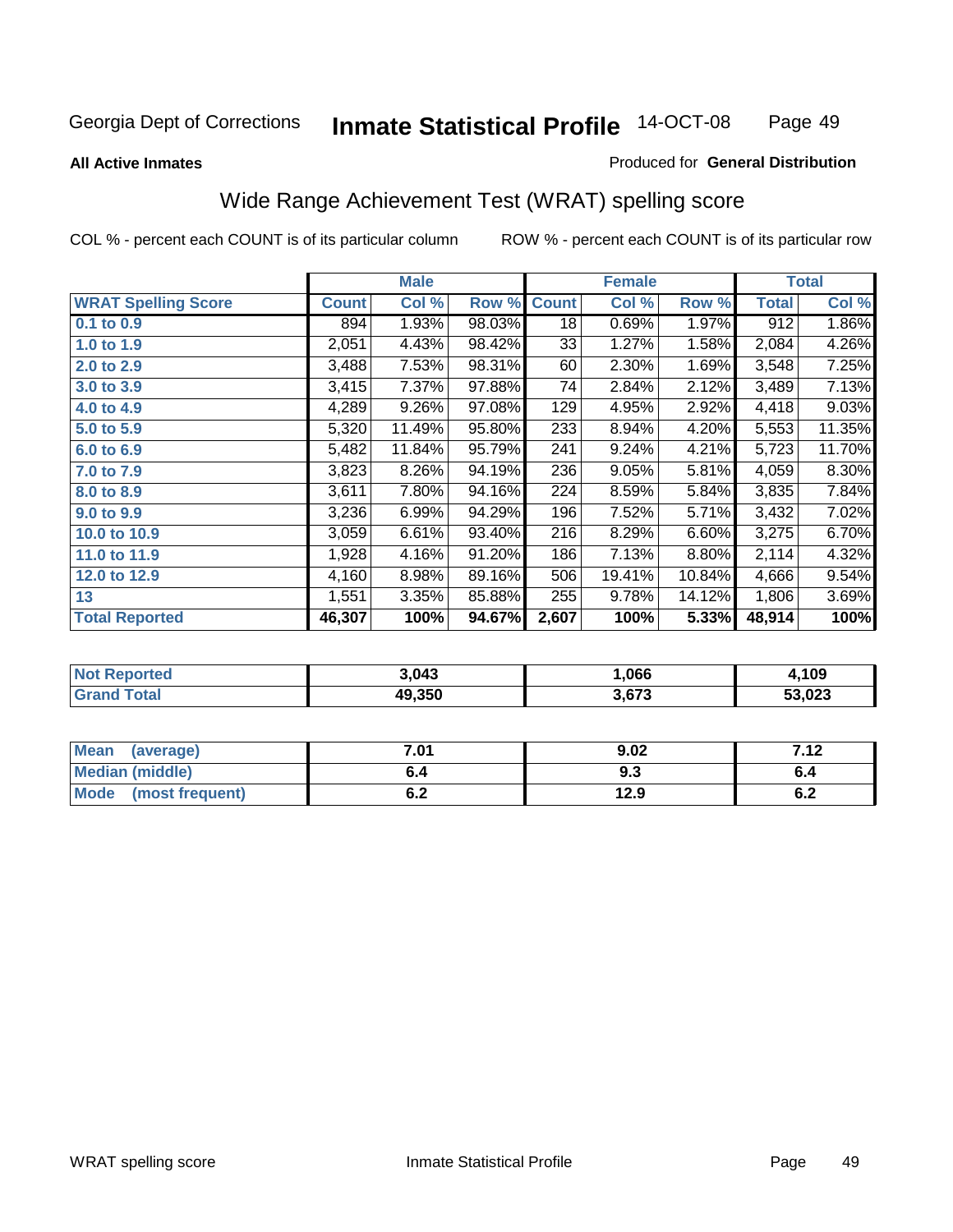#### **All Active Inmates**

#### Produced for **General Distribution**

# Wide Range Achievement Test (WRAT) spelling score

|                            |              | <b>Male</b> |        |              | <b>Female</b> |        |              | <b>Total</b> |
|----------------------------|--------------|-------------|--------|--------------|---------------|--------|--------------|--------------|
| <b>WRAT Spelling Score</b> | <b>Count</b> | Col %       | Row %  | <b>Count</b> | Col %         | Row %  | <b>Total</b> | Col %        |
| 0.1 to 0.9                 | 894          | 1.93%       | 98.03% | 18           | 0.69%         | 1.97%  | 912          | 1.86%        |
| 1.0 to 1.9                 | 2,051        | 4.43%       | 98.42% | 33           | 1.27%         | 1.58%  | 2,084        | 4.26%        |
| 2.0 to 2.9                 | 3,488        | 7.53%       | 98.31% | 60           | 2.30%         | 1.69%  | 3,548        | 7.25%        |
| 3.0 to 3.9                 | 3,415        | 7.37%       | 97.88% | 74           | 2.84%         | 2.12%  | 3,489        | 7.13%        |
| 4.0 to 4.9                 | 4,289        | 9.26%       | 97.08% | 129          | 4.95%         | 2.92%  | 4,418        | 9.03%        |
| 5.0 to 5.9                 | 5,320        | 11.49%      | 95.80% | 233          | 8.94%         | 4.20%  | 5,553        | 11.35%       |
| 6.0 to 6.9                 | 5,482        | 11.84%      | 95.79% | 241          | 9.24%         | 4.21%  | 5,723        | 11.70%       |
| 7.0 to 7.9                 | 3,823        | 8.26%       | 94.19% | 236          | 9.05%         | 5.81%  | 4,059        | 8.30%        |
| 8.0 to 8.9                 | 3,611        | 7.80%       | 94.16% | 224          | 8.59%         | 5.84%  | 3,835        | 7.84%        |
| 9.0 to 9.9                 | 3,236        | 6.99%       | 94.29% | 196          | 7.52%         | 5.71%  | 3,432        | 7.02%        |
| 10.0 to 10.9               | 3,059        | 6.61%       | 93.40% | 216          | 8.29%         | 6.60%  | 3,275        | 6.70%        |
| 11.0 to 11.9               | 1,928        | 4.16%       | 91.20% | 186          | 7.13%         | 8.80%  | 2,114        | 4.32%        |
| 12.0 to 12.9               | 4,160        | 8.98%       | 89.16% | 506          | 19.41%        | 10.84% | 4,666        | 9.54%        |
| 13                         | 1,551        | 3.35%       | 85.88% | 255          | 9.78%         | 14.12% | 1,806        | 3.69%        |
| <b>Total Reported</b>      | 46,307       | 100%        | 94.67% | 2,607        | 100%          | 5.33%  | 48,914       | 100%         |

| 3.043  | .066  | ,109   |
|--------|-------|--------|
| 49.350 | 3,673 | 53,023 |

| <b>Mean</b><br>(average) | 7.01               | 9.02 | 712 |
|--------------------------|--------------------|------|-----|
| <b>Median (middle)</b>   | b.4                | 9.3  | o.4 |
| Mode (most frequent)     | <u>. . </u><br>0.Z | 12.9 | υ.Ζ |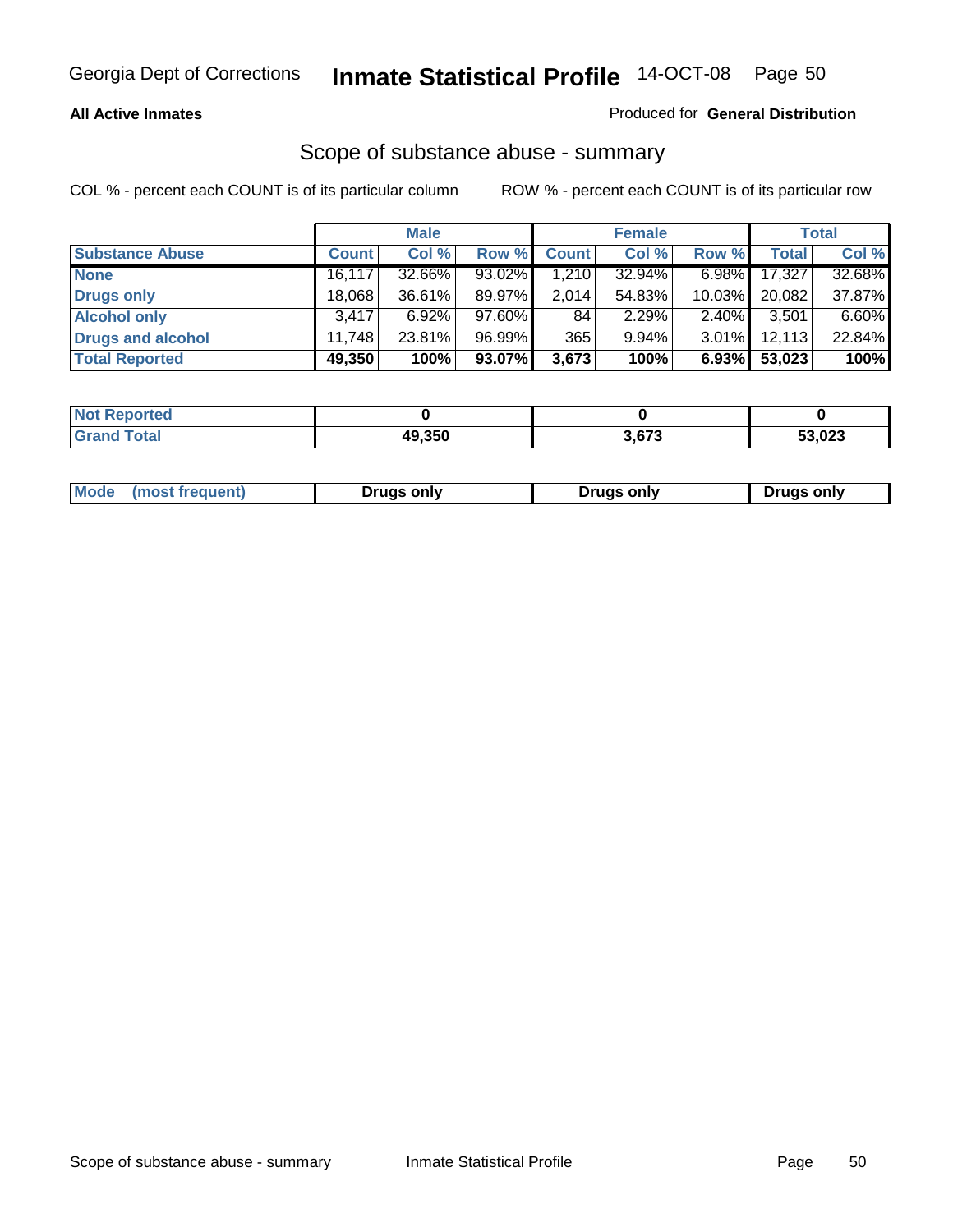#### **All Active Inmates**

#### Produced for **General Distribution**

### Scope of substance abuse - summary

|                        |        | <b>Male</b> |        |              | <b>Female</b> |           |              | <b>Total</b> |
|------------------------|--------|-------------|--------|--------------|---------------|-----------|--------------|--------------|
| <b>Substance Abuse</b> | Count  | Col %       | Row %  | <b>Count</b> | Col %         | Row %     | <b>Total</b> | Col %        |
| <b>None</b>            | 16,117 | 32.66%      | 93.02% | ا 210.       | 32.94%        | $6.98\%$  | 17,327       | 32.68%       |
| <b>Drugs only</b>      | 18,068 | 36.61%      | 89.97% | 2,014        | 54.83%        | $10.03\%$ | 20,082       | 37.87%       |
| <b>Alcohol only</b>    | 3.417  | $6.92\%$    | 97.60% | 84           | 2.29%         | $2.40\%$  | 3,501        | 6.60%        |
| Drugs and alcohol      | 11.748 | 23.81%      | 96.99% | 365          | $9.94\%$      | $3.01\%$  | 12,113       | 22.84%       |
| <b>Total Reported</b>  | 49,350 | 100%        | 93.07% | 3,673        | 100%          | 6.93%     | 53,023       | 100%         |

| <b>Not</b><br><b>Reported</b> |        |       |        |
|-------------------------------|--------|-------|--------|
| <b>Total</b><br><b>Grand</b>  | 49.350 | 3,673 | 53,023 |

|  | Mode<br>(most freauent) | Drugs only | Druas only | Drugs only |
|--|-------------------------|------------|------------|------------|
|--|-------------------------|------------|------------|------------|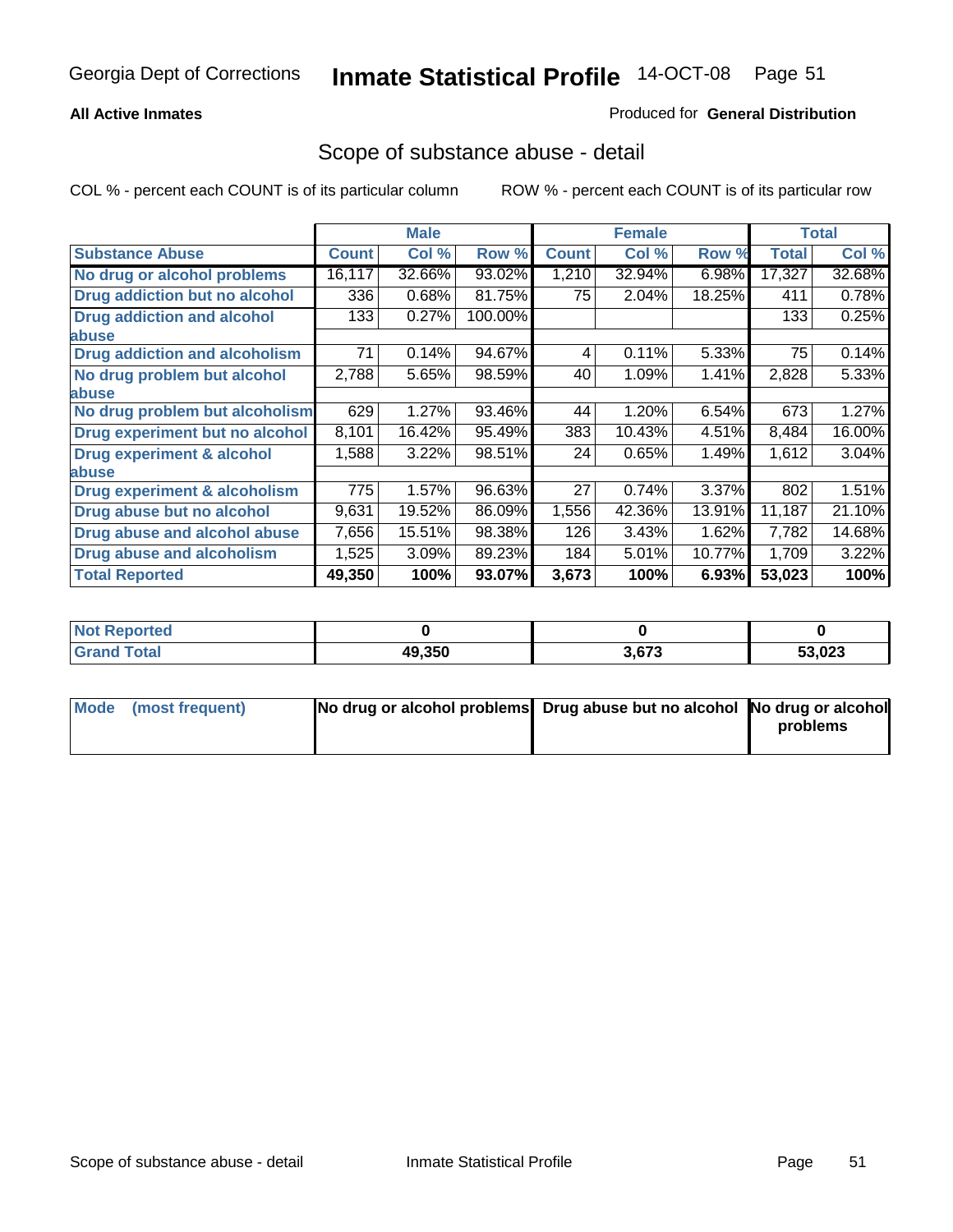#### **All Active Inmates**

#### Produced for **General Distribution**

### Scope of substance abuse - detail

|                                         |              | <b>Male</b> |         |              | <b>Female</b> |        |              | <b>Total</b> |
|-----------------------------------------|--------------|-------------|---------|--------------|---------------|--------|--------------|--------------|
| <b>Substance Abuse</b>                  | <b>Count</b> | Col %       | Row %   | <b>Count</b> | Col %         | Row %  | <b>Total</b> | Col %        |
| No drug or alcohol problems             | 16,117       | 32.66%      | 93.02%  | 1,210        | 32.94%        | 6.98%  | 17,327       | 32.68%       |
| Drug addiction but no alcohol           | 336          | 0.68%       | 81.75%  | 75           | 2.04%         | 18.25% | 411          | 0.78%        |
| <b>Drug addiction and alcohol</b>       | 133          | 0.27%       | 100.00% |              |               |        | 133          | 0.25%        |
| abuse                                   |              |             |         |              |               |        |              |              |
| <b>Drug addiction and alcoholism</b>    | 71           | 0.14%       | 94.67%  | 4            | 0.11%         | 5.33%  | 75           | 0.14%        |
| No drug problem but alcohol             | 2,788        | 5.65%       | 98.59%  | 40           | 1.09%         | 1.41%  | 2,828        | 5.33%        |
| abuse                                   |              |             |         |              |               |        |              |              |
| No drug problem but alcoholism          | 629          | 1.27%       | 93.46%  | 44           | 1.20%         | 6.54%  | 673          | 1.27%        |
| Drug experiment but no alcohol          | 8,101        | 16.42%      | 95.49%  | 383          | 10.43%        | 4.51%  | 8,484        | 16.00%       |
| <b>Drug experiment &amp; alcohol</b>    | 1,588        | 3.22%       | 98.51%  | 24           | 0.65%         | 1.49%  | 1,612        | 3.04%        |
| abuse                                   |              |             |         |              |               |        |              |              |
| <b>Drug experiment &amp; alcoholism</b> | 775          | 1.57%       | 96.63%  | 27           | 0.74%         | 3.37%  | 802          | 1.51%        |
| Drug abuse but no alcohol               | 9,631        | 19.52%      | 86.09%  | 1,556        | 42.36%        | 13.91% | 11,187       | 21.10%       |
| Drug abuse and alcohol abuse            | 7,656        | 15.51%      | 98.38%  | 126          | 3.43%         | 1.62%  | 7,782        | 14.68%       |
| Drug abuse and alcoholism               | 1,525        | 3.09%       | 89.23%  | 184          | 5.01%         | 10.77% | 1,709        | 3.22%        |
| <b>Total Reported</b>                   | 49,350       | 100%        | 93.07%  | 3,673        | 100%          | 6.93%  | 53,023       | 100%         |

| <b>Not Reported</b> |        |       |        |
|---------------------|--------|-------|--------|
| <b>cotal</b>        | 49.350 | 3.673 | 53,023 |

| Mode (most frequent) | No drug or alcohol problems Drug abuse but no alcohol No drug or alcohol |          |
|----------------------|--------------------------------------------------------------------------|----------|
|                      |                                                                          | problems |
|                      |                                                                          |          |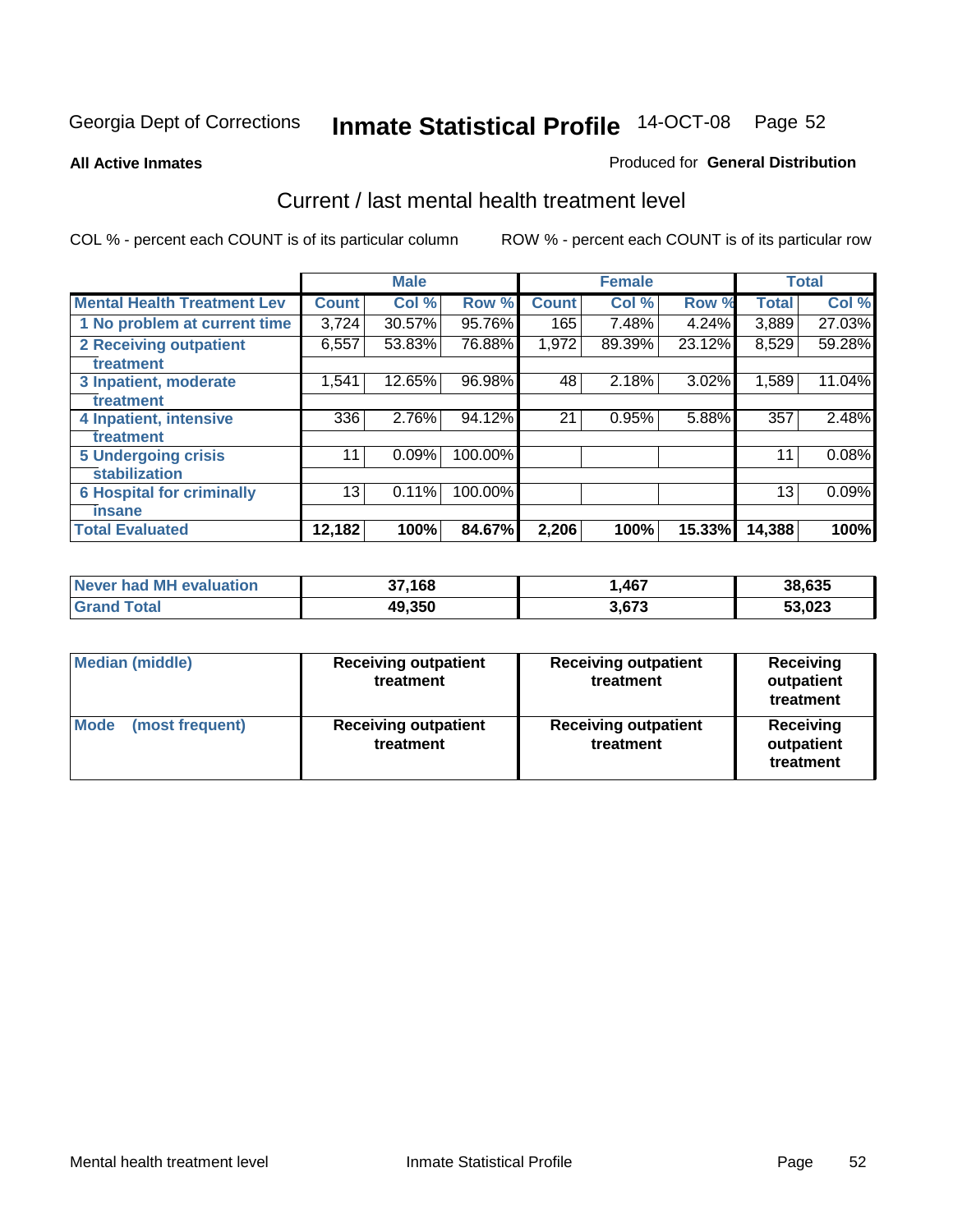#### **All Active Inmates**

#### Produced for **General Distribution**

### Current / last mental health treatment level

|                                    |              | <b>Male</b> |         |              | <b>Female</b> |          |              | <b>Total</b> |
|------------------------------------|--------------|-------------|---------|--------------|---------------|----------|--------------|--------------|
| <b>Mental Health Treatment Lev</b> | <b>Count</b> | Col %       | Row %   | <b>Count</b> | Col %         | Row %    | <b>Total</b> | Col %        |
| 1 No problem at current time       | 3,724        | 30.57%      | 95.76%  | 165          | 7.48%         | 4.24%    | 3,889        | 27.03%       |
| 2 Receiving outpatient             | 6,557        | 53.83%      | 76.88%  | 1,972        | 89.39%        | 23.12%   | 8,529        | 59.28%       |
| treatment                          |              |             |         |              |               |          |              |              |
| 3 Inpatient, moderate              | 1,541        | 12.65%      | 96.98%  | 48           | 2.18%         | $3.02\%$ | 1,589        | 11.04%       |
| treatment                          |              |             |         |              |               |          |              |              |
| 4 Inpatient, intensive             | 336          | 2.76%       | 94.12%  | 21           | 0.95%         | 5.88%    | 357          | 2.48%        |
| treatment                          |              |             |         |              |               |          |              |              |
| <b>5 Undergoing crisis</b>         | 11           | 0.09%       | 100.00% |              |               |          | 11           | 0.08%        |
| stabilization                      |              |             |         |              |               |          |              |              |
| <b>6 Hospital for criminally</b>   | 13           | 0.11%       | 100.00% |              |               |          | 13           | 0.09%        |
| insane                             |              |             |         |              |               |          |              |              |
| <b>Total Evaluated</b>             | 12,182       | 100%        | 84.67%  | 2,206        | 100%          | 15.33%   | 14,388       | 100%         |

| Never had MH evaluation | 37,168 | 467, ا | 38,635 |
|-------------------------|--------|--------|--------|
| `  Total<br>' Grand     | 49,350 | 3,673  | 53,023 |

| Median (middle)         | <b>Receiving outpatient</b><br>treatment | <b>Receiving outpatient</b><br>treatment | <b>Receiving</b><br>outpatient<br>treatment |
|-------------------------|------------------------------------------|------------------------------------------|---------------------------------------------|
| Mode<br>(most frequent) | <b>Receiving outpatient</b><br>treatment | <b>Receiving outpatient</b><br>treatment | Receiving<br>outpatient<br>treatment        |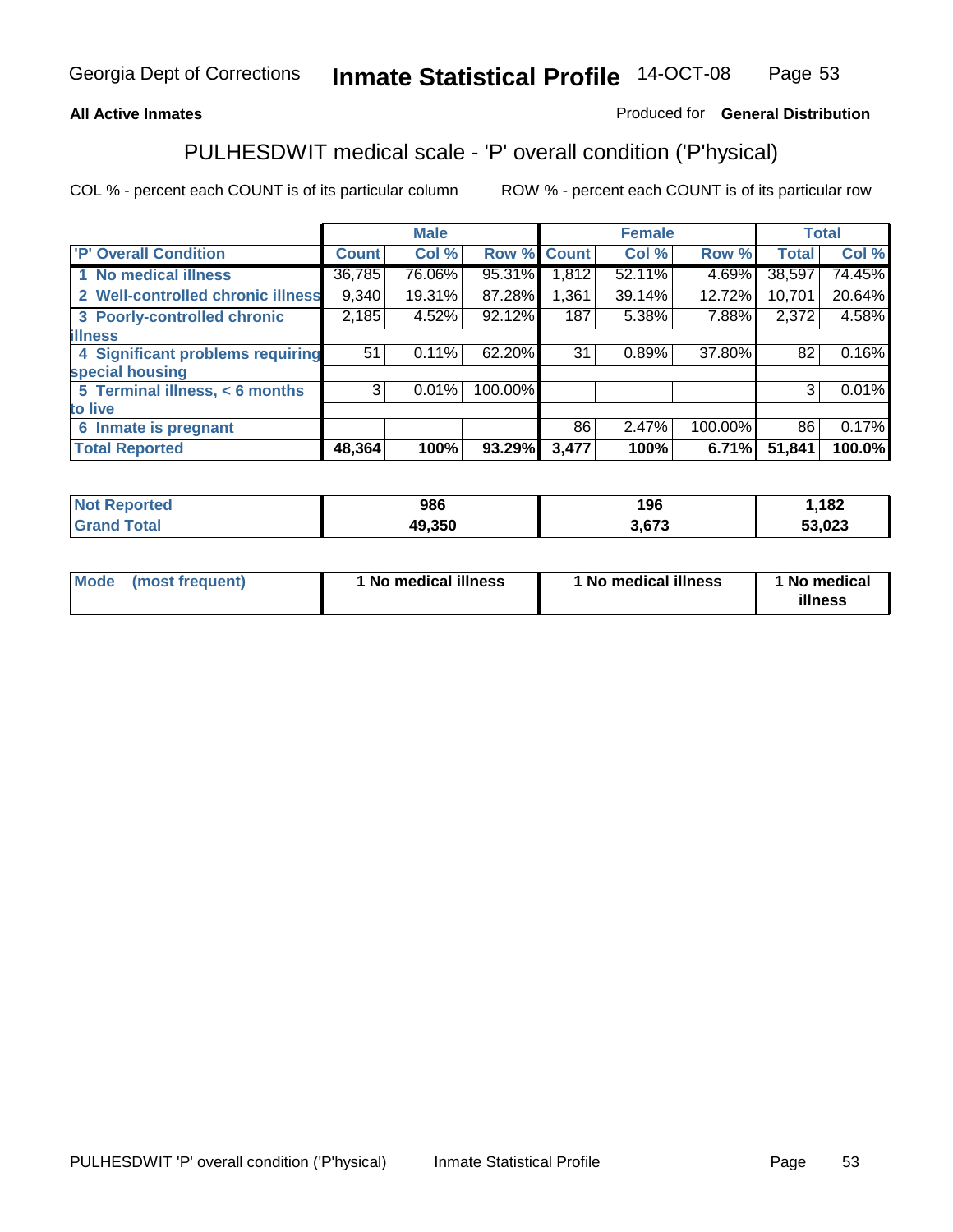#### **All Active Inmates**

#### Produced for **General Distribution**

# PULHESDWIT medical scale - 'P' overall condition ('P'hysical)

|                                   |              | <b>Male</b> |         |              | <b>Female</b> |         |              | <b>Total</b> |
|-----------------------------------|--------------|-------------|---------|--------------|---------------|---------|--------------|--------------|
| 'P' Overall Condition             | <b>Count</b> | Col %       | Row %   | <b>Count</b> | Col %         | Row %   | <b>Total</b> | Col %        |
| 1 No medical illness              | 36,785       | 76.06%      | 95.31%  | 1,812        | 52.11%        | 4.69%   | 38,597       | 74.45%       |
| 2 Well-controlled chronic illness | 9,340        | 19.31%      | 87.28%  | 1,361        | 39.14%        | 12.72%  | 10,701       | 20.64%       |
| 3 Poorly-controlled chronic       | 2,185        | 4.52%       | 92.12%  | 187          | 5.38%         | 7.88%   | 2,372        | 4.58%        |
| <b>illness</b>                    |              |             |         |              |               |         |              |              |
| 4 Significant problems requiring  | 51           | 0.11%       | 62.20%  | 31           | 0.89%         | 37.80%  | 82           | 0.16%        |
| special housing                   |              |             |         |              |               |         |              |              |
| 5 Terminal illness, < 6 months    | 3            | 0.01%       | 100.00% |              |               |         | 3            | 0.01%        |
| to live                           |              |             |         |              |               |         |              |              |
| 6 Inmate is pregnant              |              |             |         | 86           | 2.47%         | 100.00% | 86           | 0.17%        |
| <b>Total Reported</b>             | 48,364       | 100%        | 93.29%  | 3,477        | 100%          | 6.71%   | 51,841       | 100.0%       |

| <b>Not Reported</b> | 986    | 196   | ,182   |
|---------------------|--------|-------|--------|
| <b>Grand Total</b>  | 49,350 | 3,673 | 53,023 |

| Mode (most frequent) | 1 No medical illness | 1 No medical illness | 1 No medical |
|----------------------|----------------------|----------------------|--------------|
|                      |                      |                      | illness      |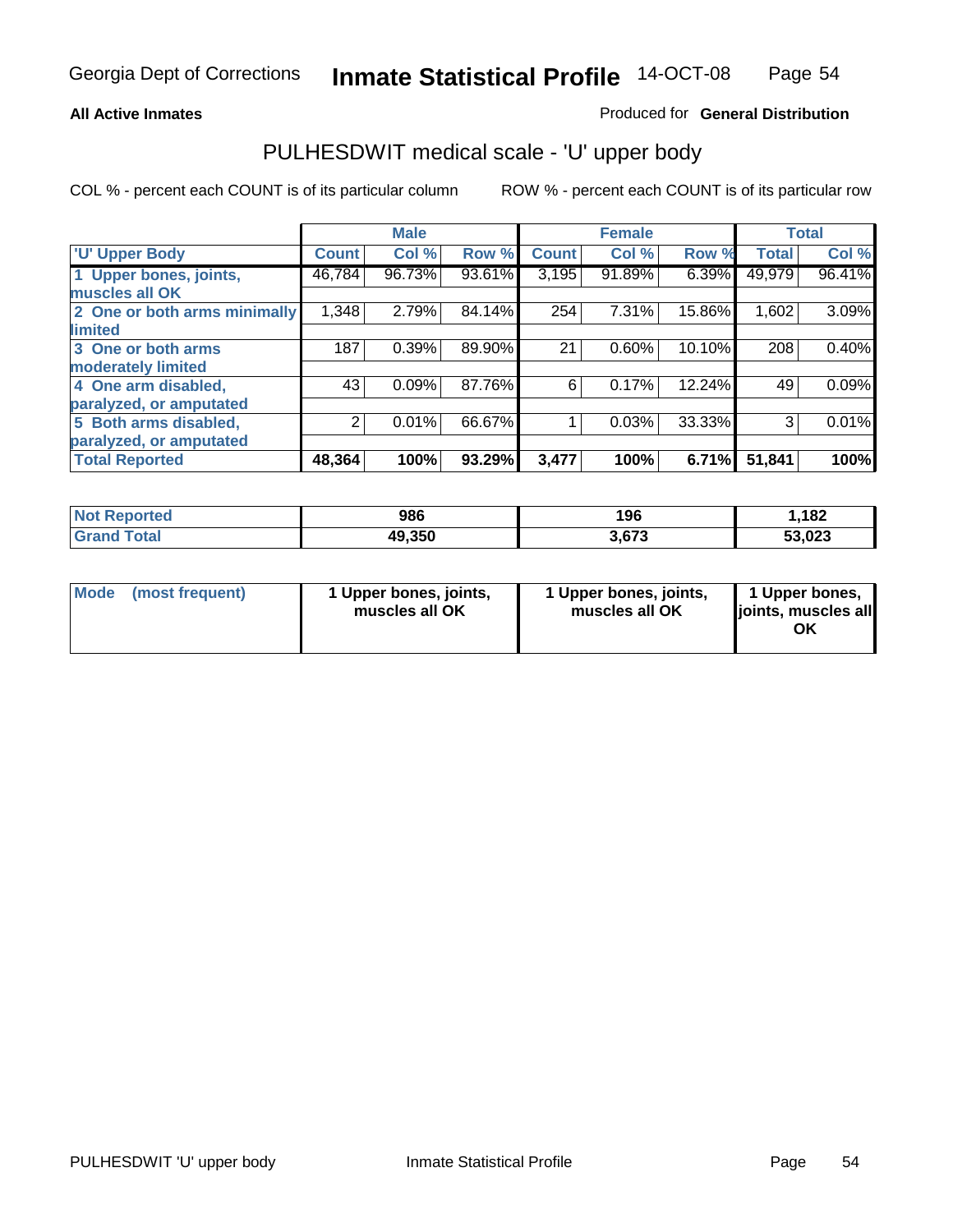#### **All Active Inmates**

#### Produced for **General Distribution**

### PULHESDWIT medical scale - 'U' upper body

|                              |              | <b>Male</b> |        |              | <b>Female</b> |        |              | <b>Total</b> |
|------------------------------|--------------|-------------|--------|--------------|---------------|--------|--------------|--------------|
| <b>U' Upper Body</b>         | <b>Count</b> | Col %       | Row %  | <b>Count</b> | Col %         | Row %  | <b>Total</b> | Col %        |
| 1 Upper bones, joints,       | 46,784       | 96.73%      | 93.61% | 3,195        | 91.89%        | 6.39%  | 49,979       | 96.41%       |
| muscles all OK               |              |             |        |              |               |        |              |              |
| 2 One or both arms minimally | 1,348        | 2.79%       | 84.14% | 254          | 7.31%         | 15.86% | 1,602        | 3.09%        |
| limited                      |              |             |        |              |               |        |              |              |
| 3 One or both arms           | 187          | 0.39%       | 89.90% | 21           | 0.60%         | 10.10% | 208          | 0.40%        |
| moderately limited           |              |             |        |              |               |        |              |              |
| 4 One arm disabled,          | 43           | 0.09%       | 87.76% | 6            | 0.17%         | 12.24% | 49           | 0.09%        |
| paralyzed, or amputated      |              |             |        |              |               |        |              |              |
| 5 Both arms disabled,        | 2            | 0.01%       | 66.67% |              | 0.03%         | 33.33% | 3            | 0.01%        |
| paralyzed, or amputated      |              |             |        |              |               |        |              |              |
| <b>Total Reported</b>        | 48,364       | 100%        | 93.29% | 3,477        | 100%          | 6.71%  | 51,841       | 100%         |

| <b>Not Reported</b>  | 986    | 196   | .182   |
|----------------------|--------|-------|--------|
| $\tau$ otal<br>Grand | 49,350 | 3.673 | 53,023 |

| <b>Mode</b> | (most frequent) | 1 Upper bones, joints,<br>muscles all OK | 1 Upper bones, joints,<br>muscles all OK | 1 Upper bones,<br>joints, muscles all<br>ΟK |
|-------------|-----------------|------------------------------------------|------------------------------------------|---------------------------------------------|
|-------------|-----------------|------------------------------------------|------------------------------------------|---------------------------------------------|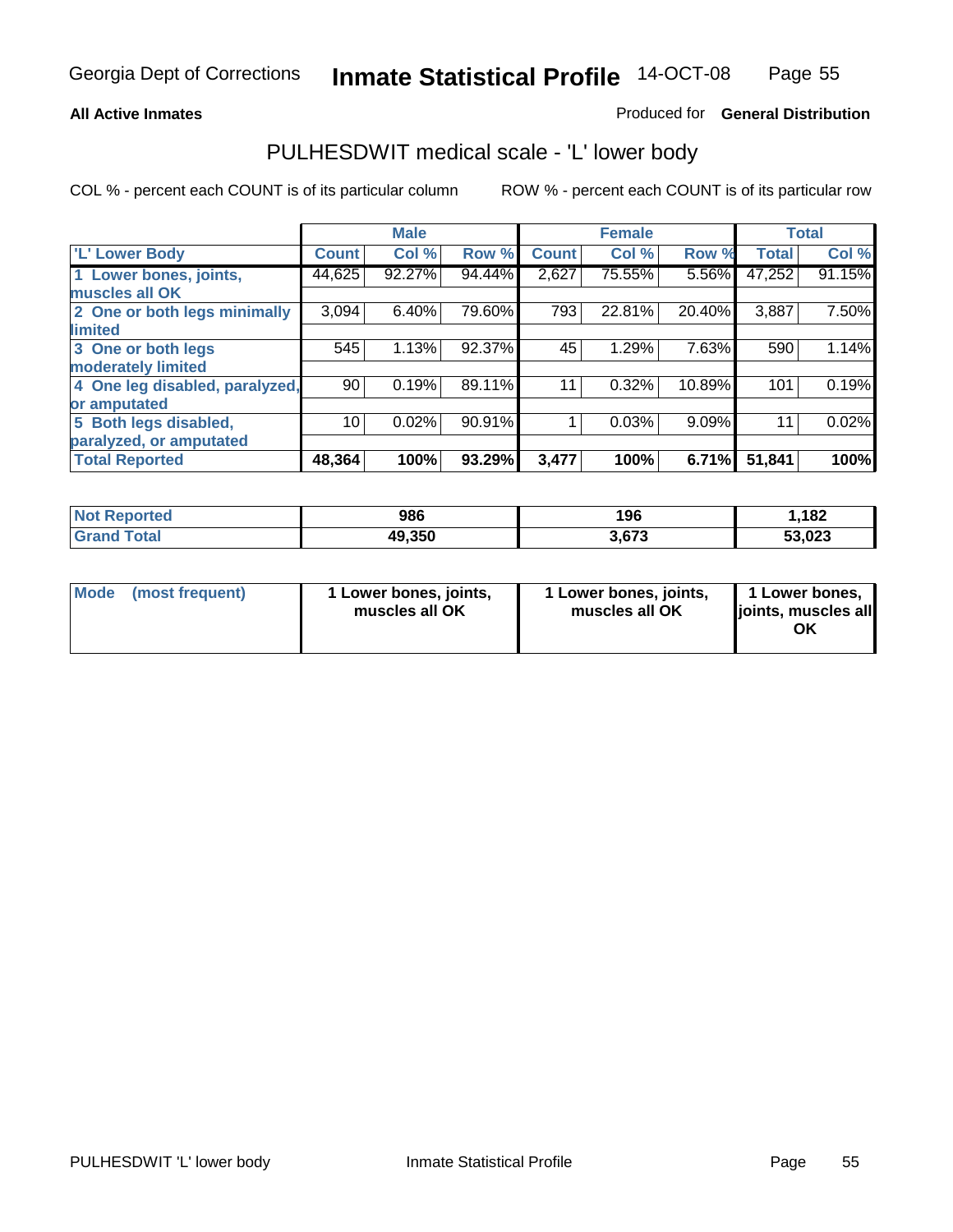#### **All Active Inmates**

### Produced for **General Distribution**

### PULHESDWIT medical scale - 'L' lower body

|                                |              | <b>Male</b> |        |              | <b>Female</b> |          |              | <b>Total</b> |
|--------------------------------|--------------|-------------|--------|--------------|---------------|----------|--------------|--------------|
| 'L' Lower Body                 | <b>Count</b> | Col %       | Row %  | <b>Count</b> | Col %         | Row %    | <b>Total</b> | Col %        |
| 1 Lower bones, joints,         | 44,625       | 92.27%      | 94.44% | 2,627        | 75.55%        | 5.56%    | 47,252       | 91.15%       |
| muscles all OK                 |              |             |        |              |               |          |              |              |
| 2 One or both legs minimally   | 3,094        | 6.40%       | 79.60% | 793          | 22.81%        | 20.40%   | 3,887        | 7.50%        |
| limited                        |              |             |        |              |               |          |              |              |
| 3 One or both legs             | 545          | 1.13%       | 92.37% | 45           | 1.29%         | 7.63%    | 590          | 1.14%        |
| moderately limited             |              |             |        |              |               |          |              |              |
| 4 One leg disabled, paralyzed, | 90           | 0.19%       | 89.11% | 11           | 0.32%         | 10.89%   | 101          | 0.19%        |
| or amputated                   |              |             |        |              |               |          |              |              |
| 5 Both legs disabled,          | 10           | 0.02%       | 90.91% |              | 0.03%         | $9.09\%$ | 11           | 0.02%        |
| paralyzed, or amputated        |              |             |        |              |               |          |              |              |
| <b>Total Reported</b>          | 48,364       | 100%        | 93.29% | 3,477        | 100%          | 6.71%    | 51,841       | 100%         |

| <b>Not Reported</b> | 986    | 196   | ,182   |
|---------------------|--------|-------|--------|
| Total<br>l Grand    | 49,350 | 3,673 | 53,023 |

|  | Mode (most frequent) | 1 Lower bones, joints,<br>muscles all OK | 1 Lower bones, joints,<br>muscles all OK | 1 Lower bones,<br>joints, muscles all<br>ОK |
|--|----------------------|------------------------------------------|------------------------------------------|---------------------------------------------|
|--|----------------------|------------------------------------------|------------------------------------------|---------------------------------------------|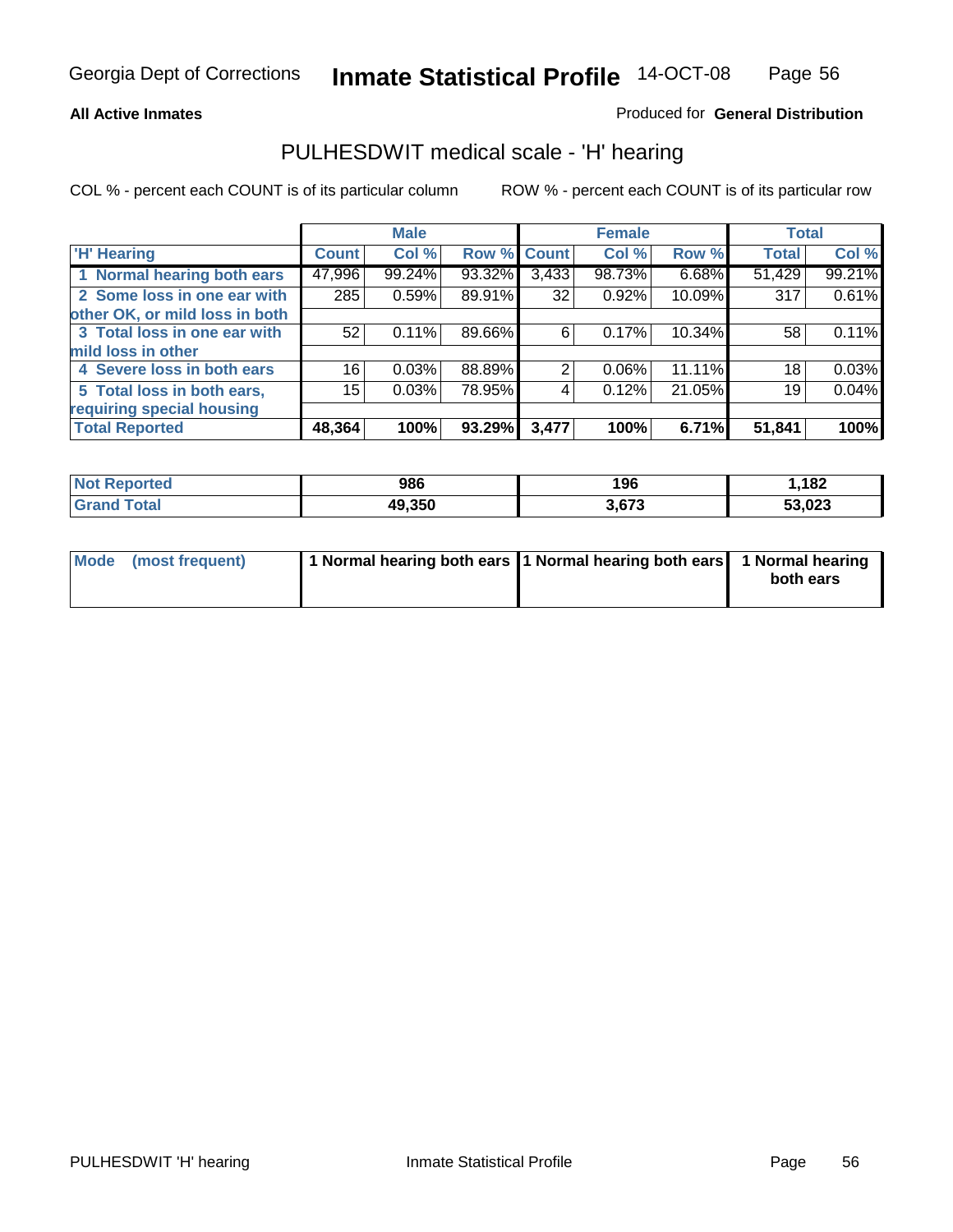#### **All Active Inmates**

#### Produced for **General Distribution**

### PULHESDWIT medical scale - 'H' hearing

|                                |              | <b>Male</b> |             |       | <b>Female</b> |        | <b>Total</b> |        |
|--------------------------------|--------------|-------------|-------------|-------|---------------|--------|--------------|--------|
| <b>H'</b> Hearing              | <b>Count</b> | Col %       | Row % Count |       | Col %         | Row %  | <b>Total</b> | Col %  |
| 1 Normal hearing both ears     | 47,996       | 99.24%      | 93.32%      | 3,433 | 98.73%        | 6.68%  | 51,429       | 99.21% |
| 2 Some loss in one ear with    | 285          | 0.59%       | 89.91%      | 32    | 0.92%         | 10.09% | 317          | 0.61%  |
| other OK, or mild loss in both |              |             |             |       |               |        |              |        |
| 3 Total loss in one ear with   | 52           | $0.11\%$    | 89.66%      | 6     | 0.17%         | 10.34% | 58           | 0.11%  |
| mild loss in other             |              |             |             |       |               |        |              |        |
| 4 Severe loss in both ears     | 16           | 0.03%       | 88.89%      | 2     | $0.06\%$      | 11.11% | 18           | 0.03%  |
| 5 Total loss in both ears,     | 15           | 0.03%       | 78.95%      | 4     | 0.12%         | 21.05% | 19           | 0.04%  |
| requiring special housing      |              |             |             |       |               |        |              |        |
| <b>Total Reported</b>          | 48,364       | 100%        | 93.29%      | 3,477 | 100%          | 6.71%  | 51,841       | 100%   |

| วrted     | 986    | 106<br>טכו | .182           |
|-----------|--------|------------|----------------|
| $\sim$ 40 | 49.350 | 672        | こう へへへ<br>.uzs |

| Mode (most frequent) | 1 Normal hearing both ears 11 Normal hearing both ears | 1 Normal hearing |
|----------------------|--------------------------------------------------------|------------------|
|                      |                                                        | both ears        |
|                      |                                                        |                  |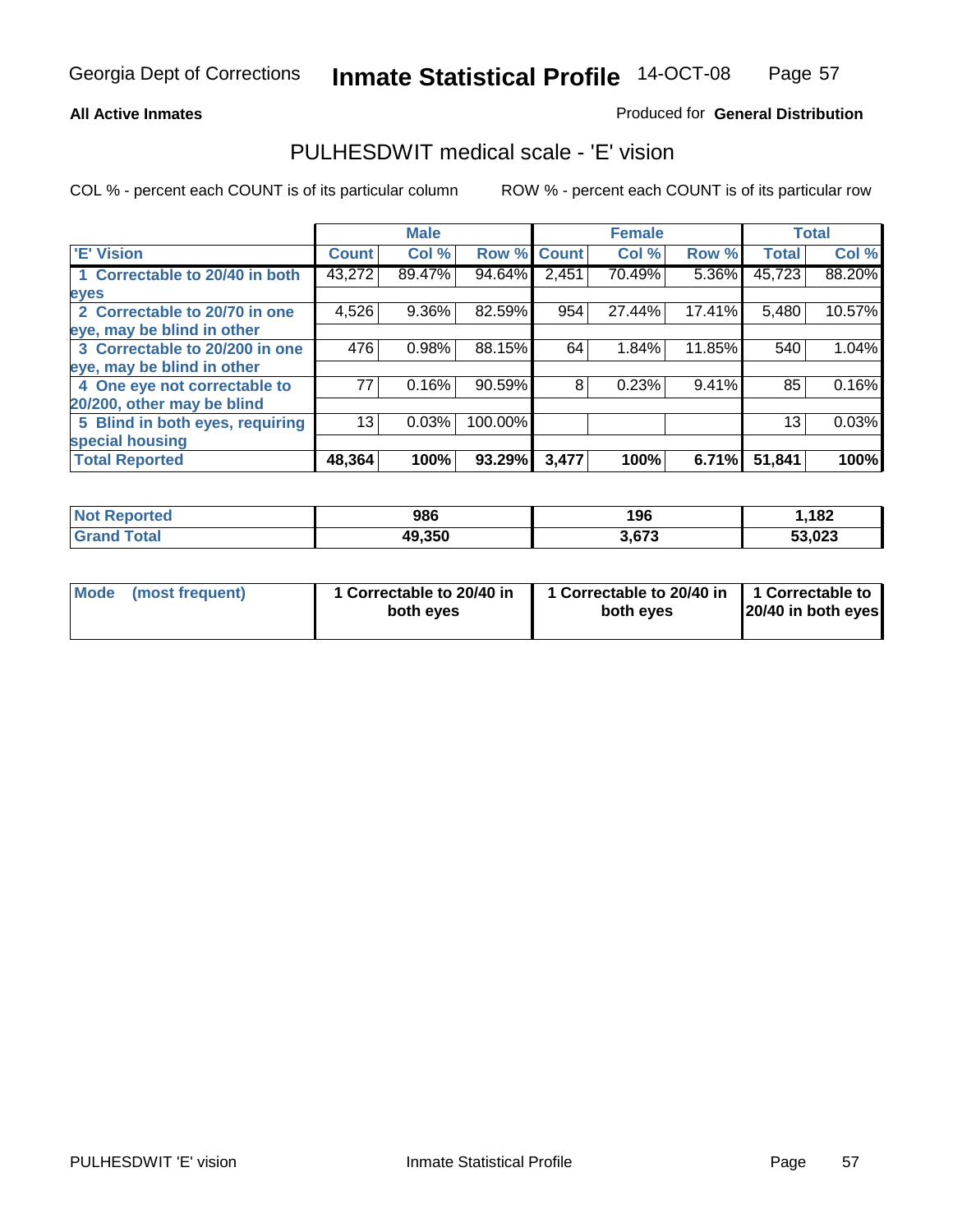#### **All Active Inmates**

#### Produced for **General Distribution**

# PULHESDWIT medical scale - 'E' vision

|                                 |              | <b>Male</b> |             |       | <b>Female</b> |        |              | <b>Total</b> |
|---------------------------------|--------------|-------------|-------------|-------|---------------|--------|--------------|--------------|
| 'E' Vision                      | <b>Count</b> | Col %       | Row % Count |       | Col %         | Row %  | <b>Total</b> | Col %        |
| 1 Correctable to 20/40 in both  | 43,272       | 89.47%      | 94.64%      | 2,451 | 70.49%        | 5.36%  | 45,723       | 88.20%       |
| eyes                            |              |             |             |       |               |        |              |              |
| 2 Correctable to 20/70 in one   | 4,526        | 9.36%       | 82.59%      | 954   | 27.44%        | 17.41% | 5,480        | 10.57%       |
| eye, may be blind in other      |              |             |             |       |               |        |              |              |
| 3 Correctable to 20/200 in one  | 476          | 0.98%       | 88.15%      | 64    | 1.84%         | 11.85% | 540          | 1.04%        |
| eye, may be blind in other      |              |             |             |       |               |        |              |              |
| 4 One eye not correctable to    | 77           | 0.16%       | 90.59%      | 8     | 0.23%         | 9.41%  | 85           | 0.16%        |
| 20/200, other may be blind      |              |             |             |       |               |        |              |              |
| 5 Blind in both eyes, requiring | 13           | 0.03%       | 100.00%     |       |               |        | 13           | 0.03%        |
| special housing                 |              |             |             |       |               |        |              |              |
| <b>Total Reported</b>           | 48,364       | 100%        | 93.29%      | 3,477 | 100%          | 6.71%  | 51,841       | 100%         |

| <b>Not Reported</b> | 986    | 196           | .182   |
|---------------------|--------|---------------|--------|
| ⊺ota                | 49,350 | 2072<br>ა.ხ/ა | 53,023 |

| Mode | (most frequent) | 1 Correctable to 20/40 in<br>both eves | 1 Correctable to 20/40 in   1 Correctable to<br>both eves | 20/40 in both eyes |
|------|-----------------|----------------------------------------|-----------------------------------------------------------|--------------------|
|------|-----------------|----------------------------------------|-----------------------------------------------------------|--------------------|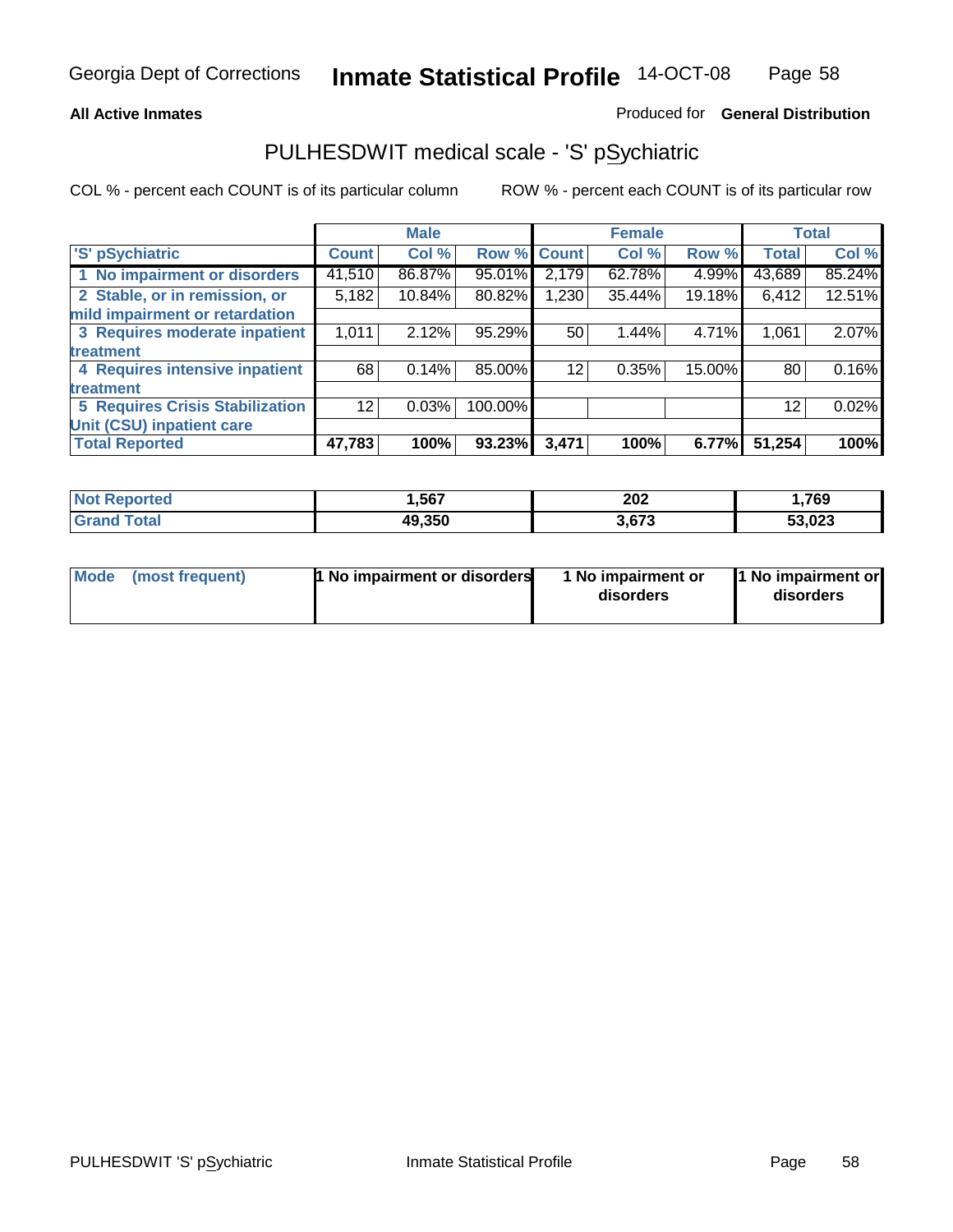#### **All Active Inmates**

#### Produced for **General Distribution**

# PULHESDWIT medical scale - 'S' pSychiatric

|                                        |              | <b>Male</b> |             |       | <b>Female</b> |        |              | <b>Total</b> |
|----------------------------------------|--------------|-------------|-------------|-------|---------------|--------|--------------|--------------|
| 'S' pSychiatric                        | <b>Count</b> | Col %       | Row % Count |       | Col %         | Row %  | <b>Total</b> | Col %        |
| 1 No impairment or disorders           | 41,510       | 86.87%      | 95.01%      | 2,179 | 62.78%        | 4.99%  | 43,689       | 85.24%       |
| 2 Stable, or in remission, or          | 5,182        | 10.84%      | 80.82%      | .230  | 35.44%        | 19.18% | 6,412        | 12.51%       |
| mild impairment or retardation         |              |             |             |       |               |        |              |              |
| 3 Requires moderate inpatient          | 1,011        | 2.12%       | 95.29%      | 50    | 1.44%         | 4.71%  | 1,061        | 2.07%        |
| treatment                              |              |             |             |       |               |        |              |              |
| 4 Requires intensive inpatient         | 68           | 0.14%       | 85.00%      | 12    | 0.35%         | 15.00% | 80           | 0.16%        |
| treatment                              |              |             |             |       |               |        |              |              |
| <b>5 Requires Crisis Stabilization</b> | 12           | 0.03%       | 100.00%     |       |               |        | 12           | 0.02%        |
| Unit (CSU) inpatient care              |              |             |             |       |               |        |              |              |
| <b>Total Reported</b>                  | 47,783       | 100%        | 93.23%      | 3,471 | 100%          | 6.77%  | 51,254       | 100%         |

| <b>Not Reported</b>  | ,567   | 202   | .769.، |
|----------------------|--------|-------|--------|
| $\tau$ otal<br>Grand | 49,350 | 3,673 | 53,023 |

| Mode (most frequent) | <b>1</b> No impairment or disorders | 1 No impairment or<br>disorders | 1 No impairment or<br>disorders |
|----------------------|-------------------------------------|---------------------------------|---------------------------------|
|                      |                                     |                                 |                                 |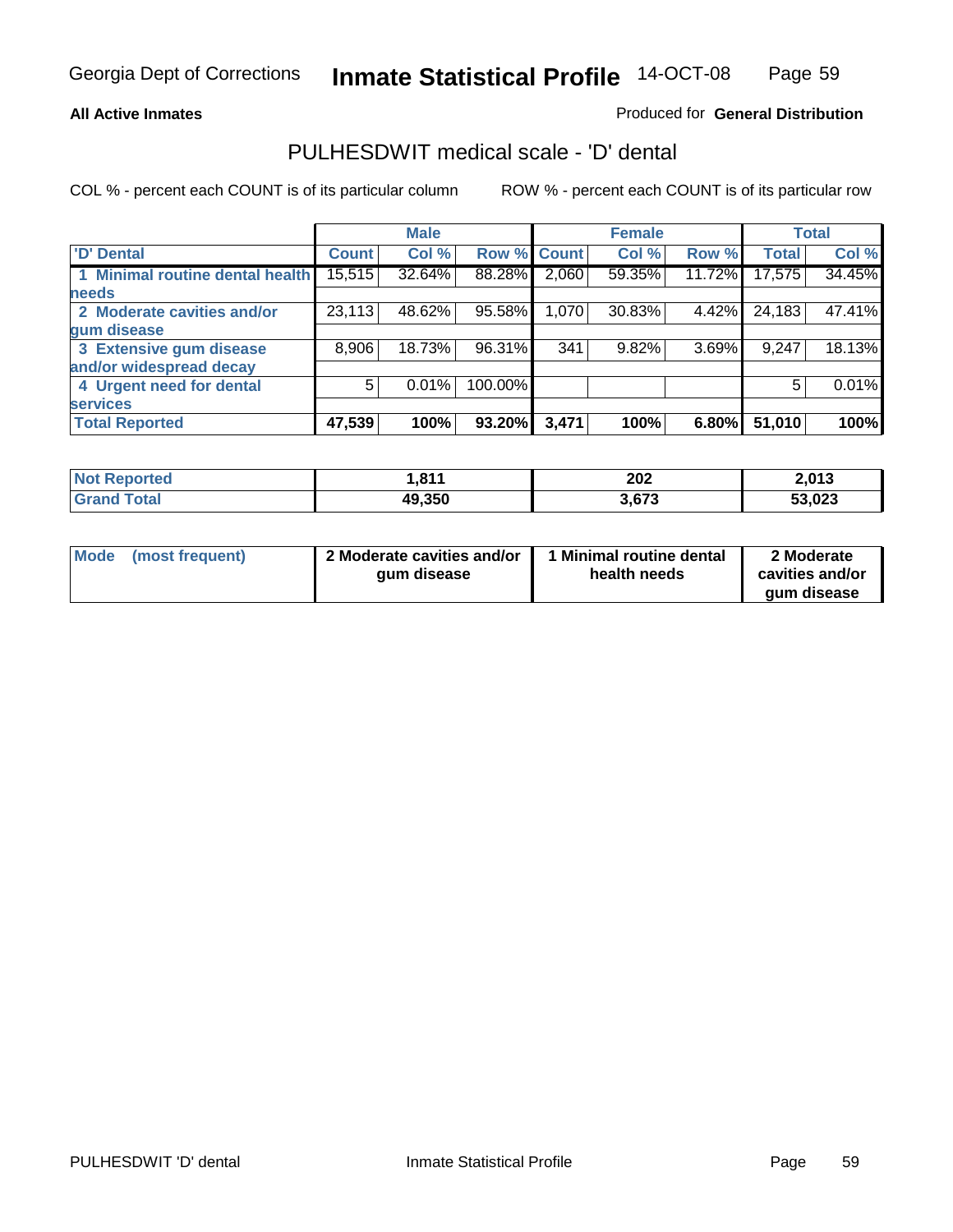#### **All Active Inmates**

#### Produced for **General Distribution**

### PULHESDWIT medical scale - 'D' dental

|                                 |              | <b>Male</b> |         |             | <b>Female</b> |        |              | <b>Total</b> |
|---------------------------------|--------------|-------------|---------|-------------|---------------|--------|--------------|--------------|
| <b>D' Dental</b>                | <b>Count</b> | Col %       |         | Row % Count | Col %         | Row %  | <b>Total</b> | Col %        |
| 1 Minimal routine dental health | 15,515       | 32.64%      | 88.28%  | 2,060       | 59.35%        | 11.72% | 17,575       | 34.45%       |
| <b>needs</b>                    |              |             |         |             |               |        |              |              |
| 2 Moderate cavities and/or      | 23,113       | 48.62%      | 95.58%  | 1,070       | 30.83%        | 4.42%  | 24,183       | 47.41%       |
| gum disease                     |              |             |         |             |               |        |              |              |
| 3 Extensive gum disease         | 8,906        | 18.73%      | 96.31%  | 341         | 9.82%         | 3.69%  | 9,247        | 18.13%       |
| and/or widespread decay         |              |             |         |             |               |        |              |              |
| 4 Urgent need for dental        | 5            | 0.01%       | 100.00% |             |               |        | 5            | 0.01%        |
| <b>services</b>                 |              |             |         |             |               |        |              |              |
| <b>Total Reported</b>           | 47,539       | 100%        | 93.20%  | 3,471       | 100%          | 6.80%  | 51,010       | 100%         |

| ported                  | 044     | 202            | <b>2012</b> |
|-------------------------|---------|----------------|-------------|
| NO.                     | ו וס, ו | ____           | ZJU I J     |
| <b>Total</b><br>' Grano | 49,350  | 2.672<br>ა.ხ/ა | 53,023      |

| <b>Mode</b><br>(most frequent) | 2 Moderate cavities and/or<br>qum disease | Minimal routine dental<br>health needs | 2 Moderate<br>cavities and/or<br>qum disease |
|--------------------------------|-------------------------------------------|----------------------------------------|----------------------------------------------|
|                                |                                           |                                        |                                              |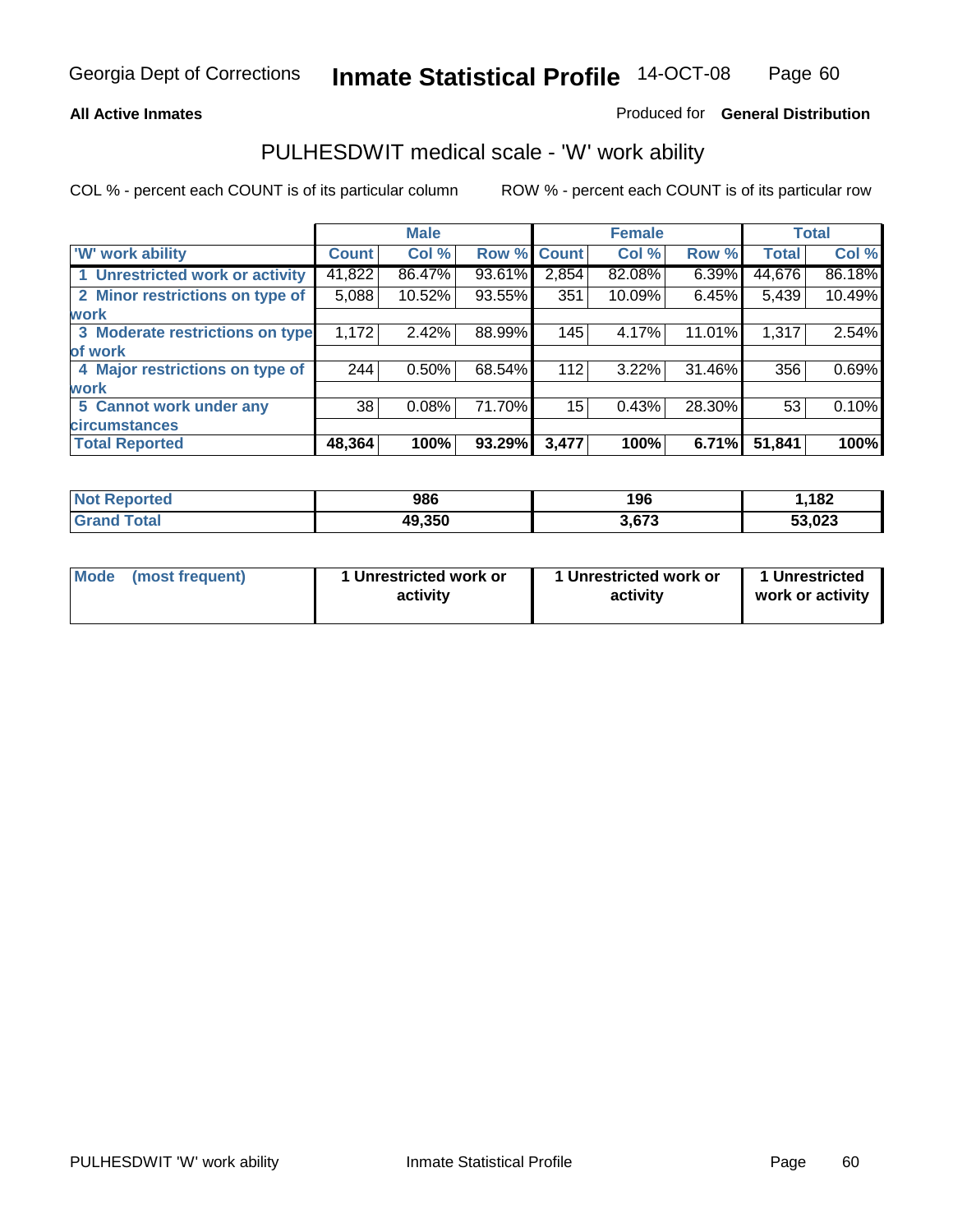#### **All Active Inmates**

#### Produced for **General Distribution**

### PULHESDWIT medical scale - 'W' work ability

|                                 |              | <b>Male</b> |        |              | <b>Female</b> |        |              | <b>Total</b> |
|---------------------------------|--------------|-------------|--------|--------------|---------------|--------|--------------|--------------|
| W' work ability                 | <b>Count</b> | Col %       | Row %  | <b>Count</b> | Col %         | Row %  | <b>Total</b> | Col %        |
| 1 Unrestricted work or activity | 41,822       | 86.47%      | 93.61% | 2,854        | 82.08%        | 6.39%  | 44,676       | 86.18%       |
| 2 Minor restrictions on type of | 5,088        | 10.52%      | 93.55% | 351          | 10.09%        | 6.45%  | 5,439        | 10.49%       |
| <b>work</b>                     |              |             |        |              |               |        |              |              |
| 3 Moderate restrictions on type | 1,172        | 2.42%       | 88.99% | 145          | 4.17%         | 11.01% | 1,317        | 2.54%        |
| of work                         |              |             |        |              |               |        |              |              |
| 4 Major restrictions on type of | 244          | $0.50\%$    | 68.54% | 112          | 3.22%         | 31.46% | 356          | 0.69%        |
| <b>work</b>                     |              |             |        |              |               |        |              |              |
| 5 Cannot work under any         | 38           | 0.08%       | 71.70% | 15           | 0.43%         | 28.30% | 53           | 0.10%        |
| <b>circumstances</b>            |              |             |        |              |               |        |              |              |
| <b>Total Reported</b>           | 48,364       | 100%        | 93.29% | 3,477        | 100%          | 6.71%  | 51,841       | 100%         |

| <b>Not Reported</b>          | 986    | 196   | .182   |
|------------------------------|--------|-------|--------|
| <b>Total</b><br><b>Grand</b> | 49,350 | 3,673 | 53,023 |

| Mode            | 1 Unrestricted work or | 1 Unrestricted work or | 1 Unrestricted   |
|-----------------|------------------------|------------------------|------------------|
| (most frequent) | activity               | activity               | work or activity |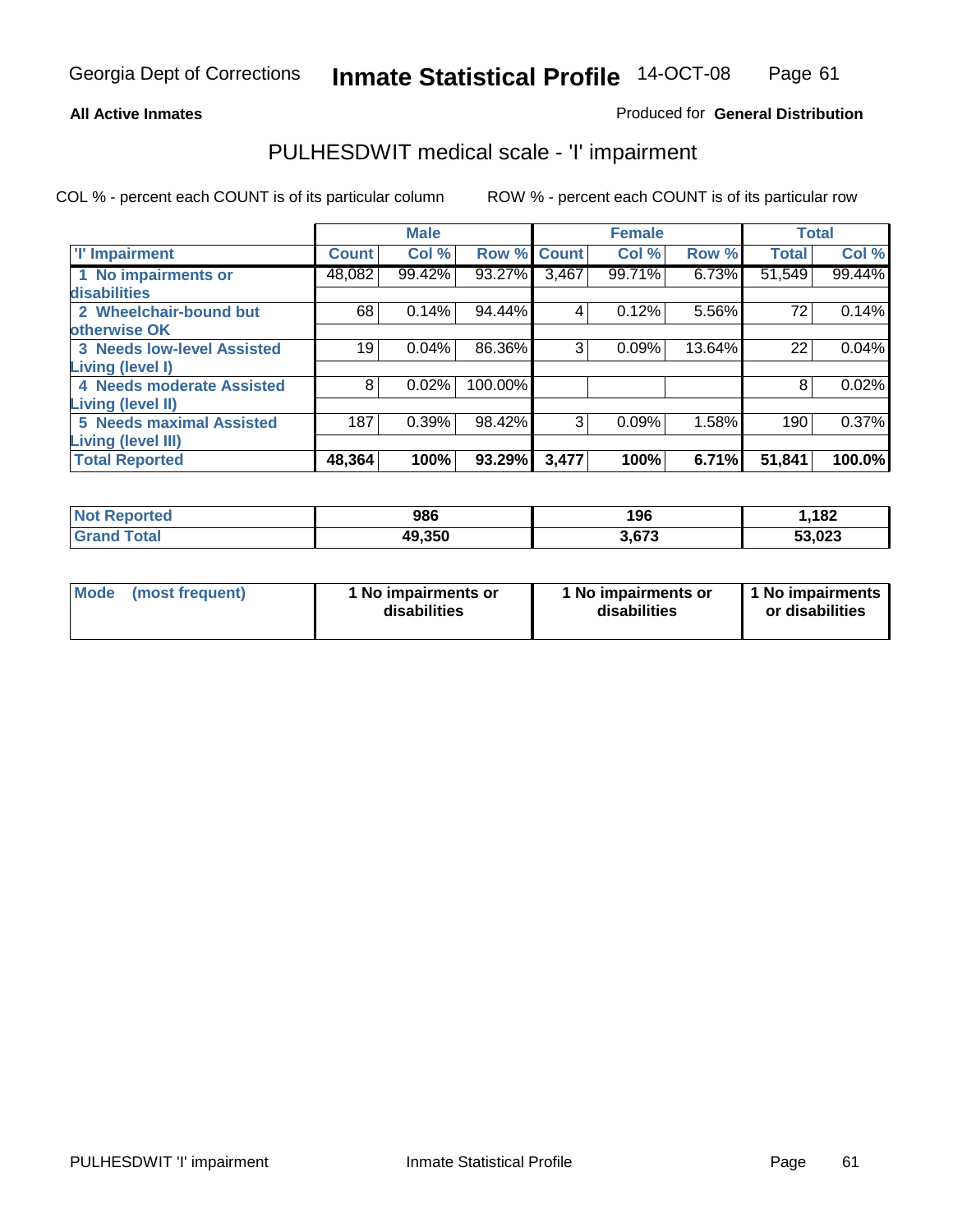#### **All Active Inmates**

#### Produced for **General Distribution**

# PULHESDWIT medical scale - 'I' impairment

|                                   |              | <b>Male</b> |         |       | <b>Female</b> |        | <b>Total</b> |        |
|-----------------------------------|--------------|-------------|---------|-------|---------------|--------|--------------|--------|
| <b>T' Impairment</b>              | <b>Count</b> | Col %       | Row %   | Count | Col %         | Row %  | <b>Total</b> | Col %  |
| 1 No impairments or               | 48,082       | 99.42%      | 93.27%  | 3,467 | 99.71%        | 6.73%  | 51,549       | 99.44% |
| disabilities                      |              |             |         |       |               |        |              |        |
| 2 Wheelchair-bound but            | 68           | 0.14%       | 94.44%  | 4     | 0.12%         | 5.56%  | 72           | 0.14%  |
| otherwise OK                      |              |             |         |       |               |        |              |        |
| <b>3 Needs low-level Assisted</b> | 19           | 0.04%       | 86.36%  | 3     | 0.09%         | 13.64% | 22           | 0.04%  |
| Living (level I)                  |              |             |         |       |               |        |              |        |
| 4 Needs moderate Assisted         | 8            | 0.02%       | 100.00% |       |               |        | 8            | 0.02%  |
| Living (level II)                 |              |             |         |       |               |        |              |        |
| <b>5 Needs maximal Assisted</b>   | 187          | 0.39%       | 98.42%  | 3     | 0.09%         | 1.58%  | 190          | 0.37%  |
| Living (level III)                |              |             |         |       |               |        |              |        |
| <b>Total Reported</b>             | 48,364       | 100%        | 93.29%  | 3,477 | 100%          | 6.71%  | 51,841       | 100.0% |

| Not i<br>Reported     | 986    | 196   | 1,182  |
|-----------------------|--------|-------|--------|
| Total<br><b>Grand</b> | 49,350 | 3,673 | 53,023 |

| Mode            | 1 No impairments or | 1 No impairments or | 1 No impairments |
|-----------------|---------------------|---------------------|------------------|
| (most frequent) | disabilities        | disabilities        | or disabilities  |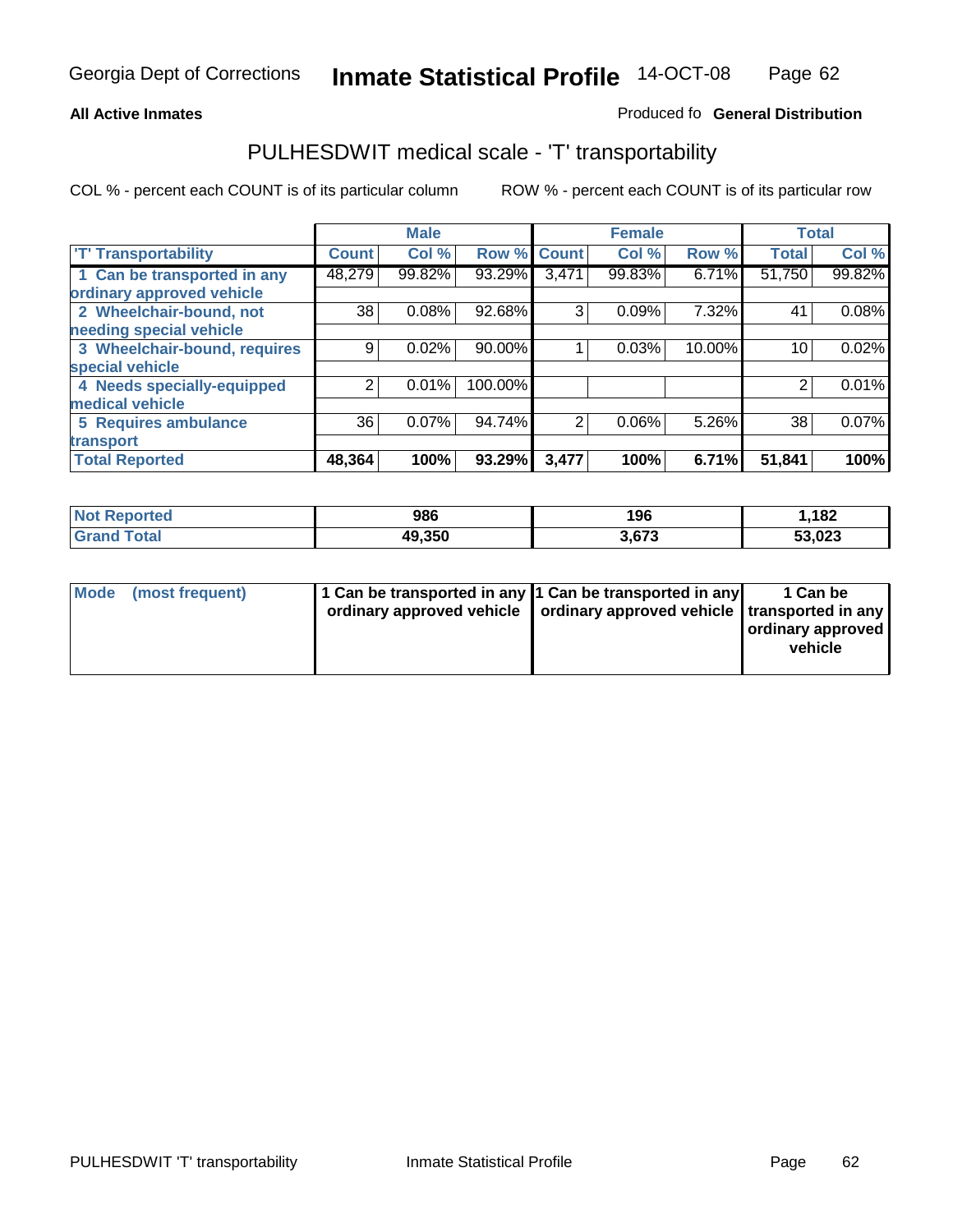#### **Inmate Statistical Profile** 14-OCT-08 Page Page 62

#### All Active Inmates **All Active Inmates All Active Inmates Produced fo General Distribution**

# PULHESDWIT medical scale - 'T' transportability

|                              |              | <b>Male</b> |         |                | <b>Female</b> |        | <b>Total</b> |        |
|------------------------------|--------------|-------------|---------|----------------|---------------|--------|--------------|--------|
| <b>T' Transportability</b>   | <b>Count</b> | Col %       | Row %   | <b>Count</b>   | Col %         | Row %  | <b>Total</b> | Col %  |
| 1 Can be transported in any  | 48,279       | 99.82%      | 93.29%  | 3,471          | 99.83%        | 6.71%  | 51,750       | 99.82% |
| ordinary approved vehicle    |              |             |         |                |               |        |              |        |
| 2 Wheelchair-bound, not      | 38           | 0.08%       | 92.68%  | 3              | 0.09%         | 7.32%  | 41           | 0.08%  |
| needing special vehicle      |              |             |         |                |               |        |              |        |
| 3 Wheelchair-bound, requires | 9            | 0.02%       | 90.00%  |                | 0.03%         | 10.00% | 10           | 0.02%  |
| special vehicle              |              |             |         |                |               |        |              |        |
| 4 Needs specially-equipped   | 2            | 0.01%       | 100.00% |                |               |        | 2            | 0.01%  |
| medical vehicle              |              |             |         |                |               |        |              |        |
| <b>5 Requires ambulance</b>  | 36           | 0.07%       | 94.74%  | $\overline{2}$ | 0.06%         | 5.26%  | 38           | 0.07%  |
| transport                    |              |             |         |                |               |        |              |        |
| <b>Total Reported</b>        | 48,364       | 100%        | 93.29%  | 3,477          | 100%          | 6.71%  | 51,841       | 100%   |

| Not <b>K</b><br><b>Reported</b> | 986    | 196   | ,182   |
|---------------------------------|--------|-------|--------|
| <b>Grand Total</b>              | 49,350 | 3,673 | 53,023 |

| Mode (most frequent) | 1 Can be transported in any 1 Can be transported in any | ordinary approved vehicle   ordinary approved vehicle   transported in any | 1 Can be<br>ordinary approved<br>vehicle |
|----------------------|---------------------------------------------------------|----------------------------------------------------------------------------|------------------------------------------|
|                      |                                                         |                                                                            |                                          |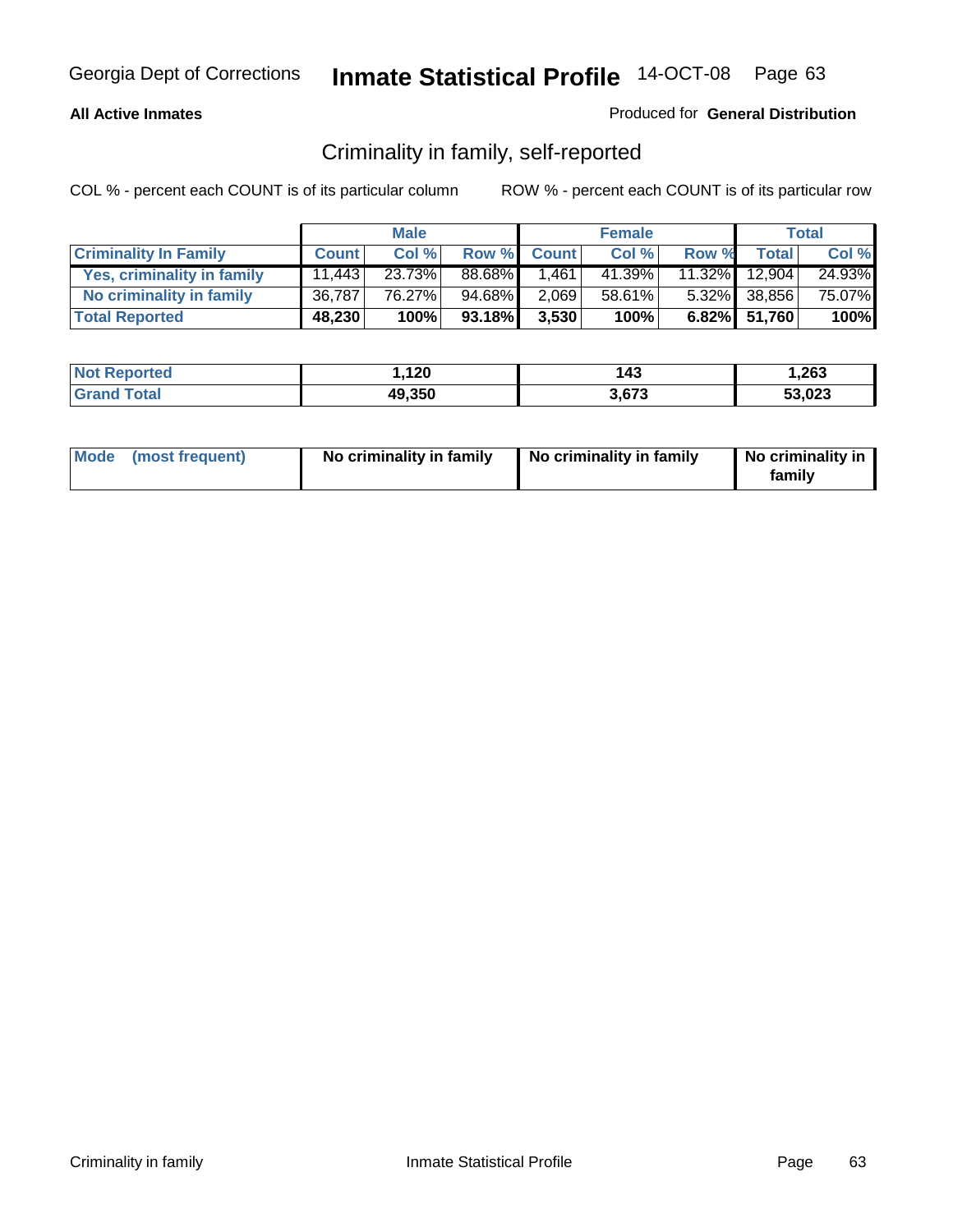#### **All Active Inmates**

#### Produced for **General Distribution**

# Criminality in family, self-reported

|                              |              | <b>Male</b> |        |              | <b>Female</b> |       |               | <b>Total</b> |
|------------------------------|--------------|-------------|--------|--------------|---------------|-------|---------------|--------------|
| <b>Criminality In Family</b> | <b>Count</b> | Col %       | Row %  | <b>Count</b> | Col %         | Row % | <b>Total</b>  | Col %        |
| Yes, criminality in family   | 11.443       | 23.73%      | 88.68% | 1.461        | 41.39%        |       | 11.32% 12,904 | 24.93%       |
| No criminality in family     | 36,787       | 76.27%      | 94.68% | 2,069        | 58.61%        |       | 5.32% 38,856  | 75.07%       |
| <b>Total Reported</b>        | 48,230       | 100%        | 93.18% | 3,530        | 100%          |       | 6.82% 51,760  | 100%         |

| <b>Not Reported</b>   | 1,120  | <b>43</b> | 1,263  |
|-----------------------|--------|-----------|--------|
| Total<br><b>Grand</b> | 49,350 | 3.673     | 53,023 |

| Mode (most frequent) |  | No criminality in family | No criminality in family | No criminality in<br>family |
|----------------------|--|--------------------------|--------------------------|-----------------------------|
|----------------------|--|--------------------------|--------------------------|-----------------------------|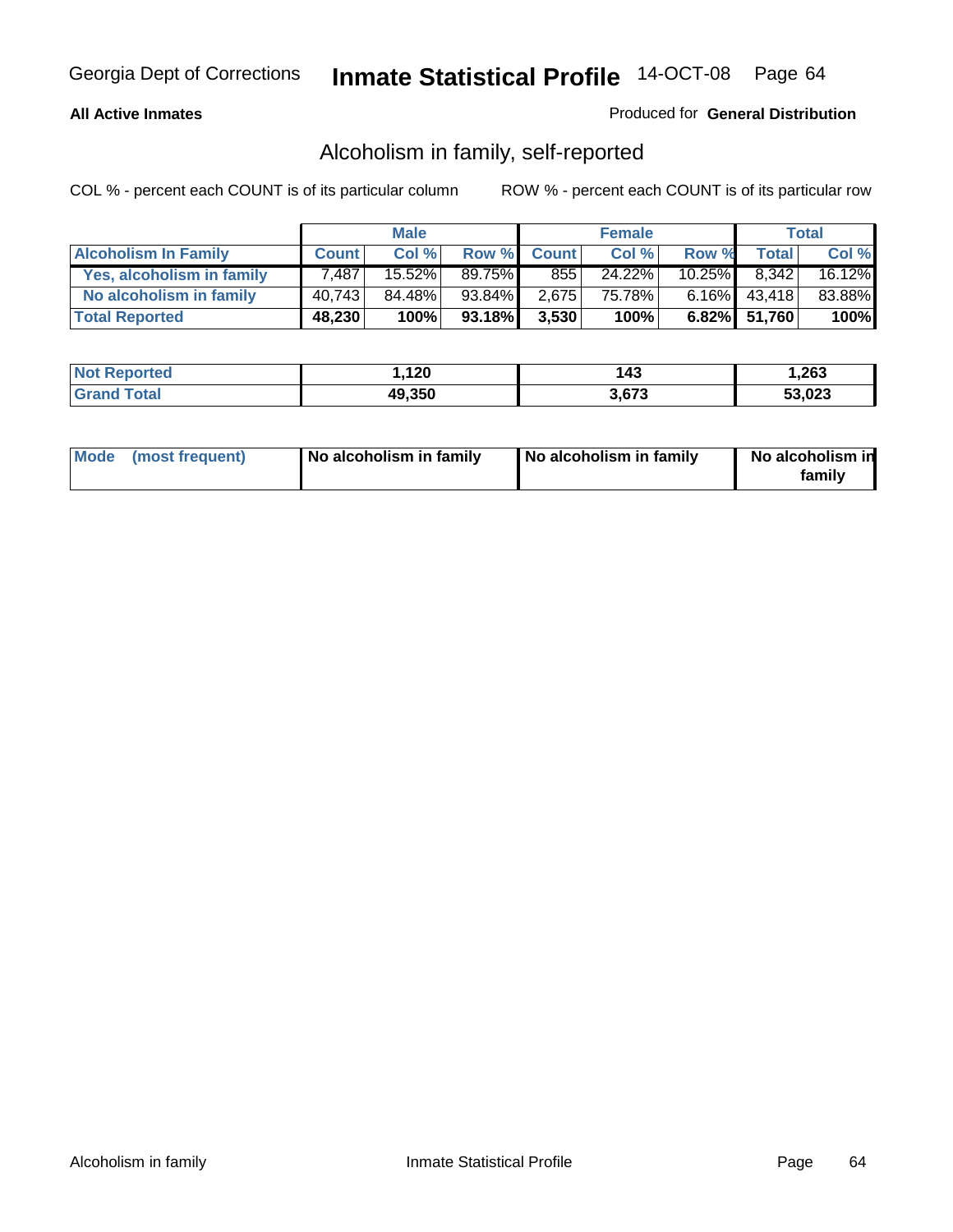#### **All Active Inmates**

#### Produced for **General Distribution**

# Alcoholism in family, self-reported

|                             |              | <b>Male</b> |           |              | <b>Female</b> |           |                 | <b>Total</b> |
|-----------------------------|--------------|-------------|-----------|--------------|---------------|-----------|-----------------|--------------|
| <b>Alcoholism In Family</b> | <b>Count</b> | Col %       | Row %     | <b>Count</b> | Col %         | Row %     | <b>Total</b>    | Col %        |
| Yes, alcoholism in family   | 7.487        | 15.52%      | 89.75%    | 855          | 24.22%        | $10.25\%$ | 8.342           | 16.12%       |
| No alcoholism in family     | 40,743       | 84.48%      | 93.84%I   | 2,675        | 75.78%        |           | $6.16\%$ 43,418 | 83.88%       |
| <b>Total Reported</b>       | 48,230       | 100%        | $93.18\%$ | 3,530        | 100%          |           | 6.82% 51,760    | 100%         |

| <b>Not Reported</b> | 1,120  | 43،   | 263. ا |
|---------------------|--------|-------|--------|
| <b>Grand Total</b>  | 49,350 | 3.673 | 53,023 |

|  | Mode (most frequent) | No alcoholism in family | No alcoholism in family | No alcoholism in<br>family |
|--|----------------------|-------------------------|-------------------------|----------------------------|
|--|----------------------|-------------------------|-------------------------|----------------------------|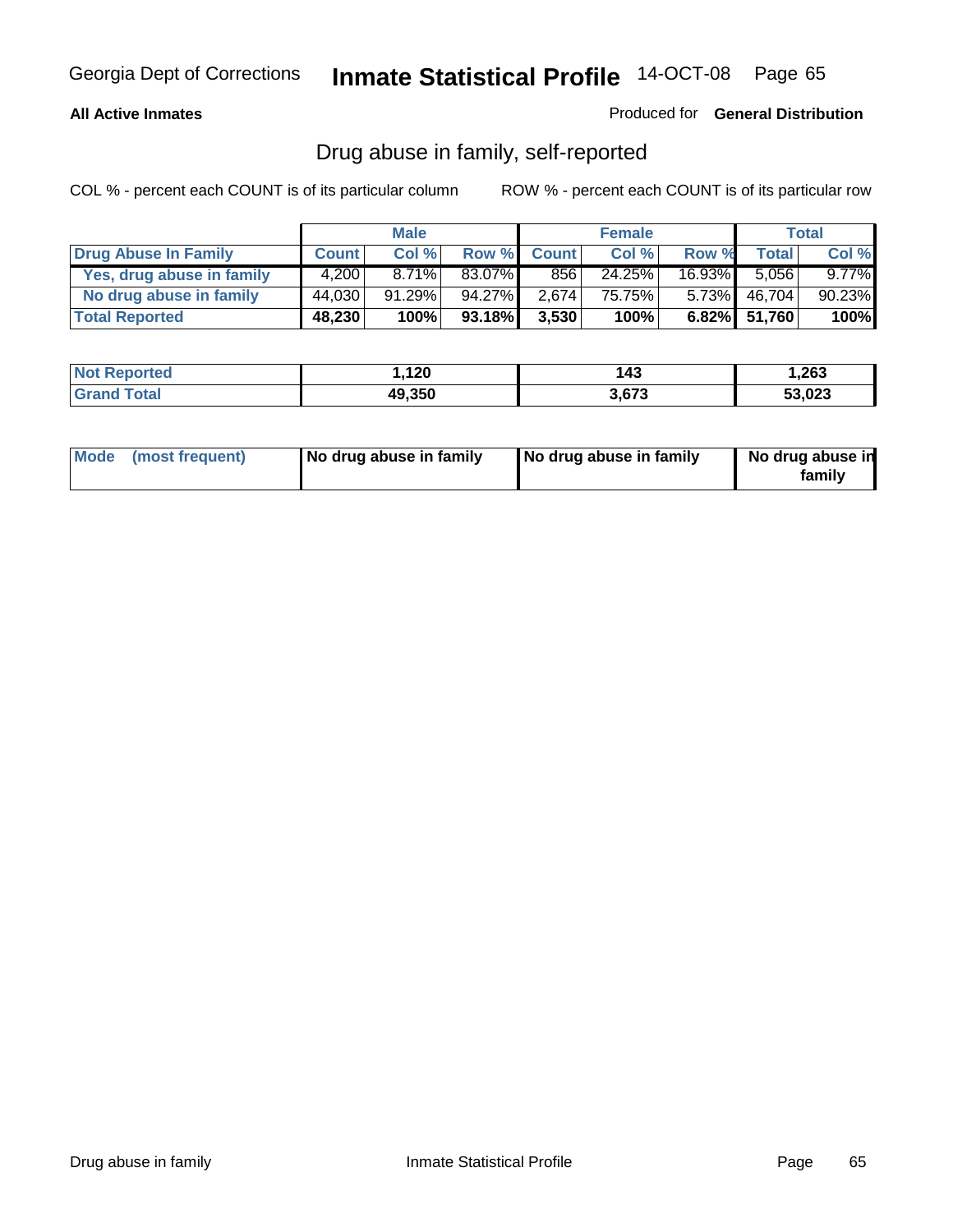#### **All Active Inmates**

Produced for **General Distribution**

# Drug abuse in family, self-reported

|                           |              | <b>Male</b> |        |              | <b>Female</b> |           |              | <b>Total</b> |
|---------------------------|--------------|-------------|--------|--------------|---------------|-----------|--------------|--------------|
| Drug Abuse In Family      | <b>Count</b> | Col %       | Row %  | <b>Count</b> | Col %         | Row %     | Total        | Col %        |
| Yes, drug abuse in family | 4.200        | $8.71\%$    | 83.07% | 856          | 24.25%        | $16.93\%$ | 5.056        | $9.77\%$     |
| No drug abuse in family   | 44,030       | 91.29%      | 94.27% | 2.674        | 75.75%        | $5.73\%$  | 46,704       | 90.23%       |
| <b>Total Reported</b>     | 48,230       | 100%        | 93.18% | 3,530        | 100%          |           | 6.82% 51,760 | 100%         |

| <b>Not Reported</b>   | 1,120  | <b>43</b> | 1,263  |
|-----------------------|--------|-----------|--------|
| Total<br><b>Grand</b> | 49,350 | 3.673     | 53,023 |

|  | Mode (most frequent) | No drug abuse in family | No drug abuse in family | No drug abuse in<br>family |
|--|----------------------|-------------------------|-------------------------|----------------------------|
|--|----------------------|-------------------------|-------------------------|----------------------------|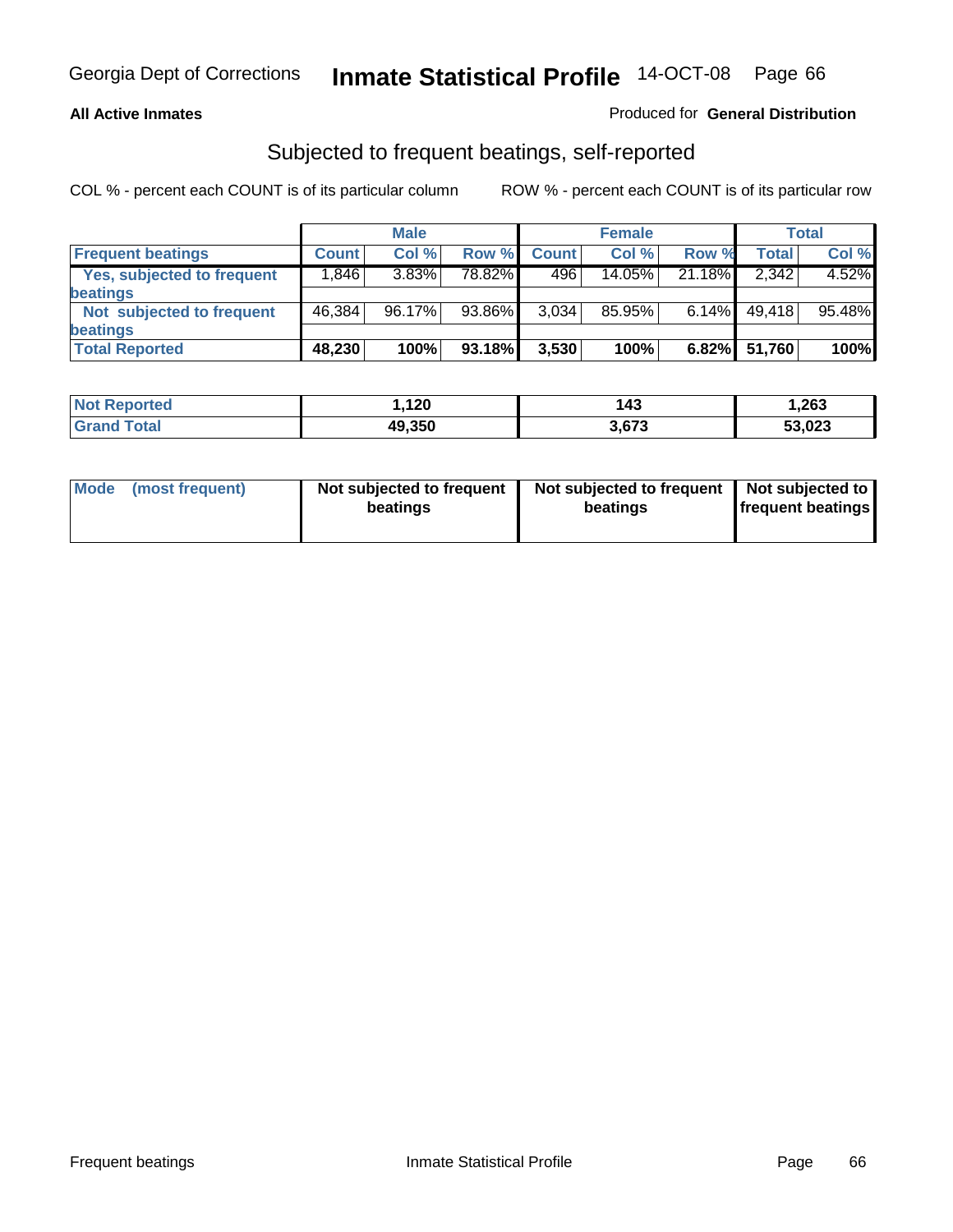#### **All Active Inmates**

#### Produced for **General Distribution**

### Subjected to frequent beatings, self-reported

|                                   |              | <b>Male</b> |        |              | <b>Female</b> |          |              | <b>Total</b> |
|-----------------------------------|--------------|-------------|--------|--------------|---------------|----------|--------------|--------------|
| <b>Frequent beatings</b>          | <b>Count</b> | Col%        | Row %  | <b>Count</b> | Col%          | Row %    | <b>Total</b> | Col %        |
| <b>Yes, subjected to frequent</b> | ا 846.1      | 3.83%       | 78.82% | 496          | $14.05\%$     | 21.18%   | 2,342        | 4.52%        |
| <b>beatings</b>                   |              |             |        |              |               |          |              |              |
| Not subjected to frequent         | 46,384       | 96.17%      | 93.86% | 3,034        | 85.95%        | $6.14\%$ | 49,418       | 95.48%       |
| <b>beatings</b>                   |              |             |        |              |               |          |              |              |
| <b>Total Reported</b>             | 48,230       | 100%        | 93.18% | 3,530        | 100%          | 6.82%    | 51,760       | 100%         |

| <b>Not</b><br>Reported       | ,120   | 143   | 1,263  |
|------------------------------|--------|-------|--------|
| <b>f</b> otal<br><b>Grar</b> | 49,350 | 3,673 | 53,023 |

| <b>Mode</b> | (most frequent) | Not subjected to frequent<br>beatings | Not subjected to frequent<br>beatings | Not subjected to<br>frequent beatings |
|-------------|-----------------|---------------------------------------|---------------------------------------|---------------------------------------|
|             |                 |                                       |                                       |                                       |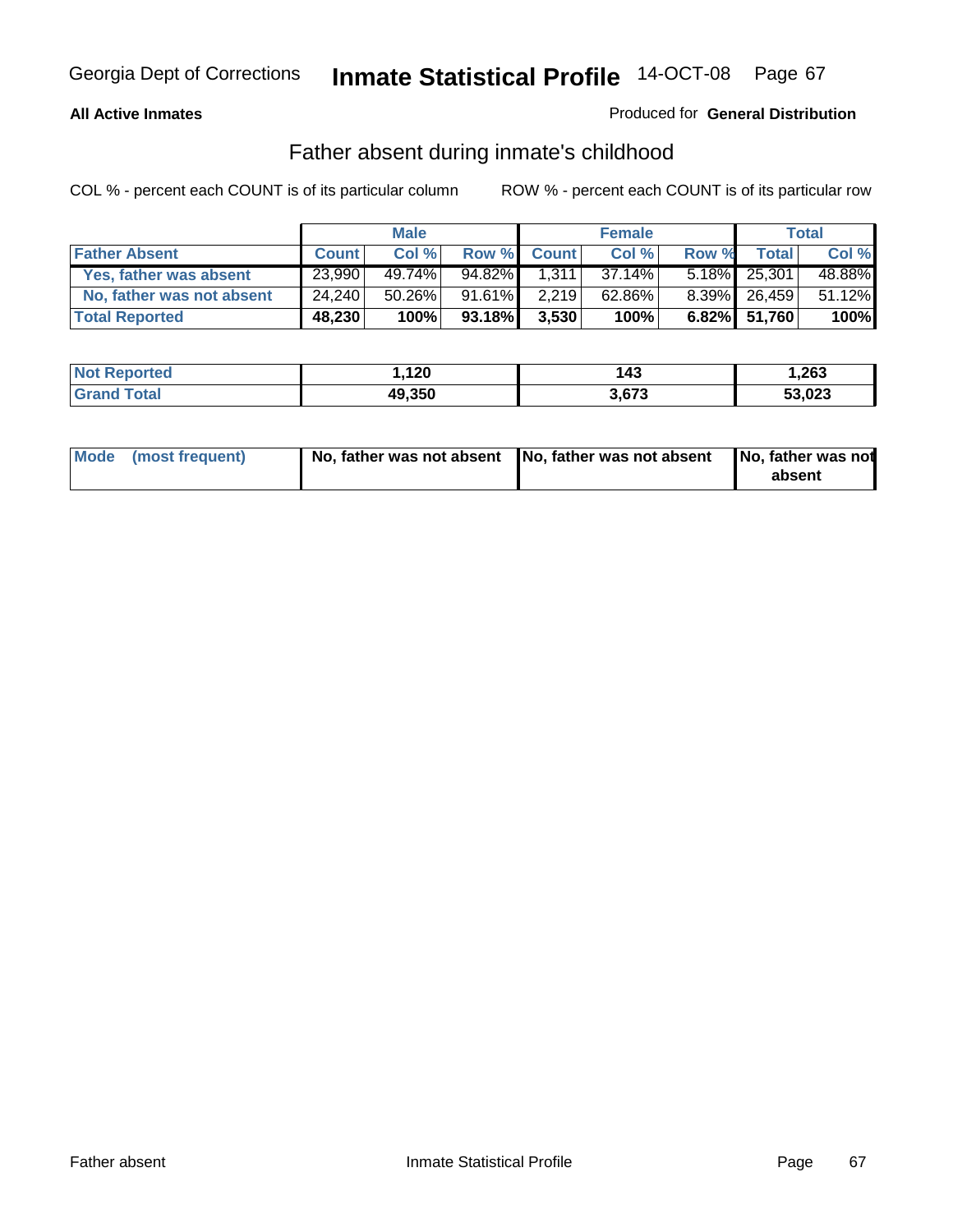#### **All Active Inmates**

#### Produced for **General Distribution**

### Father absent during inmate's childhood

|                           |              | <b>Male</b> |           |             | <b>Female</b> |       |              | Total  |
|---------------------------|--------------|-------------|-----------|-------------|---------------|-------|--------------|--------|
| <b>Father Absent</b>      | <b>Count</b> | Col %       |           | Row % Count | Col %         | Row % | <b>Total</b> | Col %  |
| Yes, father was absent    | 23,990       | 49.74%      | 94.82%    | 1.311       | $37.14\%$     |       | 5.18% 25,301 | 48.88% |
| No, father was not absent | 24.240       | 50.26%      | 91.61%    | 2,219       | 62.86%        |       | 8.39% 26,459 | 51.12% |
| <b>Total Reported</b>     | 48,230       | 100%        | $93.18\%$ | 3,530       | 100%          |       | 6.82% 51,760 | 100%   |

| <b>Not Reported</b> | 1,120  | 143   | 263. ا |
|---------------------|--------|-------|--------|
| <b>Grand Total</b>  | 49,350 | 3.673 | 53,023 |

| Mode (most frequent) |  | 「No, father was not absent ┃No, father was not absent ┃No, father was not | absent |
|----------------------|--|---------------------------------------------------------------------------|--------|
|----------------------|--|---------------------------------------------------------------------------|--------|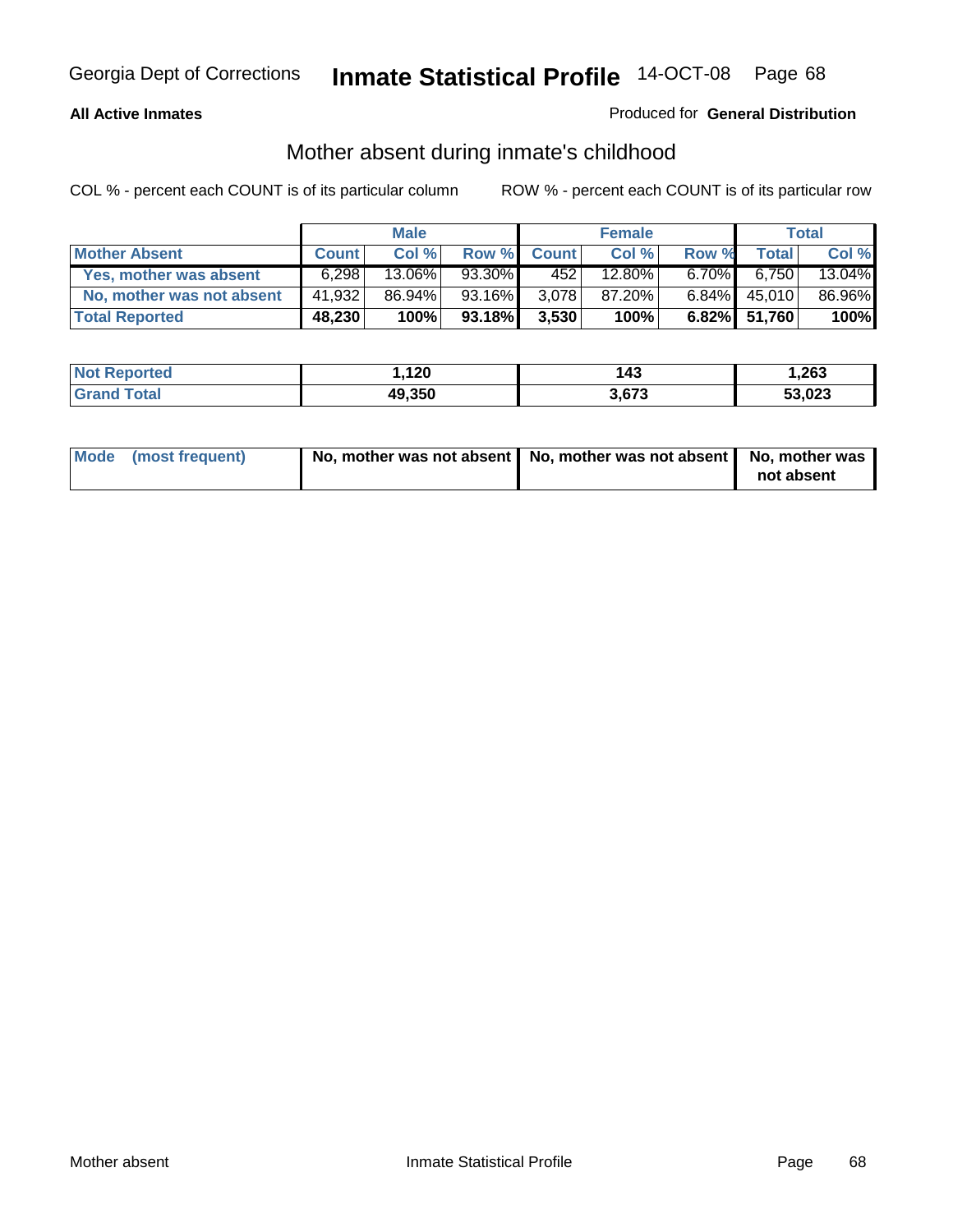#### **All Active Inmates**

#### Produced for **General Distribution**

# Mother absent during inmate's childhood

|                           |              | <b>Male</b> |        |              | <b>Female</b> |          |              | Total  |
|---------------------------|--------------|-------------|--------|--------------|---------------|----------|--------------|--------|
| <b>Mother Absent</b>      | <b>Count</b> | Col %       | Row %  | <b>Count</b> | Col %         | Row %    | <b>Total</b> | Col %  |
| Yes, mother was absent    | 6.298        | 13.06%      | 93.30% | 4521         | 12.80%        | $6.70\%$ | 6,750        | 13.04% |
| No, mother was not absent | 41,932       | 86.94%      | 93.16% | 3.078        | 87.20%        | $6.84\%$ | 45,010       | 86.96% |
| <b>Total Reported</b>     | 48,230       | 100%        | 93.18% | 3,530        | 100%          |          | 6.82% 51,760 | 100%   |

| <b>Not Reported</b> | 1,120  | 143   | 263. ا |
|---------------------|--------|-------|--------|
| <b>Grand Total</b>  | 49,350 | 3,673 | 53,023 |

| Mode (most frequent) | No, mother was not absent   No, mother was not absent   No, mother was | not absent |
|----------------------|------------------------------------------------------------------------|------------|
|----------------------|------------------------------------------------------------------------|------------|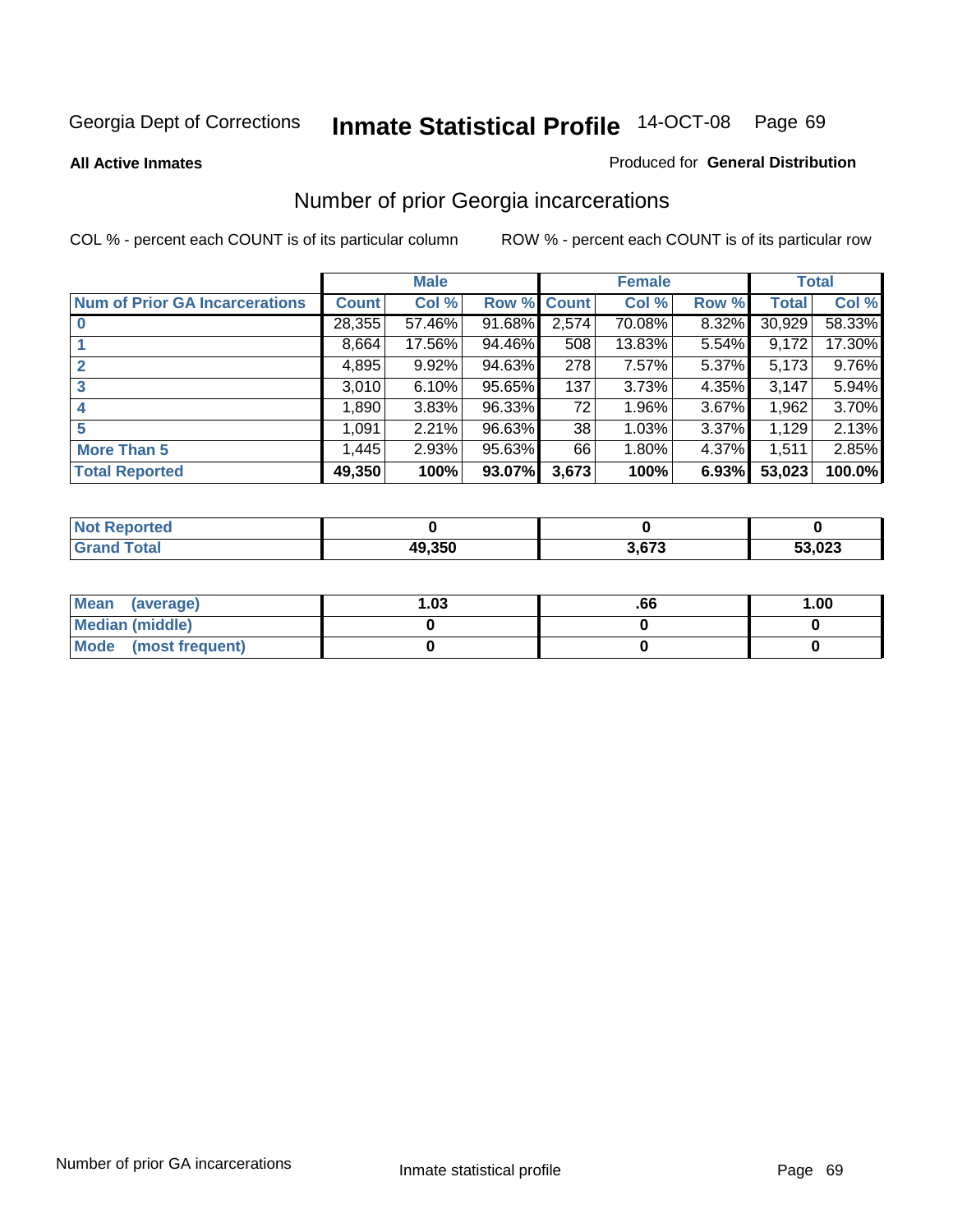#### **All Active Inmates**

#### Produced for **General Distribution**

# Number of prior Georgia incarcerations

|                                       |              | <b>Male</b> |                    |       | <b>Female</b> |       |        | <b>Total</b> |
|---------------------------------------|--------------|-------------|--------------------|-------|---------------|-------|--------|--------------|
| <b>Num of Prior GA Incarcerations</b> | <b>Count</b> | Col %       | <b>Row % Count</b> |       | Col %         | Row % | Total  | Col %        |
| $\bf{0}$                              | 28,355       | 57.46%      | 91.68%             | 2,574 | 70.08%        | 8.32% | 30,929 | 58.33%       |
|                                       | 8,664        | 17.56%      | 94.46%             | 508   | 13.83%        | 5.54% | 9,172  | 17.30%       |
|                                       | 4,895        | 9.92%       | 94.63%             | 278   | 7.57%         | 5.37% | 5,173  | 9.76%        |
| 3                                     | 3,010        | 6.10%       | 95.65%             | 137   | 3.73%         | 4.35% | 3,147  | 5.94%        |
|                                       | 1,890        | 3.83%       | 96.33%             | 72    | 1.96%         | 3.67% | 1,962  | 3.70%        |
| 5                                     | 1,091        | 2.21%       | 96.63%             | 38    | 1.03%         | 3.37% | 1,129  | 2.13%        |
| <b>More Than 5</b>                    | 1,445        | 2.93%       | 95.63%             | 66    | 1.80%         | 4.37% | 1,511  | 2.85%        |
| <b>Total Reported</b>                 | 49,350       | 100%        | 93.07%             | 3,673 | 100%          | 6.93% | 53,023 | 100.0%       |

| <b>Not</b><br>orted |        |        |        |
|---------------------|--------|--------|--------|
| <b>Total</b>        | 49.350 | $\sim$ | 53,023 |

| Mean (average)       | l.O3 | .00 | 1.00 |
|----------------------|------|-----|------|
| Median (middle)      |      |     |      |
| Mode (most frequent) |      |     |      |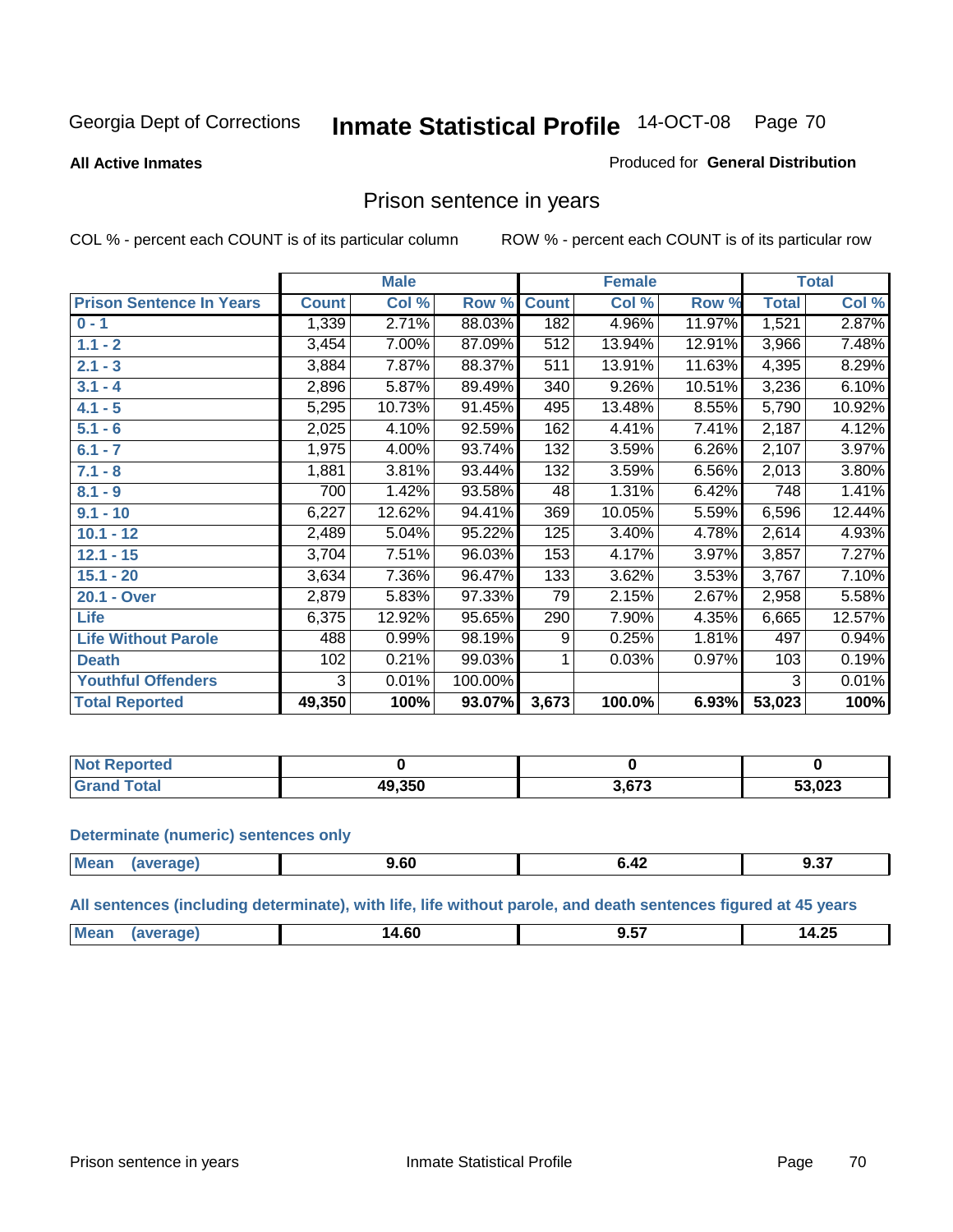#### **All Active Inmates**

#### Produced for **General Distribution**

### Prison sentence in years

COL % - percent each COUNT is of its particular column ROW % - percent each COUNT is of its particular row

|                                 |              | <b>Male</b> |         |              | <b>Female</b> |        |              | <b>Total</b> |
|---------------------------------|--------------|-------------|---------|--------------|---------------|--------|--------------|--------------|
| <b>Prison Sentence In Years</b> | <b>Count</b> | Col %       | Row %   | <b>Count</b> | Col %         | Row %  | <b>Total</b> | Col %        |
| $0 - 1$                         | 1,339        | 2.71%       | 88.03%  | 182          | 4.96%         | 11.97% | 1,521        | 2.87%        |
| $1.1 - 2$                       | 3,454        | 7.00%       | 87.09%  | 512          | 13.94%        | 12.91% | 3,966        | 7.48%        |
| $2.1 - 3$                       | 3,884        | 7.87%       | 88.37%  | 511          | 13.91%        | 11.63% | 4,395        | 8.29%        |
| $3.1 - 4$                       | 2,896        | 5.87%       | 89.49%  | 340          | 9.26%         | 10.51% | 3,236        | 6.10%        |
| $4.1 - 5$                       | 5,295        | 10.73%      | 91.45%  | 495          | 13.48%        | 8.55%  | 5,790        | 10.92%       |
| $5.1 - 6$                       | 2,025        | 4.10%       | 92.59%  | 162          | 4.41%         | 7.41%  | 2,187        | 4.12%        |
| $6.1 - 7$                       | 1,975        | 4.00%       | 93.74%  | 132          | 3.59%         | 6.26%  | 2,107        | 3.97%        |
| $7.1 - 8$                       | 1,881        | 3.81%       | 93.44%  | 132          | 3.59%         | 6.56%  | 2,013        | 3.80%        |
| $8.1 - 9$                       | 700          | 1.42%       | 93.58%  | 48           | 1.31%         | 6.42%  | 748          | 1.41%        |
| $9.1 - 10$                      | 6,227        | 12.62%      | 94.41%  | 369          | 10.05%        | 5.59%  | 6,596        | 12.44%       |
| $10.1 - 12$                     | 2,489        | 5.04%       | 95.22%  | 125          | 3.40%         | 4.78%  | 2,614        | 4.93%        |
| $12.1 - 15$                     | 3,704        | 7.51%       | 96.03%  | 153          | 4.17%         | 3.97%  | 3,857        | 7.27%        |
| $15.1 - 20$                     | 3,634        | 7.36%       | 96.47%  | 133          | 3.62%         | 3.53%  | 3,767        | 7.10%        |
| 20.1 - Over                     | 2,879        | 5.83%       | 97.33%  | 79           | 2.15%         | 2.67%  | 2,958        | 5.58%        |
| <b>Life</b>                     | 6,375        | 12.92%      | 95.65%  | 290          | 7.90%         | 4.35%  | 6,665        | 12.57%       |
| <b>Life Without Parole</b>      | 488          | 0.99%       | 98.19%  | 9            | 0.25%         | 1.81%  | 497          | 0.94%        |
| <b>Death</b>                    | 102          | 0.21%       | 99.03%  |              | 0.03%         | 0.97%  | 103          | 0.19%        |
| <b>Youthful Offenders</b>       | 3            | 0.01%       | 100.00% |              |               |        | 3            | 0.01%        |
| <b>Total Reported</b>           | 49,350       | 100%        | 93.07%  | 3,673        | 100.0%        | 6.93%  | 53,023       | 100%         |

| <b>Not Reported</b>  |        |        |        |
|----------------------|--------|--------|--------|
| 'otal<br><b>Gret</b> | 49.350 | $\sim$ | 53,023 |

#### **Determinate (numeric) sentences only**

| Mean | апе | $\sim$<br>9.bu<br>- - - | $\sim$ $\sim$ $\sim$ $\sim$ $\sim$ $\sim$ $\sim$ | ^ ^=<br>J.JI |
|------|-----|-------------------------|--------------------------------------------------|--------------|
|      |     |                         |                                                  |              |

**All sentences (including determinate), with life, life without parole, and death sentences figured at 45 years**

| --<br>$\sim$<br>$\sim$                               |                |  |   |
|------------------------------------------------------|----------------|--|---|
| 1 Д.<br>ıд<br>14.OU<br>∪⊾. דו<br>$\cdots$<br>------- | $^{\circ}$ Me: |  | - |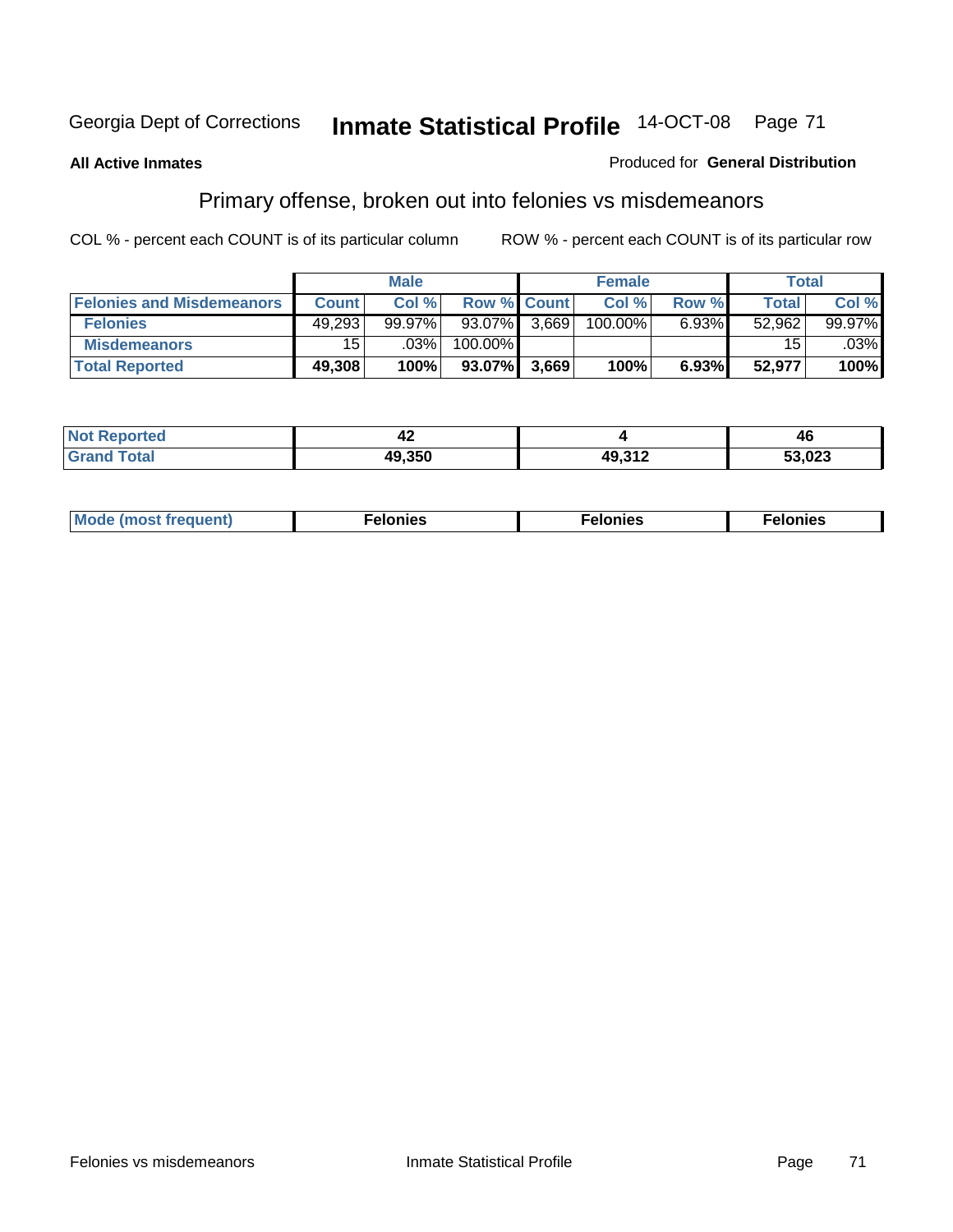#### **All Active Inmates**

#### Produced for **General Distribution**

# Primary offense, broken out into felonies vs misdemeanors

|                                  |                 | <b>Male</b> |                    |       | <b>Female</b> |          | Total        |        |
|----------------------------------|-----------------|-------------|--------------------|-------|---------------|----------|--------------|--------|
| <b>Felonies and Misdemeanors</b> | <b>Count</b>    | Col %       | <b>Row % Count</b> |       | Col%          | Row %    | <b>Total</b> | Col %  |
| <b>Felonies</b>                  | 49,293          | $99.97\%$   | 93.07%             | 3.669 | 100.00%       | $6.93\%$ | 52,962       | 99.97% |
| <b>Misdemeanors</b>              | 15 <sub>l</sub> | $.03\%$     | 100.00%            |       |               |          | 15           | .03%   |
| <b>Total Reported</b>            | 49,308          | 100%        | 93.07%             | 3.669 | 100%          | 6.93%    | 52,977       | 100%   |

| <b>Not</b><br>. Reported | -14    |        | AF<br>74 |
|--------------------------|--------|--------|----------|
| <b>Total</b><br>Gran     | 49.350 | 49.317 | 53,023   |

| M | . | . | . |
|---|---|---|---|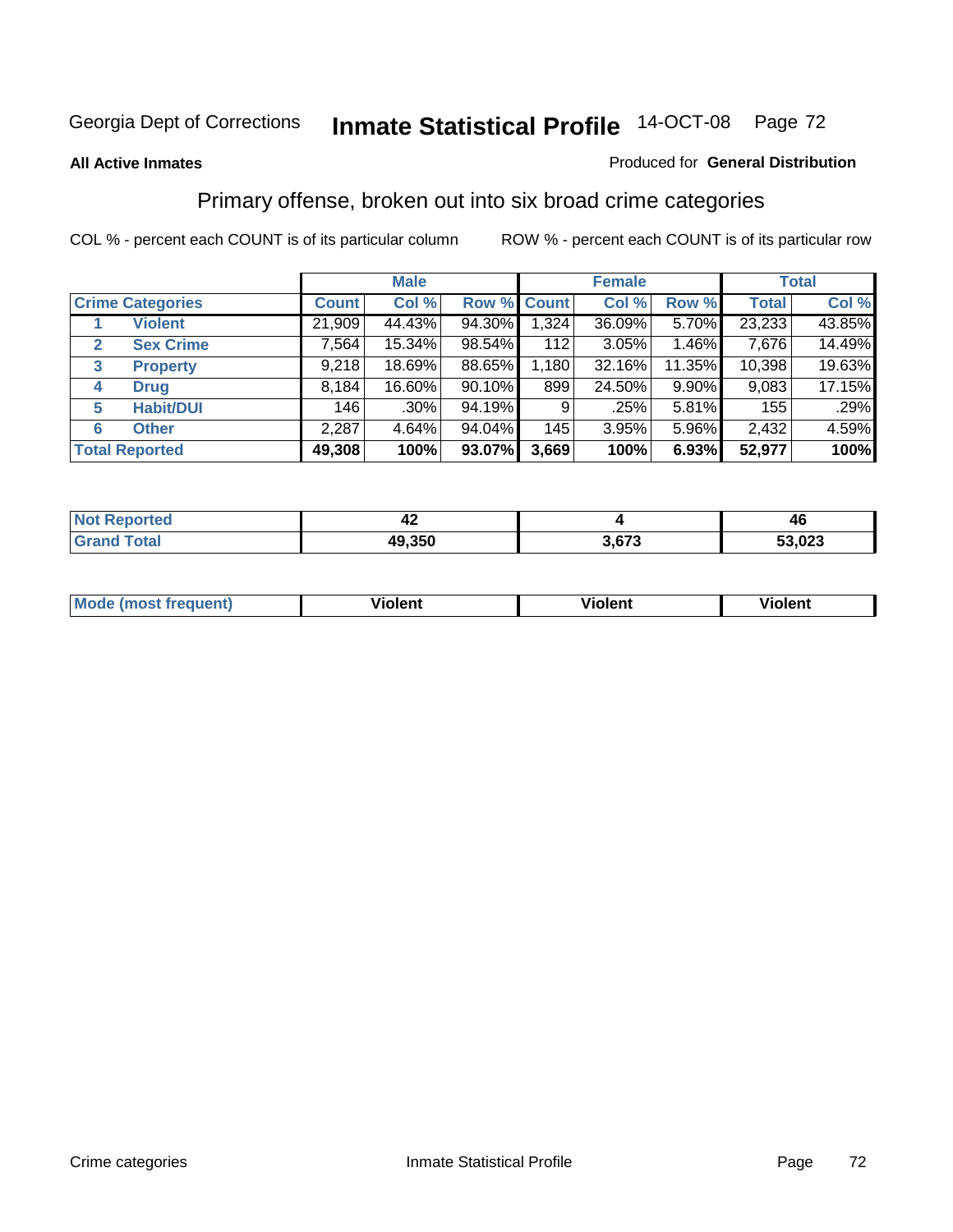#### **All Active Inmates**

#### Produced for **General Distribution**

# Primary offense, broken out into six broad crime categories

|                                  |              | <b>Male</b> |             |       | <b>Female</b> |          |              | <b>Total</b> |
|----------------------------------|--------------|-------------|-------------|-------|---------------|----------|--------------|--------------|
| <b>Crime Categories</b>          | <b>Count</b> | Col %       | Row % Count |       | Col %         | Row %    | <b>Total</b> | Col %        |
| <b>Violent</b>                   | 21,909       | 44.43%      | 94.30%      | 1,324 | 36.09%        | 5.70%    | 23,233       | 43.85%       |
| <b>Sex Crime</b><br>$\mathbf{2}$ | 7,564        | 15.34%      | 98.54%      | 112   | 3.05%         | 1.46%    | 7,676        | 14.49%       |
| 3<br><b>Property</b>             | 9,218        | 18.69%      | 88.65%      | 1,180 | 32.16%        | 11.35%   | 10,398       | 19.63%       |
| <b>Drug</b><br>4                 | 8,184        | 16.60%      | $90.10\%$   | 899   | 24.50%        | $9.90\%$ | 9,083        | 17.15%       |
| <b>Habit/DUI</b><br>5            | 146          | $.30\%$     | 94.19%      | 9     | .25%          | 5.81%    | 155          | .29%         |
| <b>Other</b><br>6                | 2,287        | 4.64%       | $94.04\%$   | 145   | 3.95%         | 5.96%    | 2,432        | 4.59%        |
| <b>Total Reported</b>            | 49,308       | 100%        | 93.07%      | 3,669 | 100%          | 6.93%    | 52,977       | 100%         |

| rrer. | т д    |      | 46         |  |
|-------|--------|------|------------|--|
| ota.  | 49,350 | 0.70 | ,023<br>-^ |  |

| <b>Mou</b> | .<br>วient | วlent | ent |
|------------|------------|-------|-----|
|            |            |       |     |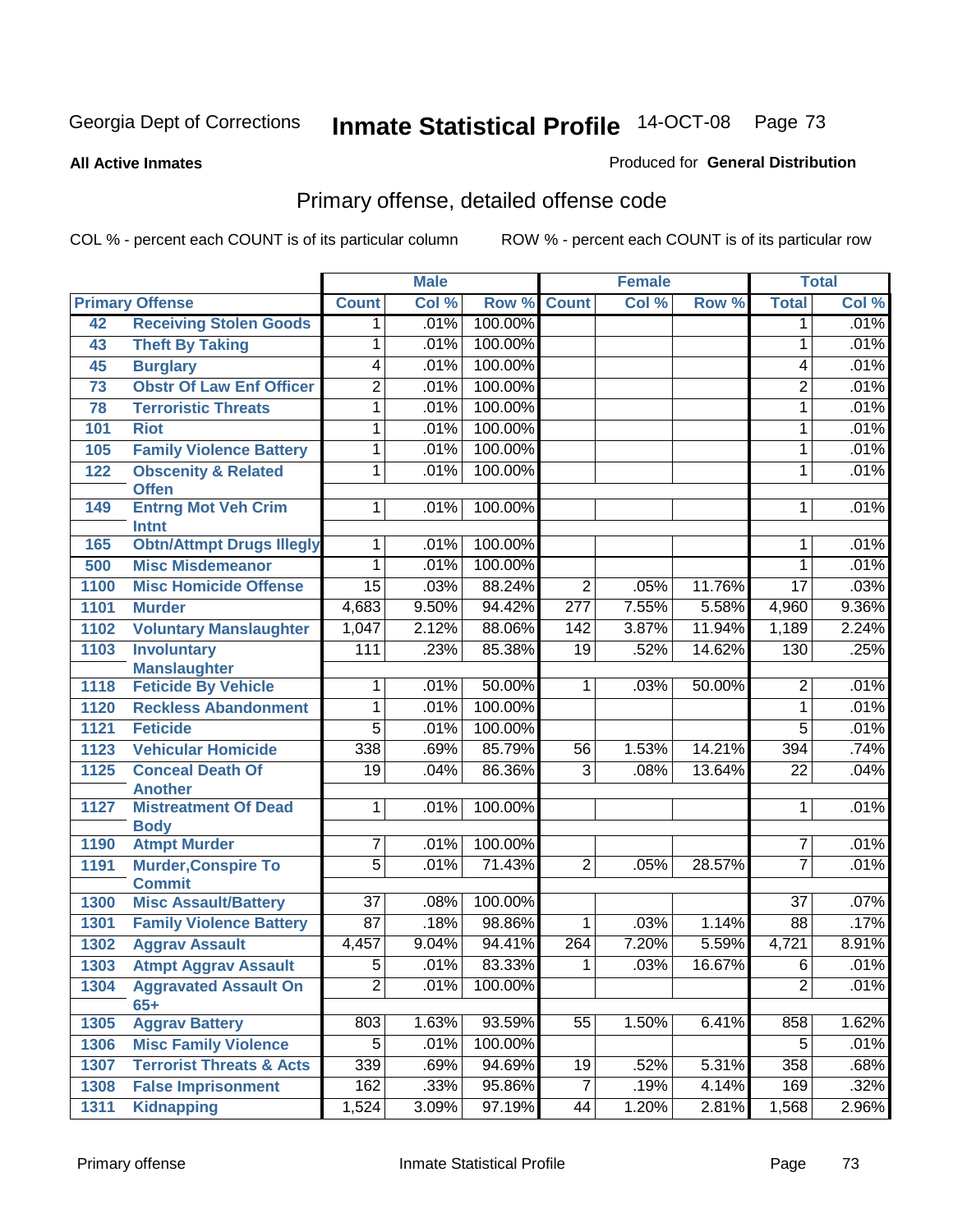**All Active Inmates**

### Produced for **General Distribution**

# Primary offense, detailed offense code

|      |                                                |                 | <b>Male</b> |         | <b>Female</b>    |       | <b>Total</b> |                 |          |
|------|------------------------------------------------|-----------------|-------------|---------|------------------|-------|--------------|-----------------|----------|
|      | <b>Primary Offense</b>                         | <b>Count</b>    | Col %       | Row %   | <b>Count</b>     | Col % | Row %        | <b>Total</b>    | Col %    |
| 42   | <b>Receiving Stolen Goods</b>                  | $\mathbf 1$     | .01%        | 100.00% |                  |       |              | 1               | .01%     |
| 43   | <b>Theft By Taking</b>                         | 1               | .01%        | 100.00% |                  |       |              | 1               | .01%     |
| 45   | <b>Burglary</b>                                | 4               | .01%        | 100.00% |                  |       |              | 4               | .01%     |
| 73   | <b>Obstr Of Law Enf Officer</b>                | $\overline{2}$  | .01%        | 100.00% |                  |       |              | $\overline{2}$  | .01%     |
| 78   | <b>Terroristic Threats</b>                     | 1               | .01%        | 100.00% |                  |       |              | $\mathbf{1}$    | .01%     |
| 101  | <b>Riot</b>                                    | 1               | .01%        | 100.00% |                  |       |              | 1               | .01%     |
| 105  | <b>Family Violence Battery</b>                 | 1               | .01%        | 100.00% |                  |       |              | 1               | .01%     |
| 122  | <b>Obscenity &amp; Related</b><br><b>Offen</b> | $\overline{1}$  | .01%        | 100.00% |                  |       |              | 1               | .01%     |
| 149  | <b>Entrng Mot Veh Crim</b><br><b>Intnt</b>     | 1               | .01%        | 100.00% |                  |       |              | 1               | .01%     |
| 165  | <b>Obtn/Attmpt Drugs Illegly</b>               | 1               | .01%        | 100.00% |                  |       |              | 1               | .01%     |
| 500  | <b>Misc Misdemeanor</b>                        | 1               | .01%        | 100.00% |                  |       |              | 1               | .01%     |
| 1100 | <b>Misc Homicide Offense</b>                   | $\overline{15}$ | .03%        | 88.24%  | $\overline{2}$   | .05%  | 11.76%       | $\overline{17}$ | .03%     |
| 1101 | <b>Murder</b>                                  | 4,683           | 9.50%       | 94.42%  | $\overline{277}$ | 7.55% | 5.58%        | 4,960           | $9.36\%$ |
| 1102 | <b>Voluntary Manslaughter</b>                  | 1,047           | 2.12%       | 88.06%  | 142              | 3.87% | 11.94%       | 1,189           | 2.24%    |
| 1103 | <b>Involuntary</b>                             | 111             | .23%        | 85.38%  | $\overline{19}$  | .52%  | 14.62%       | 130             | .25%     |
|      | <b>Manslaughter</b>                            |                 |             |         |                  |       |              |                 |          |
| 1118 | <b>Feticide By Vehicle</b>                     | 1               | .01%        | 50.00%  | $\mathbf 1$      | .03%  | 50.00%       | 2               | .01%     |
| 1120 | <b>Reckless Abandonment</b>                    | 1               | .01%        | 100.00% |                  |       |              | 1               | .01%     |
| 1121 | <b>Feticide</b>                                | $\overline{5}$  | .01%        | 100.00% |                  |       |              | $\overline{5}$  | .01%     |
| 1123 | <b>Vehicular Homicide</b>                      | 338             | .69%        | 85.79%  | 56               | 1.53% | 14.21%       | 394             | .74%     |
| 1125 | <b>Conceal Death Of</b><br><b>Another</b>      | $\overline{19}$ | .04%        | 86.36%  | $\overline{3}$   | .08%  | 13.64%       | $\overline{22}$ | .04%     |
| 1127 | <b>Mistreatment Of Dead</b><br><b>Body</b>     | 1               | .01%        | 100.00% |                  |       |              | 1               | .01%     |
| 1190 | <b>Atmpt Murder</b>                            | 7               | .01%        | 100.00% |                  |       |              | 7               | .01%     |
| 1191 | <b>Murder, Conspire To</b><br><b>Commit</b>    | $\overline{5}$  | .01%        | 71.43%  | $\overline{2}$   | .05%  | 28.57%       | $\overline{7}$  | .01%     |
| 1300 | <b>Misc Assault/Battery</b>                    | $\overline{37}$ | .08%        | 100.00% |                  |       |              | $\overline{37}$ | .07%     |
| 1301 | <b>Family Violence Battery</b>                 | $\overline{87}$ | .18%        | 98.86%  | $\mathbf{1}$     | .03%  | 1.14%        | 88              | .17%     |
| 1302 | <b>Aggrav Assault</b>                          | 4,457           | 9.04%       | 94.41%  | 264              | 7.20% | 5.59%        | 4,721           | 8.91%    |
| 1303 | <b>Atmpt Aggrav Assault</b>                    | $\overline{5}$  | .01%        | 83.33%  | $\overline{1}$   | .03%  | 16.67%       | $\overline{6}$  | .01%     |
| 1304 | <b>Aggravated Assault On</b><br>$65+$          | $\overline{2}$  | .01%        | 100.00% |                  |       |              | $\overline{2}$  | .01%     |
| 1305 | <b>Aggrav Battery</b>                          | 803             | 1.63%       | 93.59%  | $\overline{55}$  | 1.50% | 6.41%        | 858             | 1.62%    |
| 1306 | <b>Misc Family Violence</b>                    | 5 <sup>1</sup>  | .01%        | 100.00% |                  |       |              | 5               | .01%     |
| 1307 | <b>Terrorist Threats &amp; Acts</b>            | 339             | .69%        | 94.69%  | 19               | .52%  | 5.31%        | 358             | .68%     |
| 1308 | <b>False Imprisonment</b>                      | 162             | .33%        | 95.86%  | $\overline{7}$   | .19%  | 4.14%        | 169             | .32%     |
| 1311 | <b>Kidnapping</b>                              | 1,524           | 3.09%       | 97.19%  | 44               | 1.20% | 2.81%        | 1,568           | 2.96%    |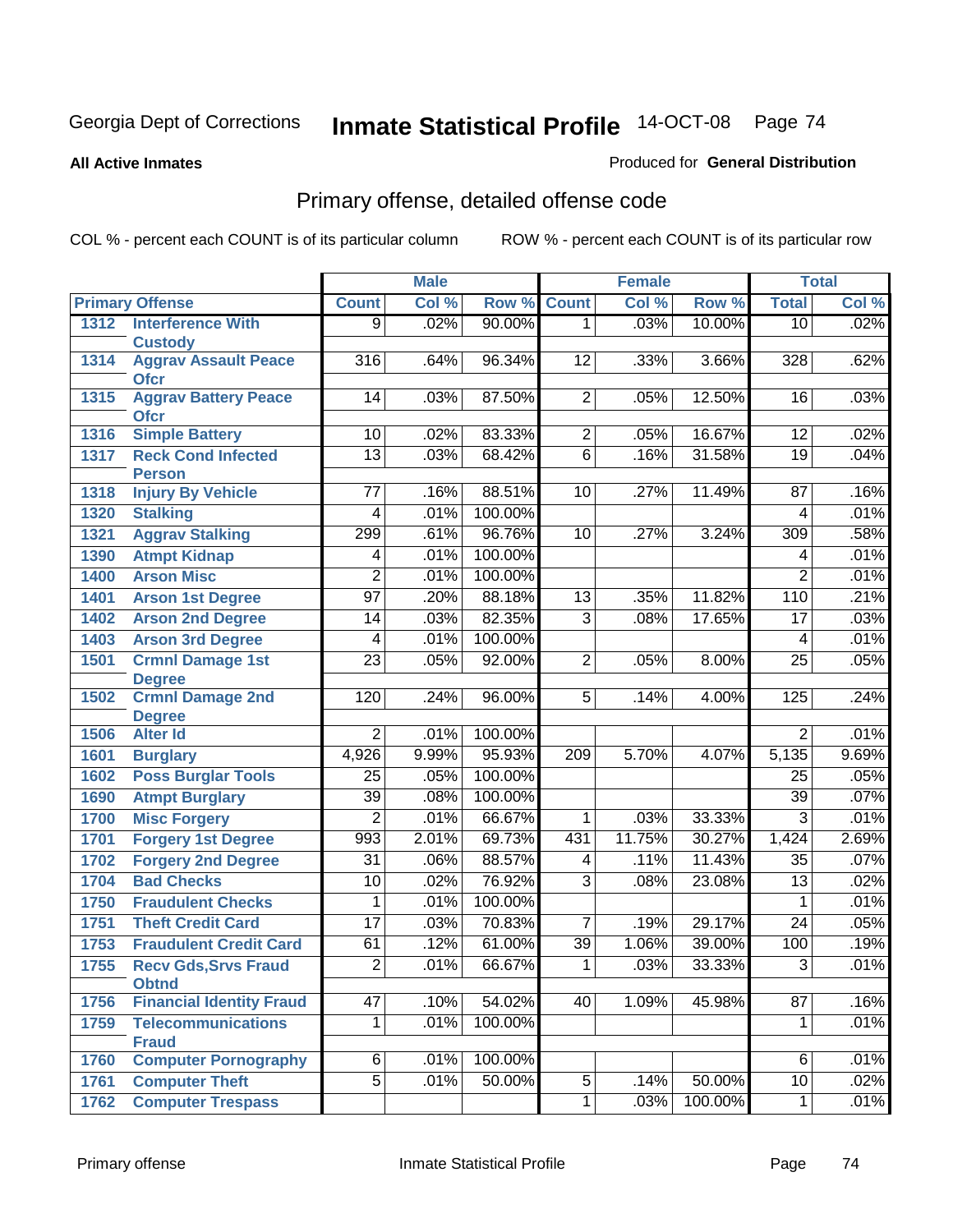#### **All Active Inmates**

### Produced for **General Distribution**

# Primary offense, detailed offense code

|      |                                             |                  | <b>Male</b> |         |                 | <b>Female</b> |         |                  | <b>Total</b> |
|------|---------------------------------------------|------------------|-------------|---------|-----------------|---------------|---------|------------------|--------------|
|      | <b>Primary Offense</b>                      | <b>Count</b>     | Col %       | Row %   | <b>Count</b>    | Col %         | Row %   | <b>Total</b>     | Col %        |
| 1312 | <b>Interference With</b>                    | $\overline{9}$   | .02%        | 90.00%  | $\overline{1}$  | .03%          | 10.00%  | 10               | .02%         |
|      | <b>Custody</b>                              |                  |             |         |                 |               |         |                  |              |
| 1314 | <b>Aggrav Assault Peace</b><br><b>Ofcr</b>  | $\overline{316}$ | .64%        | 96.34%  | $\overline{12}$ | .33%          | 3.66%   | $\overline{328}$ | .62%         |
| 1315 | <b>Aggrav Battery Peace</b><br><b>Ofcr</b>  | 14               | .03%        | 87.50%  | $\overline{2}$  | .05%          | 12.50%  | 16               | .03%         |
| 1316 | <b>Simple Battery</b>                       | 10               | .02%        | 83.33%  | $\overline{2}$  | .05%          | 16.67%  | $\overline{12}$  | .02%         |
| 1317 | <b>Reck Cond Infected</b><br><b>Person</b>  | $\overline{13}$  | .03%        | 68.42%  | $\overline{6}$  | .16%          | 31.58%  | $\overline{19}$  | .04%         |
| 1318 | <b>Injury By Vehicle</b>                    | 77               | .16%        | 88.51%  | 10              | .27%          | 11.49%  | $\overline{87}$  | .16%         |
| 1320 | <b>Stalking</b>                             | 4                | .01%        | 100.00% |                 |               |         | 4                | .01%         |
| 1321 | <b>Aggrav Stalking</b>                      | 299              | .61%        | 96.76%  | 10              | .27%          | 3.24%   | 309              | .58%         |
| 1390 | <b>Atmpt Kidnap</b>                         | 4                | .01%        | 100.00% |                 |               |         | 4                | .01%         |
| 1400 | <b>Arson Misc</b>                           | $\overline{2}$   | .01%        | 100.00% |                 |               |         | $\overline{2}$   | .01%         |
| 1401 | <b>Arson 1st Degree</b>                     | $\overline{97}$  | .20%        | 88.18%  | $\overline{13}$ | .35%          | 11.82%  | 110              | .21%         |
| 1402 | <b>Arson 2nd Degree</b>                     | $\overline{14}$  | .03%        | 82.35%  | $\overline{3}$  | .08%          | 17.65%  | $\overline{17}$  | .03%         |
| 1403 | <b>Arson 3rd Degree</b>                     | 4                | .01%        | 100.00% |                 |               |         | 4                | .01%         |
| 1501 | <b>Crmnl Damage 1st</b>                     | $\overline{23}$  | .05%        | 92.00%  | $\overline{2}$  | .05%          | 8.00%   | $\overline{25}$  | .05%         |
|      | <b>Degree</b>                               |                  |             |         |                 |               |         |                  |              |
| 1502 | <b>Crmnl Damage 2nd</b><br><b>Degree</b>    | 120              | .24%        | 96.00%  | 5               | .14%          | 4.00%   | 125              | .24%         |
| 1506 | <b>Alter Id</b>                             | $\overline{2}$   | .01%        | 100.00% |                 |               |         | $\overline{2}$   | .01%         |
| 1601 | <b>Burglary</b>                             | 4,926            | 9.99%       | 95.93%  | 209             | 5.70%         | 4.07%   | 5,135            | 9.69%        |
| 1602 | <b>Poss Burglar Tools</b>                   | $\overline{25}$  | .05%        | 100.00% |                 |               |         | $\overline{25}$  | .05%         |
| 1690 | <b>Atmpt Burglary</b>                       | $\overline{39}$  | .08%        | 100.00% |                 |               |         | $\overline{39}$  | .07%         |
| 1700 | <b>Misc Forgery</b>                         | $\overline{2}$   | .01%        | 66.67%  | 1               | .03%          | 33.33%  | $\overline{3}$   | .01%         |
| 1701 | <b>Forgery 1st Degree</b>                   | 993              | 2.01%       | 69.73%  | 431             | 11.75%        | 30.27%  | 1,424            | 2.69%        |
| 1702 | <b>Forgery 2nd Degree</b>                   | $\overline{31}$  | .06%        | 88.57%  | 4               | .11%          | 11.43%  | $\overline{35}$  | .07%         |
| 1704 | <b>Bad Checks</b>                           | $\overline{10}$  | .02%        | 76.92%  | $\overline{3}$  | .08%          | 23.08%  | $\overline{13}$  | .02%         |
| 1750 | <b>Fraudulent Checks</b>                    | 1                | .01%        | 100.00% |                 |               |         | 1                | .01%         |
| 1751 | <b>Theft Credit Card</b>                    | $\overline{17}$  | .03%        | 70.83%  | 7               | .19%          | 29.17%  | $\overline{24}$  | .05%         |
| 1753 | <b>Fraudulent Credit Card</b>               | 61               | .12%        | 61.00%  | $\overline{39}$ | 1.06%         | 39.00%  | $\overline{100}$ | .19%         |
| 1755 | <b>Recv Gds, Srvs Fraud</b><br><b>Obtnd</b> | $\overline{2}$   | .01%        | 66.67%  | $\overline{1}$  | .03%          | 33.33%  | $\overline{3}$   | .01%         |
| 1756 | <b>Financial Identity Fraud</b>             | $\overline{47}$  | .10%        | 54.02%  | 40              | 1.09%         | 45.98%  | $\overline{87}$  | .16%         |
| 1759 | <b>Telecommunications</b><br><b>Fraud</b>   | $\overline{1}$   | .01%        | 100.00% |                 |               |         | $\mathbf{1}$     | .01%         |
| 1760 | <b>Computer Pornography</b>                 | $\overline{6}$   | .01%        | 100.00% |                 |               |         | 6                | .01%         |
| 1761 | <b>Computer Theft</b>                       | $\overline{5}$   | .01%        | 50.00%  | $\overline{5}$  | .14%          | 50.00%  | 10               | .02%         |
| 1762 | <b>Computer Trespass</b>                    |                  |             |         | $\overline{1}$  | .03%          | 100.00% | $\mathbf 1$      | .01%         |
|      |                                             |                  |             |         |                 |               |         |                  |              |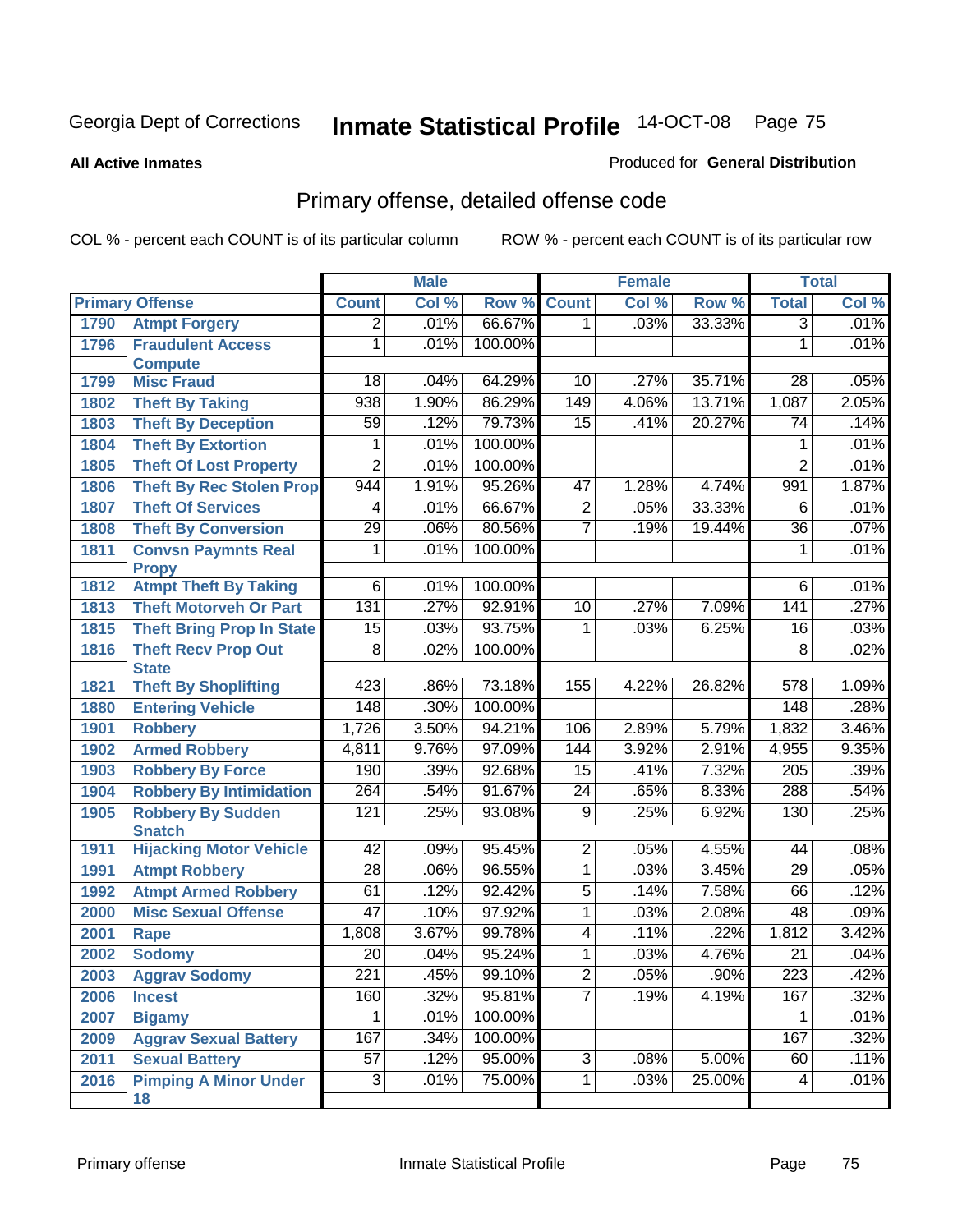**All Active Inmates**

### Produced for **General Distribution**

# Primary offense, detailed offense code

|      |                                                 | <b>Male</b>      |       |         | <b>Female</b>   |       |        | <b>Total</b>     |       |
|------|-------------------------------------------------|------------------|-------|---------|-----------------|-------|--------|------------------|-------|
|      | <b>Primary Offense</b>                          | <b>Count</b>     | Col % | Row %   | <b>Count</b>    | Col % | Row %  | <b>Total</b>     | Col % |
| 1790 | <b>Atmpt Forgery</b>                            | $\overline{2}$   | .01%  | 66.67%  | $\overline{1}$  | .03%  | 33.33% | $\overline{3}$   | .01%  |
| 1796 | <b>Fraudulent Access</b>                        | 1                | .01%  | 100.00% |                 |       |        | $\mathbf{1}$     | .01%  |
|      | <b>Compute</b>                                  |                  |       |         |                 |       |        |                  |       |
| 1799 | <b>Misc Fraud</b>                               | 18               | .04%  | 64.29%  | 10              | .27%  | 35.71% | 28               | .05%  |
| 1802 | <b>Theft By Taking</b>                          | 938              | 1.90% | 86.29%  | 149             | 4.06% | 13.71% | 1,087            | 2.05% |
| 1803 | <b>Theft By Deception</b>                       | 59               | .12%  | 79.73%  | $\overline{15}$ | .41%  | 20.27% | 74               | .14%  |
| 1804 | <b>Theft By Extortion</b>                       | 1                | .01%  | 100.00% |                 |       |        | 1                | .01%  |
| 1805 | <b>Theft Of Lost Property</b>                   | $\overline{2}$   | .01%  | 100.00% |                 |       |        | $\overline{2}$   | .01%  |
| 1806 | <b>Theft By Rec Stolen Prop</b>                 | 944              | 1.91% | 95.26%  | 47              | 1.28% | 4.74%  | 991              | 1.87% |
| 1807 | <b>Theft Of Services</b>                        | 4                | .01%  | 66.67%  | $\overline{2}$  | .05%  | 33.33% | 6                | .01%  |
| 1808 | <b>Theft By Conversion</b>                      | $\overline{29}$  | .06%  | 80.56%  | $\overline{7}$  | .19%  | 19.44% | $\overline{36}$  | .07%  |
| 1811 | <b>Convsn Paymnts Real</b>                      | $\mathbf{1}$     | .01%  | 100.00% |                 |       |        | 1                | .01%  |
|      | <b>Propy</b>                                    |                  |       |         |                 |       |        |                  |       |
| 1812 | <b>Atmpt Theft By Taking</b>                    | $\overline{6}$   | .01%  | 100.00% |                 |       |        | $6\overline{6}$  | .01%  |
| 1813 | <b>Theft Motorveh Or Part</b>                   | 131              | .27%  | 92.91%  | 10              | .27%  | 7.09%  | 141              | .27%  |
| 1815 | <b>Theft Bring Prop In State</b>                | $\overline{15}$  | .03%  | 93.75%  | 1               | .03%  | 6.25%  | 16               | .03%  |
| 1816 | <b>Theft Recv Prop Out</b>                      | $\overline{8}$   | .02%  | 100.00% |                 |       |        | $\overline{8}$   | .02%  |
|      | <b>State</b>                                    |                  |       |         |                 |       |        |                  |       |
| 1821 | <b>Theft By Shoplifting</b>                     | 423              | .86%  | 73.18%  | 155             | 4.22% | 26.82% | $\overline{578}$ | 1.09% |
| 1880 | <b>Entering Vehicle</b>                         | 148              | .30%  | 100.00% |                 |       |        | 148              | .28%  |
| 1901 | <b>Robbery</b>                                  | 1,726            | 3.50% | 94.21%  | 106             | 2.89% | 5.79%  | 1,832            | 3.46% |
| 1902 | <b>Armed Robbery</b>                            | 4,811            | 9.76% | 97.09%  | 144             | 3.92% | 2.91%  | 4,955            | 9.35% |
| 1903 | <b>Robbery By Force</b>                         | 190              | .39%  | 92.68%  | 15              | .41%  | 7.32%  | $\overline{205}$ | .39%  |
| 1904 | <b>Robbery By Intimidation</b>                  | $\overline{264}$ | .54%  | 91.67%  | $\overline{24}$ | .65%  | 8.33%  | 288              | .54%  |
| 1905 | <b>Robbery By Sudden</b>                        | 121              | .25%  | 93.08%  | $\overline{9}$  | .25%  | 6.92%  | 130              | .25%  |
| 1911 | <b>Snatch</b><br><b>Hijacking Motor Vehicle</b> | $\overline{42}$  | .09%  | 95.45%  | $\overline{2}$  | .05%  | 4.55%  | 44               | .08%  |
| 1991 | <b>Atmpt Robbery</b>                            | $\overline{28}$  | .06%  | 96.55%  | $\mathbf{1}$    | .03%  | 3.45%  | 29               | .05%  |
| 1992 | <b>Atmpt Armed Robbery</b>                      | 61               | .12%  | 92.42%  | $\overline{5}$  | .14%  | 7.58%  | 66               | .12%  |
|      | <b>Misc Sexual Offense</b>                      | $\overline{47}$  | .10%  | 97.92%  | $\overline{1}$  | .03%  | 2.08%  | 48               | .09%  |
| 2000 |                                                 |                  |       |         | $\overline{4}$  |       | .22%   |                  |       |
| 2001 | <b>Rape</b>                                     | 1,808            | 3.67% | 99.78%  |                 | .11%  |        | 1,812            | 3.42% |
| 2002 | <b>Sodomy</b>                                   | $\overline{20}$  | .04%  | 95.24%  | $\mathbf{1}$    | .03%  | 4.76%  | 21               | .04%  |
| 2003 | <b>Aggrav Sodomy</b>                            | $\overline{221}$ | .45%  | 99.10%  | $\overline{2}$  | .05%  | .90%   | $\overline{223}$ | .42%  |
| 2006 | <b>Incest</b>                                   | 160              | .32%  | 95.81%  | $\overline{7}$  | .19%  | 4.19%  | 167              | .32%  |
| 2007 | <b>Bigamy</b>                                   | 1                | .01%  | 100.00% |                 |       |        |                  | .01%  |
| 2009 | <b>Aggrav Sexual Battery</b>                    | 167              | .34%  | 100.00% |                 |       |        | 167              | .32%  |
| 2011 | <b>Sexual Battery</b>                           | $\overline{57}$  | .12%  | 95.00%  | ن               | .08%  | 5.00%  | 60               | .11%  |
| 2016 | <b>Pimping A Minor Under</b><br>18              | دی               | .01%  | 75.00%  | $\overline{1}$  | .03%  | 25.00% | 4                | .01%  |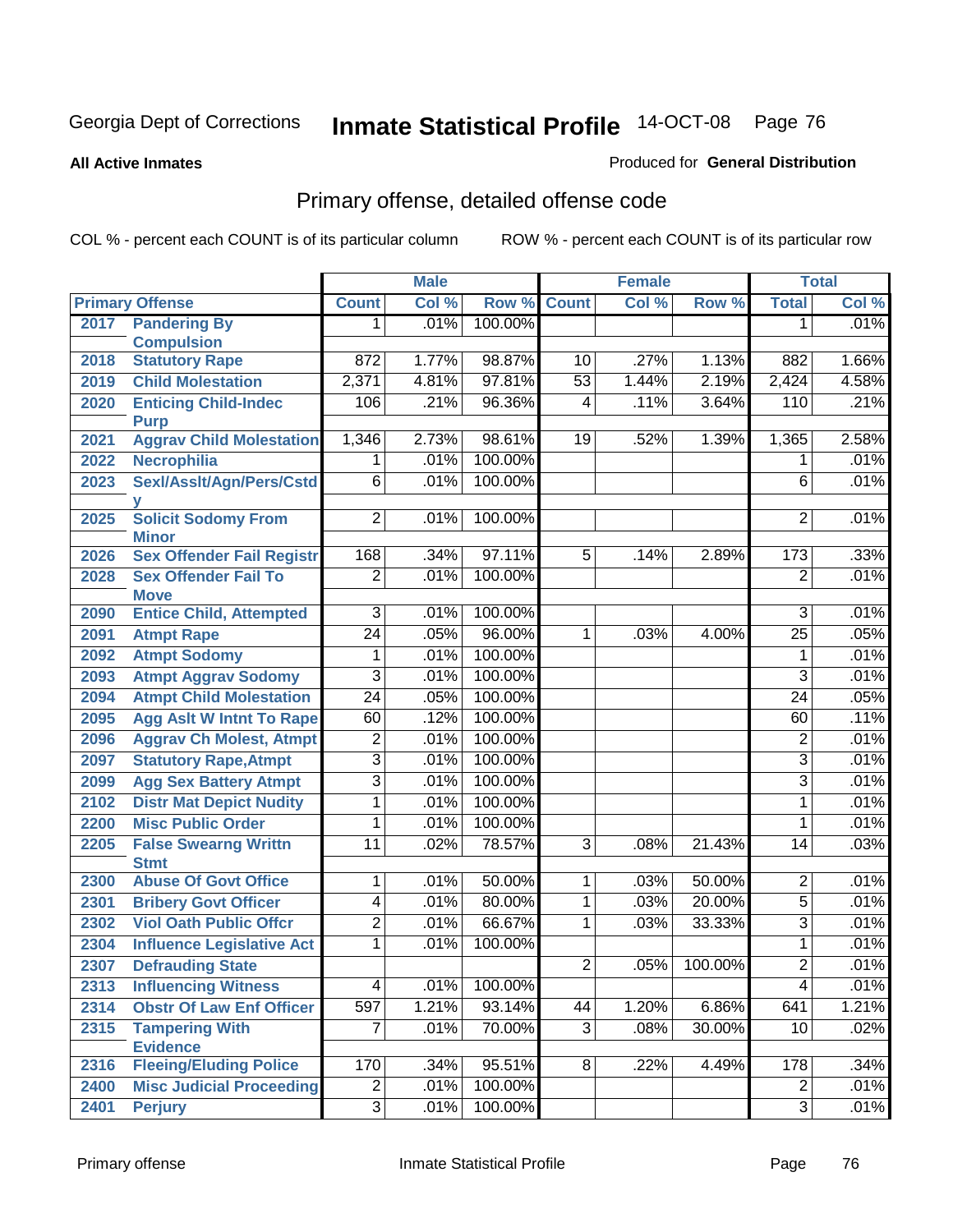#### **All Active Inmates**

### Produced for **General Distribution**

# Primary offense, detailed offense code

|      |                                                  |                                  | <b>Male</b> |         |                 | <b>Female</b> |          |                                  | <b>Total</b> |
|------|--------------------------------------------------|----------------------------------|-------------|---------|-----------------|---------------|----------|----------------------------------|--------------|
|      | <b>Primary Offense</b>                           | <b>Count</b>                     | Col %       | Row %   | <b>Count</b>    | Col %         | Row %    | <b>Total</b>                     | Col %        |
| 2017 | <b>Pandering By</b>                              | 1.                               | .01%        | 100.00% |                 |               |          | 1                                | .01%         |
|      | <b>Compulsion</b>                                |                                  |             |         |                 |               |          |                                  |              |
| 2018 | <b>Statutory Rape</b>                            | $\overline{872}$                 | 1.77%       | 98.87%  | 10              | .27%          | 1.13%    | 882                              | 1.66%        |
| 2019 | <b>Child Molestation</b>                         | 2,371                            | 4.81%       | 97.81%  | $\overline{53}$ | 1.44%         | 2.19%    | 2,424                            | 4.58%        |
| 2020 | <b>Enticing Child-Indec</b>                      | 106                              | .21%        | 96.36%  | 4               | .11%          | 3.64%    | 110                              | .21%         |
| 2021 | <b>Purp</b><br><b>Aggrav Child Molestation</b>   | 1,346                            | 2.73%       | 98.61%  | 19              | .52%          | 1.39%    | 1,365                            | 2.58%        |
| 2022 | <b>Necrophilia</b>                               | 1                                | .01%        | 100.00% |                 |               |          | 1                                | .01%         |
| 2023 | Sexl/Asslt/Agn/Pers/Cstd                         | $\overline{6}$                   | .01%        | 100.00% |                 |               |          | $\overline{6}$                   | .01%         |
|      |                                                  |                                  |             |         |                 |               |          |                                  |              |
| 2025 | <b>Solicit Sodomy From</b>                       | $\overline{2}$                   | .01%        | 100.00% |                 |               |          | 2                                | .01%         |
|      | <b>Minor</b>                                     |                                  |             |         |                 |               |          |                                  |              |
| 2026 | <b>Sex Offender Fail Registr</b>                 | 168                              | .34%        | 97.11%  | $\overline{5}$  | .14%          | 2.89%    | $\overline{173}$                 | .33%         |
| 2028 | <b>Sex Offender Fail To</b>                      | $\overline{2}$                   | .01%        | 100.00% |                 |               |          | $\overline{2}$                   | .01%         |
|      | <b>Move</b>                                      |                                  |             |         |                 |               |          |                                  |              |
| 2090 | <b>Entice Child, Attempted</b>                   | $\overline{3}$                   | .01%        | 100.00% |                 |               |          | 3                                | .01%         |
| 2091 | <b>Atmpt Rape</b>                                | $\overline{24}$                  | .05%        | 96.00%  | 1               | .03%          | 4.00%    | $\overline{25}$                  | .05%         |
| 2092 | <b>Atmpt Sodomy</b>                              | 1                                | .01%        | 100.00% |                 |               |          | 1                                | .01%         |
| 2093 | <b>Atmpt Aggrav Sodomy</b>                       | 3                                | .01%        | 100.00% |                 |               |          | 3                                | .01%         |
| 2094 | <b>Atmpt Child Molestation</b>                   | $\overline{24}$                  | .05%        | 100.00% |                 |               |          | $\overline{24}$                  | .05%         |
| 2095 | <b>Agg Aslt W Intnt To Rape</b>                  | 60                               | .12%        | 100.00% |                 |               |          | 60                               | .11%         |
| 2096 | <b>Aggrav Ch Molest, Atmpt</b>                   | 2                                | .01%        | 100.00% |                 |               |          | 2                                | .01%         |
| 2097 | <b>Statutory Rape, Atmpt</b>                     | $\overline{3}$                   | .01%        | 100.00% |                 |               |          | 3                                | .01%         |
| 2099 | <b>Agg Sex Battery Atmpt</b>                     | $\overline{3}$                   | .01%        | 100.00% |                 |               |          | $\overline{3}$                   | .01%         |
| 2102 | <b>Distr Mat Depict Nudity</b>                   | 1                                | .01%        | 100.00% |                 |               |          | 1                                | .01%         |
| 2200 | <b>Misc Public Order</b>                         | 1                                | .01%        | 100.00% |                 |               |          | 1                                | .01%         |
| 2205 | <b>False Swearng Writtn</b>                      | 11                               | .02%        | 78.57%  | 3               | .08%          | 21.43%   | 14                               | .03%         |
|      | <b>Stmt</b>                                      |                                  |             |         |                 |               |          |                                  |              |
| 2300 | <b>Abuse Of Govt Office</b>                      | 1                                | .01%        | 50.00%  | 1               | .03%          | 50.00%   | $\overline{2}$                   | .01%         |
| 2301 | <b>Bribery Govt Officer</b>                      | $\overline{4}$                   | .01%        | 80.00%  | $\overline{1}$  | .03%          | 20.00%   | $\overline{5}$                   | .01%         |
| 2302 | <b>Viol Oath Public Offcr</b>                    | $\overline{2}$                   | .01%        | 66.67%  | 1               | .03%          | 33.33%   | $\overline{3}$                   | .01%         |
| 2304 | <b>Influence Legislative Act</b>                 | 1                                | .01%        | 100.00% |                 |               |          | 1                                | .01%         |
| 2307 | <b>Defrauding State</b>                          |                                  |             |         | $\overline{2}$  | .05%          | 100.00%  | $\overline{2}$                   | .01%         |
| 2313 | <b>Influencing Witness</b>                       | $\overline{4}$                   | .01%        | 100.00% |                 |               |          | $\overline{4}$                   | .01%         |
| 2314 | <b>Obstr Of Law Enf Officer</b>                  | 597                              | 1.21%       | 93.14%  | 44              | 1.20%         | $6.86\%$ | 641                              | 1.21%        |
| 2315 | <b>Tampering With</b>                            | $\overline{7}$                   | .01%        | 70.00%  | $\overline{3}$  | .08%          | 30.00%   | 10                               | .02%         |
|      | <b>Evidence</b><br><b>Fleeing/Eluding Police</b> | 170                              | .34%        | 95.51%  | 8               | .22%          | 4.49%    | 178                              | .34%         |
| 2316 | <b>Misc Judicial Proceeding</b>                  |                                  | .01%        | 100.00% |                 |               |          |                                  | .01%         |
| 2400 |                                                  | $\overline{c}$<br>$\overline{3}$ |             | 100.00% |                 |               |          | $\overline{2}$<br>$\overline{3}$ |              |
| 2401 | <b>Perjury</b>                                   |                                  | .01%        |         |                 |               |          |                                  | .01%         |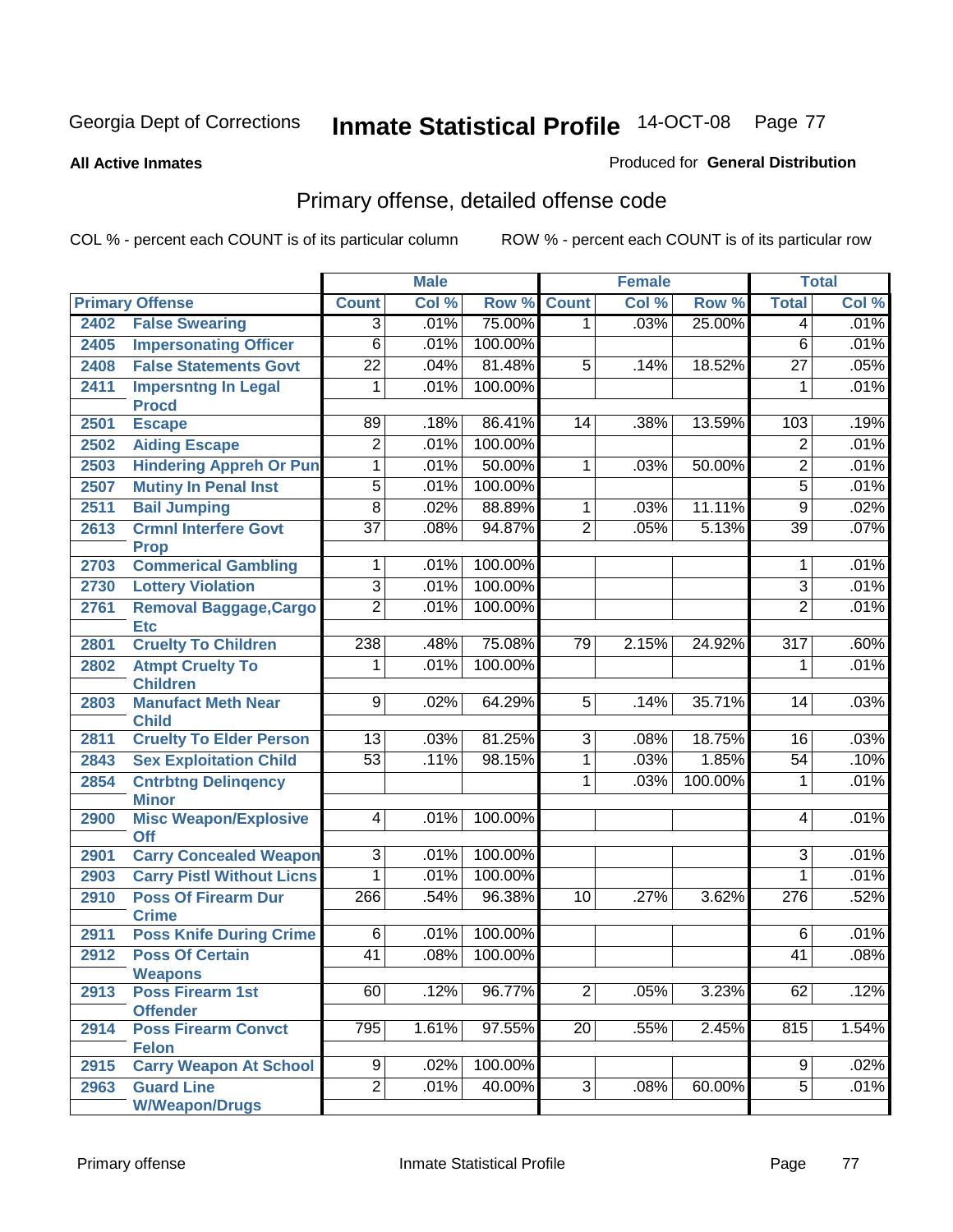#### **All Active Inmates**

### Produced for **General Distribution**

# Primary offense, detailed offense code

|      |                                               |                 | <b>Male</b> |         |                 | <b>Female</b> |         |                  | <b>Total</b> |
|------|-----------------------------------------------|-----------------|-------------|---------|-----------------|---------------|---------|------------------|--------------|
|      | <b>Primary Offense</b>                        | <b>Count</b>    | Col %       | Row %   | <b>Count</b>    | Col %         | Row %   | <b>Total</b>     | Col %        |
| 2402 | <b>False Swearing</b>                         | $\overline{3}$  | .01%        | 75.00%  | $\mathbf 1$     | .03%          | 25.00%  | 4                | .01%         |
| 2405 | <b>Impersonating Officer</b>                  | $\overline{6}$  | .01%        | 100.00% |                 |               |         | $\overline{6}$   | .01%         |
| 2408 | <b>False Statements Govt</b>                  | $\overline{22}$ | .04%        | 81.48%  | 5               | .14%          | 18.52%  | $\overline{27}$  | .05%         |
| 2411 | <b>Impersntng In Legal</b>                    | 1               | .01%        | 100.00% |                 |               |         | 1                | .01%         |
|      | <b>Procd</b>                                  |                 |             |         |                 |               |         |                  |              |
| 2501 | <b>Escape</b>                                 | 89              | .18%        | 86.41%  | $\overline{14}$ | .38%          | 13.59%  | 103              | .19%         |
| 2502 | <b>Aiding Escape</b>                          | $\overline{2}$  | .01%        | 100.00% |                 |               |         | $\overline{2}$   | .01%         |
| 2503 | <b>Hindering Appreh Or Pun</b>                | 1               | .01%        | 50.00%  | 1               | .03%          | 50.00%  | $\overline{2}$   | .01%         |
| 2507 | <b>Mutiny In Penal Inst</b>                   | $\overline{5}$  | .01%        | 100.00% |                 |               |         | $\overline{5}$   | .01%         |
| 2511 | <b>Bail Jumping</b>                           | $\overline{8}$  | .02%        | 88.89%  | 1               | .03%          | 11.11%  | $\overline{9}$   | .02%         |
| 2613 | <b>Crmnl Interfere Govt</b><br><b>Prop</b>    | $\overline{37}$ | .08%        | 94.87%  | $\overline{2}$  | .05%          | 5.13%   | $\overline{39}$  | .07%         |
| 2703 | <b>Commerical Gambling</b>                    | 1               | .01%        | 100.00% |                 |               |         | 1                | .01%         |
| 2730 | <b>Lottery Violation</b>                      | $\overline{3}$  | .01%        | 100.00% |                 |               |         | $\overline{3}$   | .01%         |
| 2761 | <b>Removal Baggage, Cargo</b>                 | $\overline{2}$  | .01%        | 100.00% |                 |               |         | $\overline{2}$   | .01%         |
|      | <b>Etc</b>                                    |                 |             |         |                 |               |         |                  |              |
| 2801 | <b>Cruelty To Children</b>                    | 238             | .48%        | 75.08%  | 79              | 2.15%         | 24.92%  | $\overline{317}$ | .60%         |
| 2802 | <b>Atmpt Cruelty To</b><br><b>Children</b>    | 1               | .01%        | 100.00% |                 |               |         | 1                | .01%         |
| 2803 | <b>Manufact Meth Near</b><br><b>Child</b>     | $\overline{9}$  | .02%        | 64.29%  | $\overline{5}$  | .14%          | 35.71%  | 14               | .03%         |
| 2811 | <b>Cruelty To Elder Person</b>                | 13              | .03%        | 81.25%  | 3               | .08%          | 18.75%  | 16               | .03%         |
| 2843 | <b>Sex Exploitation Child</b>                 | $\overline{53}$ | .11%        | 98.15%  | $\overline{1}$  | .03%          | 1.85%   | $\overline{54}$  | .10%         |
| 2854 | <b>Cntrbtng Delingency</b>                    |                 |             |         | 1               | .03%          | 100.00% | 1                | .01%         |
|      | <b>Minor</b>                                  |                 |             |         |                 |               |         |                  |              |
| 2900 | <b>Misc Weapon/Explosive</b><br><b>Off</b>    | $\overline{4}$  | .01%        | 100.00% |                 |               |         | 4                | .01%         |
| 2901 | <b>Carry Concealed Weapon</b>                 | $\overline{3}$  | .01%        | 100.00% |                 |               |         | $\overline{3}$   | .01%         |
| 2903 | <b>Carry Pistl Without Licns</b>              | $\overline{1}$  | .01%        | 100.00% |                 |               |         | $\mathbf{1}$     | .01%         |
| 2910 | <b>Poss Of Firearm Dur</b>                    | 266             | .54%        | 96.38%  | 10              | .27%          | 3.62%   | $\overline{276}$ | .52%         |
|      | <b>Crime</b>                                  |                 |             |         |                 |               |         |                  |              |
| 2911 | <b>Poss Knife During Crime</b>                | 6               | .01%        | 100.00% |                 |               |         | 6                | .01%         |
| 2912 | <b>Poss Of Certain</b>                        | $\overline{41}$ | .08%        | 100.00% |                 |               |         | $\overline{41}$  | .08%         |
|      | <b>Weapons</b>                                |                 |             |         |                 |               |         |                  |              |
| 2913 | <b>Poss Firearm 1st</b>                       | 60              | .12%        | 96.77%  | $\overline{2}$  | .05%          | 3.23%   | 62               | .12%         |
| 2914 | <b>Offender</b><br><b>Poss Firearm Convct</b> | 795             | 1.61%       | 97.55%  | $\overline{20}$ | .55%          | 2.45%   | 815              | 1.54%        |
|      | <b>Felon</b>                                  |                 |             |         |                 |               |         |                  |              |
| 2915 | <b>Carry Weapon At School</b>                 | 9               | .02%        | 100.00% |                 |               |         | 9                | .02%         |
| 2963 | <b>Guard Line</b>                             | $\overline{2}$  | .01%        | 40.00%  | $\overline{3}$  | .08%          | 60.00%  | $\overline{5}$   | .01%         |
|      | <b>W/Weapon/Drugs</b>                         |                 |             |         |                 |               |         |                  |              |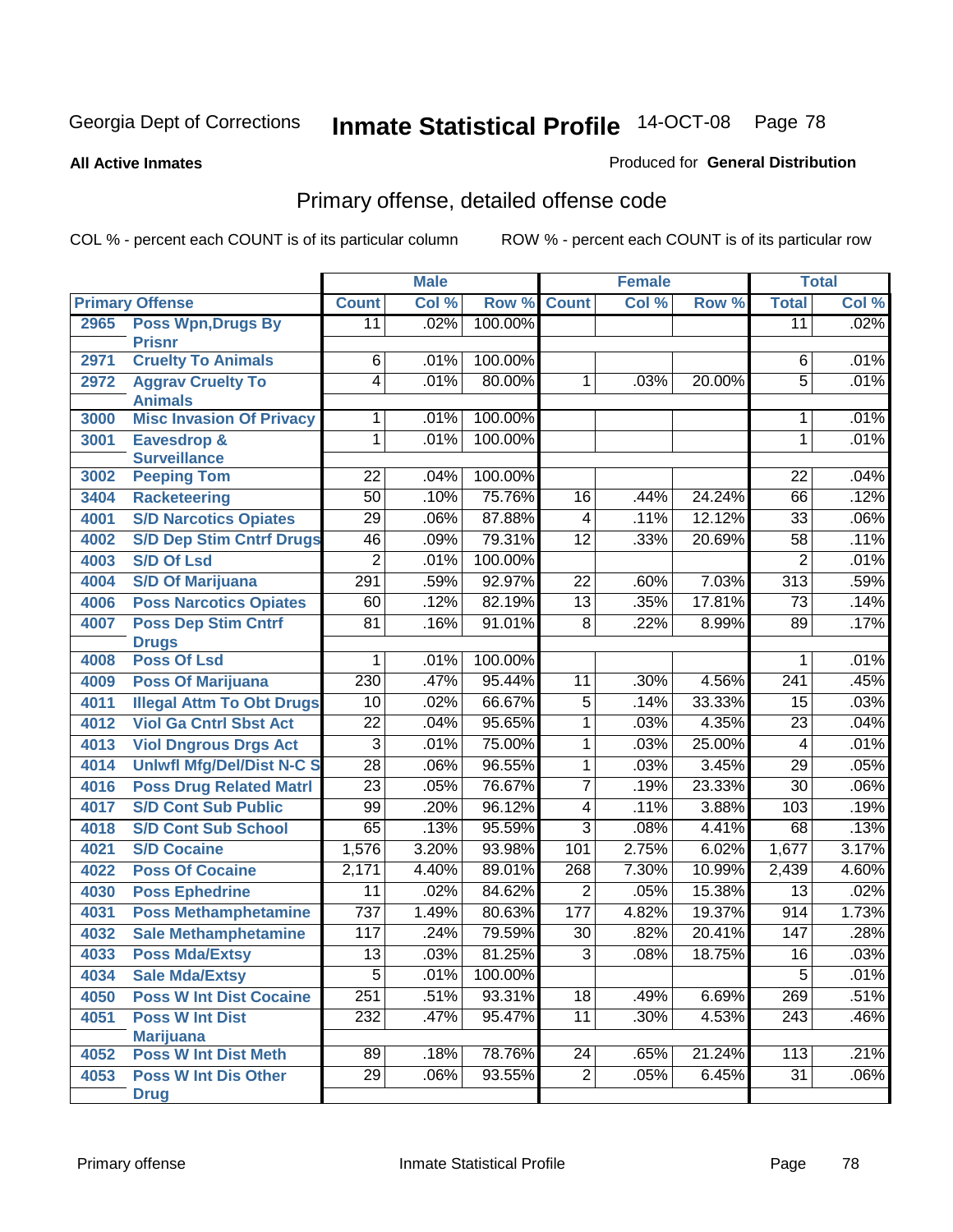**All Active Inmates**

### Produced for **General Distribution**

# Primary offense, detailed offense code

|      |                                                   |                 | <b>Male</b> |         |                 | <b>Female</b> |        |                  | <b>Total</b> |
|------|---------------------------------------------------|-----------------|-------------|---------|-----------------|---------------|--------|------------------|--------------|
|      | <b>Primary Offense</b>                            | <b>Count</b>    | Col %       | Row %   | <b>Count</b>    | Col %         | Row %  | <b>Total</b>     | Col %        |
| 2965 | <b>Poss Wpn, Drugs By</b>                         | $\overline{11}$ | .02%        | 100.00% |                 |               |        | $\overline{11}$  | .02%         |
|      | <b>Prisnr</b>                                     |                 |             |         |                 |               |        |                  |              |
| 2971 | <b>Cruelty To Animals</b>                         | $\overline{6}$  | .01%        | 100.00% |                 |               |        | 6                | .01%         |
| 2972 | <b>Aggrav Cruelty To</b>                          | $\overline{4}$  | .01%        | 80.00%  | $\mathbf{1}$    | .03%          | 20.00% | $\overline{5}$   | .01%         |
| 3000 | <b>Animals</b><br><b>Misc Invasion Of Privacy</b> | 1               | .01%        | 100.00% |                 |               |        | 1                | .01%         |
|      | Eavesdrop &                                       | $\overline{1}$  | .01%        | 100.00% |                 |               |        | $\overline{1}$   | .01%         |
| 3001 | <b>Surveillance</b>                               |                 |             |         |                 |               |        |                  |              |
| 3002 | <b>Peeping Tom</b>                                | $\overline{22}$ | .04%        | 100.00% |                 |               |        | $\overline{22}$  | .04%         |
| 3404 | <b>Racketeering</b>                               | $\overline{50}$ | .10%        | 75.76%  | $\overline{16}$ | .44%          | 24.24% | 66               | .12%         |
| 4001 | <b>S/D Narcotics Opiates</b>                      | $\overline{29}$ | .06%        | 87.88%  | 4               | .11%          | 12.12% | $\overline{33}$  | .06%         |
| 4002 | <b>S/D Dep Stim Cntrf Drugs</b>                   | $\overline{46}$ | .09%        | 79.31%  | $\overline{12}$ | .33%          | 20.69% | $\overline{58}$  | .11%         |
| 4003 | <b>S/D Of Lsd</b>                                 | $\overline{2}$  | .01%        | 100.00% |                 |               |        | $\overline{2}$   | .01%         |
| 4004 | <b>S/D Of Marijuana</b>                           | 291             | .59%        | 92.97%  | $\overline{22}$ | .60%          | 7.03%  | $\overline{313}$ | .59%         |
| 4006 | <b>Poss Narcotics Opiates</b>                     | 60              | .12%        | 82.19%  | $\overline{13}$ | .35%          | 17.81% | $\overline{73}$  | .14%         |
| 4007 | <b>Poss Dep Stim Cntrf</b>                        | $\overline{81}$ | .16%        | 91.01%  | $\overline{8}$  | .22%          | 8.99%  | 89               | .17%         |
|      | <b>Drugs</b>                                      |                 |             |         |                 |               |        |                  |              |
| 4008 | <b>Poss Of Lsd</b>                                | 1               | .01%        | 100.00% |                 |               |        | 1                | .01%         |
| 4009 | <b>Poss Of Marijuana</b>                          | 230             | .47%        | 95.44%  | 11              | .30%          | 4.56%  | 241              | .45%         |
| 4011 | <b>Illegal Attm To Obt Drugs</b>                  | $\overline{10}$ | .02%        | 66.67%  | $\overline{5}$  | .14%          | 33.33% | 15               | .03%         |
| 4012 | <b>Viol Ga Cntrl Sbst Act</b>                     | $\overline{22}$ | .04%        | 95.65%  | 1               | .03%          | 4.35%  | 23               | .04%         |
| 4013 | <b>Viol Dngrous Drgs Act</b>                      | 3               | .01%        | 75.00%  | 1               | .03%          | 25.00% | $\overline{4}$   | .01%         |
| 4014 | <b>Uniwfl Mfg/Del/Dist N-C S</b>                  | $\overline{28}$ | .06%        | 96.55%  | $\overline{1}$  | .03%          | 3.45%  | $\overline{29}$  | .05%         |
| 4016 | <b>Poss Drug Related Matri</b>                    | $\overline{23}$ | .05%        | 76.67%  | $\overline{7}$  | .19%          | 23.33% | $\overline{30}$  | .06%         |
| 4017 | <b>S/D Cont Sub Public</b>                        | 99              | .20%        | 96.12%  | $\overline{4}$  | .11%          | 3.88%  | 103              | .19%         |
| 4018 | <b>S/D Cont Sub School</b>                        | 65              | .13%        | 95.59%  | $\overline{3}$  | .08%          | 4.41%  | 68               | .13%         |
| 4021 | <b>S/D Cocaine</b>                                | 1,576           | 3.20%       | 93.98%  | 101             | 2.75%         | 6.02%  | 1,677            | 3.17%        |
| 4022 | <b>Poss Of Cocaine</b>                            | 2,171           | 4.40%       | 89.01%  | 268             | 7.30%         | 10.99% | 2,439            | 4.60%        |
| 4030 | <b>Poss Ephedrine</b>                             | 11              | .02%        | 84.62%  | $\overline{2}$  | .05%          | 15.38% | $\overline{13}$  | .02%         |
| 4031 | <b>Poss Methamphetamine</b>                       | 737             | 1.49%       | 80.63%  | 177             | 4.82%         | 19.37% | 914              | 1.73%        |
| 4032 | <b>Sale Methamphetamine</b>                       | 117             | .24%        | 79.59%  | 30              | .82%          | 20.41% | 147              | .28%         |
| 4033 | <b>Poss Mda/Extsy</b>                             | $\overline{13}$ | .03%        | 81.25%  | $\overline{3}$  | .08%          | 18.75% | $\overline{16}$  | .03%         |
| 4034 | <b>Sale Mda/Extsy</b>                             | 5               | .01%        | 100.00% |                 |               |        | 5                | $.01\%$      |
| 4050 | <b>Poss W Int Dist Cocaine</b>                    | 251             | .51%        | 93.31%  | $\overline{18}$ | .49%          | 6.69%  | 269              | .51%         |
| 4051 | <b>Poss W Int Dist</b>                            | 232             | .47%        | 95.47%  | 11              | .30%          | 4.53%  | $\overline{243}$ | .46%         |
|      | <b>Marijuana</b>                                  |                 |             |         |                 |               |        |                  |              |
| 4052 | <b>Poss W Int Dist Meth</b>                       | 89              | .18%        | 78.76%  | 24              | .65%          | 21.24% | 113              | .21%         |
| 4053 | <b>Poss W Int Dis Other</b>                       | $\overline{29}$ | .06%        | 93.55%  | $\overline{2}$  | .05%          | 6.45%  | $\overline{31}$  | .06%         |
|      | <b>Drug</b>                                       |                 |             |         |                 |               |        |                  |              |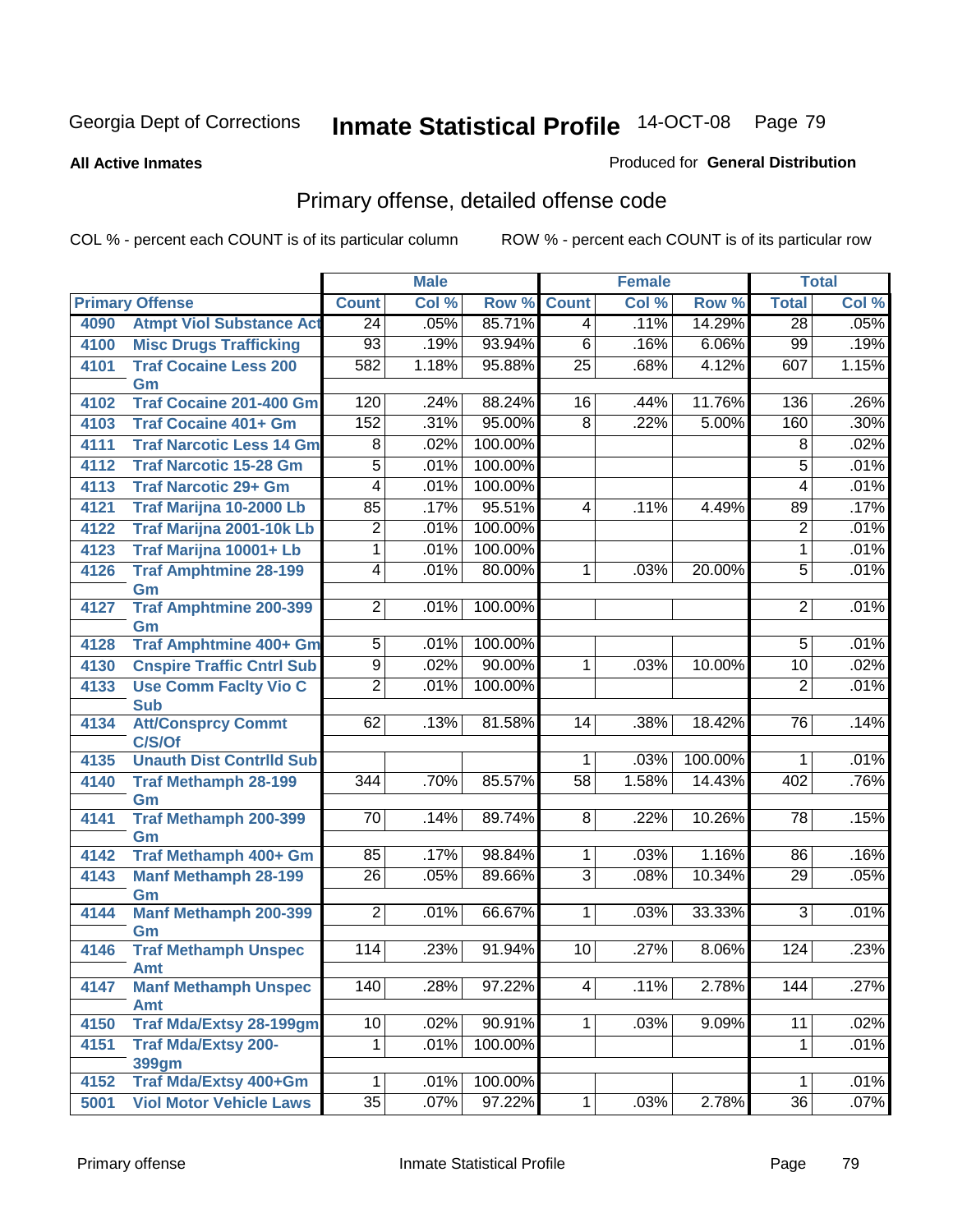#### **All Active Inmates**

### Produced for **General Distribution**

# Primary offense, detailed offense code

|      |                                    | <b>Male</b>      |       | <b>Female</b> |                 |       | <b>Total</b> |                          |       |
|------|------------------------------------|------------------|-------|---------------|-----------------|-------|--------------|--------------------------|-------|
|      | <b>Primary Offense</b>             | <b>Count</b>     | Col % | Row %         | <b>Count</b>    | Col % | Row %        | <b>Total</b>             | Col % |
| 4090 | <b>Atmpt Viol Substance Act</b>    | $\overline{24}$  | .05%  | 85.71%        | $\overline{4}$  | .11%  | 14.29%       | $\overline{28}$          | .05%  |
| 4100 | <b>Misc Drugs Trafficking</b>      | $\overline{93}$  | .19%  | 93.94%        | $\overline{6}$  | .16%  | 6.06%        | 99                       | .19%  |
| 4101 | <b>Traf Cocaine Less 200</b>       | 582              | 1.18% | 95.88%        | $\overline{25}$ | .68%  | 4.12%        | 607                      | 1.15% |
|      | Gm                                 |                  |       |               |                 |       |              |                          |       |
| 4102 | <b>Traf Cocaine 201-400 Gm</b>     | 120              | .24%  | 88.24%        | 16              | .44%  | 11.76%       | 136                      | .26%  |
| 4103 | <b>Traf Cocaine 401+ Gm</b>        | 152              | .31%  | 95.00%        | 8               | .22%  | 5.00%        | 160                      | .30%  |
| 4111 | <b>Traf Narcotic Less 14 Gm</b>    | 8                | .02%  | 100.00%       |                 |       |              | 8                        | .02%  |
| 4112 | <b>Traf Narcotic 15-28 Gm</b>      | $\overline{5}$   | .01%  | 100.00%       |                 |       |              | 5                        | .01%  |
| 4113 | <b>Traf Narcotic 29+ Gm</b>        | $\overline{4}$   | .01%  | 100.00%       |                 |       |              | $\overline{\mathcal{A}}$ | .01%  |
| 4121 | Traf Marijna 10-2000 Lb            | 85               | .17%  | 95.51%        | 4               | .11%  | 4.49%        | 89                       | .17%  |
| 4122 | Traf Marijna 2001-10k Lb           | 2                | .01%  | 100.00%       |                 |       |              | $\overline{2}$           | .01%  |
| 4123 | Traf Marijna 10001+ Lb             | $\overline{1}$   | .01%  | 100.00%       |                 |       |              | $\mathbf{1}$             | .01%  |
| 4126 | <b>Traf Amphtmine 28-199</b>       | $\overline{4}$   | .01%  | 80.00%        | $\mathbf{1}$    | .03%  | 20.00%       | $\overline{5}$           | .01%  |
|      | Gm                                 |                  |       |               |                 |       |              |                          |       |
| 4127 | <b>Traf Amphtmine 200-399</b>      | $\overline{2}$   | .01%  | 100.00%       |                 |       |              | $\overline{2}$           | .01%  |
| 4128 | Gm<br>Traf Amphtmine 400+ Gm       | $\overline{5}$   | .01%  | 100.00%       |                 |       |              | $\overline{5}$           | .01%  |
| 4130 | <b>Cnspire Traffic Cntrl Sub</b>   | $\overline{9}$   | .02%  | 90.00%        | $\mathbf 1$     | .03%  | 10.00%       | 10                       | .02%  |
| 4133 | <b>Use Comm Facity Vio C</b>       | $\overline{2}$   | .01%  | 100.00%       |                 |       |              | $\overline{2}$           | .01%  |
|      | <b>Sub</b>                         |                  |       |               |                 |       |              |                          |       |
| 4134 | <b>Att/Consprcy Commt</b>          | 62               | .13%  | 81.58%        | $\overline{14}$ | .38%  | 18.42%       | 76                       | .14%  |
|      | C/S/Of                             |                  |       |               |                 |       |              |                          |       |
| 4135 | <b>Unauth Dist Contrild Sub</b>    |                  |       |               | 1               | .03%  | 100.00%      | 1                        | .01%  |
| 4140 | <b>Traf Methamph 28-199</b>        | $\overline{344}$ | .70%  | 85.57%        | $\overline{58}$ | 1.58% | 14.43%       | 402                      | .76%  |
|      | Gm                                 |                  |       |               |                 |       |              |                          |       |
| 4141 | <b>Traf Methamph 200-399</b>       | $\overline{70}$  | .14%  | 89.74%        | $\overline{8}$  | .22%  | 10.26%       | $\overline{78}$          | .15%  |
|      | Gm                                 |                  |       |               |                 |       |              |                          |       |
| 4142 | Traf Methamph 400+ Gm              | 85               | .17%  | 98.84%        | 1 <sup>1</sup>  | .03%  | 1.16%        | 86                       | .16%  |
| 4143 | <b>Manf Methamph 28-199</b>        | $\overline{26}$  | .05%  | 89.66%        | $\overline{3}$  | .08%  | 10.34%       | 29                       | .05%  |
| 4144 | Gm<br><b>Manf Methamph 200-399</b> | $\overline{2}$   | .01%  | 66.67%        | $\mathbf{1}$    | .03%  | 33.33%       | 3                        | .01%  |
|      | Gm                                 |                  |       |               |                 |       |              |                          |       |
| 4146 | <b>Traf Methamph Unspec</b>        | 114              | .23%  | 91.94%        | 10              | .27%  | 8.06%        | 124                      | .23%  |
|      | <b>Amt</b>                         |                  |       |               |                 |       |              |                          |       |
| 4147 | <b>Manf Methamph Unspec</b>        | 140              | .28%  | 97.22%        | $\overline{4}$  | .11%  | 2.78%        | 144                      | .27%  |
|      | Amt                                |                  |       |               |                 |       |              |                          |       |
| 4150 | <b>Traf Mda/Extsy 28-199gm</b>     | 10               | .02%  | 90.91%        | 1 <sup>1</sup>  | .03%  | 9.09%        | $\overline{11}$          | .02%  |
| 4151 | <b>Traf Mda/Extsy 200-</b>         | 1                | .01%  | 100.00%       |                 |       |              | 1                        | .01%  |
|      | <b>399gm</b>                       |                  |       |               |                 |       |              |                          |       |
| 4152 | Traf Mda/Extsy 400+Gm              | $\mathbf 1$      | .01%  | 100.00%       |                 |       |              | 1                        | .01%  |
| 5001 | <b>Viol Motor Vehicle Laws</b>     | $\overline{35}$  | .07%  | 97.22%        | 1               | .03%  | 2.78%        | $\overline{36}$          | .07%  |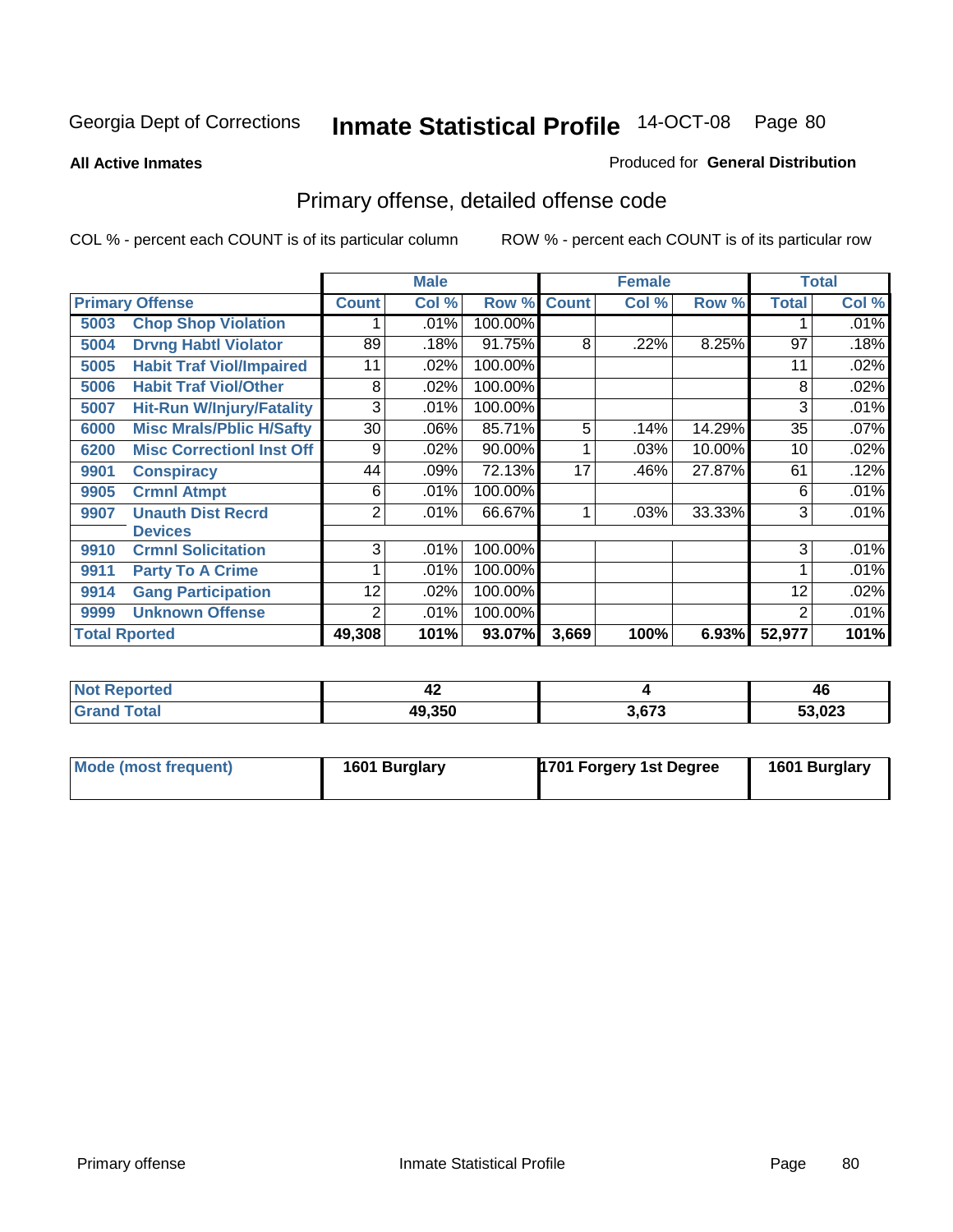**All Active Inmates**

#### Produced for **General Distribution**

# Primary offense, detailed offense code

|                      |                                  | <b>Male</b><br><b>Female</b> |         |         |              |       | <b>Total</b> |              |       |
|----------------------|----------------------------------|------------------------------|---------|---------|--------------|-------|--------------|--------------|-------|
|                      | <b>Primary Offense</b>           | <b>Count</b>                 | Col %   | Row %   | <b>Count</b> | Col % | Row %        | <b>Total</b> | Col % |
| 5003                 | <b>Chop Shop Violation</b>       |                              | .01%    | 100.00% |              |       |              |              | .01%  |
| 5004                 | <b>Drvng Habtl Violator</b>      | 89                           | .18%    | 91.75%  | 8            | .22%  | 8.25%        | 97           | .18%  |
| 5005                 | <b>Habit Traf Viol/Impaired</b>  | 11                           | .02%    | 100.00% |              |       |              | 11           | .02%  |
| 5006                 | <b>Habit Traf Viol/Other</b>     | 8                            | $.02\%$ | 100.00% |              |       |              | 8            | .02%  |
| 5007                 | <b>Hit-Run W/Injury/Fatality</b> | 3                            | .01%    | 100.00% |              |       |              | 3            | .01%  |
| 6000                 | <b>Misc Mrals/Pblic H/Safty</b>  | 30                           | .06%    | 85.71%  | 5            | .14%  | 14.29%       | 35           | .07%  |
| 6200                 | <b>Misc CorrectionI Inst Off</b> | 9                            | .02%    | 90.00%  |              | .03%  | 10.00%       | 10           | .02%  |
| 9901                 | <b>Conspiracy</b>                | 44                           | .09%    | 72.13%  | 17           | .46%  | 27.87%       | 61           | .12%  |
| 9905                 | <b>Crmnl Atmpt</b>               | 6                            | .01%    | 100.00% |              |       |              | 6            | .01%  |
| 9907                 | <b>Unauth Dist Recrd</b>         | 2                            | .01%    | 66.67%  | 1            | .03%  | 33.33%       | 3            | .01%  |
|                      | <b>Devices</b>                   |                              |         |         |              |       |              |              |       |
| 9910                 | <b>Crmnl Solicitation</b>        | $\overline{3}$               | .01%    | 100.00% |              |       |              | 3            | .01%  |
| 9911                 | <b>Party To A Crime</b>          |                              | .01%    | 100.00% |              |       |              |              | .01%  |
| 9914                 | <b>Gang Participation</b>        | 12                           | .02%    | 100.00% |              |       |              | 12           | .02%  |
| 9999                 | <b>Unknown Offense</b>           | 2                            | .01%    | 100.00% |              |       |              | 2            | .01%  |
| <b>Total Rported</b> |                                  | 49,308                       | 101%    | 93.07%  | 3,669        | 100%  | 6.93%        | 52,977       | 101%  |

| prec<br>N<br>. | —4⊾    |              | 46     |
|----------------|--------|--------------|--------|
|                | 49,350 | <b>2.CZ2</b> | 53,023 |

| Mode (most frequent) | 1601 Burglary | 1701 Forgery 1st Degree | 1601 Burglary |
|----------------------|---------------|-------------------------|---------------|
|                      |               |                         |               |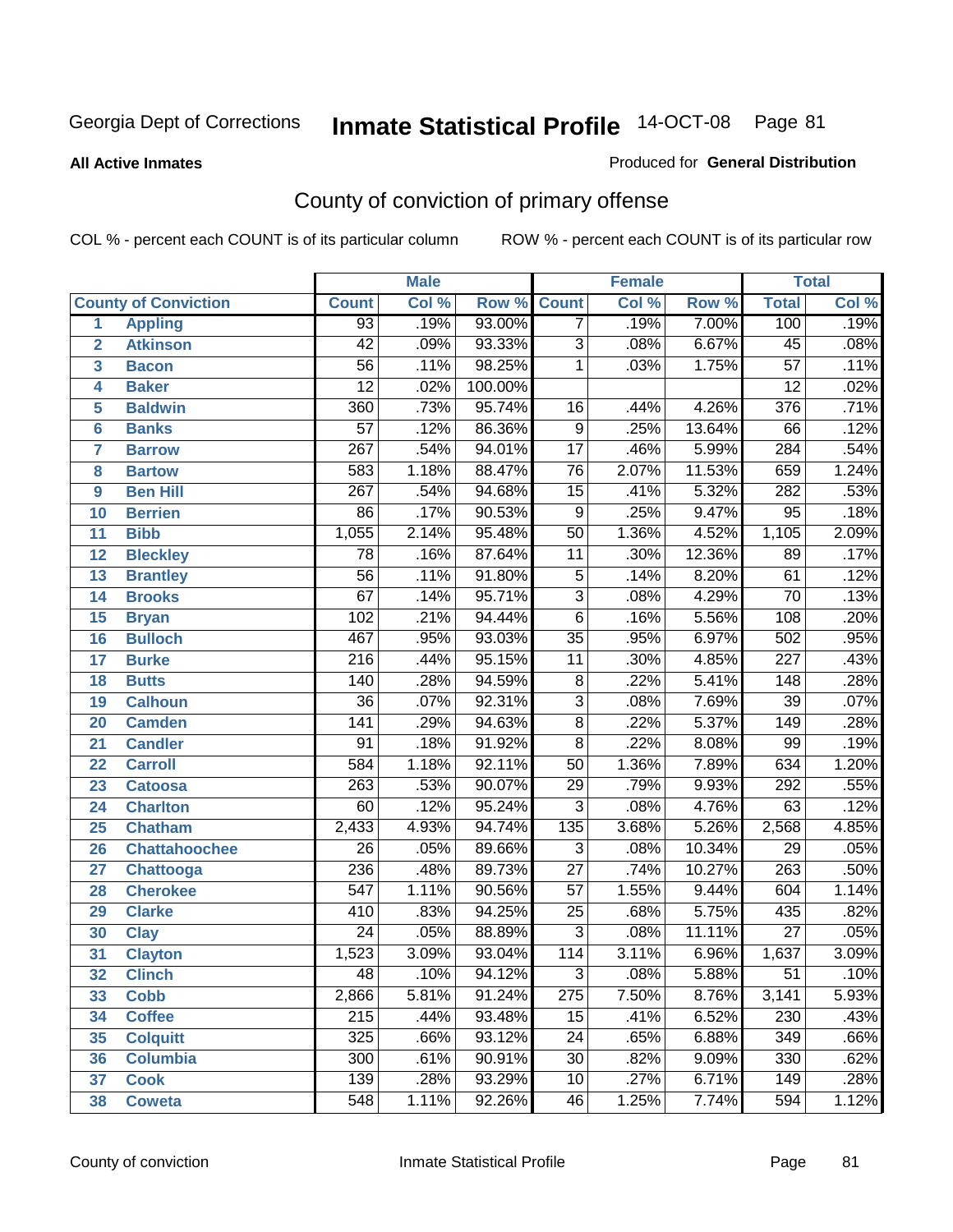#### **All Active Inmates**

#### Produced for **General Distribution**

# County of conviction of primary offense

|                         |                             |                  | <b>Male</b> |         | <b>Female</b>    |       |                  | <b>Total</b>     |       |
|-------------------------|-----------------------------|------------------|-------------|---------|------------------|-------|------------------|------------------|-------|
|                         | <b>County of Conviction</b> | <b>Count</b>     | Col %       | Row %   | <b>Count</b>     | Col % | Row <sup>%</sup> | <b>Total</b>     | Col % |
| 1                       | <b>Appling</b>              | $\overline{93}$  | .19%        | 93.00%  | 7                | .19%  | 7.00%            | 100              | .19%  |
| $\overline{2}$          | <b>Atkinson</b>             | $\overline{42}$  | .09%        | 93.33%  | $\overline{3}$   | .08%  | 6.67%            | 45               | .08%  |
| $\overline{\mathbf{3}}$ | <b>Bacon</b>                | $\overline{56}$  | .11%        | 98.25%  | 1                | .03%  | 1.75%            | $\overline{57}$  | .11%  |
| 4                       | <b>Baker</b>                | $\overline{12}$  | .02%        | 100.00% |                  |       |                  | $\overline{12}$  | .02%  |
| 5                       | <b>Baldwin</b>              | 360              | .73%        | 95.74%  | 16               | .44%  | 4.26%            | $\overline{376}$ | .71%  |
| 6                       | <b>Banks</b>                | $\overline{57}$  | .12%        | 86.36%  | $\overline{9}$   | .25%  | 13.64%           | 66               | .12%  |
| $\overline{\mathbf{7}}$ | <b>Barrow</b>               | $\overline{267}$ | .54%        | 94.01%  | $\overline{17}$  | .46%  | 5.99%            | 284              | .54%  |
| 8                       | <b>Bartow</b>               | 583              | 1.18%       | 88.47%  | $\overline{76}$  | 2.07% | 11.53%           | 659              | 1.24% |
| 9                       | <b>Ben Hill</b>             | $\overline{267}$ | .54%        | 94.68%  | $\overline{15}$  | .41%  | 5.32%            | $\overline{282}$ | .53%  |
| 10                      | <b>Berrien</b>              | $\overline{86}$  | .17%        | 90.53%  | $\overline{9}$   | .25%  | 9.47%            | $\overline{95}$  | .18%  |
| 11                      | <b>Bibb</b>                 | 1,055            | 2.14%       | 95.48%  | $\overline{50}$  | 1.36% | 4.52%            | 1,105            | 2.09% |
| 12                      | <b>Bleckley</b>             | $\overline{78}$  | .16%        | 87.64%  | $\overline{11}$  | .30%  | 12.36%           | 89               | .17%  |
| $\overline{13}$         | <b>Brantley</b>             | $\overline{56}$  | .11%        | 91.80%  | $\overline{5}$   | .14%  | 8.20%            | 61               | .12%  |
| $\overline{14}$         | <b>Brooks</b>               | $\overline{67}$  | .14%        | 95.71%  | $\overline{3}$   | .08%  | 4.29%            | $\overline{70}$  | .13%  |
| 15                      | <b>Bryan</b>                | 102              | .21%        | 94.44%  | $\overline{6}$   | .16%  | 5.56%            | 108              | .20%  |
| 16                      | <b>Bulloch</b>              | 467              | .95%        | 93.03%  | $\overline{35}$  | .95%  | 6.97%            | 502              | .95%  |
| $\overline{17}$         | <b>Burke</b>                | $\overline{216}$ | .44%        | 95.15%  | $\overline{11}$  | .30%  | 4.85%            | $\overline{227}$ | .43%  |
| 18                      | <b>Butts</b>                | 140              | .28%        | 94.59%  | $\overline{8}$   | .22%  | 5.41%            | $\overline{148}$ | .28%  |
| 19                      | <b>Calhoun</b>              | $\overline{36}$  | .07%        | 92.31%  | $\overline{3}$   | .08%  | 7.69%            | $\overline{39}$  | .07%  |
| 20                      | <b>Camden</b>               | $\overline{141}$ | .29%        | 94.63%  | $\overline{8}$   | .22%  | 5.37%            | 149              | .28%  |
| 21                      | <b>Candler</b>              | $\overline{91}$  | .18%        | 91.92%  | $\overline{8}$   | .22%  | 8.08%            | 99               | .19%  |
| $\overline{22}$         | <b>Carroll</b>              | 584              | 1.18%       | 92.11%  | $\overline{50}$  | 1.36% | 7.89%            | 634              | 1.20% |
| 23                      | <b>Catoosa</b>              | $\overline{263}$ | .53%        | 90.07%  | $\overline{29}$  | .79%  | 9.93%            | 292              | .55%  |
| 24                      | <b>Charlton</b>             | 60               | .12%        | 95.24%  | $\overline{3}$   | .08%  | 4.76%            | 63               | .12%  |
| 25                      | <b>Chatham</b>              | 2,433            | 4.93%       | 94.74%  | $\overline{135}$ | 3.68% | 5.26%            | 2,568            | 4.85% |
| 26                      | <b>Chattahoochee</b>        | $\overline{26}$  | .05%        | 89.66%  | $\overline{3}$   | .08%  | 10.34%           | $\overline{29}$  | .05%  |
| 27                      | <b>Chattooga</b>            | 236              | .48%        | 89.73%  | $\overline{27}$  | .74%  | 10.27%           | 263              | .50%  |
| 28                      | <b>Cherokee</b>             | $\overline{547}$ | 1.11%       | 90.56%  | $\overline{57}$  | 1.55% | 9.44%            | 604              | 1.14% |
| 29                      | <b>Clarke</b>               | 410              | .83%        | 94.25%  | $\overline{25}$  | .68%  | 5.75%            | 435              | .82%  |
| 30                      | <b>Clay</b>                 | $\overline{24}$  | .05%        | 88.89%  | $\overline{3}$   | .08%  | 11.11%           | $\overline{27}$  | .05%  |
| $\overline{31}$         | <b>Clayton</b>              | 1,523            | 3.09%       | 93.04%  | 114              | 3.11% | 6.96%            | 1,637            | 3.09% |
| 32                      | <b>Clinch</b>               | 48               | .10%        | 94.12%  | 3                | .08%  | 5.88%            | 51               | .10%  |
| 33                      | <b>Cobb</b>                 | 2,866            | 5.81%       | 91.24%  | 275              | 7.50% | 8.76%            | 3,141            | 5.93% |
| 34                      | <b>Coffee</b>               | $\overline{215}$ | .44%        | 93.48%  | $\overline{15}$  | .41%  | 6.52%            | 230              | .43%  |
| 35                      | <b>Colquitt</b>             | 325              | .66%        | 93.12%  | $\overline{24}$  | .65%  | 6.88%            | 349              | .66%  |
| 36                      | <b>Columbia</b>             | 300              | .61%        | 90.91%  | $\overline{30}$  | .82%  | 9.09%            | 330              | .62%  |
| 37                      | <b>Cook</b>                 | 139              | .28%        | 93.29%  | 10               | .27%  | 6.71%            | 149              | .28%  |
| 38                      | <b>Coweta</b>               | $\overline{548}$ | 1.11%       | 92.26%  | 46               | 1.25% | 7.74%            | $\overline{594}$ | 1.12% |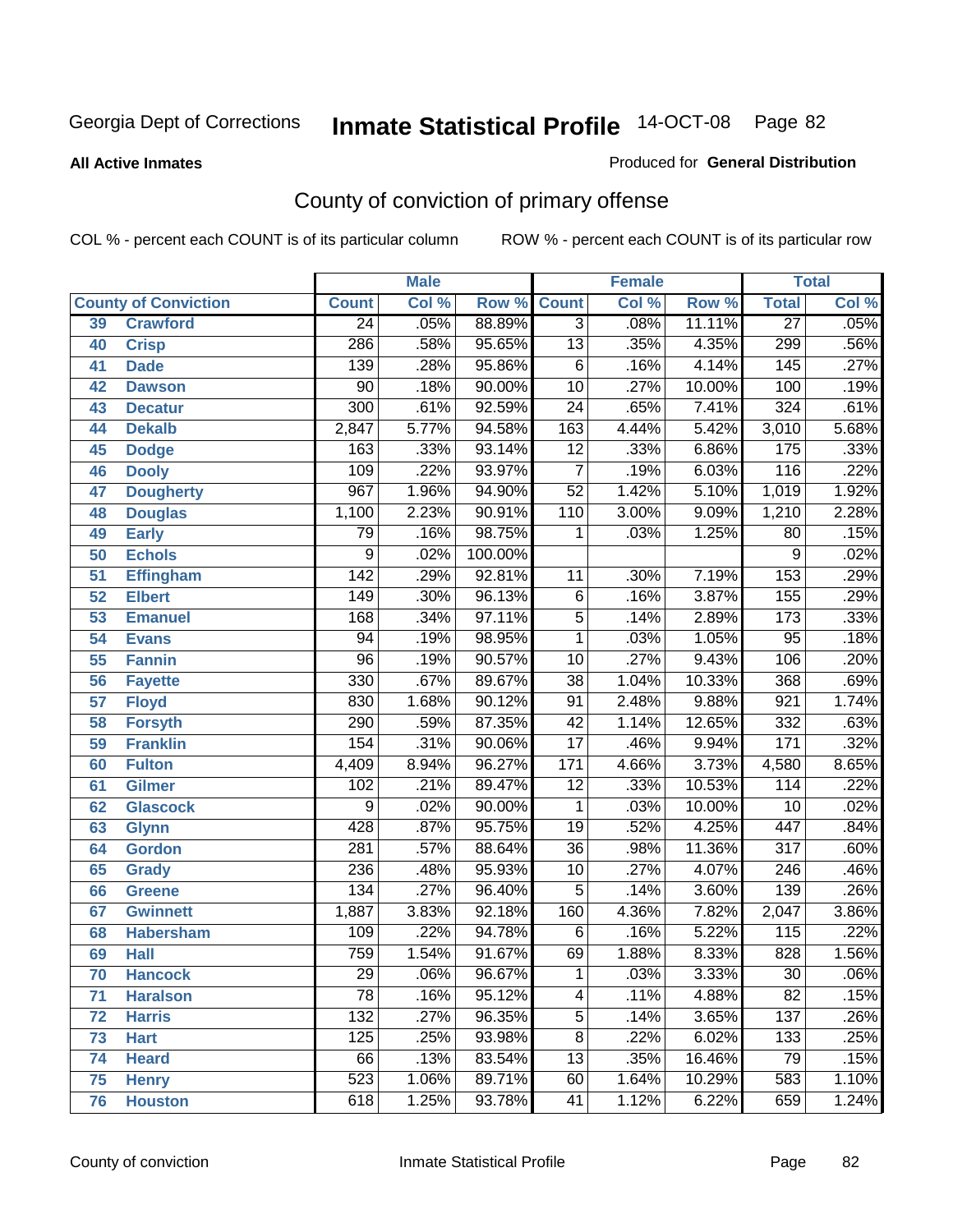#### **All Active Inmates**

#### Produced for **General Distribution**

# County of conviction of primary offense

|                 |                             |                  | <b>Male</b> |         | Female           |       |        | <b>Total</b>     |       |
|-----------------|-----------------------------|------------------|-------------|---------|------------------|-------|--------|------------------|-------|
|                 | <b>County of Conviction</b> | <b>Count</b>     | Col %       | Row %   | <b>Count</b>     | Col % | Row %  | <b>Total</b>     | Col % |
| 39              | <b>Crawford</b>             | 24               | .05%        | 88.89%  | $\overline{3}$   | .08%  | 11.11% | $\overline{27}$  | .05%  |
| 40              | <b>Crisp</b>                | 286              | .58%        | 95.65%  | $\overline{13}$  | .35%  | 4.35%  | 299              | .56%  |
| 41              | <b>Dade</b>                 | 139              | .28%        | 95.86%  | $\overline{6}$   | .16%  | 4.14%  | $\overline{145}$ | .27%  |
| 42              | <b>Dawson</b>               | $\overline{90}$  | .18%        | 90.00%  | $\overline{10}$  | .27%  | 10.00% | 100              | .19%  |
| 43              | <b>Decatur</b>              | $\overline{300}$ | .61%        | 92.59%  | $\overline{24}$  | .65%  | 7.41%  | 324              | .61%  |
| 44              | <b>Dekalb</b>               | 2,847            | 5.77%       | 94.58%  | $\overline{163}$ | 4.44% | 5.42%  | 3,010            | 5.68% |
| 45              | <b>Dodge</b>                | 163              | .33%        | 93.14%  | $\overline{12}$  | .33%  | 6.86%  | 175              | .33%  |
| 46              | <b>Dooly</b>                | 109              | .22%        | 93.97%  | $\overline{7}$   | .19%  | 6.03%  | 116              | .22%  |
| 47              | <b>Dougherty</b>            | 967              | 1.96%       | 94.90%  | $\overline{52}$  | 1.42% | 5.10%  | 1,019            | 1.92% |
| 48              | <b>Douglas</b>              | 1,100            | 2.23%       | 90.91%  | 110              | 3.00% | 9.09%  | 1,210            | 2.28% |
| 49              | <b>Early</b>                | 79               | .16%        | 98.75%  | 1                | .03%  | 1.25%  | 80               | .15%  |
| 50              | <b>Echols</b>               | 9                | .02%        | 100.00% |                  |       |        | $\overline{9}$   | .02%  |
| $\overline{51}$ | <b>Effingham</b>            | $\overline{142}$ | .29%        | 92.81%  | 11               | .30%  | 7.19%  | 153              | .29%  |
| 52              | <b>Elbert</b>               | $\overline{149}$ | .30%        | 96.13%  | $\overline{6}$   | .16%  | 3.87%  | 155              | .29%  |
| 53              | <b>Emanuel</b>              | 168              | .34%        | 97.11%  | $\overline{5}$   | .14%  | 2.89%  | $\overline{173}$ | .33%  |
| $\overline{54}$ | <b>Evans</b>                | $\overline{94}$  | .19%        | 98.95%  | $\mathbf{1}$     | .03%  | 1.05%  | $\overline{95}$  | .18%  |
| 55              | <b>Fannin</b>               | $\overline{96}$  | .19%        | 90.57%  | 10               | .27%  | 9.43%  | 106              | .20%  |
| 56              | <b>Fayette</b>              | 330              | .67%        | 89.67%  | $\overline{38}$  | 1.04% | 10.33% | 368              | .69%  |
| 57              | <b>Floyd</b>                | 830              | 1.68%       | 90.12%  | 91               | 2.48% | 9.88%  | 921              | 1.74% |
| 58              | <b>Forsyth</b>              | 290              | .59%        | 87.35%  | $\overline{42}$  | 1.14% | 12.65% | 332              | .63%  |
| 59              | <b>Franklin</b>             | 154              | .31%        | 90.06%  | $\overline{17}$  | .46%  | 9.94%  | 171              | .32%  |
| 60              | <b>Fulton</b>               | 4,409            | 8.94%       | 96.27%  | 171              | 4.66% | 3.73%  | 4,580            | 8.65% |
| 61              | Gilmer                      | 102              | .21%        | 89.47%  | $\overline{12}$  | .33%  | 10.53% | 114              | .22%  |
| 62              | <b>Glascock</b>             | $\overline{9}$   | .02%        | 90.00%  | $\overline{1}$   | .03%  | 10.00% | $\overline{10}$  | .02%  |
| 63              | <b>Glynn</b>                | 428              | .87%        | 95.75%  | $\overline{19}$  | .52%  | 4.25%  | 447              | .84%  |
| 64              | <b>Gordon</b>               | 281              | .57%        | 88.64%  | $\overline{36}$  | .98%  | 11.36% | $\overline{317}$ | .60%  |
| 65              | <b>Grady</b>                | 236              | .48%        | 95.93%  | 10               | .27%  | 4.07%  | $\overline{246}$ | .46%  |
| 66              | <b>Greene</b>               | 134              | .27%        | 96.40%  | $\overline{5}$   | .14%  | 3.60%  | 139              | .26%  |
| 67              | <b>Gwinnett</b>             | 1,887            | 3.83%       | 92.18%  | 160              | 4.36% | 7.82%  | 2,047            | 3.86% |
| 68              | <b>Habersham</b>            | 109              | .22%        | 94.78%  | $\overline{6}$   | .16%  | 5.22%  | $\overline{115}$ | .22%  |
| 69              | <b>Hall</b>                 | 759              | 1.54%       | 91.67%  | 69               | 1.88% | 8.33%  | $\overline{828}$ | 1.56% |
| 70              | <b>Hancock</b>              | 29               | .06%        | 96.67%  | 1                | .03%  | 3.33%  | 30               | .06%  |
| 71              | <b>Haralson</b>             | $\overline{78}$  | .16%        | 95.12%  | 4                | .11%  | 4.88%  | $\overline{82}$  | .15%  |
| 72              | <b>Harris</b>               | $\overline{132}$ | .27%        | 96.35%  | $\overline{5}$   | .14%  | 3.65%  | 137              | .26%  |
| 73              | <b>Hart</b>                 | 125              | .25%        | 93.98%  | $\overline{8}$   | .22%  | 6.02%  | 133              | .25%  |
| 74              | <b>Heard</b>                | 66               | .13%        | 83.54%  | $\overline{13}$  | .35%  | 16.46% | 79               | .15%  |
| 75              | <b>Henry</b>                | 523              | 1.06%       | 89.71%  | 60               | 1.64% | 10.29% | 583              | 1.10% |
| 76              | <b>Houston</b>              | 618              | 1.25%       | 93.78%  | $\overline{41}$  | 1.12% | 6.22%  | 659              | 1.24% |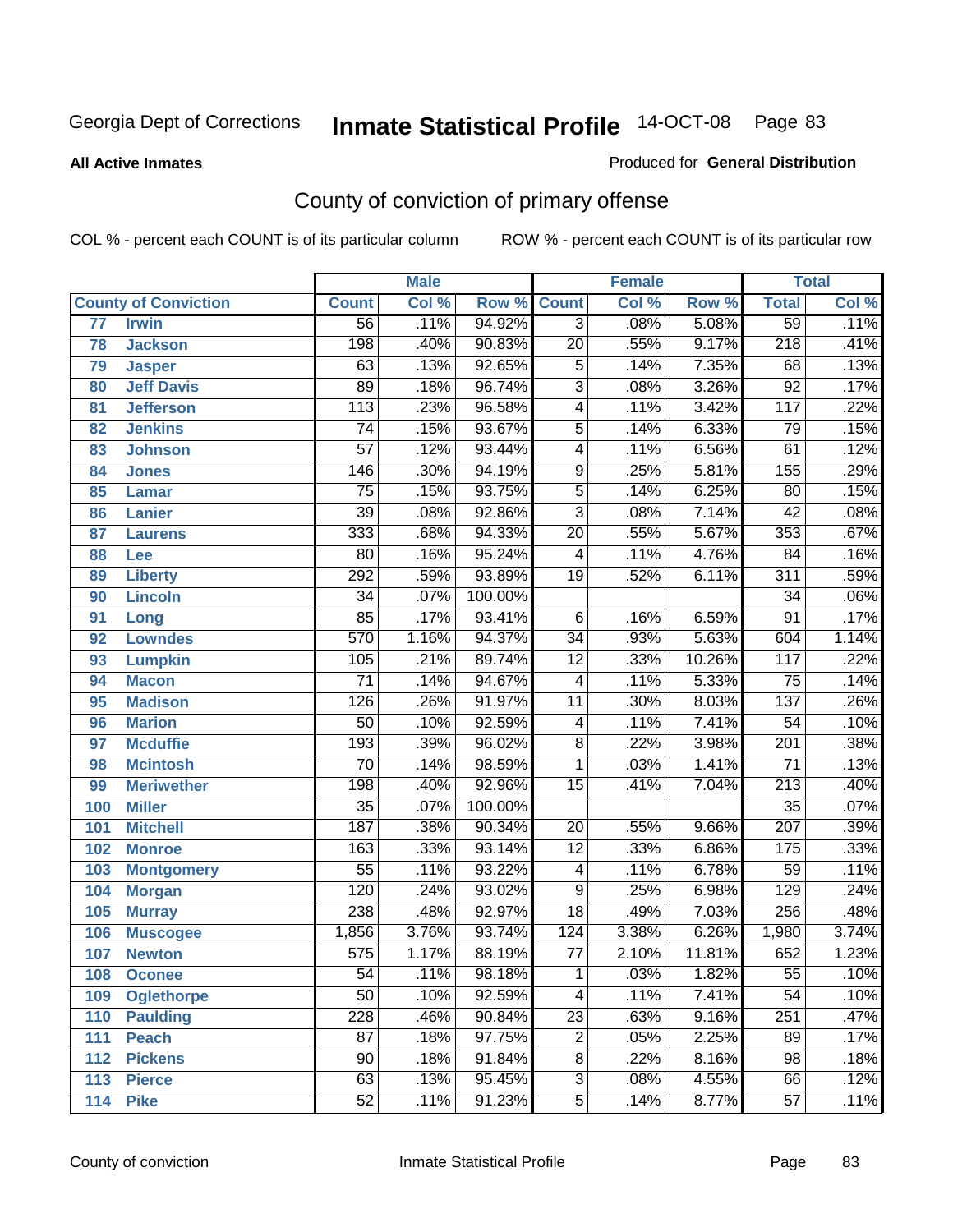#### **All Active Inmates**

### Produced for **General Distribution**

# County of conviction of primary offense

|                 |                             |                  | <b>Male</b> |         |                 | <b>Female</b> |        |                  | <b>Total</b> |
|-----------------|-----------------------------|------------------|-------------|---------|-----------------|---------------|--------|------------------|--------------|
|                 | <b>County of Conviction</b> | <b>Count</b>     | Col %       | Row %   | <b>Count</b>    | Col %         | Row %  | <b>Total</b>     | Col %        |
| $\overline{77}$ | <b>Irwin</b>                | $\overline{56}$  | .11%        | 94.92%  | $\overline{3}$  | .08%          | 5.08%  | 59               | .11%         |
| 78              | <b>Jackson</b>              | 198              | .40%        | 90.83%  | $\overline{20}$ | .55%          | 9.17%  | $\overline{218}$ | .41%         |
| 79              | <b>Jasper</b>               | 63               | .13%        | 92.65%  | $\overline{5}$  | .14%          | 7.35%  | 68               | .13%         |
| 80              | <b>Jeff Davis</b>           | 89               | .18%        | 96.74%  | $\overline{3}$  | .08%          | 3.26%  | $\overline{92}$  | .17%         |
| 81              | <b>Jefferson</b>            | 113              | .23%        | 96.58%  | $\overline{4}$  | .11%          | 3.42%  | $\overline{117}$ | .22%         |
| 82              | <b>Jenkins</b>              | $\overline{74}$  | .15%        | 93.67%  | $\overline{5}$  | .14%          | 6.33%  | $\overline{79}$  | .15%         |
| 83              | <b>Johnson</b>              | $\overline{57}$  | .12%        | 93.44%  | $\overline{4}$  | .11%          | 6.56%  | 61               | .12%         |
| 84              | <b>Jones</b>                | 146              | .30%        | 94.19%  | $\overline{9}$  | .25%          | 5.81%  | 155              | .29%         |
| 85              | <b>Lamar</b>                | $\overline{75}$  | .15%        | 93.75%  | $\overline{5}$  | .14%          | 6.25%  | 80               | .15%         |
| 86              | <b>Lanier</b>               | $\overline{39}$  | .08%        | 92.86%  | $\overline{3}$  | .08%          | 7.14%  | $\overline{42}$  | .08%         |
| 87              | <b>Laurens</b>              | 333              | .68%        | 94.33%  | $\overline{20}$ | .55%          | 5.67%  | 353              | .67%         |
| 88              | Lee                         | $\overline{80}$  | .16%        | 95.24%  | 4               | .11%          | 4.76%  | $\overline{84}$  | .16%         |
| 89              | <b>Liberty</b>              | $\overline{292}$ | .59%        | 93.89%  | $\overline{19}$ | .52%          | 6.11%  | $\overline{311}$ | .59%         |
| 90              | <b>Lincoln</b>              | $\overline{34}$  | .07%        | 100.00% |                 |               |        | $\overline{34}$  | .06%         |
| 91              | Long                        | 85               | .17%        | 93.41%  | 6               | .16%          | 6.59%  | $\overline{91}$  | .17%         |
| 92              | <b>Lowndes</b>              | 570              | 1.16%       | 94.37%  | $\overline{34}$ | .93%          | 5.63%  | 604              | 1.14%        |
| 93              | <b>Lumpkin</b>              | 105              | .21%        | 89.74%  | $\overline{12}$ | .33%          | 10.26% | $\overline{117}$ | .22%         |
| 94              | <b>Macon</b>                | $\overline{71}$  | .14%        | 94.67%  | 4               | .11%          | 5.33%  | $\overline{75}$  | .14%         |
| 95              | <b>Madison</b>              | 126              | .26%        | 91.97%  | $\overline{11}$ | .30%          | 8.03%  | $\overline{137}$ | .26%         |
| 96              | <b>Marion</b>               | $\overline{50}$  | .10%        | 92.59%  | 4               | .11%          | 7.41%  | $\overline{54}$  | .10%         |
| 97              | <b>Mcduffie</b>             | 193              | .39%        | 96.02%  | $\overline{8}$  | .22%          | 3.98%  | $\overline{201}$ | .38%         |
| 98              | <b>Mcintosh</b>             | $\overline{70}$  | .14%        | 98.59%  | $\mathbf{1}$    | .03%          | 1.41%  | $\overline{71}$  | .13%         |
| 99              | <b>Meriwether</b>           | 198              | .40%        | 92.96%  | $\overline{15}$ | .41%          | 7.04%  | $\overline{213}$ | .40%         |
| 100             | <b>Miller</b>               | $\overline{35}$  | .07%        | 100.00% |                 |               |        | $\overline{35}$  | .07%         |
| 101             | <b>Mitchell</b>             | 187              | .38%        | 90.34%  | $\overline{20}$ | .55%          | 9.66%  | $\overline{207}$ | .39%         |
| 102             | <b>Monroe</b>               | 163              | .33%        | 93.14%  | $\overline{12}$ | .33%          | 6.86%  | $\overline{175}$ | .33%         |
| 103             | <b>Montgomery</b>           | $\overline{55}$  | .11%        | 93.22%  | 4               | .11%          | 6.78%  | 59               | .11%         |
| 104             | <b>Morgan</b>               | 120              | .24%        | 93.02%  | $\overline{9}$  | .25%          | 6.98%  | 129              | .24%         |
| 105             | <b>Murray</b>               | 238              | .48%        | 92.97%  | $\overline{18}$ | .49%          | 7.03%  | 256              | .48%         |
| 106             | <b>Muscogee</b>             | 1,856            | 3.76%       | 93.74%  | 124             | 3.38%         | 6.26%  | 1,980            | 3.74%        |
| 107             | <b>Newton</b>               | $\overline{575}$ | 1.17%       | 88.19%  | 77              | 2.10%         | 11.81% | 652              | 1.23%        |
| 108             | <b>Oconee</b>               | 54               | .11%        | 98.18%  | 1               | .03%          | 1.82%  | $\overline{55}$  | .10%         |
| 109             | <b>Oglethorpe</b>           | $\overline{50}$  | .10%        | 92.59%  | 4               | .11%          | 7.41%  | $\overline{54}$  | .10%         |
| 110             | <b>Paulding</b>             | $\overline{228}$ | .46%        | 90.84%  | $\overline{23}$ | .63%          | 9.16%  | 251              | .47%         |
| 111             | <b>Peach</b>                | $\overline{87}$  | .18%        | 97.75%  | $\overline{2}$  | .05%          | 2.25%  | 89               | .17%         |
| 112             | <b>Pickens</b>              | $\overline{90}$  | .18%        | 91.84%  | $\overline{8}$  | .22%          | 8.16%  | $\overline{98}$  | .18%         |
| 113             | <b>Pierce</b>               | 63               | .13%        | 95.45%  | $\overline{3}$  | .08%          | 4.55%  | 66               | .12%         |
| 114             | <b>Pike</b>                 | $\overline{52}$  | .11%        | 91.23%  | $\overline{5}$  | .14%          | 8.77%  | $\overline{57}$  | .11%         |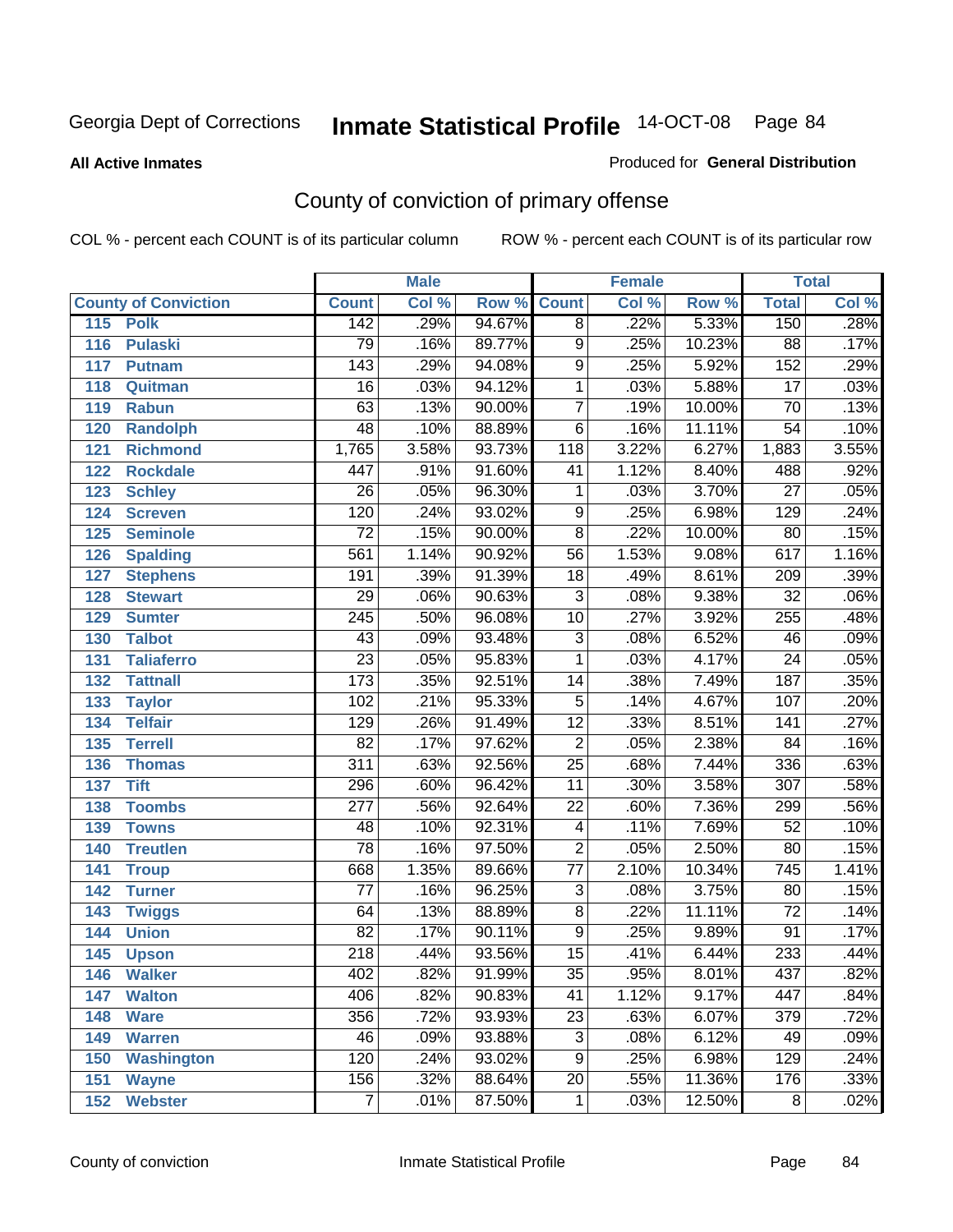#### **All Active Inmates**

#### Produced for **General Distribution**

# County of conviction of primary offense

|                             |                  | <b>Male</b> |        |                         | <b>Female</b> |        |                  | <b>Total</b>               |
|-----------------------------|------------------|-------------|--------|-------------------------|---------------|--------|------------------|----------------------------|
| <b>County of Conviction</b> | <b>Count</b>     | Col %       | Row %  | <b>Count</b>            | Col %         | Row %  | <b>Total</b>     | $\overline{\text{Col }\%}$ |
| 115<br><b>Polk</b>          | 142              | .29%        | 94.67% | $\overline{8}$          | .22%          | 5.33%  | 150              | .28%                       |
| <b>Pulaski</b><br>116       | 79               | .16%        | 89.77% | $\overline{9}$          | .25%          | 10.23% | $\overline{88}$  | .17%                       |
| 117<br><b>Putnam</b>        | $\overline{143}$ | .29%        | 94.08% | $\overline{9}$          | .25%          | 5.92%  | 152              | .29%                       |
| 118<br>Quitman              | $\overline{16}$  | .03%        | 94.12% | $\mathbf{1}$            | .03%          | 5.88%  | $\overline{17}$  | .03%                       |
| 119<br><b>Rabun</b>         | 63               | .13%        | 90.00% | $\overline{7}$          | .19%          | 10.00% | $\overline{70}$  | .13%                       |
| 120<br><b>Randolph</b>      | $\overline{48}$  | .10%        | 88.89% | $\overline{6}$          | .16%          | 11.11% | $\overline{54}$  | .10%                       |
| 121<br><b>Richmond</b>      | 1,765            | 3.58%       | 93.73% | 118                     | 3.22%         | 6.27%  | 1,883            | 3.55%                      |
| 122<br><b>Rockdale</b>      | 447              | .91%        | 91.60% | $\overline{41}$         | 1.12%         | 8.40%  | 488              | .92%                       |
| 123<br><b>Schley</b>        | $\overline{26}$  | .05%        | 96.30% | 1                       | .03%          | 3.70%  | $\overline{27}$  | .05%                       |
| 124<br><b>Screven</b>       | $\overline{120}$ | .24%        | 93.02% | $\overline{9}$          | .25%          | 6.98%  | 129              | .24%                       |
| 125<br><b>Seminole</b>      | $\overline{72}$  | .15%        | 90.00% | $\overline{8}$          | .22%          | 10.00% | $\overline{80}$  | .15%                       |
| <b>Spalding</b><br>126      | 561              | 1.14%       | 90.92% | $\overline{56}$         | 1.53%         | 9.08%  | 617              | 1.16%                      |
| 127<br><b>Stephens</b>      | 191              | .39%        | 91.39% | $\overline{18}$         | .49%          | 8.61%  | 209              | .39%                       |
| 128<br><b>Stewart</b>       | $\overline{29}$  | .06%        | 90.63% | $\overline{3}$          | .08%          | 9.38%  | $\overline{32}$  | .06%                       |
| 129<br><b>Sumter</b>        | $\overline{245}$ | .50%        | 96.08% | 10                      | .27%          | 3.92%  | 255              | .48%                       |
| <b>Talbot</b><br>130        | $\overline{43}$  | .09%        | 93.48% | $\overline{3}$          | .08%          | 6.52%  | 46               | .09%                       |
| 131<br><b>Taliaferro</b>    | $\overline{23}$  | .05%        | 95.83% | $\mathbf{1}$            | .03%          | 4.17%  | $\overline{24}$  | .05%                       |
| 132<br><b>Tattnall</b>      | 173              | .35%        | 92.51% | 14                      | .38%          | 7.49%  | 187              | .35%                       |
| 133<br><b>Taylor</b>        | 102              | .21%        | 95.33% | $\overline{5}$          | .14%          | 4.67%  | 107              | .20%                       |
| <b>Telfair</b><br>134       | 129              | .26%        | 91.49% | $\overline{12}$         | .33%          | 8.51%  | 141              | .27%                       |
| 135<br><b>Terrell</b>       | $\overline{82}$  | .17%        | 97.62% | $\overline{2}$          | .05%          | 2.38%  | $\overline{84}$  | .16%                       |
| 136<br><b>Thomas</b>        | $\overline{311}$ | .63%        | 92.56% | $\overline{25}$         | .68%          | 7.44%  | 336              | .63%                       |
| 137<br><b>Tift</b>          | 296              | .60%        | 96.42% | $\overline{11}$         | .30%          | 3.58%  | $\overline{307}$ | .58%                       |
| <b>Toombs</b><br>138        | $\overline{277}$ | .56%        | 92.64% | $\overline{22}$         | .60%          | 7.36%  | 299              | .56%                       |
| 139<br><b>Towns</b>         | 48               | .10%        | 92.31% | $\overline{\mathbf{4}}$ | .11%          | 7.69%  | $\overline{52}$  | .10%                       |
| 140<br><b>Treutlen</b>      | $\overline{78}$  | .16%        | 97.50% | $\overline{2}$          | .05%          | 2.50%  | $\overline{80}$  | .15%                       |
| 141<br><b>Troup</b>         | 668              | 1.35%       | 89.66% | $\overline{77}$         | 2.10%         | 10.34% | $\overline{745}$ | 1.41%                      |
| 142<br><b>Turner</b>        | $\overline{77}$  | .16%        | 96.25% | $\overline{3}$          | .08%          | 3.75%  | 80               | .15%                       |
| 143<br><b>Twiggs</b>        | $\overline{64}$  | .13%        | 88.89% | $\overline{8}$          | .22%          | 11.11% | $\overline{72}$  | .14%                       |
| 144<br><b>Union</b>         | $\overline{82}$  | .17%        | 90.11% | $\overline{9}$          | .25%          | 9.89%  | $\overline{91}$  | .17%                       |
| 145<br><b>Upson</b>         | $\overline{218}$ | .44%        | 93.56% | $\overline{15}$         | .41%          | 6.44%  | 233              | .44%                       |
| 146<br><b>Walker</b>        | 402              | .82%        | 91.99% | 35                      | .95%          | 8.01%  | 437              | .82%                       |
| <b>Walton</b><br>147        | 406              | .82%        | 90.83% | $\overline{41}$         | 1.12%         | 9.17%  | 447              | .84%                       |
| <b>Ware</b><br>148          | 356              | .72%        | 93.93% | $\overline{23}$         | .63%          | 6.07%  | 379              | .72%                       |
| <b>Warren</b><br>149        | 46               | .09%        | 93.88% | $\overline{3}$          | .08%          | 6.12%  | 49               | .09%                       |
| <b>Washington</b><br>150    | 120              | .24%        | 93.02% | $\overline{9}$          | .25%          | 6.98%  | 129              | .24%                       |
| 151<br><b>Wayne</b>         | 156              | .32%        | 88.64% | $\overline{20}$         | .55%          | 11.36% | 176              | .33%                       |
| 152<br><b>Webster</b>       | $\overline{7}$   | .01%        | 87.50% | $\mathbf 1$             | .03%          | 12.50% | $\overline{8}$   | .02%                       |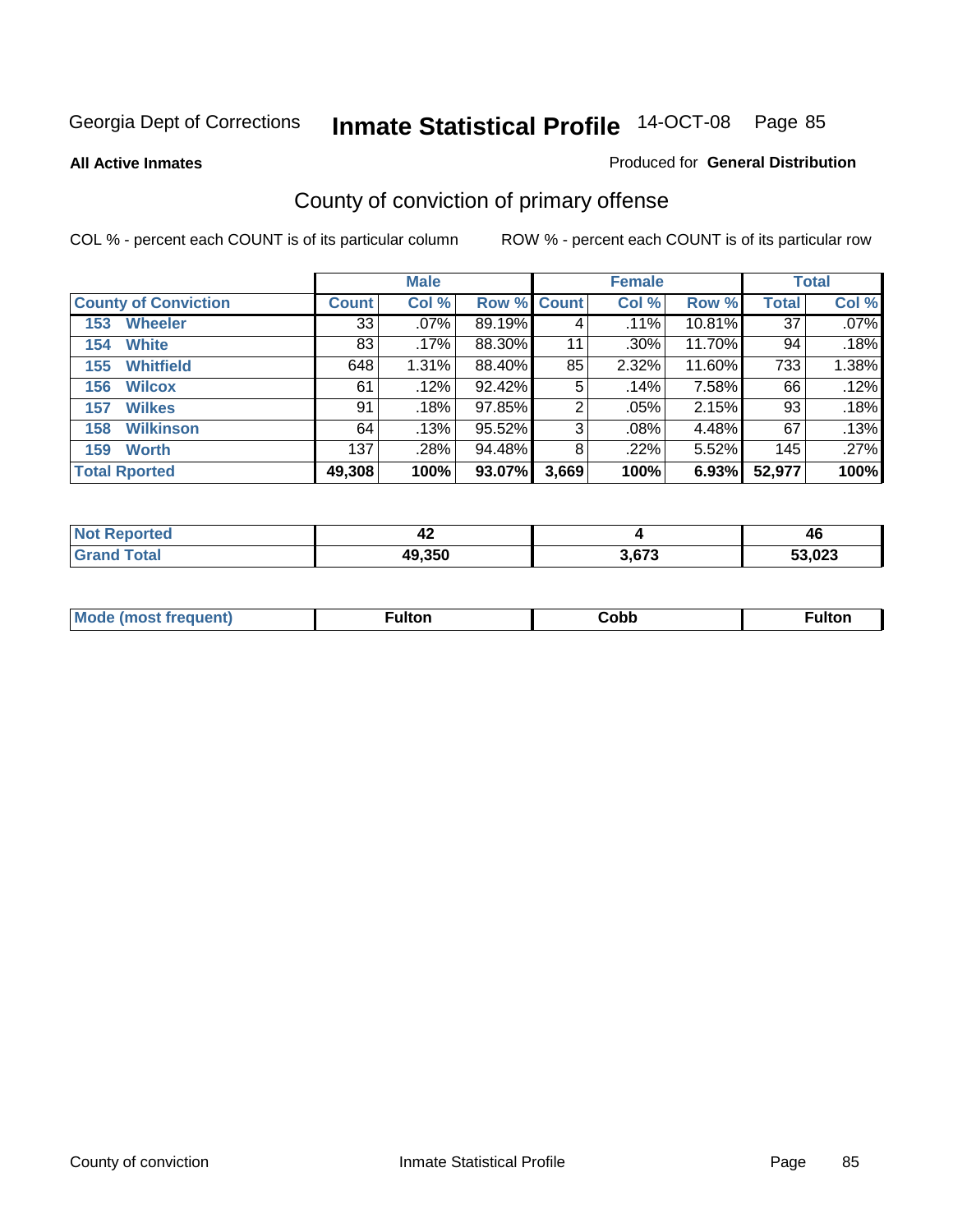**All Active Inmates**

#### Produced for **General Distribution**

# County of conviction of primary offense

|                             |                 | <b>Male</b> |             |       | <b>Female</b> |        |              | <b>Total</b> |
|-----------------------------|-----------------|-------------|-------------|-------|---------------|--------|--------------|--------------|
| <b>County of Conviction</b> | <b>Count</b>    | Col %       | Row % Count |       | Col %         | Row %  | <b>Total</b> | Col %        |
| <b>Wheeler</b><br>153       | $\overline{33}$ | $.07\%$     | 89.19%      | 4     | .11%          | 10.81% | 37           | $.07\%$      |
| <b>White</b><br>154         | 83              | .17%        | 88.30%      | 11    | $.30\%$       | 11.70% | 94           | .18%         |
| <b>Whitfield</b><br>155     | 648             | 1.31%       | 88.40%      | 85    | 2.32%         | 11.60% | 733          | 1.38%        |
| <b>Wilcox</b><br>156        | 61              | .12%        | 92.42%      | 5     | .14%          | 7.58%  | 66           | .12%         |
| <b>Wilkes</b><br>157        | 91              | .18%        | 97.85%      | 2     | .05%          | 2.15%  | 93           | .18%         |
| <b>Wilkinson</b><br>158     | 64              | .13%        | 95.52%      | 3     | $.08\%$       | 4.48%  | 67           | .13%         |
| <b>Worth</b><br>159         | 137             | .28%        | 94.48%      | 8     | $.22\%$       | 5.52%  | 145          | .27%         |
| <b>Total Rported</b>        | 49,308          | 100%        | 93.07%      | 3,669 | 100%          | 6.93%  | 52,977       | 100%         |

| Reported<br>' NOT | . .<br>"<br>44 |       | 46             |
|-------------------|----------------|-------|----------------|
| <b>otal</b>       | 49,350         | 3,673 | ED 000<br>.UZ3 |

| Mc | ™ulton | Cobb |  |
|----|--------|------|--|
|    |        |      |  |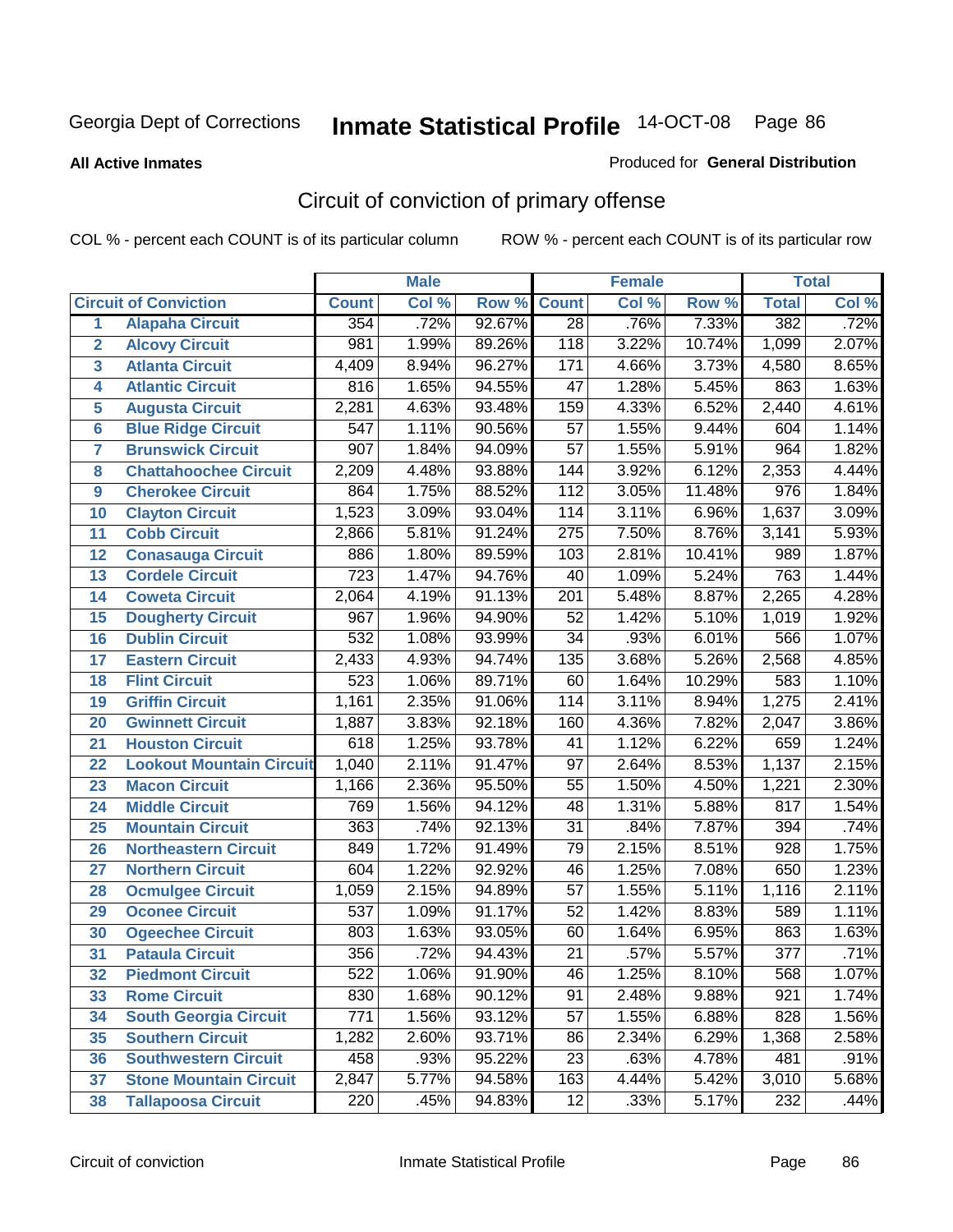**All Active Inmates**

#### Produced for **General Distribution**

# Circuit of conviction of primary offense

|                         |                                 |                  | <b>Male</b> |        |                  | <b>Female</b> |          |                  | <b>Total</b> |
|-------------------------|---------------------------------|------------------|-------------|--------|------------------|---------------|----------|------------------|--------------|
|                         | <b>Circuit of Conviction</b>    | <b>Count</b>     | Col %       | Row %  | <b>Count</b>     | Col %         | Row %    | <b>Total</b>     | Col %        |
| 1                       | <b>Alapaha Circuit</b>          | 354              | .72%        | 92.67% | $\overline{28}$  | .76%          | 7.33%    | 382              | .72%         |
| $\overline{2}$          | <b>Alcovy Circuit</b>           | 981              | 1.99%       | 89.26% | 118              | 3.22%         | 10.74%   | 1,099            | 2.07%        |
| $\overline{\mathbf{3}}$ | <b>Atlanta Circuit</b>          | 4,409            | 8.94%       | 96.27% | $\overline{171}$ | 4.66%         | 3.73%    | 4,580            | 8.65%        |
| 4                       | <b>Atlantic Circuit</b>         | 816              | 1.65%       | 94.55% | $\overline{47}$  | 1.28%         | 5.45%    | 863              | 1.63%        |
| 5                       | <b>Augusta Circuit</b>          | 2,281            | 4.63%       | 93.48% | 159              | 4.33%         | 6.52%    | 2,440            | 4.61%        |
| $6\phantom{a}$          | <b>Blue Ridge Circuit</b>       | $\overline{547}$ | 1.11%       | 90.56% | $\overline{57}$  | 1.55%         | 9.44%    | 604              | 1.14%        |
| $\overline{7}$          | <b>Brunswick Circuit</b>        | 907              | 1.84%       | 94.09% | $\overline{57}$  | 1.55%         | 5.91%    | 964              | 1.82%        |
| 8                       | <b>Chattahoochee Circuit</b>    | 2,209            | 4.48%       | 93.88% | 144              | 3.92%         | 6.12%    | 2,353            | 4.44%        |
| 9                       | <b>Cherokee Circuit</b>         | 864              | 1.75%       | 88.52% | 112              | 3.05%         | 11.48%   | $\overline{976}$ | 1.84%        |
| 10                      | <b>Clayton Circuit</b>          | 1,523            | 3.09%       | 93.04% | 114              | 3.11%         | 6.96%    | 1,637            | 3.09%        |
| 11                      | <b>Cobb Circuit</b>             | 2,866            | 5.81%       | 91.24% | $\overline{275}$ | 7.50%         | 8.76%    | 3,141            | 5.93%        |
| 12                      | <b>Conasauga Circuit</b>        | 886              | 1.80%       | 89.59% | 103              | 2.81%         | 10.41%   | 989              | 1.87%        |
| 13                      | <b>Cordele Circuit</b>          | $\overline{723}$ | 1.47%       | 94.76% | $\overline{40}$  | 1.09%         | 5.24%    | 763              | 1.44%        |
| 14                      | <b>Coweta Circuit</b>           | 2,064            | 4.19%       | 91.13% | $\overline{201}$ | 5.48%         | 8.87%    | 2,265            | 4.28%        |
| 15                      | <b>Dougherty Circuit</b>        | 967              | 1.96%       | 94.90% | $\overline{52}$  | 1.42%         | 5.10%    | 1,019            | 1.92%        |
| 16                      | <b>Dublin Circuit</b>           | $\overline{532}$ | 1.08%       | 93.99% | $\overline{34}$  | .93%          | 6.01%    | 566              | 1.07%        |
| 17                      | <b>Eastern Circuit</b>          | 2,433            | 4.93%       | 94.74% | 135              | 3.68%         | 5.26%    | 2,568            | 4.85%        |
| 18                      | <b>Flint Circuit</b>            | 523              | 1.06%       | 89.71% | 60               | 1.64%         | 10.29%   | 583              | 1.10%        |
| 19                      | <b>Griffin Circuit</b>          | 1,161            | 2.35%       | 91.06% | 114              | 3.11%         | 8.94%    | 1,275            | 2.41%        |
| 20                      | <b>Gwinnett Circuit</b>         | 1,887            | 3.83%       | 92.18% | 160              | 4.36%         | 7.82%    | 2,047            | 3.86%        |
| 21                      | <b>Houston Circuit</b>          | 618              | 1.25%       | 93.78% | 41               | 1.12%         | 6.22%    | 659              | 1.24%        |
| 22                      | <b>Lookout Mountain Circuit</b> | 1,040            | 2.11%       | 91.47% | $\overline{97}$  | 2.64%         | 8.53%    | 1,137            | 2.15%        |
| 23                      | <b>Macon Circuit</b>            | 1,166            | 2.36%       | 95.50% | $\overline{55}$  | 1.50%         | 4.50%    | 1,221            | 2.30%        |
| 24                      | <b>Middle Circuit</b>           | 769              | 1.56%       | 94.12% | 48               | 1.31%         | 5.88%    | 817              | 1.54%        |
| 25                      | <b>Mountain Circuit</b>         | 363              | .74%        | 92.13% | $\overline{31}$  | .84%          | 7.87%    | 394              | .74%         |
| 26                      | <b>Northeastern Circuit</b>     | 849              | 1.72%       | 91.49% | 79               | 2.15%         | 8.51%    | 928              | 1.75%        |
| 27                      | <b>Northern Circuit</b>         | 604              | 1.22%       | 92.92% | 46               | 1.25%         | 7.08%    | 650              | 1.23%        |
| 28                      | <b>Ocmulgee Circuit</b>         | 1,059            | 2.15%       | 94.89% | $\overline{57}$  | 1.55%         | 5.11%    | 1,116            | 2.11%        |
| 29                      | <b>Oconee Circuit</b>           | $\overline{537}$ | 1.09%       | 91.17% | $\overline{52}$  | 1.42%         | 8.83%    | 589              | 1.11%        |
| 30                      | <b>Ogeechee Circuit</b>         | 803              | 1.63%       | 93.05% | 60               | 1.64%         | 6.95%    | 863              | 1.63%        |
| $\overline{31}$         | <b>Pataula Circuit</b>          | 356              | .72%        | 94.43% | $\overline{21}$  | .57%          | 5.57%    | $\overline{377}$ | .71%         |
| 32                      | <b>Piedmont Circuit</b>         | 522              | 1.06%       | 91.90% | 46               | 1.25%         | $8.10\%$ | 568              | $1.07\%$     |
| 33                      | <b>Rome Circuit</b>             | 830              | 1.68%       | 90.12% | 91               | 2.48%         | 9.88%    | 921              | 1.74%        |
| 34                      | <b>South Georgia Circuit</b>    | $\overline{771}$ | 1.56%       | 93.12% | $\overline{57}$  | 1.55%         | 6.88%    | 828              | 1.56%        |
| 35                      | <b>Southern Circuit</b>         | 1,282            | 2.60%       | 93.71% | 86               | 2.34%         | 6.29%    | 1,368            | 2.58%        |
| 36                      | <b>Southwestern Circuit</b>     | 458              | .93%        | 95.22% | 23               | .63%          | 4.78%    | 481              | .91%         |
| 37                      | <b>Stone Mountain Circuit</b>   | 2,847            | 5.77%       | 94.58% | 163              | 4.44%         | 5.42%    | 3,010            | 5.68%        |
| 38                      | <b>Tallapoosa Circuit</b>       | 220              | .45%        | 94.83% | $\overline{12}$  | .33%          | 5.17%    | 232              | .44%         |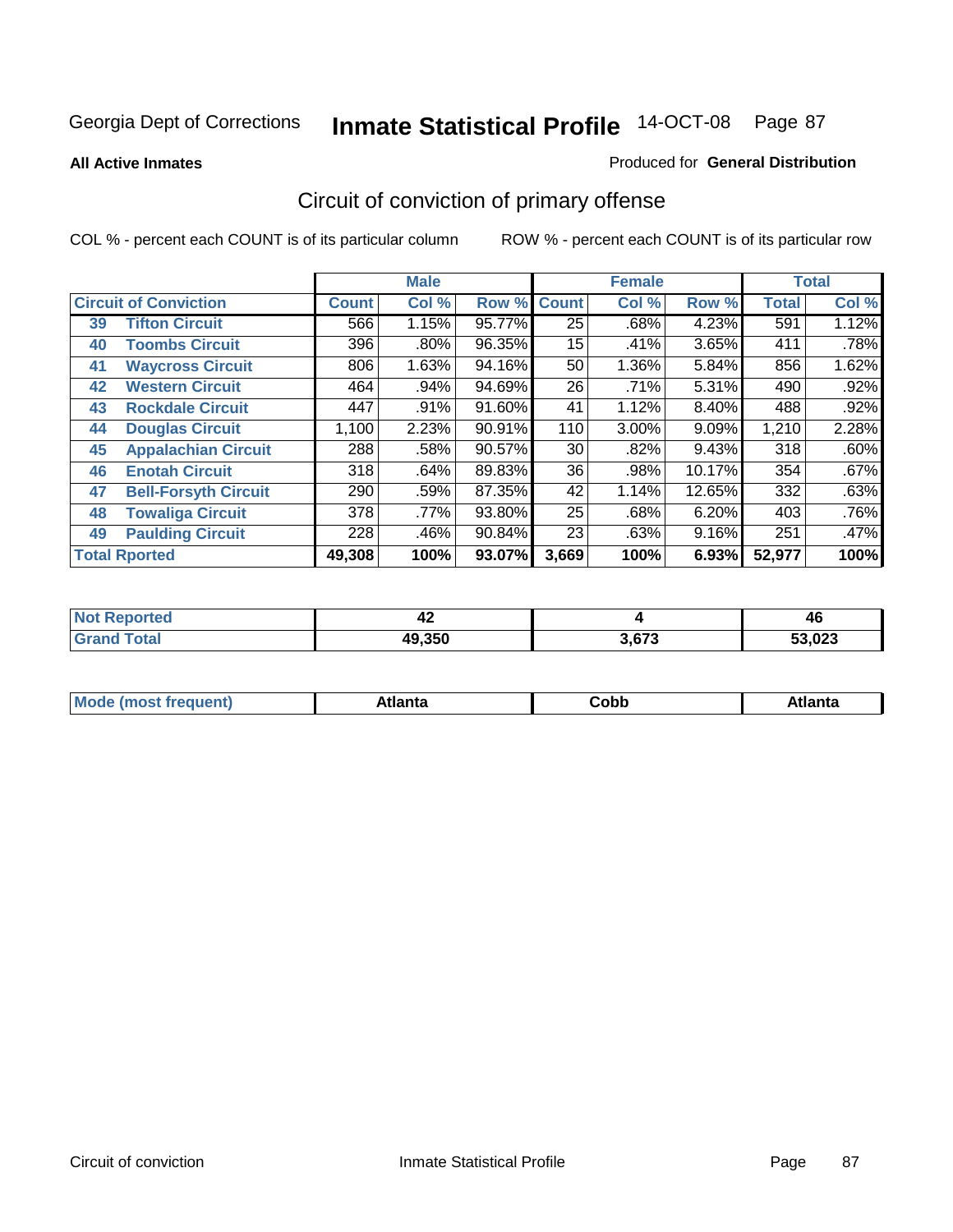**All Active Inmates**

#### Produced for **General Distribution**

# Circuit of conviction of primary offense

|                      |                              |              | <b>Male</b> |        |              | <b>Female</b> |          |              | <b>Total</b> |  |
|----------------------|------------------------------|--------------|-------------|--------|--------------|---------------|----------|--------------|--------------|--|
|                      | <b>Circuit of Conviction</b> | <b>Count</b> | Col %       | Row %  | <b>Count</b> | Col %         | Row %    | <b>Total</b> | Col %        |  |
| 39                   | <b>Tifton Circuit</b>        | 566          | 1.15%       | 95.77% | 25           | .68%          | 4.23%    | 591          | 1.12%        |  |
| 40                   | <b>Toombs Circuit</b>        | 396          | .80%        | 96.35% | 15           | .41%          | 3.65%    | 411          | .78%         |  |
| 41                   | <b>Waycross Circuit</b>      | 806          | 1.63%       | 94.16% | 50           | 1.36%         | 5.84%    | 856          | 1.62%        |  |
| 42                   | <b>Western Circuit</b>       | 464          | $.94\%$     | 94.69% | 26           | $.71\%$       | 5.31%    | 490          | .92%         |  |
| 43                   | <b>Rockdale Circuit</b>      | 447          | .91%        | 91.60% | 41           | 1.12%         | $8.40\%$ | 488          | .92%         |  |
| 44                   | <b>Douglas Circuit</b>       | 1,100        | 2.23%       | 90.91% | 110          | $3.00\%$      | 9.09%    | 1,210        | 2.28%        |  |
| 45                   | <b>Appalachian Circuit</b>   | 288          | .58%        | 90.57% | 30           | $.82\%$       | 9.43%    | 318          | .60%         |  |
| 46                   | <b>Enotah Circuit</b>        | 318          | .64%        | 89.83% | 36           | .98%          | 10.17%   | 354          | .67%         |  |
| 47                   | <b>Bell-Forsyth Circuit</b>  | 290          | .59%        | 87.35% | 42           | 1.14%         | 12.65%   | 332          | .63%         |  |
| 48                   | <b>Towaliga Circuit</b>      | 378          | .77%        | 93.80% | 25           | .68%          | 6.20%    | 403          | .76%         |  |
| 49                   | <b>Paulding Circuit</b>      | 228          | .46%        | 90.84% | 23           | .63%          | 9.16%    | 251          | $.47\%$      |  |
| <b>Total Rported</b> |                              | 49,308       | 100%        | 93.07% | 3,669        | 100%          | 6.93%    | 52,977       | 100%         |  |

| 'ted | 4∠     |       | 46 |
|------|--------|-------|----|
|      | 49,350 | 3,673 |    |

| <b>M</b> ດ<br>.<br>. | $+1$ ant $\cdot$<br>ιαπιω<br>. <i>. .</i> | ∶obb<br>- - - - - | 'anta |
|----------------------|-------------------------------------------|-------------------|-------|
|----------------------|-------------------------------------------|-------------------|-------|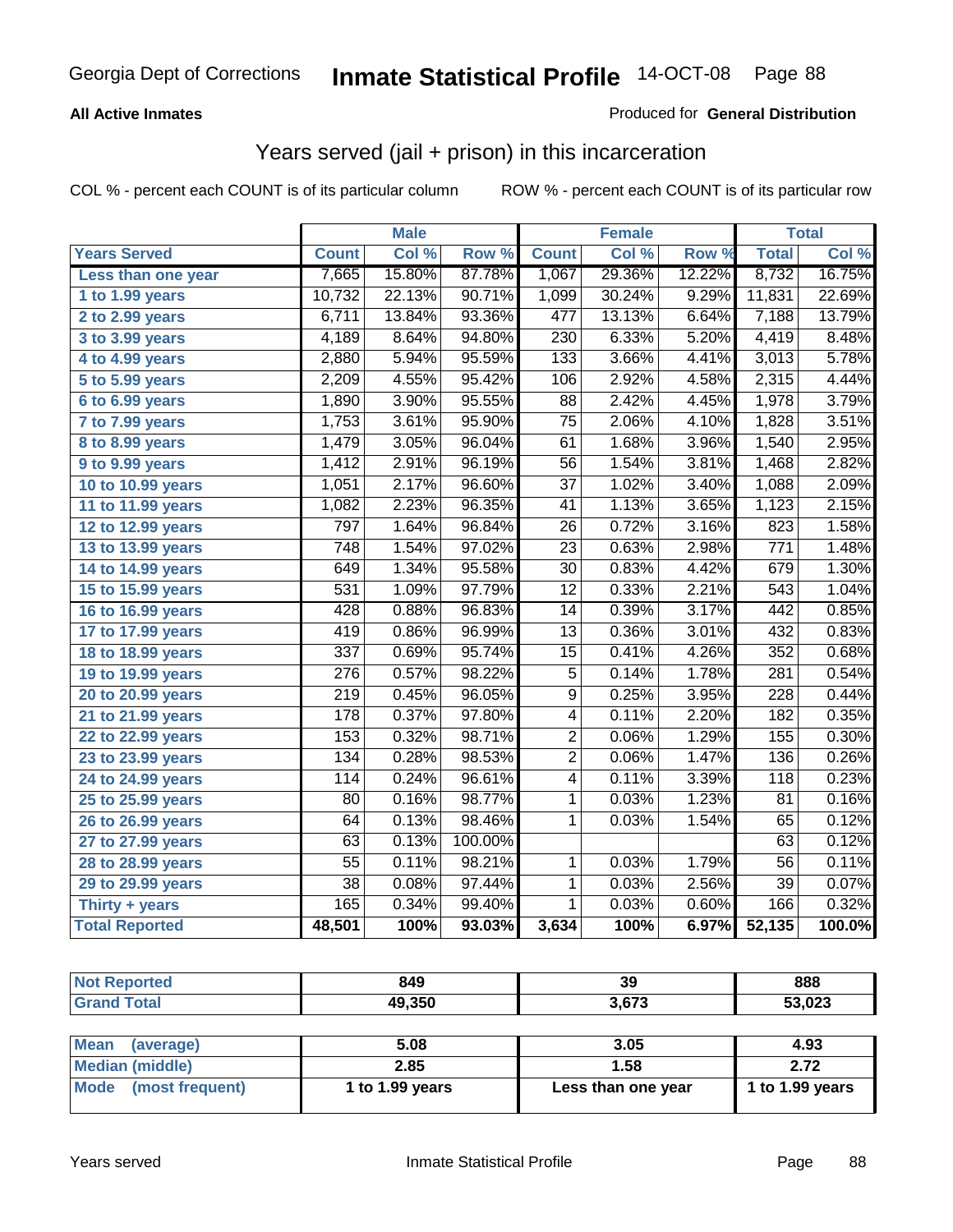### **All Active Inmates**

### Produced for **General Distribution**

### Years served (jail + prison) in this incarceration

|                       | <b>Male</b>        |        | <b>Female</b> |                 |        | <b>Total</b> |                  |        |
|-----------------------|--------------------|--------|---------------|-----------------|--------|--------------|------------------|--------|
| <b>Years Served</b>   | <b>Count</b>       | Col %  | Row %         | <b>Count</b>    | Col %  | Row %        | <b>Total</b>     | Col %  |
| Less than one year    | 7,665              | 15.80% | 87.78%        | 1,067           | 29.36% | 12.22%       | 8,732            | 16.75% |
| 1 to 1.99 years       | 10,732             | 22.13% | 90.71%        | 1,099           | 30.24% | 9.29%        | 11,831           | 22.69% |
| 2 to 2.99 years       | 6,711              | 13.84% | 93.36%        | 477             | 13.13% | 6.64%        | 7,188            | 13.79% |
| 3 to 3.99 years       | $\overline{4,189}$ | 8.64%  | 94.80%        | 230             | 6.33%  | 5.20%        | 4,419            | 8.48%  |
| 4 to 4.99 years       | 2,880              | 5.94%  | 95.59%        | 133             | 3.66%  | 4.41%        | 3,013            | 5.78%  |
| 5 to 5.99 years       | 2,209              | 4.55%  | 95.42%        | 106             | 2.92%  | 4.58%        | 2,315            | 4.44%  |
| 6 to 6.99 years       | 1,890              | 3.90%  | 95.55%        | 88              | 2.42%  | 4.45%        | 1,978            | 3.79%  |
| 7 to 7.99 years       | 1,753              | 3.61%  | 95.90%        | $\overline{75}$ | 2.06%  | 4.10%        | 1,828            | 3.51%  |
| 8 to 8.99 years       | 1,479              | 3.05%  | 96.04%        | 61              | 1.68%  | 3.96%        | 1,540            | 2.95%  |
| 9 to 9.99 years       | 1,412              | 2.91%  | 96.19%        | 56              | 1.54%  | 3.81%        | 1,468            | 2.82%  |
| 10 to 10.99 years     | 1,051              | 2.17%  | 96.60%        | $\overline{37}$ | 1.02%  | 3.40%        | 1,088            | 2.09%  |
| 11 to 11.99 years     | 1,082              | 2.23%  | 96.35%        | 41              | 1.13%  | 3.65%        | 1,123            | 2.15%  |
| 12 to 12.99 years     | 797                | 1.64%  | 96.84%        | 26              | 0.72%  | 3.16%        | 823              | 1.58%  |
| 13 to 13.99 years     | 748                | 1.54%  | 97.02%        | 23              | 0.63%  | 2.98%        | 771              | 1.48%  |
| 14 to 14.99 years     | 649                | 1.34%  | 95.58%        | $\overline{30}$ | 0.83%  | 4.42%        | 679              | 1.30%  |
| 15 to 15.99 years     | $\overline{531}$   | 1.09%  | 97.79%        | $\overline{12}$ | 0.33%  | 2.21%        | $\overline{543}$ | 1.04%  |
| 16 to 16.99 years     | 428                | 0.88%  | 96.83%        | 14              | 0.39%  | 3.17%        | 442              | 0.85%  |
| 17 to 17.99 years     | 419                | 0.86%  | 96.99%        | 13              | 0.36%  | 3.01%        | 432              | 0.83%  |
| 18 to 18.99 years     | $\overline{337}$   | 0.69%  | 95.74%        | $\overline{15}$ | 0.41%  | 4.26%        | 352              | 0.68%  |
| 19 to 19.99 years     | $\overline{276}$   | 0.57%  | 98.22%        | $\overline{5}$  | 0.14%  | 1.78%        | $\overline{281}$ | 0.54%  |
| 20 to 20.99 years     | $\overline{219}$   | 0.45%  | 96.05%        | $\overline{9}$  | 0.25%  | 3.95%        | $\overline{228}$ | 0.44%  |
| 21 to 21.99 years     | 178                | 0.37%  | 97.80%        | 4               | 0.11%  | 2.20%        | 182              | 0.35%  |
| 22 to 22.99 years     | 153                | 0.32%  | 98.71%        | $\overline{2}$  | 0.06%  | 1.29%        | 155              | 0.30%  |
| 23 to 23.99 years     | 134                | 0.28%  | 98.53%        | $\overline{2}$  | 0.06%  | 1.47%        | 136              | 0.26%  |
| 24 to 24.99 years     | 114                | 0.24%  | 96.61%        | 4               | 0.11%  | 3.39%        | 118              | 0.23%  |
| 25 to 25.99 years     | $\overline{80}$    | 0.16%  | 98.77%        | $\mathbf 1$     | 0.03%  | 1.23%        | $\overline{81}$  | 0.16%  |
| 26 to 26.99 years     | $\overline{64}$    | 0.13%  | 98.46%        | $\mathbf{1}$    | 0.03%  | 1.54%        | 65               | 0.12%  |
| 27 to 27.99 years     | 63                 | 0.13%  | 100.00%       |                 |        |              | 63               | 0.12%  |
| 28 to 28.99 years     | $\overline{55}$    | 0.11%  | 98.21%        | $\mathbf{1}$    | 0.03%  | 1.79%        | $\overline{56}$  | 0.11%  |
| 29 to 29.99 years     | $\overline{38}$    | 0.08%  | 97.44%        | $\overline{1}$  | 0.03%  | 2.56%        | $\overline{39}$  | 0.07%  |
| Thirty + years        | 165                | 0.34%  | 99.40%        | $\overline{1}$  | 0.03%  | 0.60%        | 166              | 0.32%  |
| <b>Total Reported</b> | 48,501             | 100%   | 93.03%        | 3,634           | 100%   | 6.97%        | 52,135           | 100.0% |

| <b>Not Reported</b>      | 849             | 39                 | 888             |
|--------------------------|-----------------|--------------------|-----------------|
| <b>Grand Total</b>       | 49,350          | 3,673              | 53,023          |
|                          |                 |                    |                 |
| <b>Mean</b><br>(average) | 5.08            | 3.05               | 4.93            |
| <b>Median (middle)</b>   | 2.85            | 1.58               | 2.72            |
| Mode (most frequent)     | 1 to 1.99 years | Less than one year | 1 to 1.99 years |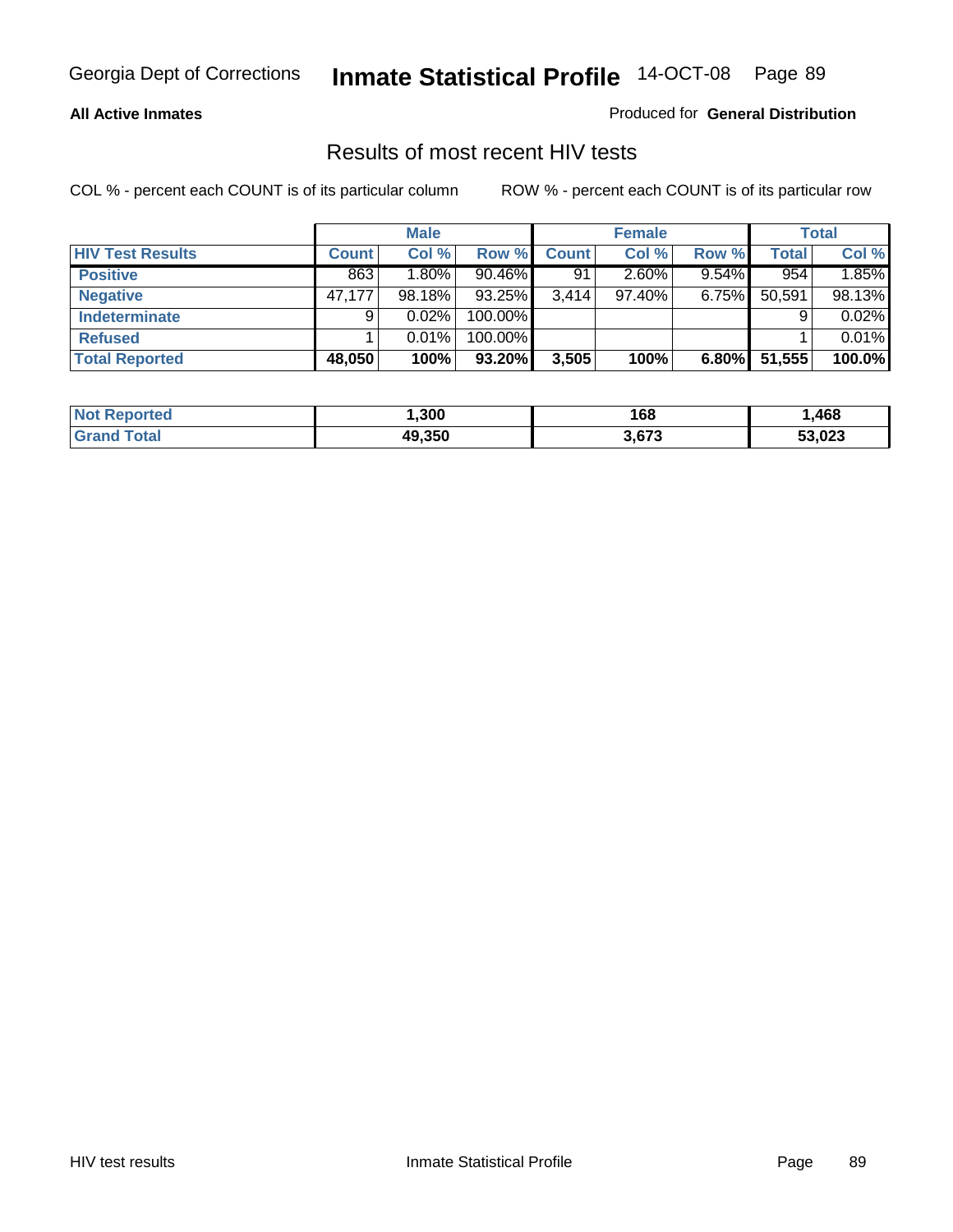#### **All Active Inmates**

Produced for **General Distribution**

### Results of most recent HIV tests

|                         |              | <b>Male</b> |         |              | <b>Female</b> |          |              | <b>Total</b> |
|-------------------------|--------------|-------------|---------|--------------|---------------|----------|--------------|--------------|
| <b>HIV Test Results</b> | <b>Count</b> | Col %       | Row %   | <b>Count</b> | Col %         | Row %    | <b>Total</b> | Col %        |
| <b>Positive</b>         | 863          | $1.80\%$    | 90.46%  | 91           | 2.60%         | 9.54%    | 954          | 1.85%        |
| <b>Negative</b>         | 47.177       | 98.18%      | 93.25%  | 3.414        | $97.40\%$     | $6.75\%$ | 50,591       | 98.13%       |
| Indeterminate           | 9            | 0.02%       | 100.00% |              |               |          |              | 0.02%        |
| <b>Refused</b>          |              | 0.01%       | 100.00% |              |               |          |              | 0.01%        |
| <b>Total Reported</b>   | 48,050       | 100%        | 93.20%  | 3,505        | 100%          | 6.80%    | 51,555       | 100.0%       |

| <b>Not</b><br>orted  | .300   | 168   | ,468   |
|----------------------|--------|-------|--------|
| 'otal<br><b>Grar</b> | 49.350 | 3,673 | 53,023 |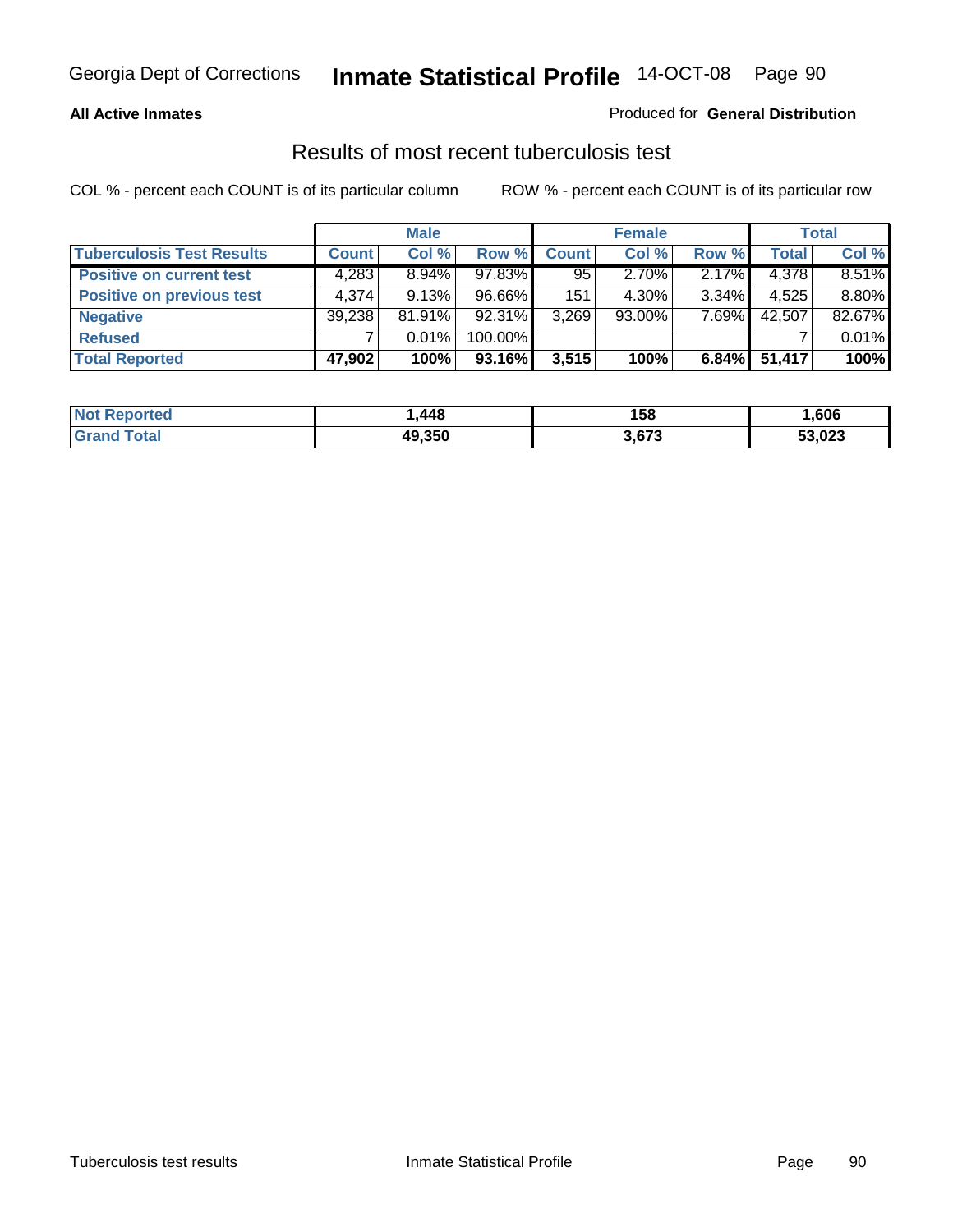### **All Active Inmates**

### Produced for **General Distribution**

### Results of most recent tuberculosis test

|                                  |              | <b>Male</b> |           |              | <b>Female</b> |          |              | Total  |
|----------------------------------|--------------|-------------|-----------|--------------|---------------|----------|--------------|--------|
| <b>Tuberculosis Test Results</b> | <b>Count</b> | Col %       | Row %     | <b>Count</b> | Col %         | Row %    | <b>Total</b> | Col %  |
| <b>Positive on current test</b>  | 4,283        | $8.94\%$    | $97.83\%$ | 95           | $2.70\%$      | $2.17\%$ | 4,378        | 8.51%  |
| <b>Positive on previous test</b> | 4.374        | 9.13%       | $96.66\%$ | 151          | $4.30\%$      | $3.34\%$ | 4,525        | 8.80%  |
| <b>Negative</b>                  | 39,238       | 81.91%      | $92.31\%$ | 3,269        | $93.00\%$     | 7.69%    | 42,507       | 82.67% |
| <b>Refused</b>                   |              | $0.01\%$    | 100.00%   |              |               |          |              | 0.01%  |
| <b>Total Reported</b>            | 47,902       | 100%        | 93.16%    | 3,515        | 100%          | 6.84%    | 51,417       | 100%   |

| <b>Not Reported</b>   | ,448   | 158   | ,606   |
|-----------------------|--------|-------|--------|
| <b>Grand</b><br>Total | 49,350 | 3,673 | 53,023 |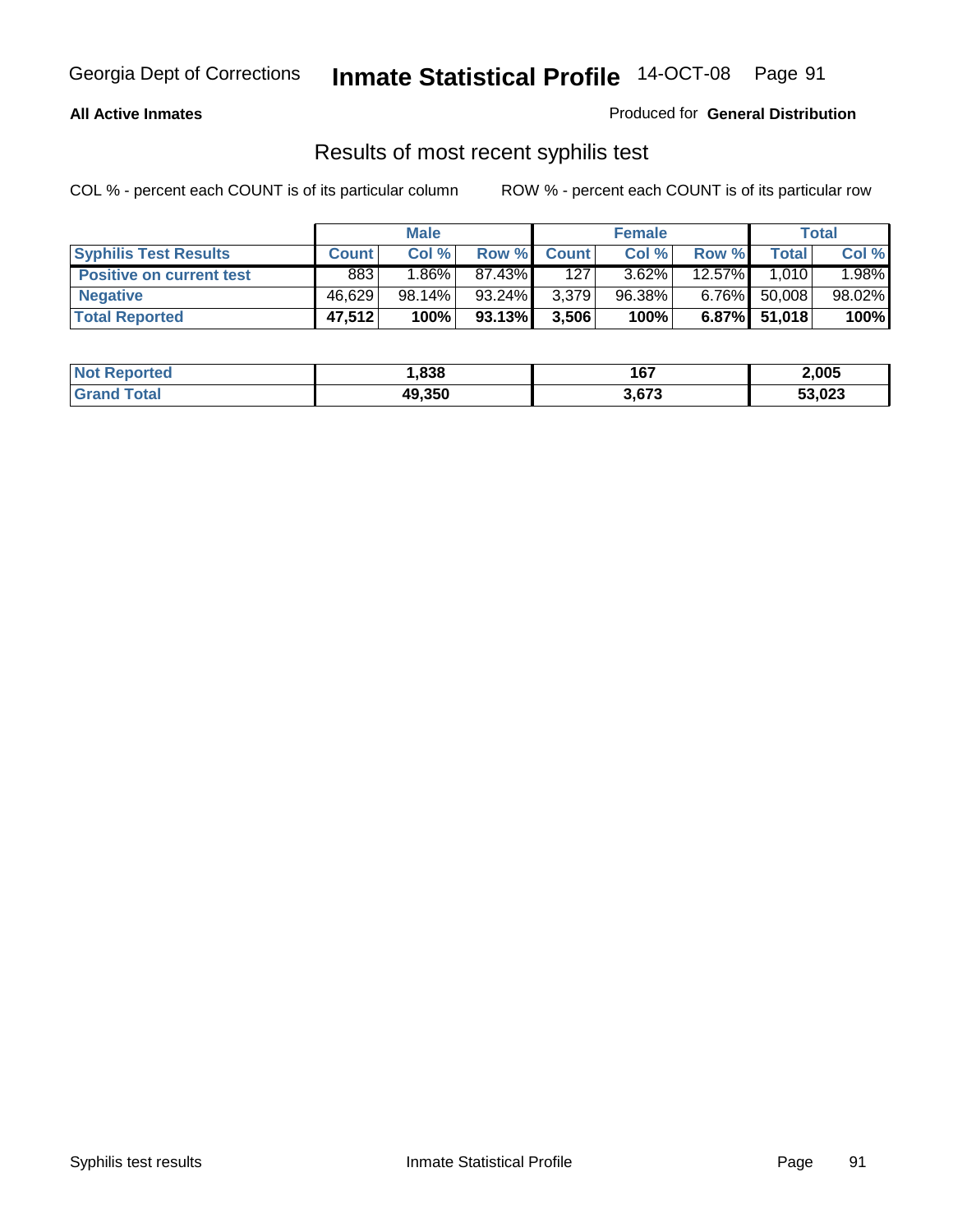### **All Active Inmates**

Produced for **General Distribution**

### Results of most recent syphilis test

|                                 | <b>Male</b>  |          |        |              | <b>Female</b> |           | Total           |        |
|---------------------------------|--------------|----------|--------|--------------|---------------|-----------|-----------------|--------|
| <b>Syphilis Test Results</b>    | <b>Count</b> | Col %    | Row %  | <b>Count</b> | Col %         | Row %     | Total           | Col %  |
| <b>Positive on current test</b> | 883          | $1.86\%$ | 87.43% | 127          | $3.62\%$      | $12.57\%$ | 1.010           | 1.98%  |
| <b>Negative</b>                 | 46.629       | 98.14%   | 93.24% | 3,379        | 96.38%        | $6.76\%$  | 50,008          | 98.02% |
| <b>Total Reported</b>           | 47,512       | 100%     | 93.13% | 3,506        | 100%          |           | $6.87\%$ 51,018 | 100%   |

| <b>Not Reported</b> | .838   | 167   | 2,005  |
|---------------------|--------|-------|--------|
| <b>Grand Total</b>  | 49,350 | 3,673 | 53,023 |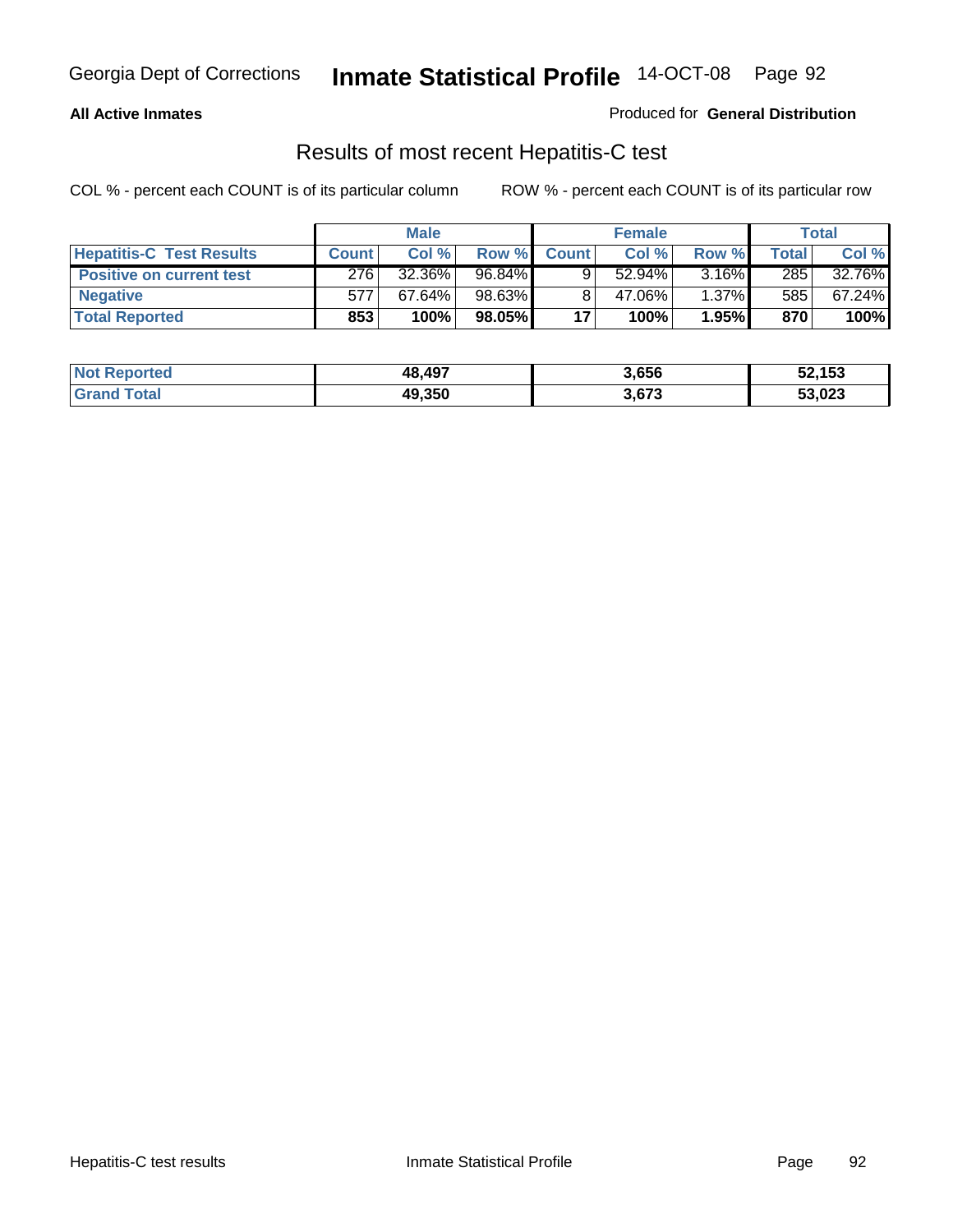### **All Active Inmates**

Produced for **General Distribution**

### Results of most recent Hepatitis-C test

|                                 | <b>Male</b>  |           |        | <b>Female</b> |           |          | <b>Total</b> |        |
|---------------------------------|--------------|-----------|--------|---------------|-----------|----------|--------------|--------|
| <b>Hepatitis-C Test Results</b> | <b>Count</b> | Col %     | Row %  | <b>Count</b>  | Col %     | Row %    | Total        | Col %  |
| <b>Positive on current test</b> | 276          | 32.36%    | 96.84% |               | $52.94\%$ | 3.16%    | 285          | 32.76% |
| <b>Negative</b>                 | 577          | $67.64\%$ | 98.63% |               | 47.06%    | $1.37\%$ | 585          | 67.24% |
| <b>Total Reported</b>           | 853          | 100%      | 98.05% | 17            | 100%      | 1.95%    | 870          | 100%   |

| <b>Not Reported</b> | 48,497 | 3,656 | 52,153 |
|---------------------|--------|-------|--------|
| <b>Grand Total</b>  | 49,350 | 3,673 | 53,023 |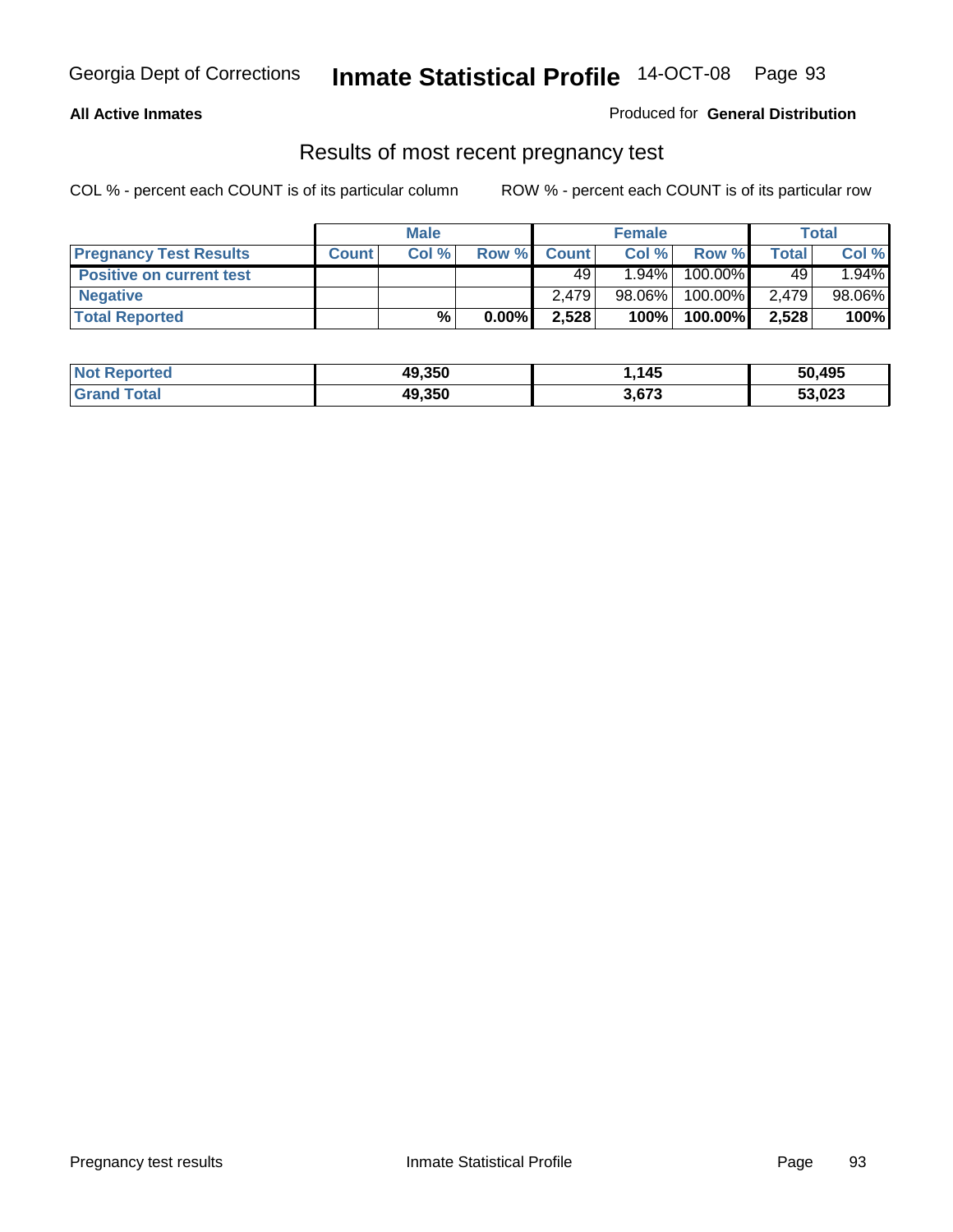### **All Active Inmates**

### Produced for **General Distribution**

### Results of most recent pregnancy test

|                                 | <b>Male</b>  |      | <b>Female</b> |              |          | <b>Total</b> |              |        |
|---------------------------------|--------------|------|---------------|--------------|----------|--------------|--------------|--------|
| <b>Pregnancy Test Results</b>   | <b>Count</b> | Col% | Row %         | <b>Count</b> | Col %    | Row %        | <b>Total</b> | Col %  |
| <b>Positive on current test</b> |              |      |               | 49           | $1.94\%$ | 100.00%      | 49           | 1.94%  |
| <b>Negative</b>                 |              |      |               | 2.479        | 98.06%   | 100.00%      | 2.479        | 98.06% |
| <b>Total Reported</b>           |              | %    | $0.00\%$      | 2,528        | 100%     | 100.00%      | 2,528        | 100%   |

| <b>Not Reported</b> | 49,350 | .145، | 50,495 |
|---------------------|--------|-------|--------|
| <b>Grand Total</b>  | 49,350 | 3,673 | 53,023 |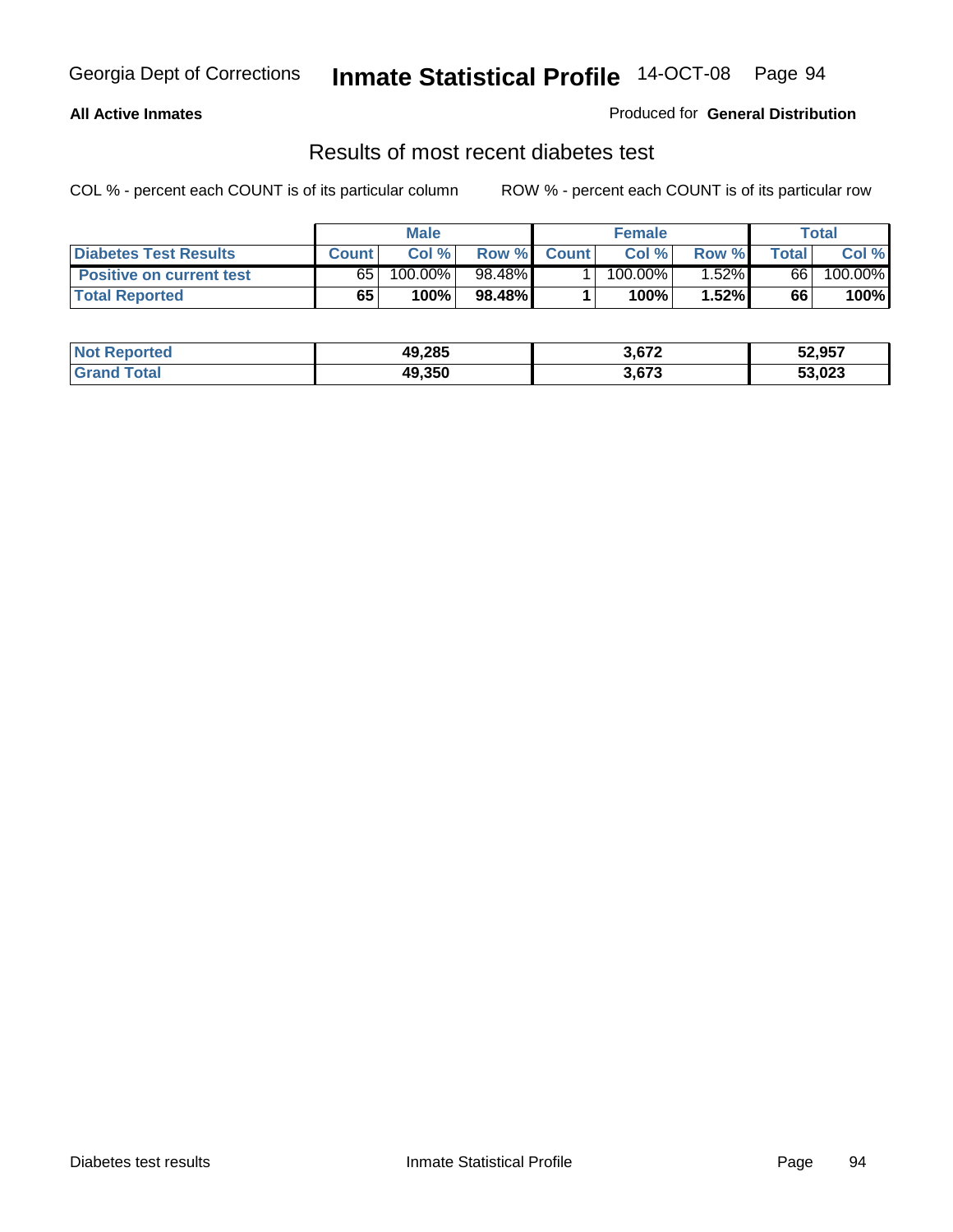### **All Active Inmates**

### Produced for **General Distribution**

### Results of most recent diabetes test

|                                 | <b>Male</b>  |         |        | <b>Female</b> |            | Total    |       |         |
|---------------------------------|--------------|---------|--------|---------------|------------|----------|-------|---------|
| <b>Diabetes Test Results</b>    | <b>Count</b> | Col %   | Row %  | <b>Count</b>  | Col %      | Row %I   | Total | Col %   |
| <b>Positive on current test</b> | 65           | 100.00% | 98.48% |               | $100.00\%$ | $1.52\%$ | 66    | 100.00% |
| <b>Total Reported</b>           | 65           | 100%    | 98.48% |               | 100%       | 1.52%    | 66    | 100%    |

| Reported<br>∣Not l   | 49,285 | 3,672 | 52,957 |
|----------------------|--------|-------|--------|
| <b>Total</b><br>Gr2r | 49.350 | 3,673 | 53,023 |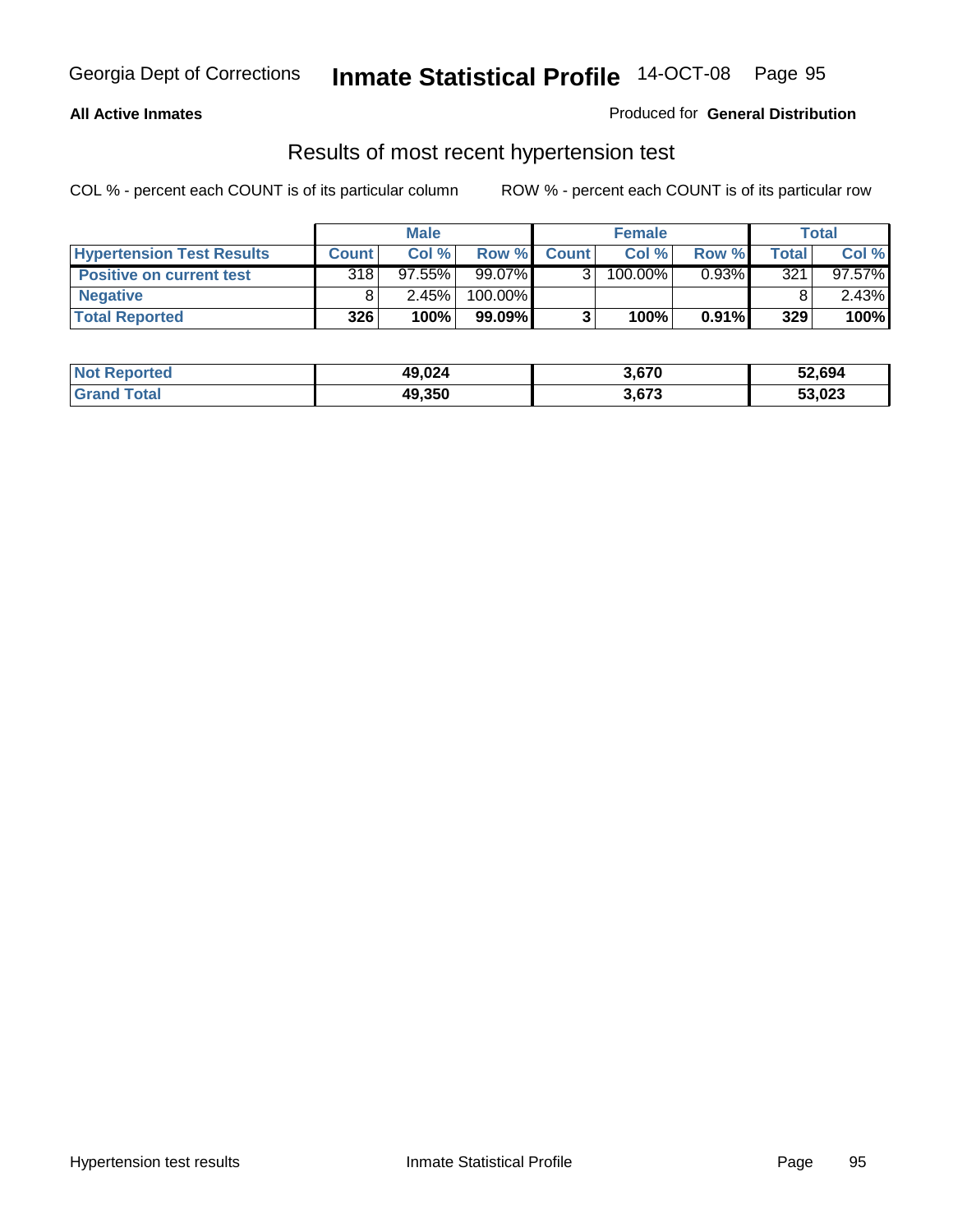### **All Active Inmates**

### Produced for **General Distribution**

### Results of most recent hypertension test

|                                  | <b>Male</b>  |        |           |              | <b>Female</b> |          | <b>Total</b> |           |
|----------------------------------|--------------|--------|-----------|--------------|---------------|----------|--------------|-----------|
| <b>Hypertension Test Results</b> | <b>Count</b> | Col %  | Row %     | <b>Count</b> | Col%          | Row %    | Total        | Col %     |
| <b>Positive on current test</b>  | 318          | 97.55% | 99.07%    |              | 100.00%       | $0.93\%$ | 321          | $97.57\%$ |
| <b>Negative</b>                  |              | 2.45%  | 100.00%   |              |               |          |              | $2.43\%$  |
| <b>Total Reported</b>            | 326          | 100%   | $99.09\%$ |              | 100%          | $0.91\%$ | 329          | 100%      |

| <b>Not Reported</b> | 49,024 | 3,670 | 52,694 |
|---------------------|--------|-------|--------|
| <b>Grand Total</b>  | 49,350 | 3,673 | 53,023 |